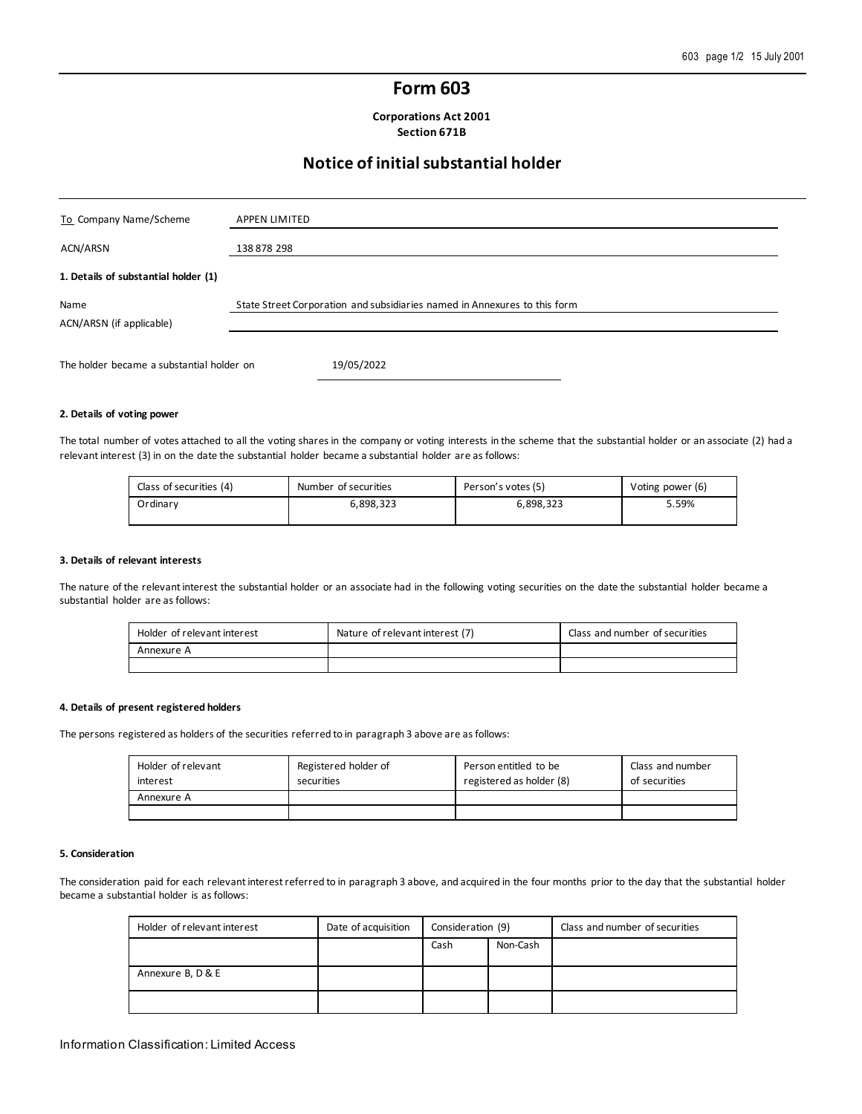## **Form 603**

**Corporations Act 2001 Section 671B**

## **Notice of initial substantial holder**

| To Company Name/Scheme                    | <b>APPEN LIMITED</b>                                                      |
|-------------------------------------------|---------------------------------------------------------------------------|
| ACN/ARSN                                  | 138 878 298                                                               |
| 1. Details of substantial holder (1)      |                                                                           |
| Name<br>ACN/ARSN (if applicable)          | State Street Corporation and subsidiaries named in Annexures to this form |
| The holder became a substantial holder on | 19/05/2022                                                                |

#### **2. Details of voting power**

The total number of votes attached to all the voting shares in the company or voting interests in the scheme that the substantial holder or an associate (2) had a relevant interest (3) in on the date the substantial holder became a substantial holder are as follows:

| Class of securities (4) | Number of securities | Person's votes (5) | Voting power (6) |
|-------------------------|----------------------|--------------------|------------------|
| Ordinary                | ა,898,323            | 6,898,323          | 5.59%            |

#### **3. Details of relevant interests**

The nature of the relevant interest the substantial holder or an associate had in the following voting securities on the date the substantial holder became a substantial holder are as follows:

| Holder of relevant interest | Nature of relevant interest (7) | Class and number of securities |
|-----------------------------|---------------------------------|--------------------------------|
| Annexure A                  |                                 |                                |
|                             |                                 |                                |

#### **4. Details of present registered holders**

The persons registered as holders of the securities referred to in paragraph 3 above are as follows:

| Holder of relevant<br>interest | Registered holder of<br>securities | Person entitled to be<br>registered as holder (8) | Class and number<br>of securities |
|--------------------------------|------------------------------------|---------------------------------------------------|-----------------------------------|
| Annexure A                     |                                    |                                                   |                                   |
|                                |                                    |                                                   |                                   |

#### **5. Consideration**

The consideration paid for each relevant interest referred to in paragraph 3 above, and acquired in the four months prior to the day that the substantial holder became a substantial holder is as follows:

| Holder of relevant interest | Date of acquisition | Consideration (9) |          | Class and number of securities |
|-----------------------------|---------------------|-------------------|----------|--------------------------------|
|                             |                     | Cash              | Non-Cash |                                |
| Annexure B, D & E           |                     |                   |          |                                |
|                             |                     |                   |          |                                |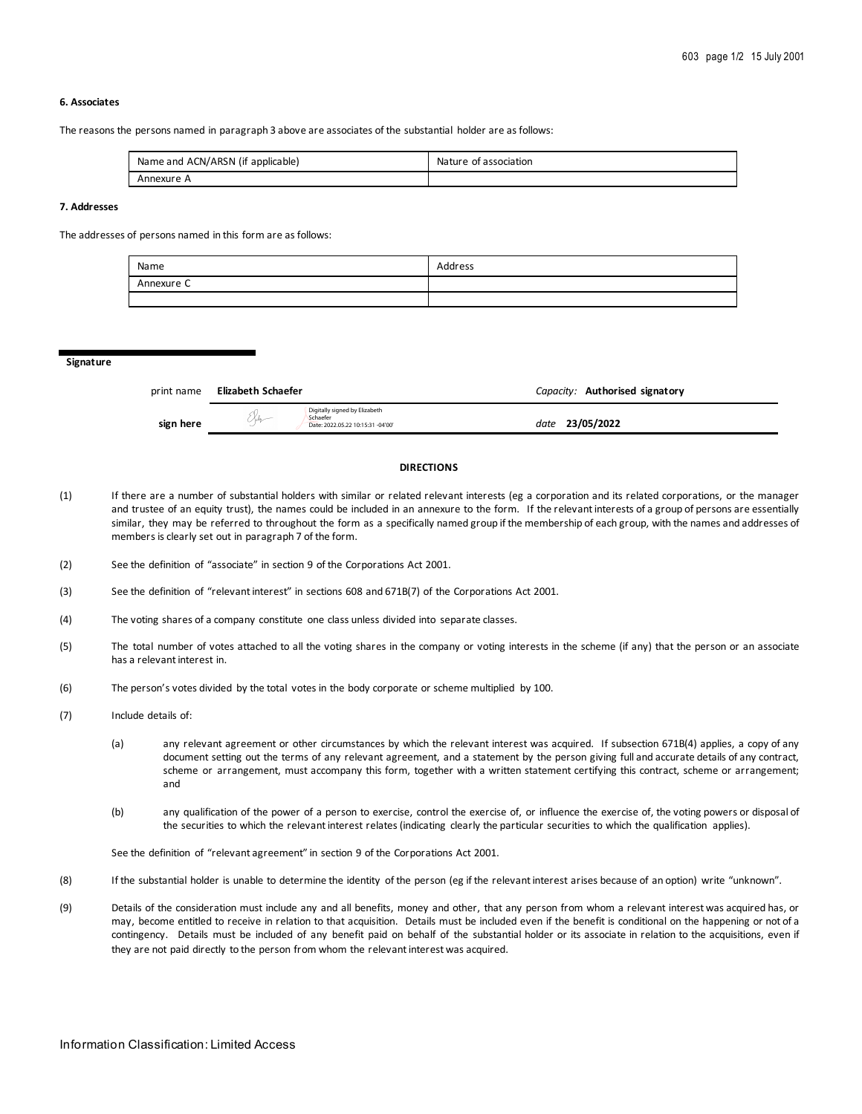### **6. Associates**

The reasons the persons named in paragraph 3 above are associates of the substantial holder are as follows:

| Name and ACN/ARSN (if applicable) | Nature of association |
|-----------------------------------|-----------------------|
| Annexure A                        |                       |

### **7. Addresses**

The addresses of persons named in this form are as follows:

| Name       | Address |
|------------|---------|
| Annexure C |         |
|            |         |

**Signature**

| print name | Elizabeth Schaefer                                                                     | Capacity: Authorised signatory |
|------------|----------------------------------------------------------------------------------------|--------------------------------|
| sign here  | Digitally signed by Elizabeth<br>Schaefer<br>メネィー<br>Date: 2022.05.22 10:15:31 -04'00' | 23/05/2022<br>date             |

#### **DIRECTIONS**

- (1) If there are a number of substantial holders with similar or related relevant interests (eg a corporation and its related corporations, or the manager and trustee of an equity trust), the names could be included in an annexure to the form. If the relevant interests of a group of persons are essentially similar, they may be referred to throughout the form as a specifically named group if the membership of each group, with the names and addresses of members is clearly set out in paragraph 7 of the form.
- (2) See the definition of "associate" in section 9 of the Corporations Act 2001.
- (3) See the definition of "relevant interest" in sections 608 and 671B(7) of the Corporations Act 2001.
- (4) The voting shares of a company constitute one class unless divided into separate classes.
- (5) The total number of votes attached to all the voting shares in the company or voting interests in the scheme (if any) that the person or an associate has a relevant interest in.
- (6) The person's votes divided by the total votes in the body corporate or scheme multiplied by 100.
- (7) Include details of:
	- (a) any relevant agreement or other circumstances by which the relevant interest was acquired. If subsection 671B(4) applies, a copy of any document setting out the terms of any relevant agreement, and a statement by the person giving full and accurate details of any contract, scheme or arrangement, must accompany this form, together with a written statement certifying this contract, scheme or arrangement; and
	- (b) any qualification of the power of a person to exercise, control the exercise of, or influence the exercise of, the voting powers or disposal of the securities to which the relevant interest relates (indicating clearly the particular securities to which the qualification applies).

See the definition of "relevant agreement" in section 9 of the Corporations Act 2001.

- (8) If the substantial holder is unable to determine the identity of the person (eg if the relevant interest arises because of an option) write "unknown".
- (9) Details of the consideration must include any and all benefits, money and other, that any person from whom a relevant interest was acquired has, or may, become entitled to receive in relation to that acquisition. Details must be included even if the benefit is conditional on the happening or not of a contingency. Details must be included of any benefit paid on behalf of the substantial holder or its associate in relation to the acquisitions, even if they are not paid directly to the person from whom the relevant interest was acquired.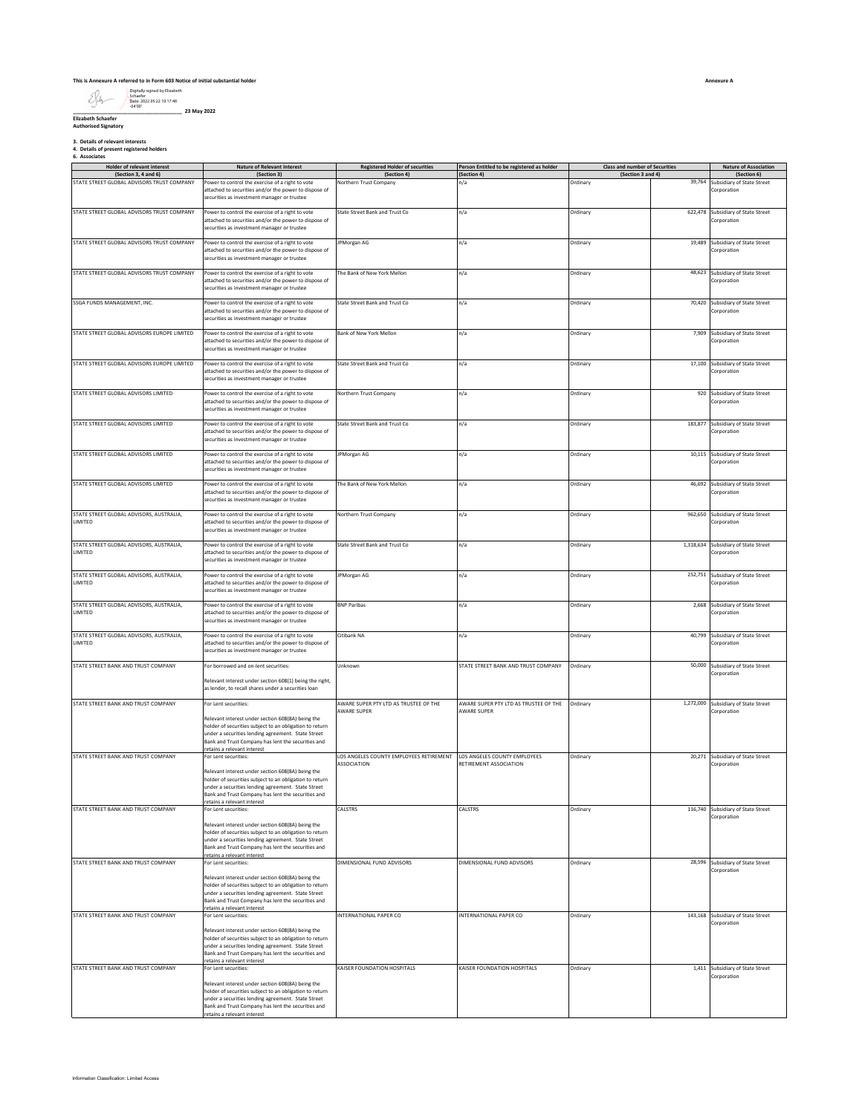## **This is Annexure A referred to in Form 603 Notice of initial substantial holder**

**\_\_\_\_\_\_\_\_\_\_\_\_\_\_\_\_\_\_\_\_\_\_\_\_\_\_\_\_\_\_\_\_\_\_\_\_\_\_ 23 May 2022 Elizabeth Schaefer Authorised Signatory** Digitally signed by Elizabeth Schaefer Date: 2022.05.22 10:17:48 -04'00'

**3. Details of relevant interests 4. Details of present registered holders 6. Associates**

| Holder of relevant interest                                        | <b>Nature of Relevant Interest</b>                                                                                                                                                                                                                                                                            | <b>Registered Holder of securities</b>                 | Person Entitled to be registered as holder             | <b>Class and number of Securities</b> |           | <b>Nature of Association</b>                             |
|--------------------------------------------------------------------|---------------------------------------------------------------------------------------------------------------------------------------------------------------------------------------------------------------------------------------------------------------------------------------------------------------|--------------------------------------------------------|--------------------------------------------------------|---------------------------------------|-----------|----------------------------------------------------------|
| (Section 3, 4 and 6)<br>STATE STREET GLOBAL ADVISORS TRUST COMPANY | (Section 3)<br>Power to control the exercise of a right to vote<br>attached to securities and/or the power to dispose of<br>securities as investment manager or trustee                                                                                                                                       | (Section 4)<br>Northern Trust Company                  | (Section 4)<br>n/a                                     | (Section 3 and 4)<br>Ordinary         | 39,764    | (Section 6)<br>Subsidiary of State Street<br>Corporation |
| STATE STREET GLOBAL ADVISORS TRUST COMPANY                         | Power to control the exercise of a right to vote<br>attached to securities and/or the power to dispose of<br>securities as investment manager or trustee                                                                                                                                                      | State Street Bank and Trust Co                         | n/a                                                    | Ordinary                              | 622,478   | Subsidiary of State Street<br>Corporation                |
| STATE STREET GLOBAL ADVISORS TRUST COMPANY                         | Power to control the exercise of a right to vote<br>attached to securities and/or the power to dispose of<br>securities as investment manager or trustee                                                                                                                                                      | JPMorgan AG                                            | n/a                                                    | Ordinary                              | 19,489    | Subsidiary of State Street<br>Corporation                |
| STATE STREET GLOBAL ADVISORS TRUST COMPANY                         | Power to control the exercise of a right to vote<br>attached to securities and/or the power to dispose of<br>securities as investment manager or trustee                                                                                                                                                      | The Bank of New York Mellon                            | n/a                                                    | Ordinary                              | 48,623    | Subsidiary of State Street<br>Corporation                |
| SSGA FUNDS MANAGEMENT, INC.                                        | Power to control the exercise of a right to vote<br>attached to securities and/or the power to dispose of<br>securities as investment manager or trustee                                                                                                                                                      | State Street Bank and Trust Co                         | n/a                                                    | Ordinary                              |           | 70,420 Subsidiary of State Street<br>Corporation         |
| STATE STREET GLOBAL ADVISORS EUROPE LIMITED                        | Power to control the exercise of a right to vote<br>attached to securities and/or the power to dispose of<br>securities as investment manager or trustee                                                                                                                                                      | Bank of New York Mellon                                | n/a                                                    | Ordinary                              | 7,909     | Subsidiary of State Street<br>Corporation                |
| STATE STREET GLOBAL ADVISORS EUROPE LIMITED                        | Power to control the exercise of a right to vote<br>attached to securities and/or the power to dispose of<br>securities as investment manager or trustee                                                                                                                                                      | State Street Bank and Trust Co                         | n/a                                                    | Ordinary                              | 17,100    | Subsidiary of State Street<br>Corporation                |
| STATE STREET GLOBAL ADVISORS LIMITED                               | Power to control the exercise of a right to vote<br>attached to securities and/or the power to dispose of<br>securities as investment manager or trustee                                                                                                                                                      | Northern Trust Company                                 | n/a                                                    | Ordinary                              |           | 920 Subsidiary of State Street<br>Corporation            |
| STATE STREET GLOBAL ADVISORS LIMITED                               | Power to control the exercise of a right to vote<br>attached to securities and/or the power to dispose of<br>securities as investment manager or trustee                                                                                                                                                      | State Street Bank and Trust Co                         | n/a                                                    | Ordinary                              | 183,877   | Subsidiary of State Street<br>Corporation                |
| STATE STREET GLOBAL ADVISORS LIMITED                               | Power to control the exercise of a right to vote<br>attached to securities and/or the power to dispose of<br>securities as investment manager or trustee                                                                                                                                                      | JPMorgan AG                                            | n/a                                                    | Ordinary                              |           | 10,115 Subsidiary of State Street<br>Corporation         |
| STATE STREET GLOBAL ADVISORS LIMITED                               | Power to control the exercise of a right to vote<br>attached to securities and/or the power to dispose of<br>securities as investment manager or trustee                                                                                                                                                      | The Bank of New York Mellon                            | n/a                                                    | Ordinary                              |           | 46,692 Subsidiary of State Street<br>Corporation         |
| STATE STREET GLOBAL ADVISORS, AUSTRALIA,<br>LIMITED                | Power to control the exercise of a right to vote<br>attached to securities and/or the power to dispose of<br>securities as investment manager or trustee                                                                                                                                                      | Northern Trust Company                                 | n/a                                                    | Ordinary                              | 962,650   | Subsidiary of State Street<br>Corporation                |
| STATE STREET GLOBAL ADVISORS, AUSTRALIA,<br>LIMITED                | Power to control the exercise of a right to vote<br>attached to securities and/or the power to dispose of<br>securities as investment manager or trustee                                                                                                                                                      | State Street Bank and Trust Co                         | n/a                                                    | Ordinary                              | 1,318,634 | Subsidiary of State Street<br>Corporation                |
| STATE STREET GLOBAL ADVISORS, AUSTRALIA,<br>LIMITED                | Power to control the exercise of a right to vote<br>attached to securities and/or the power to dispose of<br>securities as investment manager or trustee                                                                                                                                                      | JPMorgan AG                                            | n/a                                                    | Ordinary                              | 252,751   | Subsidiary of State Street<br>Corporation                |
| STATE STREET GLOBAL ADVISORS, AUSTRALIA,<br>LIMITED                | Power to control the exercise of a right to vote<br>attached to securities and/or the power to dispose of<br>securities as investment manager or trustee                                                                                                                                                      | <b>BNP Paribas</b>                                     | n/a                                                    | Ordinary                              |           | 2,668 Subsidiary of State Street<br>Corporation          |
| STATE STREET GLOBAL ADVISORS, AUSTRALIA,<br>LIMITED                | Power to control the exercise of a right to vote<br>attached to securities and/or the power to dispose of<br>securities as investment manager or trustee                                                                                                                                                      | Citibank NA                                            | n/a                                                    | Ordinary                              | 40,799    | Subsidiary of State Street<br>Corporation                |
| STATE STREET BANK AND TRUST COMPANY                                | For borrowed and on-lent securities:<br>Relevant interest under section 608(1) being the right,<br>as lender, to recall shares under a securities loan                                                                                                                                                        | Unknown                                                | STATE STREET BANK AND TRUST COMPANY                    | Ordinary                              |           | 50,000 Subsidiary of State Street<br>Corporation         |
| STATE STREET BANK AND TRUST COMPANY                                | For Lent securities:<br>Relevant interest under section 608(8A) being the<br>holder of securities subject to an obligation to return<br>under a securities lending agreement. State Street<br>Bank and Trust Company has lent the securities and                                                              | AWARE SUPER PTY LTD AS TRUSTEE OF THE<br>AWARE SUPER   | <b>AWARE SUPER</b>                                     |                                       |           | 1,272,000 Subsidiary of State Street<br>Corporation      |
| STATE STREET BANK AND TRUST COMPANY                                | retains a relevant interest<br>For Lent securities:<br>Relevant interest under section 608(8A) being the<br>holder of securities subject to an obligation to return<br>under a securities lending agreement. State Street<br>Bank and Trust Company has lent the securities and                               | LOS ANGELES COUNTY EMPLOYEES RETIREMENT<br>ASSOCIATION | LOS ANGELES COUNTY EMPLOYEES<br>RETIREMENT ASSOCIATION | Ordinary                              |           | 20,271 Subsidiary of State Street<br>Corporation         |
| STATE STREET BANK AND TRUST COMPANY                                | retains a relevant interest<br>For Lent securities:<br>Relevant interest under section 608(8A) being the<br>holder of securities subject to an obligation to return<br>under a securities lending agreement. State Street<br>Bank and Trust Company has lent the securities and<br>etains a relevant interest | CALSTRS                                                | CALSTRS                                                | Ordinary                              | 116,740   | Subsidiary of State Street<br>Corporation                |
| STATE STREET BANK AND TRUST COMPANY                                | For Lent securities:<br>Relevant interest under section 608(8A) being the<br>holder of securities subject to an obligation to return<br>under a securities lending agreement. State Street<br>Bank and Trust Company has lent the securities and<br>etains a relevant interest                                | DIMENSIONAL FUND ADVISORS                              | DIMENSIONAL FUND ADVISORS                              | Ordinary                              | 28,596    | Subsidiary of State Street<br>Corporation                |
| STATE STREET BANK AND TRUST COMPANY                                | For Lent securities:<br>Relevant interest under section 608(8A) being the<br>holder of securities subject to an obligation to return<br>under a securities lending agreement. State Street<br>Bank and Trust Company has lent the securities and<br>etains a relevant interest                                | INTERNATIONAL PAPER CO                                 | INTERNATIONAL PAPER CO                                 | Ordinary                              | 143,168   | Subsidiary of State Street<br>Corporation                |
| STATE STREET BANK AND TRUST COMPANY                                | For Lent securities:<br>Relevant interest under section 608(8A) being the<br>nolder of securities subject to an obligation to return<br>under a securities lending agreement. State Street<br>Bank and Trust Company has lent the securities and<br>retains a relevant interest                               | KAISER FOUNDATION HOSPITALS                            | KAISER FOUNDATION HOSPITALS                            | Ordinary                              |           | 1,411 Subsidiary of State Street<br>Corporation          |

┑

**Class and number of Securities**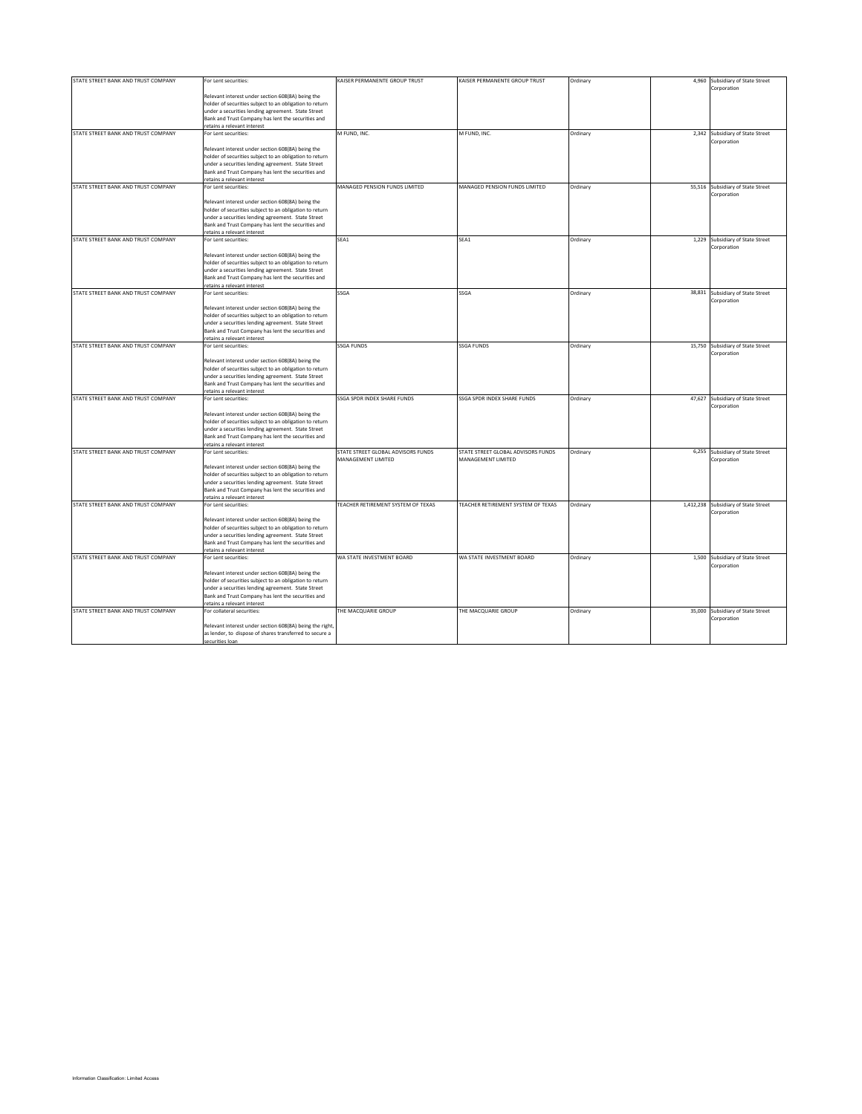| STATE STREET BANK AND TRUST COMPANY | For Lent securities:                                                                                               | KAISER PERMANENTE GROUP TRUST      | KAISER PERMANENTE GROUP TRUST      | Ordinary | 4,960 Subsidiary of State Street     |
|-------------------------------------|--------------------------------------------------------------------------------------------------------------------|------------------------------------|------------------------------------|----------|--------------------------------------|
|                                     |                                                                                                                    |                                    |                                    |          | Corporation                          |
|                                     | Relevant interest under section 608(8A) being the                                                                  |                                    |                                    |          |                                      |
|                                     | nolder of securities subject to an obligation to return                                                            |                                    |                                    |          |                                      |
|                                     | under a securities lending agreement. State Street                                                                 |                                    |                                    |          |                                      |
|                                     | Bank and Trust Company has lent the securities and                                                                 |                                    |                                    |          |                                      |
|                                     | etains a relevant interest                                                                                         |                                    |                                    |          |                                      |
| STATE STREET BANK AND TRUST COMPANY | For Lent securities:                                                                                               | M FUND, INC.                       | M FUND, INC.                       | Ordinary | 2,342 Subsidiary of State Street     |
|                                     |                                                                                                                    |                                    |                                    |          | Corporation                          |
|                                     | Relevant interest under section 608(8A) being the                                                                  |                                    |                                    |          |                                      |
|                                     | older of securities subject to an obligation to return                                                             |                                    |                                    |          |                                      |
|                                     | under a securities lending agreement. State Street                                                                 |                                    |                                    |          |                                      |
|                                     | Bank and Trust Company has lent the securities and                                                                 |                                    |                                    |          |                                      |
|                                     | etains a relevant interest                                                                                         |                                    |                                    |          |                                      |
| STATE STREET BANK AND TRUST COMPANY | For Lent securities:                                                                                               | MANAGED PENSION FUNDS LIMITED      | MANAGED PENSION FUNDS LIMITED      | Ordinary | 55,516 Subsidiary of State Street    |
|                                     |                                                                                                                    |                                    |                                    |          | Corporation                          |
|                                     | Relevant interest under section 608(8A) being the                                                                  |                                    |                                    |          |                                      |
|                                     | nolder of securities subject to an obligation to return                                                            |                                    |                                    |          |                                      |
|                                     |                                                                                                                    |                                    |                                    |          |                                      |
|                                     | under a securities lending agreement. State Street                                                                 |                                    |                                    |          |                                      |
|                                     | Bank and Trust Company has lent the securities and                                                                 |                                    |                                    |          |                                      |
|                                     | etains a relevant interest                                                                                         |                                    |                                    |          |                                      |
| STATE STREET BANK AND TRUST COMPANY | For Lent securities:                                                                                               | SEA1                               | SEA1                               | Ordinary | 1,229 Subsidiary of State Street     |
|                                     |                                                                                                                    |                                    |                                    |          | Corporation                          |
|                                     | Relevant interest under section 608(8A) being the                                                                  |                                    |                                    |          |                                      |
|                                     | holder of securities subject to an obligation to return                                                            |                                    |                                    |          |                                      |
|                                     | under a securities lending agreement. State Street                                                                 |                                    |                                    |          |                                      |
|                                     | Bank and Trust Company has lent the securities and                                                                 |                                    |                                    |          |                                      |
|                                     | etains a relevant interest                                                                                         |                                    |                                    |          |                                      |
| STATE STREET BANK AND TRUST COMPANY | For Lent securities:                                                                                               | SSGA                               | SSGA                               | Ordinary | 38,831 Subsidiary of State Street    |
|                                     |                                                                                                                    |                                    |                                    |          | Corporation                          |
|                                     | Relevant interest under section 608(8A) being the                                                                  |                                    |                                    |          |                                      |
|                                     | holder of securities subject to an obligation to return                                                            |                                    |                                    |          |                                      |
|                                     | under a securities lending agreement. State Street                                                                 |                                    |                                    |          |                                      |
|                                     | Bank and Trust Company has lent the securities and                                                                 |                                    |                                    |          |                                      |
|                                     | retains a relevant interest                                                                                        |                                    |                                    |          |                                      |
| STATE STREET BANK AND TRUST COMPANY | For Lent securities:                                                                                               | <b>SSGA FUNDS</b>                  | <b>SSGA FUNDS</b>                  | Ordinary | 15,750 Subsidiary of State Street    |
|                                     |                                                                                                                    |                                    |                                    |          | Corporation                          |
|                                     | Relevant interest under section 608(8A) being the                                                                  |                                    |                                    |          |                                      |
|                                     | holder of securities subject to an obligation to return                                                            |                                    |                                    |          |                                      |
|                                     | under a securities lending agreement. State Street                                                                 |                                    |                                    |          |                                      |
|                                     | Bank and Trust Company has lent the securities and                                                                 |                                    |                                    |          |                                      |
|                                     | retains a relevant interest                                                                                        |                                    |                                    |          |                                      |
| STATE STREET BANK AND TRUST COMPANY | For Lent securities:                                                                                               | SSGA SPDR INDEX SHARE FUNDS        | SSGA SPDR INDEX SHARE FUNDS        | Ordinary | 47,627 Subsidiary of State Street    |
|                                     |                                                                                                                    |                                    |                                    |          | Corporation                          |
|                                     | Relevant interest under section 608(8A) being the                                                                  |                                    |                                    |          |                                      |
|                                     | holder of securities subject to an obligation to return                                                            |                                    |                                    |          |                                      |
|                                     | under a securities lending agreement. State Street                                                                 |                                    |                                    |          |                                      |
|                                     | Bank and Trust Company has lent the securities and                                                                 |                                    |                                    |          |                                      |
|                                     | retains a relevant interest                                                                                        |                                    |                                    |          |                                      |
| STATE STREET BANK AND TRUST COMPANY | For Lent securities:                                                                                               | STATE STREET GLOBAL ADVISORS FUNDS | STATE STREET GLOBAL ADVISORS FUNDS | Ordinary | 6,255 Subsidiary of State Street     |
|                                     |                                                                                                                    | MANAGEMENT LIMITED                 | MANAGEMENT LIMITED                 |          | Corporation                          |
|                                     | Relevant interest under section 608(8A) being the                                                                  |                                    |                                    |          |                                      |
|                                     | holder of securities subject to an obligation to return                                                            |                                    |                                    |          |                                      |
|                                     | under a securities lending agreement. State Street                                                                 |                                    |                                    |          |                                      |
|                                     | Bank and Trust Company has lent the securities and                                                                 |                                    |                                    |          |                                      |
|                                     | retains a relevant interest                                                                                        |                                    |                                    |          |                                      |
| STATE STREET BANK AND TRUST COMPANY | For Lent securities:                                                                                               | TEACHER RETIREMENT SYSTEM OF TEXAS | TEACHER RETIREMENT SYSTEM OF TEXAS | Ordinary | 1,412,238 Subsidiary of State Street |
|                                     |                                                                                                                    |                                    |                                    |          | Corporation                          |
|                                     | Relevant interest under section 608(8A) being the                                                                  |                                    |                                    |          |                                      |
|                                     | holder of securities subject to an obligation to return                                                            |                                    |                                    |          |                                      |
|                                     | under a securities lending agreement. State Street                                                                 |                                    |                                    |          |                                      |
|                                     |                                                                                                                    |                                    |                                    |          |                                      |
|                                     | Bank and Trust Company has lent the securities and<br>etains a relevant interest                                   |                                    |                                    |          |                                      |
| STATE STREET BANK AND TRUST COMPANY | For Lent securities:                                                                                               | WA STATE INVESTMENT BOARD          | WA STATE INVESTMENT BOARD          | Ordinary | 1,500 Subsidiary of State Street     |
|                                     |                                                                                                                    |                                    |                                    |          | Corporation                          |
|                                     | Relevant interest under section 608(8A) being the                                                                  |                                    |                                    |          |                                      |
|                                     | holder of securities subject to an obligation to return                                                            |                                    |                                    |          |                                      |
|                                     |                                                                                                                    |                                    |                                    |          |                                      |
|                                     | under a securities lending agreement. State Street                                                                 |                                    |                                    |          |                                      |
|                                     | Bank and Trust Company has lent the securities and<br>etains a relevant interest                                   |                                    |                                    |          |                                      |
| STATE STREET BANK AND TRUST COMPANY |                                                                                                                    | THE MACQUARIE GROUP                | THE MACQUARIE GROUP                |          | 35,000 Subsidiary of State Street    |
|                                     | For collateral securities:                                                                                         |                                    |                                    | Ordinary | Corporation                          |
|                                     |                                                                                                                    |                                    |                                    |          |                                      |
|                                     | Relevant interest under section 608(8A) being the right<br>as lender, to dispose of shares transferred to secure a |                                    |                                    |          |                                      |
|                                     |                                                                                                                    |                                    |                                    |          |                                      |
|                                     | securities loan                                                                                                    |                                    |                                    |          |                                      |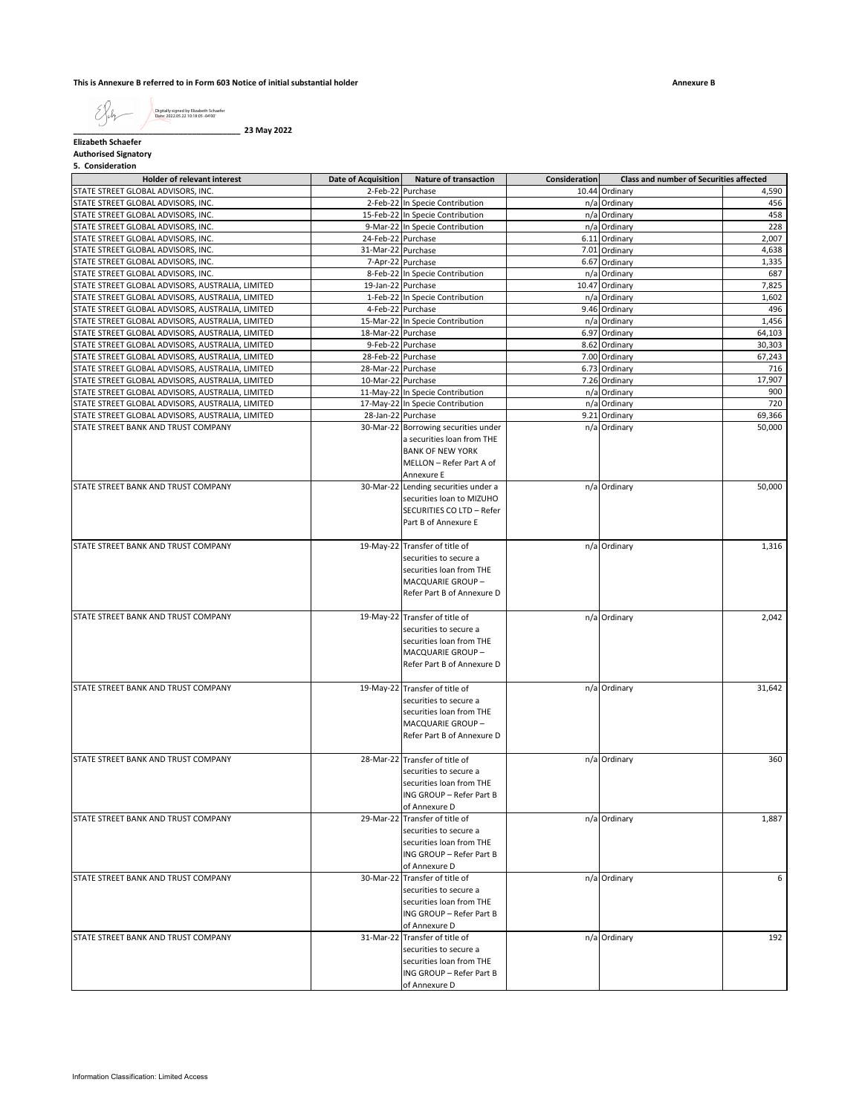**This is Annexure B referred to in Form 603 Notice of initial substantial holder**

**Annexure B**

|  | Digitally signed by Elizabeth Schaefer<br>Date: 2022.05.22 10:18:05 -04'00" |
|--|-----------------------------------------------------------------------------|
|--|-----------------------------------------------------------------------------|

**\_\_\_\_\_\_\_\_\_\_\_\_\_\_\_\_\_\_\_\_\_\_\_\_\_\_\_\_\_\_\_\_\_\_\_\_\_\_ 23 May 2022**

**Elizabeth Schaefer Authorised Signatory**

**5. Consideration**

| <b>Holder of relevant interest</b>               | <b>Date of Acquisition</b> | <b>Nature of transaction</b>                   | Consideration | <b>Class and number of Securities affected</b> |        |
|--------------------------------------------------|----------------------------|------------------------------------------------|---------------|------------------------------------------------|--------|
| STATE STREET GLOBAL ADVISORS, INC.               |                            | 2-Feb-22 Purchase                              |               | 10.44 Ordinary                                 | 4,590  |
| STATE STREET GLOBAL ADVISORS, INC.               |                            | 2-Feb-22 In Specie Contribution                |               | n/a Ordinary                                   | 456    |
| STATE STREET GLOBAL ADVISORS, INC.               |                            | 15-Feb-22 In Specie Contribution               |               | n/a Ordinary                                   | 458    |
| STATE STREET GLOBAL ADVISORS, INC.               |                            | 9-Mar-22 In Specie Contribution                |               | n/a Ordinary                                   | 228    |
| STATE STREET GLOBAL ADVISORS, INC.               | 24-Feb-22 Purchase         |                                                |               | 6.11 Ordinary                                  | 2,007  |
| STATE STREET GLOBAL ADVISORS, INC.               | 31-Mar-22 Purchase         |                                                |               | 7.01 Ordinary                                  | 4,638  |
| STATE STREET GLOBAL ADVISORS, INC.               |                            | 7-Apr-22 Purchase                              |               | 6.67 Ordinary                                  | 1,335  |
| STATE STREET GLOBAL ADVISORS, INC.               |                            | 8-Feb-22 In Specie Contribution                |               | n/a Ordinary                                   | 687    |
| STATE STREET GLOBAL ADVISORS, AUSTRALIA, LIMITED | 19-Jan-22 Purchase         |                                                |               | 10.47 Ordinary                                 | 7,825  |
| STATE STREET GLOBAL ADVISORS, AUSTRALIA, LIMITED |                            | 1-Feb-22 In Specie Contribution                |               | n/a Ordinary                                   | 1,602  |
| STATE STREET GLOBAL ADVISORS, AUSTRALIA, LIMITED |                            | 4-Feb-22 Purchase                              |               | 9.46 Ordinary                                  | 496    |
| STATE STREET GLOBAL ADVISORS, AUSTRALIA, LIMITED |                            | 15-Mar-22 In Specie Contribution               |               | n/a Ordinary                                   | 1,456  |
| STATE STREET GLOBAL ADVISORS, AUSTRALIA, LIMITED | 18-Mar-22 Purchase         |                                                |               | 6.97 Ordinary                                  | 64,103 |
| STATE STREET GLOBAL ADVISORS, AUSTRALIA, LIMITED |                            | 9-Feb-22 Purchase                              |               | 8.62 Ordinary                                  | 30,303 |
| STATE STREET GLOBAL ADVISORS, AUSTRALIA, LIMITED | 28-Feb-22 Purchase         |                                                |               | 7.00 Ordinary                                  | 67,243 |
| STATE STREET GLOBAL ADVISORS, AUSTRALIA, LIMITED | 28-Mar-22 Purchase         |                                                |               | 6.73 Ordinary                                  | 716    |
| STATE STREET GLOBAL ADVISORS, AUSTRALIA, LIMITED | 10-Mar-22 Purchase         |                                                |               | 7.26 Ordinary                                  | 17,907 |
| STATE STREET GLOBAL ADVISORS, AUSTRALIA, LIMITED |                            | 11-May-22 In Specie Contribution               |               | n/a Ordinary                                   | 900    |
| STATE STREET GLOBAL ADVISORS, AUSTRALIA, LIMITED |                            | 17-May-22 In Specie Contribution               |               | n/a Ordinary                                   | 720    |
| STATE STREET GLOBAL ADVISORS, AUSTRALIA, LIMITED |                            | 28-Jan-22 Purchase                             |               | 9.21 Ordinary                                  | 69,366 |
| STATE STREET BANK AND TRUST COMPANY              |                            | 30-Mar-22 Borrowing securities under           |               | n/a Ordinary                                   | 50,000 |
|                                                  |                            | a securities loan from THE                     |               |                                                |        |
|                                                  |                            | <b>BANK OF NEW YORK</b>                        |               |                                                |        |
|                                                  |                            | MELLON - Refer Part A of                       |               |                                                |        |
|                                                  |                            | Annexure E                                     |               |                                                |        |
| STATE STREET BANK AND TRUST COMPANY              |                            | 30-Mar-22 Lending securities under a           |               | n/a Ordinary                                   | 50,000 |
|                                                  |                            | securities loan to MIZUHO                      |               |                                                |        |
|                                                  |                            | SECURITIES CO LTD - Refer                      |               |                                                |        |
|                                                  |                            | Part B of Annexure E                           |               |                                                |        |
|                                                  |                            |                                                |               |                                                |        |
| STATE STREET BANK AND TRUST COMPANY              |                            | 19-May-22 Transfer of title of                 |               | n/a Ordinary                                   | 1,316  |
|                                                  |                            | securities to secure a                         |               |                                                |        |
|                                                  |                            | securities loan from THE                       |               |                                                |        |
|                                                  |                            | <b>MACQUARIE GROUP-</b>                        |               |                                                |        |
|                                                  |                            | Refer Part B of Annexure D                     |               |                                                |        |
| STATE STREET BANK AND TRUST COMPANY              |                            | 19-May-22 Transfer of title of                 |               | n/a Ordinary                                   | 2,042  |
|                                                  |                            | securities to secure a                         |               |                                                |        |
|                                                  |                            | securities loan from THE                       |               |                                                |        |
|                                                  |                            | MACQUARIE GROUP-                               |               |                                                |        |
|                                                  |                            | Refer Part B of Annexure D                     |               |                                                |        |
|                                                  |                            |                                                |               |                                                |        |
| STATE STREET BANK AND TRUST COMPANY              | 19-May-22                  | Transfer of title of                           |               | n/a Ordinary                                   | 31,642 |
|                                                  |                            | securities to secure a                         |               |                                                |        |
|                                                  |                            | securities loan from THE                       |               |                                                |        |
|                                                  |                            | MACQUARIE GROUP-                               |               |                                                |        |
|                                                  |                            | Refer Part B of Annexure D                     |               |                                                |        |
|                                                  |                            |                                                |               |                                                |        |
| STATE STREET BANK AND TRUST COMPANY              | 28-Mar-22                  | Transfer of title of                           |               | n/a Ordinary                                   | 360    |
|                                                  |                            | securities to secure a                         |               |                                                |        |
|                                                  |                            | securities loan from THE                       |               |                                                |        |
|                                                  |                            | ING GROUP - Refer Part B                       |               |                                                |        |
|                                                  | 29-Mar-22                  | of Annexure D                                  |               |                                                |        |
| STATE STREET BANK AND TRUST COMPANY              |                            | Transfer of title of<br>securities to secure a |               | n/a Ordinary                                   | 1,887  |
|                                                  |                            | securities loan from THE                       |               |                                                |        |
|                                                  |                            | ING GROUP - Refer Part B                       |               |                                                |        |
|                                                  |                            | of Annexure D                                  |               |                                                |        |
| STATE STREET BANK AND TRUST COMPANY              | 30-Mar-22                  | Transfer of title of                           |               | n/a Ordinary                                   | 6      |
|                                                  |                            | securities to secure a                         |               |                                                |        |
|                                                  |                            | securities loan from THE                       |               |                                                |        |
|                                                  |                            | ING GROUP - Refer Part B                       |               |                                                |        |
|                                                  |                            | of Annexure D                                  |               |                                                |        |
| STATE STREET BANK AND TRUST COMPANY              | 31-Mar-22                  | Transfer of title of                           |               | n/a Ordinary                                   | 192    |
|                                                  |                            | securities to secure a                         |               |                                                |        |
|                                                  |                            | securities loan from THE                       |               |                                                |        |
|                                                  |                            | ING GROUP - Refer Part B                       |               |                                                |        |
|                                                  |                            | of Annexure D                                  |               |                                                |        |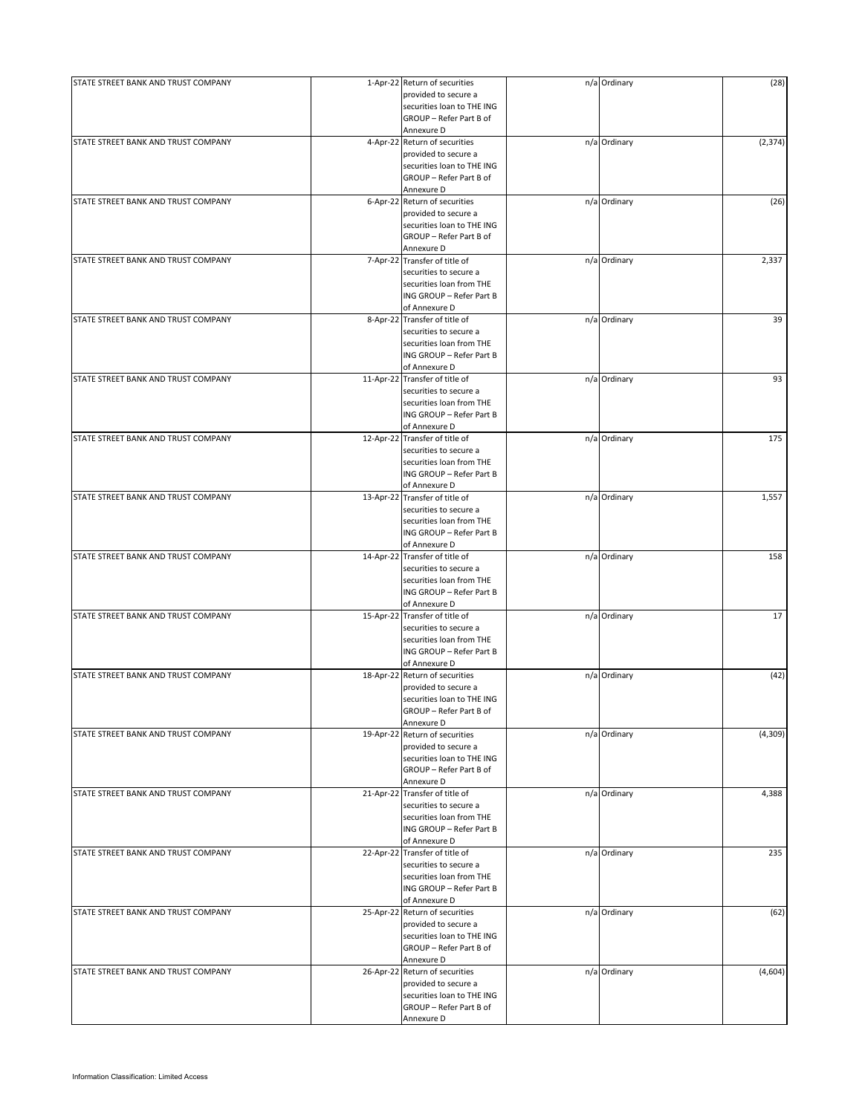| STATE STREET BANK AND TRUST COMPANY |           | 1-Apr-22 Return of securities                         | n/a Ordinary | (28)     |
|-------------------------------------|-----------|-------------------------------------------------------|--------------|----------|
|                                     |           | provided to secure a                                  |              |          |
|                                     |           | securities loan to THE ING                            |              |          |
|                                     |           | GROUP - Refer Part B of                               |              |          |
|                                     |           | Annexure D                                            |              |          |
| STATE STREET BANK AND TRUST COMPANY |           | 4-Apr-22 Return of securities                         | n/a Ordinary | (2, 374) |
|                                     |           | provided to secure a                                  |              |          |
|                                     |           | securities loan to THE ING<br>GROUP - Refer Part B of |              |          |
|                                     |           |                                                       |              |          |
| STATE STREET BANK AND TRUST COMPANY |           | Annexure D<br>6-Apr-22 Return of securities           | n/a Ordinary | (26)     |
|                                     |           | provided to secure a                                  |              |          |
|                                     |           | securities loan to THE ING                            |              |          |
|                                     |           | GROUP - Refer Part B of                               |              |          |
|                                     |           | Annexure D                                            |              |          |
| STATE STREET BANK AND TRUST COMPANY |           | 7-Apr-22 Transfer of title of                         | n/a Ordinary | 2,337    |
|                                     |           | securities to secure a                                |              |          |
|                                     |           | securities loan from THE                              |              |          |
|                                     |           | ING GROUP - Refer Part B                              |              |          |
|                                     |           | of Annexure D                                         |              |          |
| STATE STREET BANK AND TRUST COMPANY |           | 8-Apr-22 Transfer of title of                         | n/a Ordinary | 39       |
|                                     |           | securities to secure a                                |              |          |
|                                     |           | securities loan from THE                              |              |          |
|                                     |           | ING GROUP - Refer Part B                              |              |          |
|                                     |           | of Annexure D                                         |              |          |
| STATE STREET BANK AND TRUST COMPANY |           | 11-Apr-22 Transfer of title of                        | n/a Ordinary | 93       |
|                                     |           | securities to secure a                                |              |          |
|                                     |           | securities loan from THE                              |              |          |
|                                     |           | ING GROUP - Refer Part B                              |              |          |
|                                     |           | of Annexure D                                         |              |          |
| STATE STREET BANK AND TRUST COMPANY |           | 12-Apr-22 Transfer of title of                        | n/a Ordinary | 175      |
|                                     |           | securities to secure a                                |              |          |
|                                     |           | securities loan from THE                              |              |          |
|                                     |           | ING GROUP - Refer Part B                              |              |          |
|                                     |           | of Annexure D                                         |              |          |
| STATE STREET BANK AND TRUST COMPANY |           | 13-Apr-22 Transfer of title of                        | n/a Ordinary | 1,557    |
|                                     |           | securities to secure a                                |              |          |
|                                     |           | securities loan from THE                              |              |          |
|                                     |           | ING GROUP - Refer Part B                              |              |          |
|                                     |           | of Annexure D                                         |              |          |
| STATE STREET BANK AND TRUST COMPANY |           | 14-Apr-22 Transfer of title of                        | n/a Ordinary | 158      |
|                                     |           | securities to secure a                                |              |          |
|                                     |           | securities loan from THE                              |              |          |
|                                     |           | ING GROUP - Refer Part B                              |              |          |
|                                     |           | of Annexure D                                         |              |          |
| STATE STREET BANK AND TRUST COMPANY |           | 15-Apr-22 Transfer of title of                        | n/a Ordinary | 17       |
|                                     |           | securities to secure a                                |              |          |
|                                     |           | securities loan from THE                              |              |          |
|                                     |           | ING GROUP - Refer Part B                              |              |          |
|                                     |           | of Annexure D                                         |              |          |
| STATE STREET BANK AND TRUST COMPANY | 18-Apr-22 | Return of securities                                  | n/a Ordinary | (42)     |
|                                     |           | provided to secure a                                  |              |          |
|                                     |           | securities loan to THE ING                            |              |          |
|                                     |           | GROUP - Refer Part B of                               |              |          |
|                                     |           | Annexure D                                            |              |          |
| STATE STREET BANK AND TRUST COMPANY |           | 19-Apr-22 Return of securities                        | n/a Ordinary | (4,309)  |
|                                     |           | provided to secure a                                  |              |          |
|                                     |           | securities loan to THE ING                            |              |          |
|                                     |           | GROUP - Refer Part B of                               |              |          |
|                                     |           | Annexure D                                            |              |          |
| STATE STREET BANK AND TRUST COMPANY |           | 21-Apr-22 Transfer of title of                        | n/a Ordinary | 4,388    |
|                                     |           | securities to secure a                                |              |          |
|                                     |           | securities loan from THE                              |              |          |
|                                     |           | ING GROUP - Refer Part B                              |              |          |
|                                     |           | of Annexure D                                         |              |          |
| STATE STREET BANK AND TRUST COMPANY |           | 22-Apr-22 Transfer of title of                        | n/a Ordinary | 235      |
|                                     |           | securities to secure a                                |              |          |
|                                     |           | securities loan from THE                              |              |          |
|                                     |           | ING GROUP - Refer Part B                              |              |          |
|                                     |           | of Annexure D                                         |              |          |
| STATE STREET BANK AND TRUST COMPANY |           | 25-Apr-22 Return of securities                        | n/a Ordinary | (62)     |
|                                     |           | provided to secure a                                  |              |          |
|                                     |           | securities loan to THE ING                            |              |          |
|                                     |           | GROUP - Refer Part B of                               |              |          |
|                                     |           | Annexure D                                            |              |          |
| STATE STREET BANK AND TRUST COMPANY |           | 26-Apr-22 Return of securities                        | n/a Ordinary | (4,604)  |
|                                     |           | provided to secure a                                  |              |          |
|                                     |           | securities loan to THE ING                            |              |          |
|                                     |           | GROUP - Refer Part B of                               |              |          |
|                                     |           |                                                       |              |          |
|                                     |           | Annexure D                                            |              |          |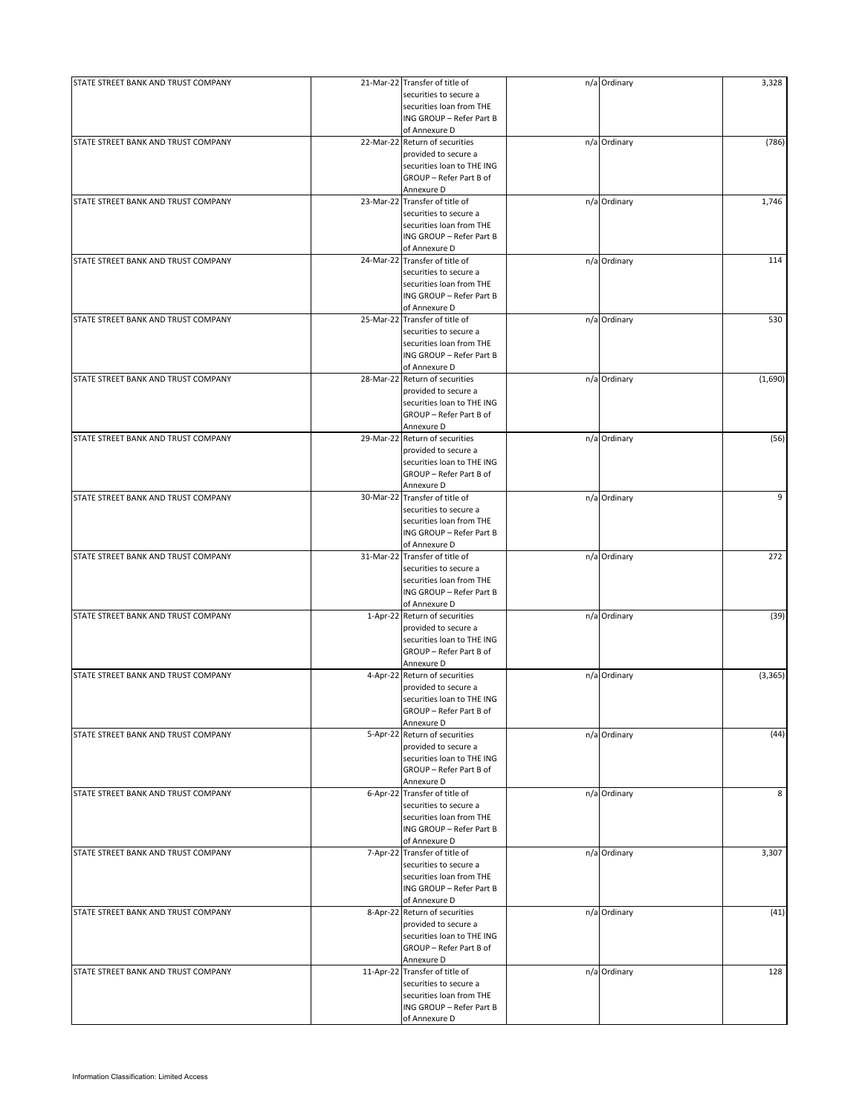| STATE STREET BANK AND TRUST COMPANY | 21-Mar-22 Transfer of title of | n/a Ordinary | 3,328    |
|-------------------------------------|--------------------------------|--------------|----------|
|                                     | securities to secure a         |              |          |
|                                     | securities loan from THE       |              |          |
|                                     | ING GROUP - Refer Part B       |              |          |
|                                     | of Annexure D                  |              |          |
| STATE STREET BANK AND TRUST COMPANY |                                |              |          |
|                                     | 22-Mar-22 Return of securities | n/a Ordinary | (786)    |
|                                     | provided to secure a           |              |          |
|                                     | securities loan to THE ING     |              |          |
|                                     | GROUP - Refer Part B of        |              |          |
|                                     | Annexure D                     |              |          |
| STATE STREET BANK AND TRUST COMPANY | 23-Mar-22 Transfer of title of | n/a Ordinary | 1,746    |
|                                     | securities to secure a         |              |          |
|                                     |                                |              |          |
|                                     | securities loan from THE       |              |          |
|                                     | ING GROUP - Refer Part B       |              |          |
|                                     | of Annexure D                  |              |          |
| STATE STREET BANK AND TRUST COMPANY | 24-Mar-22 Transfer of title of | n/a Ordinary | 114      |
|                                     | securities to secure a         |              |          |
|                                     | securities loan from THE       |              |          |
|                                     | ING GROUP - Refer Part B       |              |          |
|                                     |                                |              |          |
|                                     | of Annexure D                  |              |          |
| STATE STREET BANK AND TRUST COMPANY | 25-Mar-22 Transfer of title of | n/a Ordinary | 530      |
|                                     | securities to secure a         |              |          |
|                                     | securities loan from THE       |              |          |
|                                     | ING GROUP - Refer Part B       |              |          |
|                                     | of Annexure D                  |              |          |
|                                     |                                |              |          |
| STATE STREET BANK AND TRUST COMPANY | 28-Mar-22 Return of securities | n/a Ordinary | (1,690)  |
|                                     | provided to secure a           |              |          |
|                                     | securities loan to THE ING     |              |          |
|                                     | GROUP - Refer Part B of        |              |          |
|                                     | Annexure D                     |              |          |
|                                     |                                |              |          |
| STATE STREET BANK AND TRUST COMPANY | 29-Mar-22 Return of securities | n/a Ordinary | (56)     |
|                                     | provided to secure a           |              |          |
|                                     | securities loan to THE ING     |              |          |
|                                     | GROUP - Refer Part B of        |              |          |
|                                     | Annexure D                     |              |          |
|                                     |                                |              |          |
| STATE STREET BANK AND TRUST COMPANY | 30-Mar-22 Transfer of title of | n/a Ordinary | 9        |
|                                     | securities to secure a         |              |          |
|                                     | securities loan from THE       |              |          |
|                                     | ING GROUP - Refer Part B       |              |          |
|                                     | of Annexure D                  |              |          |
| STATE STREET BANK AND TRUST COMPANY | 31-Mar-22 Transfer of title of | n/a Ordinary | 272      |
|                                     |                                |              |          |
|                                     | securities to secure a         |              |          |
|                                     | securities loan from THE       |              |          |
|                                     | ING GROUP - Refer Part B       |              |          |
|                                     | of Annexure D                  |              |          |
| STATE STREET BANK AND TRUST COMPANY | 1-Apr-22 Return of securities  | n/a Ordinary | (39)     |
|                                     | provided to secure a           |              |          |
|                                     |                                |              |          |
|                                     | securities loan to THE ING     |              |          |
|                                     | GROUP - Refer Part B of        |              |          |
|                                     | Annexure D                     |              |          |
| STATE STREET BANK AND TRUST COMPANY | 4-Apr-22 Return of securities  | n/a Ordinary | (3, 365) |
|                                     | provided to secure a           |              |          |
|                                     |                                |              |          |
|                                     | securities loan to THE ING     |              |          |
|                                     | GROUP - Refer Part B of        |              |          |
|                                     | Annexure D                     |              |          |
| STATE STREET BANK AND TRUST COMPANY | 5-Apr-22 Return of securities  | n/a Ordinary | (44)     |
|                                     | provided to secure a           |              |          |
|                                     | securities loan to THE ING     |              |          |
|                                     |                                |              |          |
|                                     | GROUP - Refer Part B of        |              |          |
|                                     | Annexure D                     |              |          |
| STATE STREET BANK AND TRUST COMPANY | 6-Apr-22 Transfer of title of  | n/a Ordinary | 8        |
|                                     | securities to secure a         |              |          |
|                                     | securities loan from THE       |              |          |
|                                     | ING GROUP - Refer Part B       |              |          |
|                                     |                                |              |          |
|                                     | of Annexure D                  |              |          |
| STATE STREET BANK AND TRUST COMPANY | 7-Apr-22 Transfer of title of  | n/a Ordinary | 3,307    |
|                                     | securities to secure a         |              |          |
|                                     | securities loan from THE       |              |          |
|                                     | ING GROUP - Refer Part B       |              |          |
|                                     | of Annexure D                  |              |          |
|                                     |                                |              |          |
| STATE STREET BANK AND TRUST COMPANY | 8-Apr-22 Return of securities  | n/a Ordinary | (41)     |
|                                     | provided to secure a           |              |          |
|                                     | securities loan to THE ING     |              |          |
|                                     | GROUP - Refer Part B of        |              |          |
|                                     | Annexure D                     |              |          |
|                                     |                                |              |          |
| STATE STREET BANK AND TRUST COMPANY | 11-Apr-22 Transfer of title of | n/a Ordinary | 128      |
|                                     | securities to secure a         |              |          |
|                                     | securities loan from THE       |              |          |
|                                     | ING GROUP - Refer Part B       |              |          |
|                                     |                                |              |          |
|                                     | of Annexure D                  |              |          |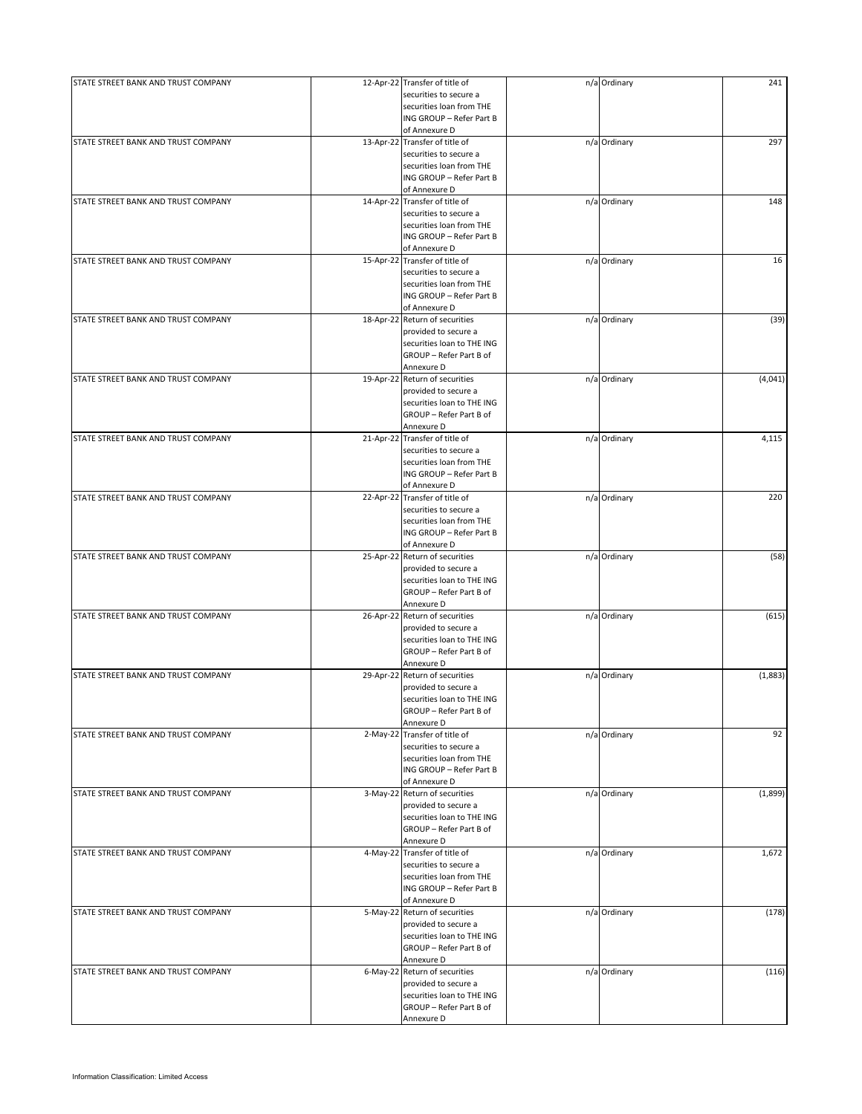| STATE STREET BANK AND TRUST COMPANY | 12-Apr-22 Transfer of title of<br>securities to secure a | n/a Ordinary | 241     |
|-------------------------------------|----------------------------------------------------------|--------------|---------|
|                                     | securities loan from THE                                 |              |         |
|                                     | ING GROUP - Refer Part B                                 |              |         |
|                                     | of Annexure D                                            |              |         |
| STATE STREET BANK AND TRUST COMPANY | 13-Apr-22 Transfer of title of                           | n/a Ordinary | 297     |
|                                     | securities to secure a                                   |              |         |
|                                     | securities loan from THE                                 |              |         |
|                                     | ING GROUP - Refer Part B                                 |              |         |
|                                     | of Annexure D                                            |              |         |
| STATE STREET BANK AND TRUST COMPANY | 14-Apr-22 Transfer of title of                           | n/a Ordinary | 148     |
|                                     | securities to secure a                                   |              |         |
|                                     | securities loan from THE                                 |              |         |
|                                     | ING GROUP - Refer Part B                                 |              |         |
|                                     |                                                          |              |         |
|                                     | of Annexure D                                            |              |         |
| STATE STREET BANK AND TRUST COMPANY | 15-Apr-22 Transfer of title of<br>securities to secure a | n/a Ordinary | 16      |
|                                     |                                                          |              |         |
|                                     | securities loan from THE                                 |              |         |
|                                     | ING GROUP - Refer Part B                                 |              |         |
|                                     | of Annexure D                                            |              |         |
| STATE STREET BANK AND TRUST COMPANY | 18-Apr-22 Return of securities                           | n/a Ordinary | (39)    |
|                                     | provided to secure a                                     |              |         |
|                                     | securities loan to THE ING                               |              |         |
|                                     | GROUP - Refer Part B of                                  |              |         |
|                                     | Annexure D                                               |              |         |
| STATE STREET BANK AND TRUST COMPANY | 19-Apr-22 Return of securities                           | n/a Ordinary | (4,041) |
|                                     | provided to secure a                                     |              |         |
|                                     | securities loan to THE ING                               |              |         |
|                                     | GROUP - Refer Part B of                                  |              |         |
|                                     | Annexure D                                               |              |         |
| STATE STREET BANK AND TRUST COMPANY | 21-Apr-22 Transfer of title of                           | n/a Ordinary | 4,115   |
|                                     | securities to secure a                                   |              |         |
|                                     | securities loan from THE                                 |              |         |
|                                     | ING GROUP - Refer Part B                                 |              |         |
|                                     | of Annexure D                                            |              |         |
| STATE STREET BANK AND TRUST COMPANY | 22-Apr-22 Transfer of title of                           | n/a Ordinary | 220     |
|                                     | securities to secure a                                   |              |         |
|                                     | securities loan from THE                                 |              |         |
|                                     | ING GROUP - Refer Part B                                 |              |         |
|                                     | of Annexure D                                            |              |         |
| STATE STREET BANK AND TRUST COMPANY | 25-Apr-22 Return of securities                           | n/a Ordinary | (58)    |
|                                     | provided to secure a                                     |              |         |
|                                     | securities loan to THE ING                               |              |         |
|                                     | GROUP - Refer Part B of                                  |              |         |
|                                     | Annexure D                                               |              |         |
| STATE STREET BANK AND TRUST COMPANY | 26-Apr-22 Return of securities                           | n/a Ordinary | (615)   |
|                                     | provided to secure a                                     |              |         |
|                                     | securities loan to THE ING                               |              |         |
|                                     | GROUP - Refer Part B of                                  |              |         |
|                                     | Annexure D                                               |              |         |
| STATE STREET BANK AND TRUST COMPANY | 29-Apr-22 Return of securities                           | n/a Ordinary |         |
|                                     |                                                          |              | (1,883) |
|                                     | provided to secure a                                     |              |         |
|                                     | securities loan to THE ING                               |              |         |
|                                     | GROUP - Refer Part B of                                  |              |         |
|                                     | Annexure D                                               |              |         |
| STATE STREET BANK AND TRUST COMPANY | 2-May-22 Transfer of title of                            | n/a Ordinary | 92      |
|                                     | securities to secure a                                   |              |         |
|                                     | securities loan from THE                                 |              |         |
|                                     | ING GROUP - Refer Part B                                 |              |         |
|                                     | of Annexure D                                            |              |         |
| STATE STREET BANK AND TRUST COMPANY | 3-May-22 Return of securities                            | n/a Ordinary | (1,899) |
|                                     | provided to secure a                                     |              |         |
|                                     | securities loan to THE ING                               |              |         |
|                                     | GROUP - Refer Part B of                                  |              |         |
|                                     | Annexure D                                               |              |         |
| STATE STREET BANK AND TRUST COMPANY | 4-May-22 Transfer of title of                            | n/a Ordinary | 1,672   |
|                                     | securities to secure a                                   |              |         |
|                                     | securities loan from THE                                 |              |         |
|                                     | ING GROUP - Refer Part B                                 |              |         |
|                                     | of Annexure D                                            |              |         |
| STATE STREET BANK AND TRUST COMPANY | 5-May-22 Return of securities                            | n/a Ordinary | (178)   |
|                                     | provided to secure a                                     |              |         |
|                                     | securities loan to THE ING                               |              |         |
|                                     | GROUP - Refer Part B of                                  |              |         |
|                                     | Annexure D                                               |              |         |
| STATE STREET BANK AND TRUST COMPANY | 6-May-22 Return of securities                            | n/a Ordinary | (116)   |
|                                     | provided to secure a                                     |              |         |
|                                     | securities loan to THE ING                               |              |         |
|                                     | GROUP - Refer Part B of                                  |              |         |
|                                     | Annexure D                                               |              |         |
|                                     |                                                          |              |         |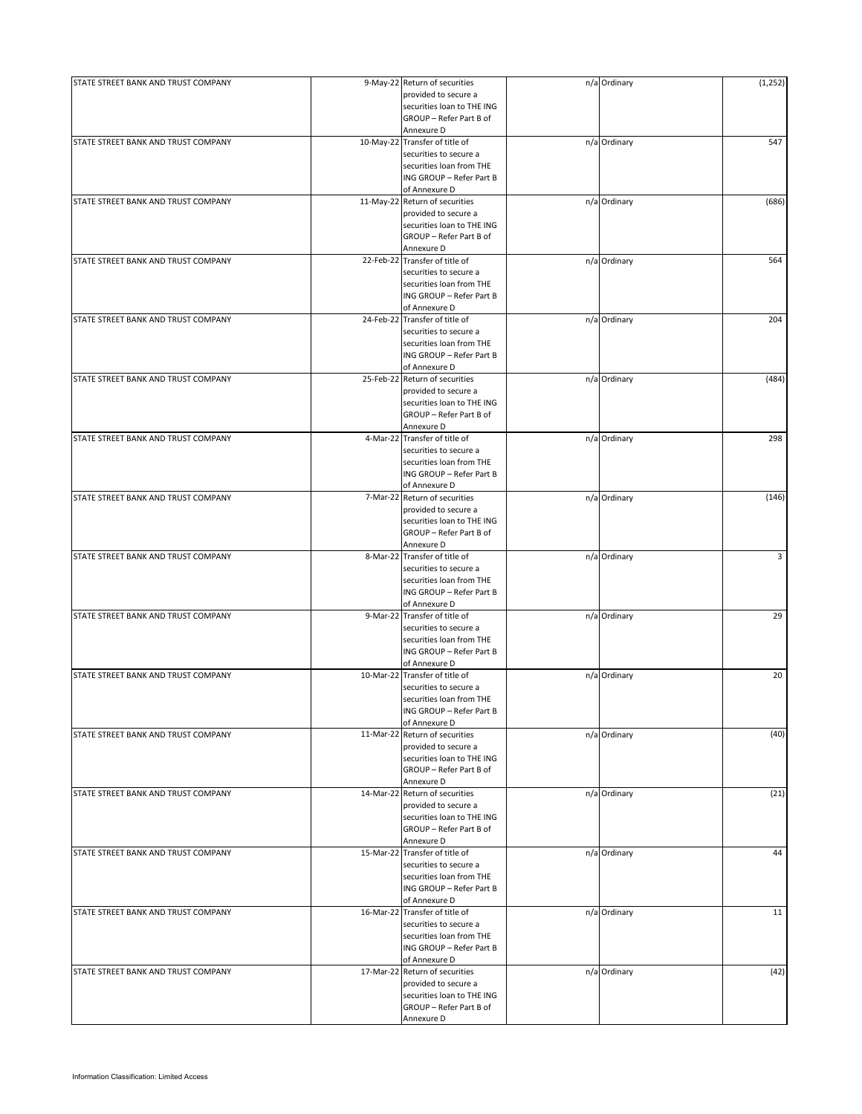| STATE STREET BANK AND TRUST COMPANY |           | 9-May-22 Return of securities<br>provided to secure a    | n/a Ordinary | (1, 252) |
|-------------------------------------|-----------|----------------------------------------------------------|--------------|----------|
|                                     |           | securities loan to THE ING<br>GROUP - Refer Part B of    |              |          |
|                                     |           | Annexure D                                               |              |          |
| STATE STREET BANK AND TRUST COMPANY |           | 10-May-22 Transfer of title of                           | n/a Ordinary | 547      |
|                                     |           | securities to secure a<br>securities loan from THE       |              |          |
|                                     |           | ING GROUP - Refer Part B                                 |              |          |
|                                     |           | of Annexure D                                            |              |          |
| STATE STREET BANK AND TRUST COMPANY |           | 11-May-22 Return of securities<br>provided to secure a   | n/a Ordinary | (686)    |
|                                     |           | securities loan to THE ING                               |              |          |
|                                     |           | GROUP - Refer Part B of                                  |              |          |
|                                     |           | Annexure D                                               |              |          |
| STATE STREET BANK AND TRUST COMPANY |           | 22-Feb-22 Transfer of title of                           | n/a Ordinary | 564      |
|                                     |           | securities to secure a<br>securities loan from THE       |              |          |
|                                     |           | ING GROUP - Refer Part B                                 |              |          |
|                                     |           | of Annexure D                                            |              |          |
| STATE STREET BANK AND TRUST COMPANY |           | 24-Feb-22 Transfer of title of                           | n/a Ordinary | 204      |
|                                     |           | securities to secure a<br>securities loan from THE       |              |          |
|                                     |           | ING GROUP - Refer Part B                                 |              |          |
|                                     |           | of Annexure D                                            |              |          |
| STATE STREET BANK AND TRUST COMPANY |           | 25-Feb-22 Return of securities<br>provided to secure a   | n/a Ordinary | (484)    |
|                                     |           | securities loan to THE ING                               |              |          |
|                                     |           | GROUP - Refer Part B of                                  |              |          |
|                                     |           | Annexure D                                               |              |          |
| STATE STREET BANK AND TRUST COMPANY |           | 4-Mar-22 Transfer of title of                            | n/a Ordinary | 298      |
|                                     |           | securities to secure a<br>securities loan from THE       |              |          |
|                                     |           | ING GROUP - Refer Part B                                 |              |          |
|                                     |           | of Annexure D                                            |              |          |
| STATE STREET BANK AND TRUST COMPANY |           | 7-Mar-22 Return of securities                            | n/a Ordinary | (146)    |
|                                     |           | provided to secure a<br>securities loan to THE ING       |              |          |
|                                     |           | GROUP - Refer Part B of                                  |              |          |
|                                     |           | Annexure D                                               |              |          |
| STATE STREET BANK AND TRUST COMPANY |           | 8-Mar-22 Transfer of title of<br>securities to secure a  | n/a Ordinary | 3        |
|                                     |           | securities loan from THE                                 |              |          |
|                                     |           | ING GROUP - Refer Part B                                 |              |          |
|                                     |           | of Annexure D                                            |              |          |
| STATE STREET BANK AND TRUST COMPANY |           | 9-Mar-22 Transfer of title of<br>securities to secure a  | n/a Ordinary | 29       |
|                                     |           | securities loan from THE                                 |              |          |
|                                     |           | ING GROUP - Refer Part B                                 |              |          |
|                                     |           | of Annexure D                                            |              |          |
| STATE STREET BANK AND TRUST COMPANY | 10-Mar-22 | Transfer of title of<br>securities to secure a           | n/a Ordinary | 20       |
|                                     |           | securities loan from THE                                 |              |          |
|                                     |           | ING GROUP - Refer Part B                                 |              |          |
|                                     |           | of Annexure D                                            |              |          |
| STATE STREET BANK AND TRUST COMPANY |           | 11-Mar-22 Return of securities<br>provided to secure a   | n/a Ordinary | (40)     |
|                                     |           | securities loan to THE ING                               |              |          |
|                                     |           | GROUP - Refer Part B of                                  |              |          |
|                                     |           | Annexure D                                               |              | (21)     |
| STATE STREET BANK AND TRUST COMPANY |           | 14-Mar-22 Return of securities<br>provided to secure a   | n/a Ordinary |          |
|                                     |           | securities loan to THE ING                               |              |          |
|                                     |           | GROUP - Refer Part B of                                  |              |          |
|                                     |           | Annexure D<br>15-Mar-22 Transfer of title of             |              | 44       |
| STATE STREET BANK AND TRUST COMPANY |           | securities to secure a                                   | n/a Ordinary |          |
|                                     |           | securities loan from THE                                 |              |          |
|                                     |           | ING GROUP - Refer Part B                                 |              |          |
|                                     |           | of Annexure D                                            |              | 11       |
| STATE STREET BANK AND TRUST COMPANY |           | 16-Mar-22 Transfer of title of<br>securities to secure a | n/a Ordinary |          |
|                                     |           | securities loan from THE                                 |              |          |
|                                     |           | ING GROUP - Refer Part B                                 |              |          |
|                                     |           | of Annexure D                                            |              |          |
| STATE STREET BANK AND TRUST COMPANY |           | 17-Mar-22 Return of securities<br>provided to secure a   | n/a Ordinary | (42)     |
|                                     |           | securities loan to THE ING                               |              |          |
|                                     |           | GROUP - Refer Part B of                                  |              |          |
|                                     |           | Annexure D                                               |              |          |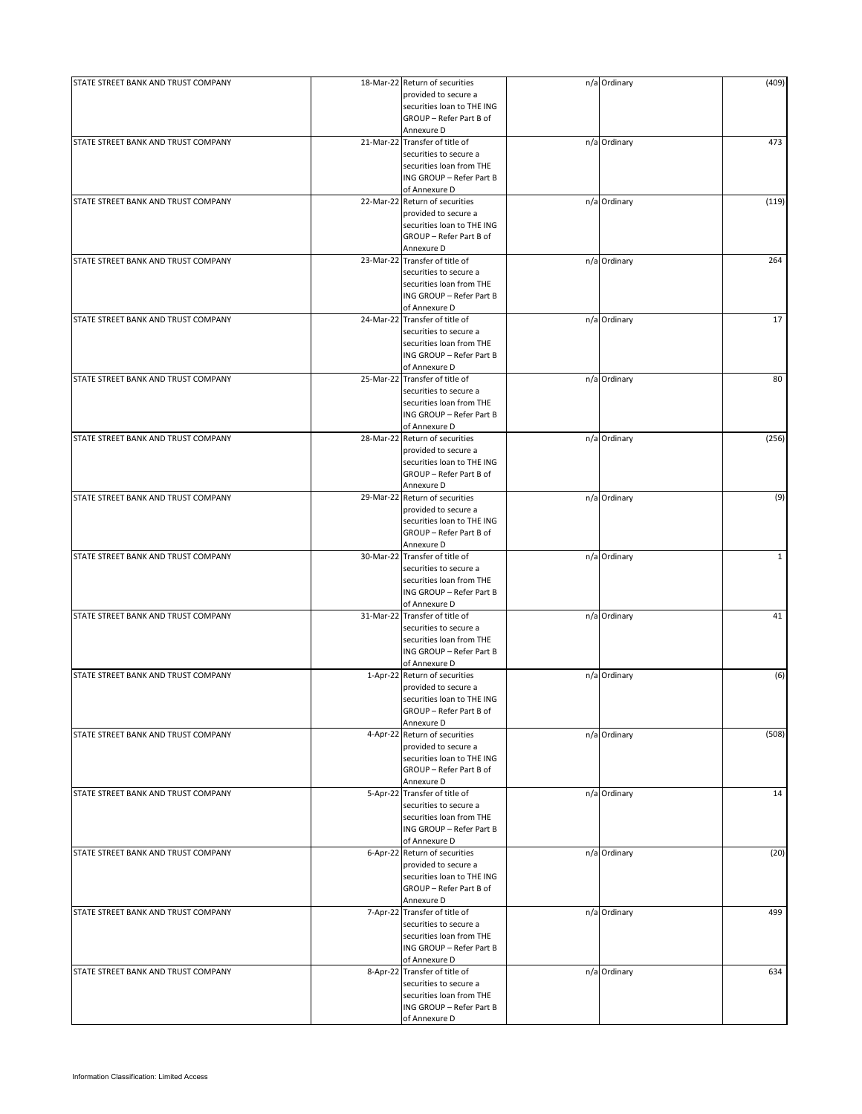| STATE STREET BANK AND TRUST COMPANY | 18-Mar-22 Return of securities | n/a Ordinary | (409)        |
|-------------------------------------|--------------------------------|--------------|--------------|
|                                     | provided to secure a           |              |              |
|                                     | securities loan to THE ING     |              |              |
|                                     | GROUP - Refer Part B of        |              |              |
|                                     | Annexure D                     |              |              |
| STATE STREET BANK AND TRUST COMPANY | 21-Mar-22 Transfer of title of | n/a Ordinary | 473          |
|                                     | securities to secure a         |              |              |
|                                     | securities loan from THE       |              |              |
|                                     | ING GROUP - Refer Part B       |              |              |
|                                     | of Annexure D                  |              |              |
| STATE STREET BANK AND TRUST COMPANY | 22-Mar-22 Return of securities | n/a Ordinary | (119)        |
|                                     | provided to secure a           |              |              |
|                                     | securities loan to THE ING     |              |              |
|                                     | GROUP - Refer Part B of        |              |              |
|                                     |                                |              |              |
|                                     | Annexure D                     |              |              |
| STATE STREET BANK AND TRUST COMPANY | 23-Mar-22 Transfer of title of | n/a Ordinary | 264          |
|                                     | securities to secure a         |              |              |
|                                     | securities loan from THE       |              |              |
|                                     | ING GROUP - Refer Part B       |              |              |
|                                     | of Annexure D                  |              |              |
| STATE STREET BANK AND TRUST COMPANY | 24-Mar-22 Transfer of title of | n/a Ordinary | 17           |
|                                     | securities to secure a         |              |              |
|                                     | securities loan from THE       |              |              |
|                                     | ING GROUP - Refer Part B       |              |              |
|                                     | of Annexure D                  |              |              |
| STATE STREET BANK AND TRUST COMPANY | 25-Mar-22 Transfer of title of | n/a Ordinary | 80           |
|                                     | securities to secure a         |              |              |
|                                     |                                |              |              |
|                                     | securities loan from THE       |              |              |
|                                     | ING GROUP - Refer Part B       |              |              |
|                                     | of Annexure D                  |              |              |
| STATE STREET BANK AND TRUST COMPANY | 28-Mar-22 Return of securities | n/a Ordinary | (256)        |
|                                     | provided to secure a           |              |              |
|                                     | securities loan to THE ING     |              |              |
|                                     | GROUP - Refer Part B of        |              |              |
|                                     | Annexure D                     |              |              |
| STATE STREET BANK AND TRUST COMPANY | 29-Mar-22 Return of securities | n/a Ordinary | (9)          |
|                                     |                                |              |              |
|                                     | provided to secure a           |              |              |
|                                     | securities loan to THE ING     |              |              |
|                                     | GROUP - Refer Part B of        |              |              |
|                                     | Annexure D                     |              |              |
| STATE STREET BANK AND TRUST COMPANY | 30-Mar-22 Transfer of title of | n/a Ordinary | $\mathbf{1}$ |
|                                     | securities to secure a         |              |              |
|                                     | securities loan from THE       |              |              |
|                                     | ING GROUP - Refer Part B       |              |              |
|                                     | of Annexure D                  |              |              |
| STATE STREET BANK AND TRUST COMPANY | 31-Mar-22 Transfer of title of | n/a Ordinary | 41           |
|                                     | securities to secure a         |              |              |
|                                     | securities loan from THE       |              |              |
|                                     | ING GROUP - Refer Part B       |              |              |
|                                     |                                |              |              |
|                                     | of Annexure D                  |              |              |
| STATE STREET BANK AND TRUST COMPANY | 1-Apr-22 Return of securities  | n/a Ordinary | (6)          |
|                                     | provided to secure a           |              |              |
|                                     | securities loan to THE ING     |              |              |
|                                     | GROUP - Refer Part B of        |              |              |
|                                     | Annexure D                     |              |              |
| STATE STREET BANK AND TRUST COMPANY | 4-Apr-22 Return of securities  | n/a Ordinary | (508)        |
|                                     | provided to secure a           |              |              |
|                                     | securities loan to THE ING     |              |              |
|                                     | GROUP - Refer Part B of        |              |              |
|                                     | Annexure D                     |              |              |
|                                     |                                |              |              |
| STATE STREET BANK AND TRUST COMPANY | 5-Apr-22 Transfer of title of  | n/a Ordinary | 14           |
|                                     | securities to secure a         |              |              |
|                                     | securities loan from THE       |              |              |
|                                     | ING GROUP - Refer Part B       |              |              |
|                                     | of Annexure D                  |              |              |
| STATE STREET BANK AND TRUST COMPANY | 6-Apr-22 Return of securities  | n/a Ordinary | (20)         |
|                                     | provided to secure a           |              |              |
|                                     | securities loan to THE ING     |              |              |
|                                     | GROUP - Refer Part B of        |              |              |
|                                     | Annexure D                     |              |              |
| STATE STREET BANK AND TRUST COMPANY | 7-Apr-22 Transfer of title of  | n/a Ordinary | 499          |
|                                     |                                |              |              |
|                                     | securities to secure a         |              |              |
|                                     | securities loan from THE       |              |              |
|                                     | ING GROUP - Refer Part B       |              |              |
|                                     | of Annexure D                  |              |              |
| STATE STREET BANK AND TRUST COMPANY | 8-Apr-22 Transfer of title of  | n/a Ordinary | 634          |
|                                     | securities to secure a         |              |              |
|                                     | securities loan from THE       |              |              |
|                                     | ING GROUP - Refer Part B       |              |              |
|                                     | of Annexure D                  |              |              |
|                                     |                                |              |              |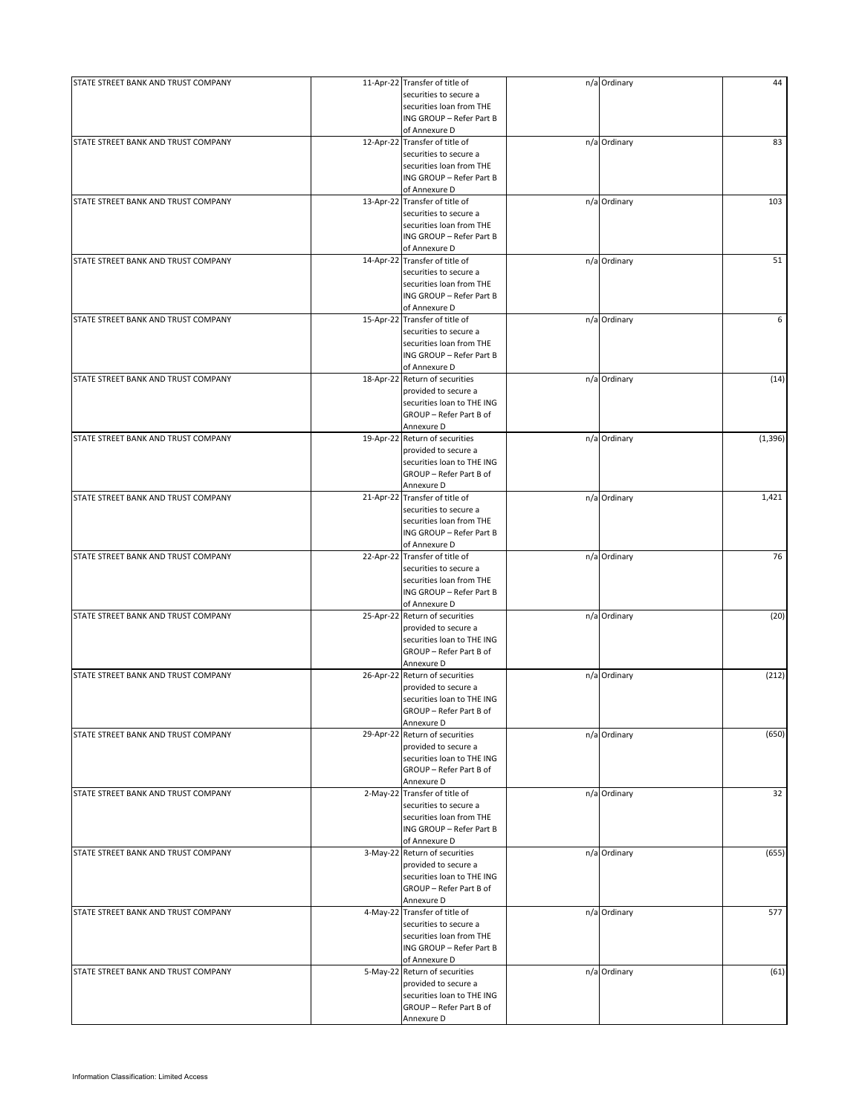| STATE STREET BANK AND TRUST COMPANY |          | 11-Apr-22 Transfer of title of | n/a Ordinary | 44       |
|-------------------------------------|----------|--------------------------------|--------------|----------|
|                                     |          | securities to secure a         |              |          |
|                                     |          | securities loan from THE       |              |          |
|                                     |          | ING GROUP - Refer Part B       |              |          |
|                                     |          | of Annexure D                  |              |          |
| STATE STREET BANK AND TRUST COMPANY |          | 12-Apr-22 Transfer of title of | n/a Ordinary | 83       |
|                                     |          | securities to secure a         |              |          |
|                                     |          | securities loan from THE       |              |          |
|                                     |          | ING GROUP - Refer Part B       |              |          |
|                                     |          | of Annexure D                  |              |          |
| STATE STREET BANK AND TRUST COMPANY |          | 13-Apr-22 Transfer of title of | n/a Ordinary | 103      |
|                                     |          | securities to secure a         |              |          |
|                                     |          | securities loan from THE       |              |          |
|                                     |          | ING GROUP - Refer Part B       |              |          |
|                                     |          |                                |              |          |
|                                     |          | of Annexure D                  |              |          |
| STATE STREET BANK AND TRUST COMPANY |          | 14-Apr-22 Transfer of title of | n/a Ordinary | 51       |
|                                     |          | securities to secure a         |              |          |
|                                     |          | securities loan from THE       |              |          |
|                                     |          | ING GROUP - Refer Part B       |              |          |
|                                     |          | of Annexure D                  |              |          |
| STATE STREET BANK AND TRUST COMPANY |          | 15-Apr-22 Transfer of title of | n/a Ordinary | 6        |
|                                     |          | securities to secure a         |              |          |
|                                     |          | securities loan from THE       |              |          |
|                                     |          | ING GROUP - Refer Part B       |              |          |
|                                     |          | of Annexure D                  |              |          |
| STATE STREET BANK AND TRUST COMPANY |          | 18-Apr-22 Return of securities | n/a Ordinary | (14)     |
|                                     |          |                                |              |          |
|                                     |          | provided to secure a           |              |          |
|                                     |          | securities loan to THE ING     |              |          |
|                                     |          | GROUP - Refer Part B of        |              |          |
|                                     |          | Annexure D                     |              |          |
| STATE STREET BANK AND TRUST COMPANY |          | 19-Apr-22 Return of securities | n/a Ordinary | (1, 396) |
|                                     |          | provided to secure a           |              |          |
|                                     |          | securities loan to THE ING     |              |          |
|                                     |          | GROUP - Refer Part B of        |              |          |
|                                     |          |                                |              |          |
|                                     |          | Annexure D                     |              |          |
| STATE STREET BANK AND TRUST COMPANY |          | 21-Apr-22 Transfer of title of | n/a Ordinary | 1,421    |
|                                     |          | securities to secure a         |              |          |
|                                     |          | securities loan from THE       |              |          |
|                                     |          | ING GROUP - Refer Part B       |              |          |
|                                     |          | of Annexure D                  |              |          |
| STATE STREET BANK AND TRUST COMPANY |          | 22-Apr-22 Transfer of title of | n/a Ordinary | 76       |
|                                     |          | securities to secure a         |              |          |
|                                     |          | securities loan from THE       |              |          |
|                                     |          | ING GROUP - Refer Part B       |              |          |
|                                     |          |                                |              |          |
|                                     |          | of Annexure D                  |              |          |
| STATE STREET BANK AND TRUST COMPANY |          | 25-Apr-22 Return of securities | n/a Ordinary | (20)     |
|                                     |          | provided to secure a           |              |          |
|                                     |          | securities loan to THE ING     |              |          |
|                                     |          | GROUP - Refer Part B of        |              |          |
|                                     |          | Annexure D                     |              |          |
| STATE STREET BANK AND TRUST COMPANY |          | 26-Apr-22 Return of securities | n/a Ordinary | (212)    |
|                                     |          | provided to secure a           |              |          |
|                                     |          | securities loan to THE ING     |              |          |
|                                     |          | GROUP - Refer Part B of        |              |          |
|                                     |          |                                |              |          |
|                                     |          | Annexure D                     |              |          |
| STATE STREET BANK AND TRUST COMPANY |          | 29-Apr-22 Return of securities | n/a Ordinary | (650)    |
|                                     |          | provided to secure a           |              |          |
|                                     |          | securities loan to THE ING     |              |          |
|                                     |          | GROUP - Refer Part B of        |              |          |
|                                     |          | Annexure D                     |              |          |
| STATE STREET BANK AND TRUST COMPANY |          | 2-May-22 Transfer of title of  | n/a Ordinary | 32       |
|                                     |          | securities to secure a         |              |          |
|                                     |          | securities loan from THE       |              |          |
|                                     |          | ING GROUP - Refer Part B       |              |          |
|                                     |          | of Annexure D                  |              |          |
|                                     |          |                                |              |          |
| STATE STREET BANK AND TRUST COMPANY |          | 3-May-22 Return of securities  | n/a Ordinary | (655)    |
|                                     |          | provided to secure a           |              |          |
|                                     |          | securities loan to THE ING     |              |          |
|                                     |          | GROUP - Refer Part B of        |              |          |
|                                     |          | Annexure D                     |              |          |
| STATE STREET BANK AND TRUST COMPANY | 4-May-22 | Transfer of title of           | n/a Ordinary | 577      |
|                                     |          | securities to secure a         |              |          |
|                                     |          | securities loan from THE       |              |          |
|                                     |          | ING GROUP - Refer Part B       |              |          |
|                                     |          |                                |              |          |
|                                     |          | of Annexure D                  |              |          |
| STATE STREET BANK AND TRUST COMPANY | 5-May-22 | Return of securities           | n/a Ordinary | (61)     |
|                                     |          | provided to secure a           |              |          |
|                                     |          | securities loan to THE ING     |              |          |
|                                     |          | GROUP - Refer Part B of        |              |          |
|                                     |          | Annexure D                     |              |          |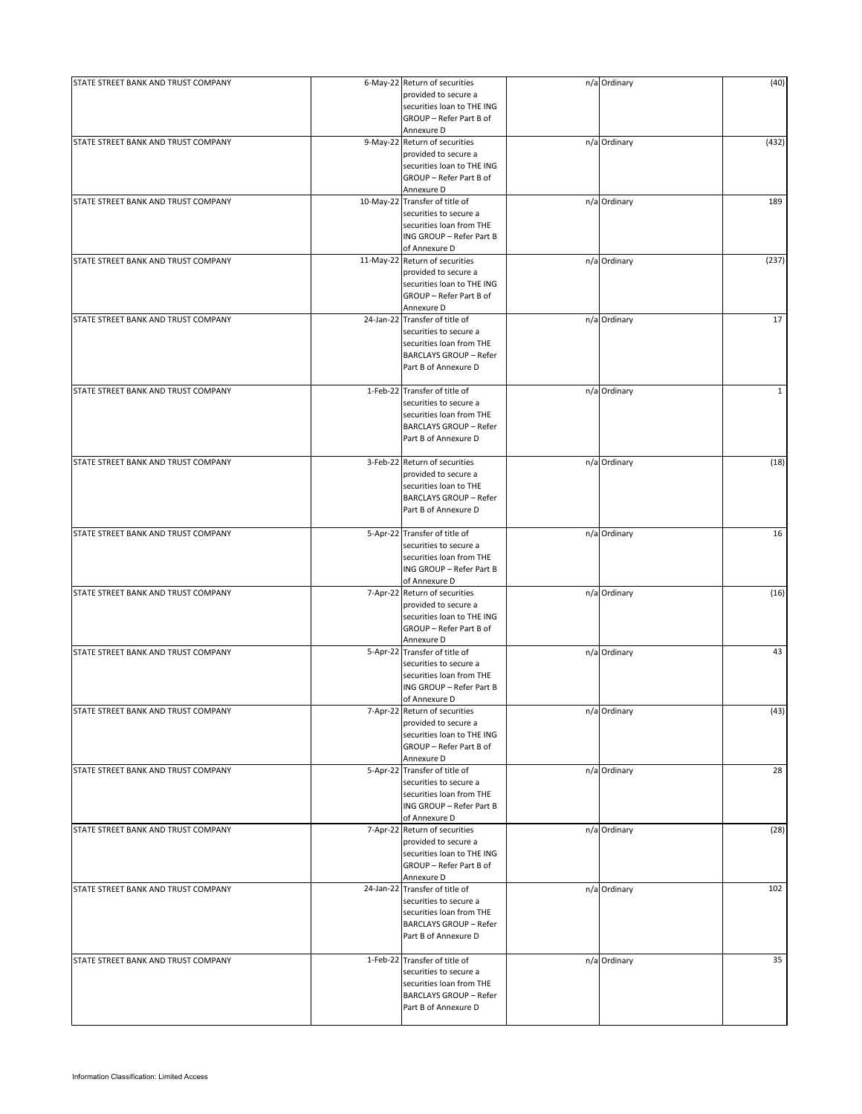| STATE STREET BANK AND TRUST COMPANY | 6-May-22 Return of securities<br>provided to secure a                                                                                         | n/a Ordinary | (40)  |
|-------------------------------------|-----------------------------------------------------------------------------------------------------------------------------------------------|--------------|-------|
|                                     | securities loan to THE ING<br>GROUP - Refer Part B of<br>Annexure D                                                                           |              |       |
| STATE STREET BANK AND TRUST COMPANY | 9-May-22 Return of securities<br>provided to secure a<br>securities loan to THE ING<br>GROUP - Refer Part B of<br>Annexure D                  | n/a Ordinary | (432) |
| STATE STREET BANK AND TRUST COMPANY | 10-May-22 Transfer of title of<br>securities to secure a<br>securities loan from THE<br>ING GROUP - Refer Part B<br>of Annexure D             | n/a Ordinary | 189   |
| STATE STREET BANK AND TRUST COMPANY | 11-May-22 Return of securities<br>provided to secure a<br>securities loan to THE ING<br>GROUP - Refer Part B of<br>Annexure D                 | n/a Ordinary | (237) |
| STATE STREET BANK AND TRUST COMPANY | 24-Jan-22 Transfer of title of<br>securities to secure a<br>securities loan from THE<br><b>BARCLAYS GROUP - Refer</b><br>Part B of Annexure D | n/a Ordinary | 17    |
| STATE STREET BANK AND TRUST COMPANY | 1-Feb-22 Transfer of title of<br>securities to secure a<br>securities loan from THE<br><b>BARCLAYS GROUP - Refer</b><br>Part B of Annexure D  | n/a Ordinary | 1     |
| STATE STREET BANK AND TRUST COMPANY | 3-Feb-22 Return of securities<br>provided to secure a<br>securities loan to THE<br><b>BARCLAYS GROUP - Refer</b><br>Part B of Annexure D      | n/a Ordinary | (18)  |
| STATE STREET BANK AND TRUST COMPANY | 5-Apr-22 Transfer of title of<br>securities to secure a<br>securities loan from THE<br>ING GROUP - Refer Part B<br>of Annexure D              | n/a Ordinary | 16    |
| STATE STREET BANK AND TRUST COMPANY | 7-Apr-22 Return of securities<br>provided to secure a<br>securities loan to THE ING<br>GROUP - Refer Part B of<br>Annexure D                  | n/a Ordinary | (16)  |
| STATE STREET BANK AND TRUST COMPANY | 5-Apr-22 Transfer of title of<br>securities to secure a<br>securities loan from THE<br>ING GROUP - Refer Part B<br>of Annexure D              | n/a Ordinary | 43    |
| STATE STREET BANK AND TRUST COMPANY | 7-Apr-22 Return of securities<br>provided to secure a<br>securities loan to THE ING<br>GROUP - Refer Part B of<br>Annexure D                  | n/a Ordinary | (43)  |
| STATE STREET BANK AND TRUST COMPANY | 5-Apr-22 Transfer of title of<br>securities to secure a<br>securities loan from THE<br>ING GROUP - Refer Part B<br>of Annexure D              | n/a Ordinary | 28    |
| STATE STREET BANK AND TRUST COMPANY | 7-Apr-22 Return of securities<br>provided to secure a<br>securities loan to THE ING<br>GROUP - Refer Part B of<br>Annexure D                  | n/a Ordinary | (28)  |
| STATE STREET BANK AND TRUST COMPANY | 24-Jan-22 Transfer of title of<br>securities to secure a<br>securities loan from THE<br><b>BARCLAYS GROUP - Refer</b><br>Part B of Annexure D | n/a Ordinary | 102   |
| STATE STREET BANK AND TRUST COMPANY | 1-Feb-22 Transfer of title of<br>securities to secure a<br>securities loan from THE<br><b>BARCLAYS GROUP - Refer</b><br>Part B of Annexure D  | n/a Ordinary | 35    |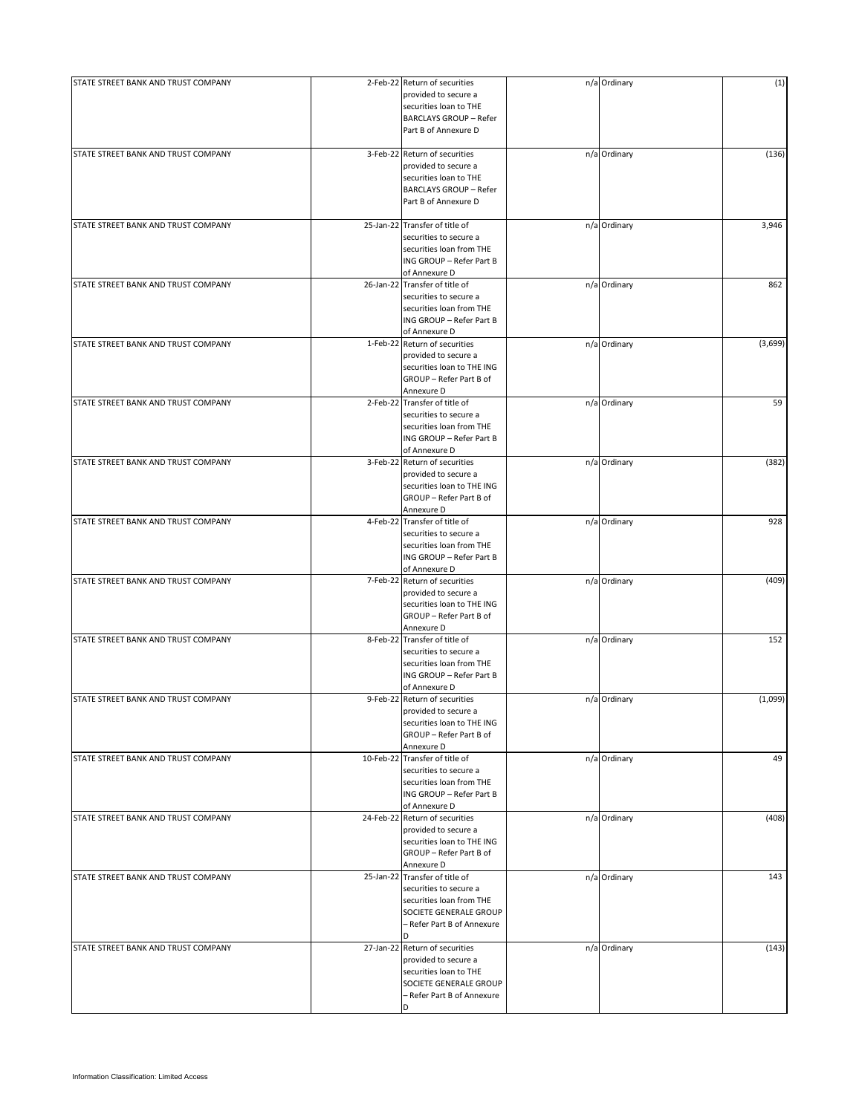| STATE STREET BANK AND TRUST COMPANY | 2-Feb-22 Return of securities<br>provided to secure a    | n/a Ordinary | (1)     |
|-------------------------------------|----------------------------------------------------------|--------------|---------|
|                                     | securities loan to THE                                   |              |         |
|                                     | <b>BARCLAYS GROUP - Refer</b>                            |              |         |
|                                     | Part B of Annexure D                                     |              |         |
|                                     |                                                          |              |         |
| STATE STREET BANK AND TRUST COMPANY | 3-Feb-22 Return of securities                            | n/a Ordinary | (136)   |
|                                     | provided to secure a                                     |              |         |
|                                     | securities loan to THE                                   |              |         |
|                                     | <b>BARCLAYS GROUP - Refer</b>                            |              |         |
|                                     | Part B of Annexure D                                     |              |         |
|                                     |                                                          |              |         |
| STATE STREET BANK AND TRUST COMPANY | 25-Jan-22 Transfer of title of<br>securities to secure a | n/a Ordinary | 3,946   |
|                                     | securities loan from THE                                 |              |         |
|                                     | ING GROUP - Refer Part B                                 |              |         |
|                                     | of Annexure D                                            |              |         |
| STATE STREET BANK AND TRUST COMPANY | 26-Jan-22 Transfer of title of                           | n/a Ordinary | 862     |
|                                     | securities to secure a                                   |              |         |
|                                     | securities loan from THE                                 |              |         |
|                                     | ING GROUP - Refer Part B                                 |              |         |
|                                     | of Annexure D                                            |              |         |
| STATE STREET BANK AND TRUST COMPANY | 1-Feb-22 Return of securities                            | n/a Ordinary | (3,699) |
|                                     | provided to secure a                                     |              |         |
|                                     | securities loan to THE ING                               |              |         |
|                                     | GROUP - Refer Part B of                                  |              |         |
|                                     | Annexure D                                               |              |         |
| STATE STREET BANK AND TRUST COMPANY | 2-Feb-22 Transfer of title of                            | n/a Ordinary | 59      |
|                                     | securities to secure a                                   |              |         |
|                                     | securities loan from THE                                 |              |         |
|                                     | ING GROUP - Refer Part B                                 |              |         |
|                                     | of Annexure D                                            |              |         |
| STATE STREET BANK AND TRUST COMPANY | 3-Feb-22 Return of securities                            | n/a Ordinary | (382)   |
|                                     | provided to secure a                                     |              |         |
|                                     | securities loan to THE ING                               |              |         |
|                                     | GROUP - Refer Part B of                                  |              |         |
|                                     | Annexure D                                               |              |         |
| STATE STREET BANK AND TRUST COMPANY | 4-Feb-22 Transfer of title of                            | n/a Ordinary | 928     |
|                                     | securities to secure a                                   |              |         |
|                                     | securities loan from THE                                 |              |         |
|                                     | ING GROUP - Refer Part B                                 |              |         |
|                                     | of Annexure D                                            |              |         |
| STATE STREET BANK AND TRUST COMPANY | 7-Feb-22 Return of securities                            | n/a Ordinary | (409)   |
|                                     | provided to secure a                                     |              |         |
|                                     | securities loan to THE ING                               |              |         |
|                                     | GROUP - Refer Part B of                                  |              |         |
|                                     | Annexure D                                               |              |         |
| STATE STREET BANK AND TRUST COMPANY | 8-Feb-22 Transfer of title of                            | n/a Ordinary | 152     |
|                                     | securities to secure a                                   |              |         |
|                                     | securities loan from THE                                 |              |         |
|                                     | ING GROUP - Refer Part B                                 |              |         |
|                                     | of Annexure D                                            |              |         |
| STATE STREET BANK AND TRUST COMPANY | 9-Feb-22 Return of securities                            | n/a Ordinary | (1,099) |
|                                     | provided to secure a                                     |              |         |
|                                     | securities loan to THE ING                               |              |         |
|                                     | GROUP - Refer Part B of                                  |              |         |
|                                     | Annexure D                                               |              |         |
| STATE STREET BANK AND TRUST COMPANY | 10-Feb-22 Transfer of title of                           | n/a Ordinary | 49      |
|                                     | securities to secure a                                   |              |         |
|                                     | securities loan from THE                                 |              |         |
|                                     | ING GROUP - Refer Part B                                 |              |         |
|                                     | of Annexure D                                            |              |         |
| STATE STREET BANK AND TRUST COMPANY | 24-Feb-22 Return of securities                           | n/a Ordinary | (408)   |
|                                     | provided to secure a                                     |              |         |
|                                     | securities loan to THE ING                               |              |         |
|                                     | GROUP - Refer Part B of                                  |              |         |
| STATE STREET BANK AND TRUST COMPANY | Annexure D<br>25-Jan-22 Transfer of title of             | n/a Ordinary | 143     |
|                                     | securities to secure a                                   |              |         |
|                                     | securities loan from THE                                 |              |         |
|                                     |                                                          |              |         |
|                                     | SOCIETE GENERALE GROUP<br>– Refer Part B of Annexure     |              |         |
|                                     | D                                                        |              |         |
| STATE STREET BANK AND TRUST COMPANY | 27-Jan-22 Return of securities                           | n/a Ordinary | (143)   |
|                                     | provided to secure a                                     |              |         |
|                                     | securities loan to THE                                   |              |         |
|                                     | SOCIETE GENERALE GROUP                                   |              |         |
|                                     | - Refer Part B of Annexure                               |              |         |
|                                     | D                                                        |              |         |
|                                     |                                                          |              |         |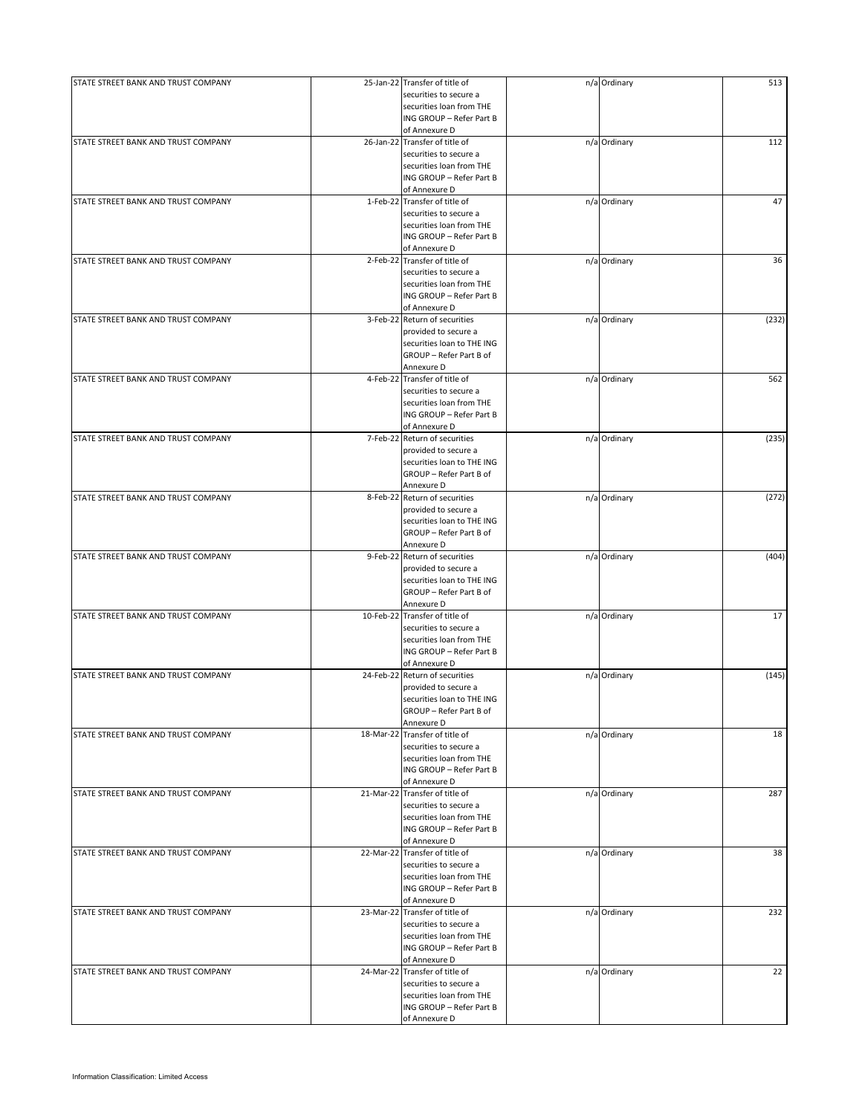| STATE STREET BANK AND TRUST COMPANY | 25-Jan-22 Transfer of title of | n/a Ordinary | 513   |
|-------------------------------------|--------------------------------|--------------|-------|
|                                     | securities to secure a         |              |       |
|                                     | securities loan from THE       |              |       |
|                                     | ING GROUP - Refer Part B       |              |       |
|                                     | of Annexure D                  |              |       |
| STATE STREET BANK AND TRUST COMPANY | 26-Jan-22 Transfer of title of | n/a Ordinary | 112   |
|                                     | securities to secure a         |              |       |
|                                     | securities loan from THE       |              |       |
|                                     | ING GROUP - Refer Part B       |              |       |
|                                     | of Annexure D                  |              |       |
| STATE STREET BANK AND TRUST COMPANY | 1-Feb-22 Transfer of title of  | n/a Ordinary | 47    |
|                                     | securities to secure a         |              |       |
|                                     | securities loan from THE       |              |       |
|                                     | ING GROUP - Refer Part B       |              |       |
|                                     |                                |              |       |
|                                     | of Annexure D                  |              |       |
| STATE STREET BANK AND TRUST COMPANY | 2-Feb-22 Transfer of title of  | n/a Ordinary | 36    |
|                                     | securities to secure a         |              |       |
|                                     | securities loan from THE       |              |       |
|                                     | ING GROUP - Refer Part B       |              |       |
|                                     | of Annexure D                  |              |       |
| STATE STREET BANK AND TRUST COMPANY | 3-Feb-22 Return of securities  | n/a Ordinary | (232) |
|                                     | provided to secure a           |              |       |
|                                     | securities loan to THE ING     |              |       |
|                                     | GROUP - Refer Part B of        |              |       |
|                                     | Annexure D                     |              |       |
| STATE STREET BANK AND TRUST COMPANY | 4-Feb-22 Transfer of title of  |              | 562   |
|                                     |                                | n/a Ordinary |       |
|                                     | securities to secure a         |              |       |
|                                     | securities loan from THE       |              |       |
|                                     | ING GROUP - Refer Part B       |              |       |
|                                     | of Annexure D                  |              |       |
| STATE STREET BANK AND TRUST COMPANY | 7-Feb-22 Return of securities  | n/a Ordinary | (235) |
|                                     | provided to secure a           |              |       |
|                                     | securities loan to THE ING     |              |       |
|                                     |                                |              |       |
|                                     | GROUP - Refer Part B of        |              |       |
|                                     | Annexure D                     |              |       |
| STATE STREET BANK AND TRUST COMPANY | 8-Feb-22 Return of securities  | n/a Ordinary | (272) |
|                                     | provided to secure a           |              |       |
|                                     | securities loan to THE ING     |              |       |
|                                     | GROUP - Refer Part B of        |              |       |
|                                     | Annexure D                     |              |       |
| STATE STREET BANK AND TRUST COMPANY | 9-Feb-22 Return of securities  | n/a Ordinary | (404) |
|                                     | provided to secure a           |              |       |
|                                     |                                |              |       |
|                                     | securities loan to THE ING     |              |       |
|                                     | GROUP - Refer Part B of        |              |       |
|                                     | Annexure D                     |              |       |
| STATE STREET BANK AND TRUST COMPANY | 10-Feb-22 Transfer of title of | n/a Ordinary | 17    |
|                                     | securities to secure a         |              |       |
|                                     | securities loan from THE       |              |       |
|                                     | ING GROUP - Refer Part B       |              |       |
|                                     | of Annexure D                  |              |       |
| STATE STREET BANK AND TRUST COMPANY | 24-Feb-22 Return of securities | n/a Ordinary | (145) |
|                                     | provided to secure a           |              |       |
|                                     |                                |              |       |
|                                     | securities loan to THE ING     |              |       |
|                                     | GROUP - Refer Part B of        |              |       |
|                                     | Annexure D                     |              |       |
| STATE STREET BANK AND TRUST COMPANY | 18-Mar-22 Transfer of title of | n/a Ordinary | 18    |
|                                     | securities to secure a         |              |       |
|                                     | securities loan from THE       |              |       |
|                                     | ING GROUP - Refer Part B       |              |       |
|                                     | of Annexure D                  |              |       |
| STATE STREET BANK AND TRUST COMPANY | 21-Mar-22 Transfer of title of | n/a Ordinary | 287   |
|                                     | securities to secure a         |              |       |
|                                     | securities loan from THE       |              |       |
|                                     |                                |              |       |
|                                     | ING GROUP - Refer Part B       |              |       |
|                                     | of Annexure D                  |              |       |
| STATE STREET BANK AND TRUST COMPANY | 22-Mar-22 Transfer of title of | n/a Ordinary | 38    |
|                                     | securities to secure a         |              |       |
|                                     | securities loan from THE       |              |       |
|                                     | ING GROUP - Refer Part B       |              |       |
|                                     | of Annexure D                  |              |       |
| STATE STREET BANK AND TRUST COMPANY | 23-Mar-22 Transfer of title of | n/a Ordinary | 232   |
|                                     | securities to secure a         |              |       |
|                                     | securities loan from THE       |              |       |
|                                     |                                |              |       |
|                                     | ING GROUP - Refer Part B       |              |       |
|                                     | of Annexure D                  |              |       |
| STATE STREET BANK AND TRUST COMPANY | 24-Mar-22 Transfer of title of | n/a Ordinary | 22    |
|                                     | securities to secure a         |              |       |
|                                     | securities loan from THE       |              |       |
|                                     | ING GROUP - Refer Part B       |              |       |
|                                     | of Annexure D                  |              |       |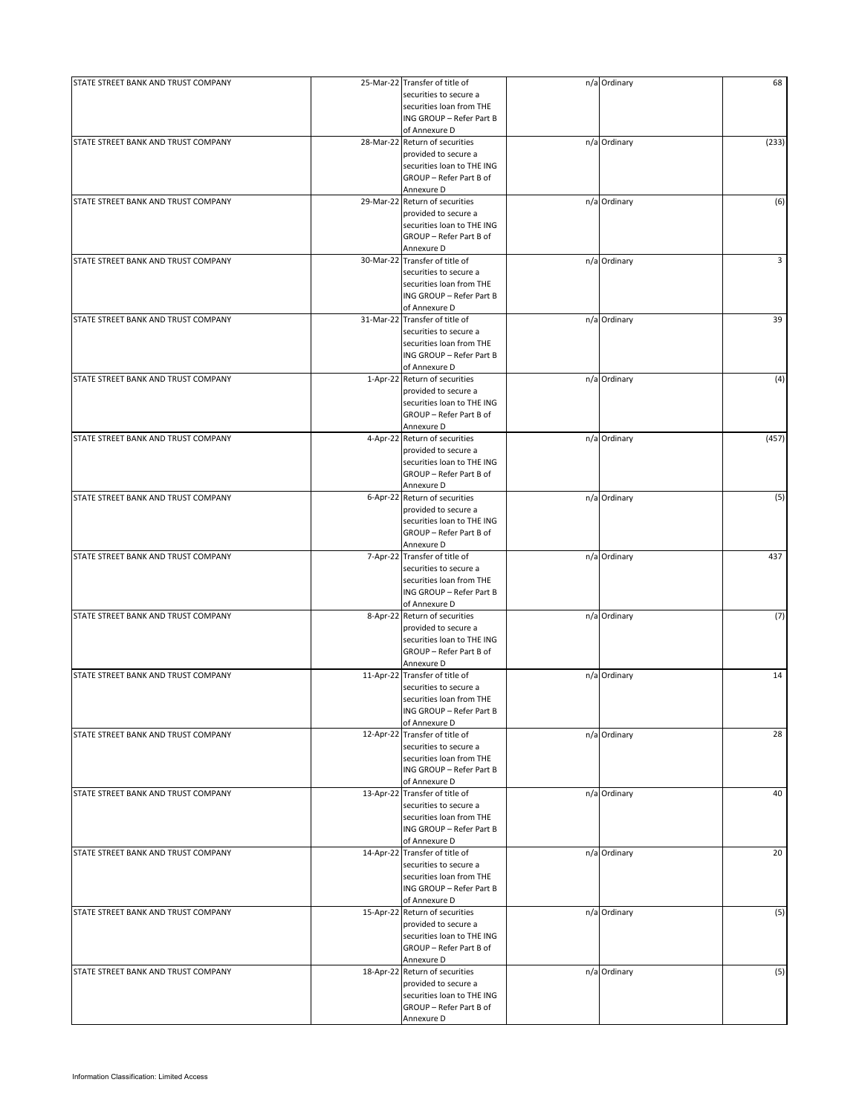| STATE STREET BANK AND TRUST COMPANY |           | 25-Mar-22 Transfer of title of        | n/a Ordinary | 68    |
|-------------------------------------|-----------|---------------------------------------|--------------|-------|
|                                     |           | securities to secure a                |              |       |
|                                     |           | securities loan from THE              |              |       |
|                                     |           |                                       |              |       |
|                                     |           | ING GROUP - Refer Part B              |              |       |
|                                     |           | of Annexure D                         |              |       |
| STATE STREET BANK AND TRUST COMPANY |           | 28-Mar-22 Return of securities        | n/a Ordinary | (233) |
|                                     |           | provided to secure a                  |              |       |
|                                     |           |                                       |              |       |
|                                     |           | securities loan to THE ING            |              |       |
|                                     |           | GROUP - Refer Part B of               |              |       |
|                                     |           | Annexure D                            |              |       |
|                                     |           |                                       |              |       |
| STATE STREET BANK AND TRUST COMPANY |           | 29-Mar-22 Return of securities        | n/a Ordinary | (6)   |
|                                     |           | provided to secure a                  |              |       |
|                                     |           | securities loan to THE ING            |              |       |
|                                     |           | GROUP - Refer Part B of               |              |       |
|                                     |           |                                       |              |       |
|                                     |           | Annexure D                            |              |       |
| STATE STREET BANK AND TRUST COMPANY |           | 30-Mar-22 Transfer of title of        | n/a Ordinary | 3     |
|                                     |           | securities to secure a                |              |       |
|                                     |           | securities loan from THE              |              |       |
|                                     |           |                                       |              |       |
|                                     |           | ING GROUP - Refer Part B              |              |       |
|                                     |           | of Annexure D                         |              |       |
| STATE STREET BANK AND TRUST COMPANY |           | 31-Mar-22 Transfer of title of        | n/a Ordinary | 39    |
|                                     |           |                                       |              |       |
|                                     |           | securities to secure a                |              |       |
|                                     |           | securities loan from THE              |              |       |
|                                     |           | ING GROUP - Refer Part B              |              |       |
|                                     |           | of Annexure D                         |              |       |
|                                     |           |                                       |              |       |
| STATE STREET BANK AND TRUST COMPANY |           | 1-Apr-22 Return of securities         | n/a Ordinary | (4)   |
|                                     |           | provided to secure a                  |              |       |
|                                     |           | securities loan to THE ING            |              |       |
|                                     |           |                                       |              |       |
|                                     |           | GROUP - Refer Part B of               |              |       |
|                                     |           | Annexure D                            |              |       |
| STATE STREET BANK AND TRUST COMPANY |           | 4-Apr-22 Return of securities         | n/a Ordinary | (457) |
|                                     |           | provided to secure a                  |              |       |
|                                     |           |                                       |              |       |
|                                     |           | securities loan to THE ING            |              |       |
|                                     |           | GROUP - Refer Part B of               |              |       |
|                                     |           | Annexure D                            |              |       |
|                                     |           |                                       |              |       |
| STATE STREET BANK AND TRUST COMPANY |           | 6-Apr-22 Return of securities         | n/a Ordinary | (5)   |
|                                     |           | provided to secure a                  |              |       |
|                                     |           | securities loan to THE ING            |              |       |
|                                     |           |                                       |              |       |
|                                     |           | GROUP - Refer Part B of               |              |       |
|                                     |           | Annexure D                            |              |       |
| STATE STREET BANK AND TRUST COMPANY |           | 7-Apr-22 Transfer of title of         | n/a Ordinary | 437   |
|                                     |           |                                       |              |       |
|                                     |           | securities to secure a                |              |       |
|                                     |           | securities loan from THE              |              |       |
|                                     |           | ING GROUP - Refer Part B              |              |       |
|                                     |           | of Annexure D                         |              |       |
|                                     |           |                                       |              |       |
| STATE STREET BANK AND TRUST COMPANY |           | 8-Apr-22 Return of securities         | n/a Ordinary | (7)   |
|                                     |           | provided to secure a                  |              |       |
|                                     |           | securities loan to THE ING            |              |       |
|                                     |           |                                       |              |       |
|                                     |           | GROUP - Refer Part B of               |              |       |
|                                     |           | Annexure D                            |              |       |
| STATE STREET BANK AND TRUST COMPANY | 11-Apr-22 | Transfer of title of                  | n/a Ordinary | 14    |
|                                     |           | securities to secure a                |              |       |
|                                     |           |                                       |              |       |
|                                     |           | securities loan from THE              |              |       |
|                                     |           | ING GROUP - Refer Part B              |              |       |
|                                     |           | of Annexure D                         |              |       |
| STATE STREET BANK AND TRUST COMPANY |           | Transfer of title of                  | n/a Ordinary | 28    |
|                                     | 12-Apr-22 |                                       |              |       |
|                                     |           | securities to secure a                |              |       |
|                                     |           | securities loan from THE              |              |       |
|                                     |           | ING GROUP - Refer Part B              |              |       |
|                                     |           |                                       |              |       |
|                                     |           | of Annexure D                         |              |       |
| STATE STREET BANK AND TRUST COMPANY |           | 13-Apr-22 Transfer of title of        | n/a Ordinary | 40    |
|                                     |           | securities to secure a                |              |       |
|                                     |           | securities loan from THE              |              |       |
|                                     |           |                                       |              |       |
|                                     |           | ING GROUP - Refer Part B              |              |       |
|                                     |           | of Annexure D                         |              |       |
| STATE STREET BANK AND TRUST COMPANY |           | 14-Apr-22 Transfer of title of        | n/a Ordinary | 20    |
|                                     |           |                                       |              |       |
|                                     |           | securities to secure a                |              |       |
|                                     |           | securities loan from THE              |              |       |
|                                     |           | ING GROUP - Refer Part B              |              |       |
|                                     |           | of Annexure D                         |              |       |
|                                     |           |                                       |              |       |
| STATE STREET BANK AND TRUST COMPANY |           | 15-Apr-22 Return of securities        | n/a Ordinary | (5)   |
|                                     |           | provided to secure a                  |              |       |
|                                     |           | securities loan to THE ING            |              |       |
|                                     |           |                                       |              |       |
|                                     |           | GROUP - Refer Part B of               |              |       |
|                                     |           | Annexure D                            |              |       |
| STATE STREET BANK AND TRUST COMPANY |           | 18-Apr-22 Return of securities        | n/a Ordinary | (5)   |
|                                     |           |                                       |              |       |
|                                     |           | provided to secure a                  |              |       |
|                                     |           | securities loan to THE ING            |              |       |
|                                     |           |                                       |              |       |
|                                     |           |                                       |              |       |
|                                     |           | GROUP - Refer Part B of<br>Annexure D |              |       |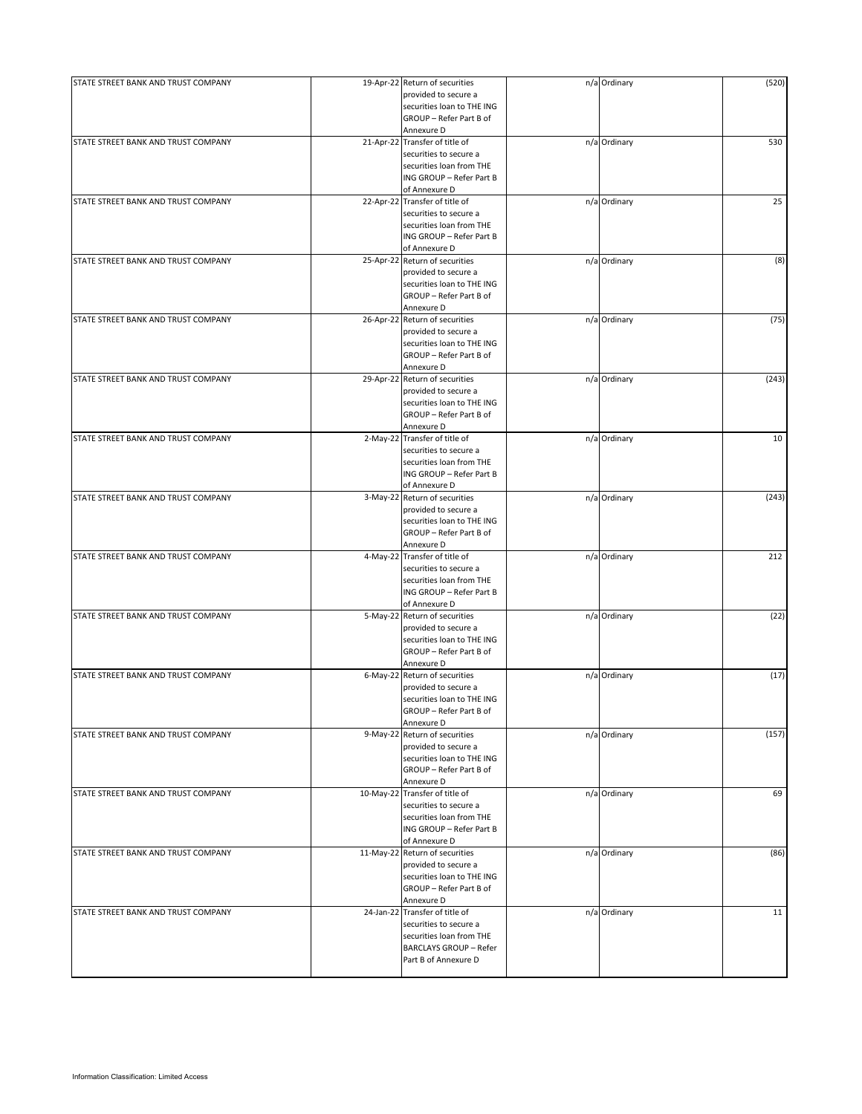| STATE STREET BANK AND TRUST COMPANY |            | 19-Apr-22 Return of securities | n/a Ordinary | (520) |
|-------------------------------------|------------|--------------------------------|--------------|-------|
|                                     |            | provided to secure a           |              |       |
|                                     |            | securities loan to THE ING     |              |       |
|                                     |            | GROUP - Refer Part B of        |              |       |
|                                     |            | Annexure D                     |              |       |
| STATE STREET BANK AND TRUST COMPANY |            | 21-Apr-22 Transfer of title of | n/a Ordinary | 530   |
|                                     |            | securities to secure a         |              |       |
|                                     |            | securities loan from THE       |              |       |
|                                     |            | ING GROUP - Refer Part B       |              |       |
|                                     |            | of Annexure D                  |              |       |
| STATE STREET BANK AND TRUST COMPANY | 22-Apr-22  | Transfer of title of           | n/a Ordinary | 25    |
|                                     |            | securities to secure a         |              |       |
|                                     |            | securities loan from THE       |              |       |
|                                     |            | ING GROUP - Refer Part B       |              |       |
|                                     |            | of Annexure D                  |              |       |
| STATE STREET BANK AND TRUST COMPANY | 25-Apr-22  | Return of securities           | n/a Ordinary | (8)   |
|                                     |            | provided to secure a           |              |       |
|                                     |            |                                |              |       |
|                                     |            | securities loan to THE ING     |              |       |
|                                     |            | GROUP - Refer Part B of        |              |       |
|                                     |            | Annexure D                     |              |       |
| STATE STREET BANK AND TRUST COMPANY | 26-Apr-22  | Return of securities           | n/a Ordinary | (75)  |
|                                     |            | provided to secure a           |              |       |
|                                     |            | securities loan to THE ING     |              |       |
|                                     |            | GROUP - Refer Part B of        |              |       |
|                                     |            | Annexure D                     |              |       |
| STATE STREET BANK AND TRUST COMPANY | 29-Apr-22  | Return of securities           | n/a Ordinary | (243) |
|                                     |            | provided to secure a           |              |       |
|                                     |            | securities loan to THE ING     |              |       |
|                                     |            | GROUP - Refer Part B of        |              |       |
|                                     |            | Annexure D                     |              |       |
| STATE STREET BANK AND TRUST COMPANY | $2-May-22$ | Transfer of title of           |              | 10    |
|                                     |            |                                | n/a Ordinary |       |
|                                     |            | securities to secure a         |              |       |
|                                     |            | securities loan from THE       |              |       |
|                                     |            | ING GROUP - Refer Part B       |              |       |
|                                     |            | of Annexure D                  |              |       |
| STATE STREET BANK AND TRUST COMPANY |            | 3-May-22 Return of securities  | n/a Ordinary | (243) |
|                                     |            | provided to secure a           |              |       |
|                                     |            | securities loan to THE ING     |              |       |
|                                     |            | GROUP - Refer Part B of        |              |       |
|                                     |            | Annexure D                     |              |       |
| STATE STREET BANK AND TRUST COMPANY | 4-May-22   | Transfer of title of           | n/a Ordinary | 212   |
|                                     |            | securities to secure a         |              |       |
|                                     |            | securities loan from THE       |              |       |
|                                     |            | ING GROUP - Refer Part B       |              |       |
|                                     |            |                                |              |       |
|                                     |            | of Annexure D                  |              |       |
| STATE STREET BANK AND TRUST COMPANY | 5-May-22   | Return of securities           | n/a Ordinary | (22)  |
|                                     |            | provided to secure a           |              |       |
|                                     |            | securities loan to THE ING     |              |       |
|                                     |            | GROUP - Refer Part B of        |              |       |
|                                     |            | Annexure D                     |              |       |
| STATE STREET BANK AND TRUST COMPANY | 6-May-22   | Return of securities           | n/a Ordinary | (17)  |
|                                     |            | provided to secure a           |              |       |
|                                     |            | securities loan to THE ING     |              |       |
|                                     |            | GROUP - Refer Part B of        |              |       |
|                                     |            | Annexure D                     |              |       |
| STATE STREET BANK AND TRUST COMPANY | $9-May-22$ | Return of securities           | n/a Ordinary | (157) |
|                                     |            | provided to secure a           |              |       |
|                                     |            |                                |              |       |
|                                     |            | securities loan to THE ING     |              |       |
|                                     |            | GROUP - Refer Part B of        |              |       |
|                                     |            | Annexure D                     |              |       |
| STATE STREET BANK AND TRUST COMPANY | 10-May-22  | Transfer of title of           | n/a Ordinary | 69    |
|                                     |            | securities to secure a         |              |       |
|                                     |            | securities loan from THE       |              |       |
|                                     |            | ING GROUP - Refer Part B       |              |       |
|                                     |            | of Annexure D                  |              |       |
| STATE STREET BANK AND TRUST COMPANY | 11-May-22  | Return of securities           | n/a Ordinary | (86)  |
|                                     |            | provided to secure a           |              |       |
|                                     |            | securities loan to THE ING     |              |       |
|                                     |            | GROUP - Refer Part B of        |              |       |
|                                     |            | Annexure D                     |              |       |
| STATE STREET BANK AND TRUST COMPANY |            | 24-Jan-22 Transfer of title of | n/a Ordinary | 11    |
|                                     |            |                                |              |       |
|                                     |            | securities to secure a         |              |       |
|                                     |            | securities loan from THE       |              |       |
|                                     |            | <b>BARCLAYS GROUP - Refer</b>  |              |       |
|                                     |            | Part B of Annexure D           |              |       |
|                                     |            |                                |              |       |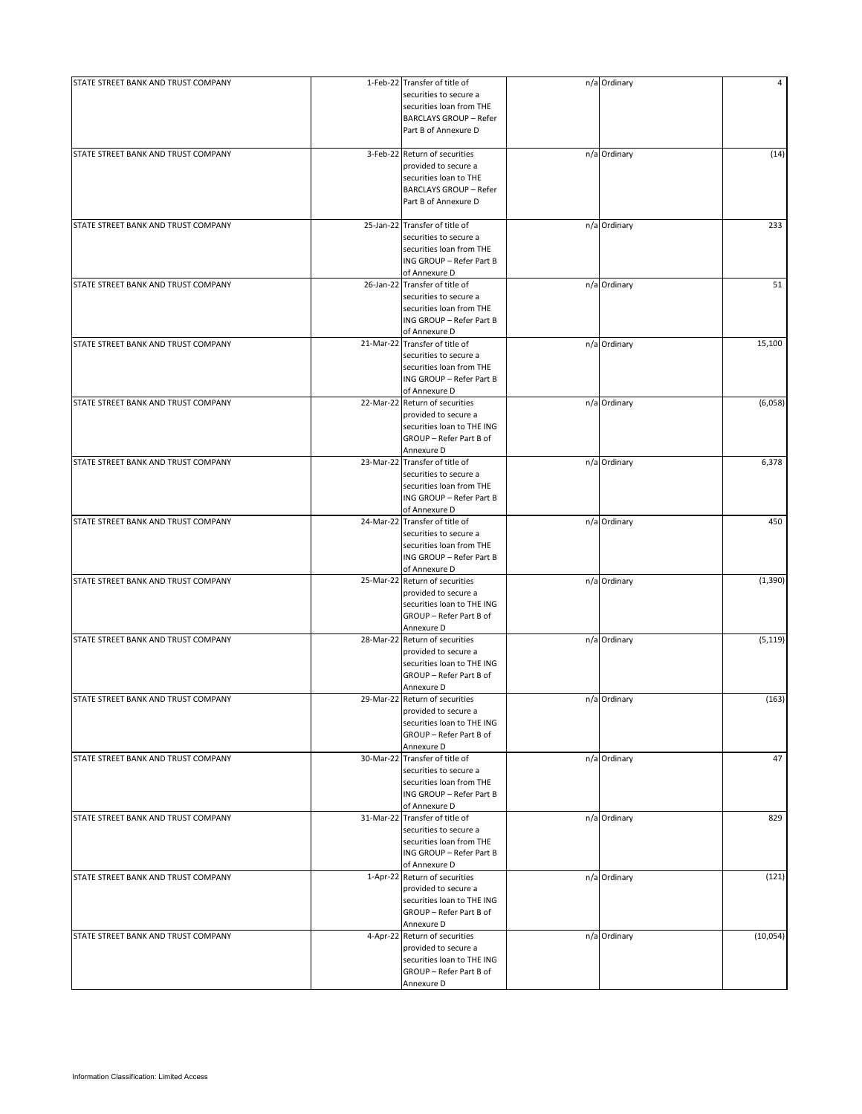| STATE STREET BANK AND TRUST COMPANY |           | 1-Feb-22 Transfer of title of  | n/a Ordinary | 4         |
|-------------------------------------|-----------|--------------------------------|--------------|-----------|
|                                     |           | securities to secure a         |              |           |
|                                     |           | securities loan from THE       |              |           |
|                                     |           | <b>BARCLAYS GROUP - Refer</b>  |              |           |
|                                     |           | Part B of Annexure D           |              |           |
|                                     |           |                                |              |           |
| STATE STREET BANK AND TRUST COMPANY |           | 3-Feb-22 Return of securities  | n/a Ordinary | (14)      |
|                                     |           | provided to secure a           |              |           |
|                                     |           |                                |              |           |
|                                     |           | securities loan to THE         |              |           |
|                                     |           | <b>BARCLAYS GROUP - Refer</b>  |              |           |
|                                     |           | Part B of Annexure D           |              |           |
|                                     |           |                                |              |           |
| STATE STREET BANK AND TRUST COMPANY |           | 25-Jan-22 Transfer of title of | n/a Ordinary | 233       |
|                                     |           | securities to secure a         |              |           |
|                                     |           | securities loan from THE       |              |           |
|                                     |           | ING GROUP - Refer Part B       |              |           |
|                                     |           | of Annexure D                  |              |           |
| STATE STREET BANK AND TRUST COMPANY | 26-Jan-22 | Transfer of title of           | n/a Ordinary | 51        |
|                                     |           | securities to secure a         |              |           |
|                                     |           | securities loan from THE       |              |           |
|                                     |           |                                |              |           |
|                                     |           | ING GROUP - Refer Part B       |              |           |
|                                     |           | of Annexure D                  |              |           |
| STATE STREET BANK AND TRUST COMPANY |           | 21-Mar-22 Transfer of title of | n/a Ordinary | 15,100    |
|                                     |           | securities to secure a         |              |           |
|                                     |           | securities loan from THE       |              |           |
|                                     |           | ING GROUP - Refer Part B       |              |           |
|                                     |           | of Annexure D                  |              |           |
| STATE STREET BANK AND TRUST COMPANY |           | 22-Mar-22 Return of securities | n/a Ordinary | (6,058)   |
|                                     |           | provided to secure a           |              |           |
|                                     |           | securities loan to THE ING     |              |           |
|                                     |           |                                |              |           |
|                                     |           | GROUP - Refer Part B of        |              |           |
|                                     |           | Annexure D                     |              |           |
| STATE STREET BANK AND TRUST COMPANY |           | 23-Mar-22 Transfer of title of | n/a Ordinary | 6,378     |
|                                     |           | securities to secure a         |              |           |
|                                     |           | securities loan from THE       |              |           |
|                                     |           | ING GROUP - Refer Part B       |              |           |
|                                     |           | of Annexure D                  |              |           |
| STATE STREET BANK AND TRUST COMPANY |           | 24-Mar-22 Transfer of title of |              | 450       |
|                                     |           |                                | n/a Ordinary |           |
|                                     |           | securities to secure a         |              |           |
|                                     |           | securities loan from THE       |              |           |
|                                     |           | ING GROUP - Refer Part B       |              |           |
|                                     |           | of Annexure D                  |              |           |
| STATE STREET BANK AND TRUST COMPANY |           | 25-Mar-22 Return of securities | n/a Ordinary | (1, 390)  |
|                                     |           | provided to secure a           |              |           |
|                                     |           | securities loan to THE ING     |              |           |
|                                     |           | GROUP - Refer Part B of        |              |           |
|                                     |           |                                |              |           |
|                                     |           | Annexure D                     |              |           |
| STATE STREET BANK AND TRUST COMPANY |           | 28-Mar-22 Return of securities | n/a Ordinary | (5, 119)  |
|                                     |           | provided to secure a           |              |           |
|                                     |           | securities loan to THE ING     |              |           |
|                                     |           | GROUP - Refer Part B of        |              |           |
|                                     |           | Annexure D                     |              |           |
| STATE STREET BANK AND TRUST COMPANY |           | 29-Mar-22 Return of securities | n/a Ordinary | (163)     |
|                                     |           | provided to secure a           |              |           |
|                                     |           | securities loan to THE ING     |              |           |
|                                     |           | GROUP - Refer Part B of        |              |           |
|                                     |           | Annexure D                     |              |           |
| STATE STREET BANK AND TRUST COMPANY |           | 30-Mar-22 Transfer of title of | n/a Ordinary | 47        |
|                                     |           | securities to secure a         |              |           |
|                                     |           |                                |              |           |
|                                     |           | securities loan from THE       |              |           |
|                                     |           | ING GROUP - Refer Part B       |              |           |
|                                     |           | of Annexure D                  |              |           |
| STATE STREET BANK AND TRUST COMPANY |           | 31-Mar-22 Transfer of title of | n/a Ordinary | 829       |
|                                     |           | securities to secure a         |              |           |
|                                     |           | securities loan from THE       |              |           |
|                                     |           | ING GROUP - Refer Part B       |              |           |
|                                     |           | of Annexure D                  |              |           |
| STATE STREET BANK AND TRUST COMPANY |           | 1-Apr-22 Return of securities  | n/a Ordinary | (121)     |
|                                     |           | provided to secure a           |              |           |
|                                     |           |                                |              |           |
|                                     |           | securities loan to THE ING     |              |           |
|                                     |           | GROUP - Refer Part B of        |              |           |
|                                     |           | Annexure D                     |              |           |
| STATE STREET BANK AND TRUST COMPANY | 4-Apr-22  | Return of securities           | n/a Ordinary | (10, 054) |
|                                     |           | provided to secure a           |              |           |
|                                     |           | securities loan to THE ING     |              |           |
|                                     |           | GROUP - Refer Part B of        |              |           |
|                                     |           | Annexure D                     |              |           |
|                                     |           |                                |              |           |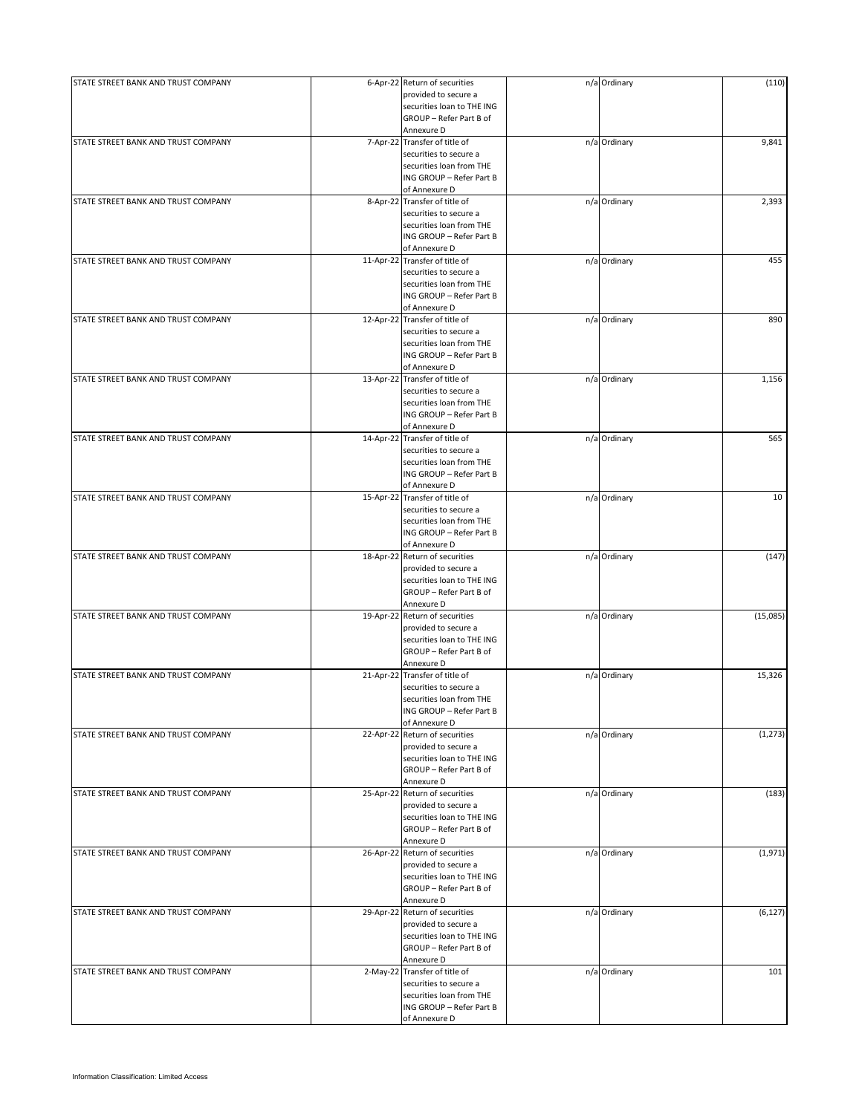| STATE STREET BANK AND TRUST COMPANY |           | 6-Apr-22 Return of securities  | n/a Ordinary | (110)    |
|-------------------------------------|-----------|--------------------------------|--------------|----------|
|                                     |           | provided to secure a           |              |          |
|                                     |           | securities loan to THE ING     |              |          |
|                                     |           | GROUP - Refer Part B of        |              |          |
|                                     |           | Annexure D                     |              |          |
|                                     |           |                                |              |          |
| STATE STREET BANK AND TRUST COMPANY |           | 7-Apr-22 Transfer of title of  | n/a Ordinary | 9,841    |
|                                     |           | securities to secure a         |              |          |
|                                     |           | securities loan from THE       |              |          |
|                                     |           | ING GROUP - Refer Part B       |              |          |
|                                     |           | of Annexure D                  |              |          |
| STATE STREET BANK AND TRUST COMPANY |           | 8-Apr-22 Transfer of title of  | n/a Ordinary | 2,393    |
|                                     |           |                                |              |          |
|                                     |           | securities to secure a         |              |          |
|                                     |           | securities loan from THE       |              |          |
|                                     |           | ING GROUP - Refer Part B       |              |          |
|                                     |           | of Annexure D                  |              |          |
| STATE STREET BANK AND TRUST COMPANY |           | 11-Apr-22 Transfer of title of | n/a Ordinary | 455      |
|                                     |           | securities to secure a         |              |          |
|                                     |           | securities loan from THE       |              |          |
|                                     |           | ING GROUP - Refer Part B       |              |          |
|                                     |           |                                |              |          |
|                                     |           | of Annexure D                  |              |          |
| STATE STREET BANK AND TRUST COMPANY |           | 12-Apr-22 Transfer of title of | n/a Ordinary | 890      |
|                                     |           | securities to secure a         |              |          |
|                                     |           | securities loan from THE       |              |          |
|                                     |           | ING GROUP - Refer Part B       |              |          |
|                                     |           | of Annexure D                  |              |          |
|                                     |           |                                |              |          |
| STATE STREET BANK AND TRUST COMPANY |           | 13-Apr-22 Transfer of title of | n/a Ordinary | 1,156    |
|                                     |           | securities to secure a         |              |          |
|                                     |           | securities loan from THE       |              |          |
|                                     |           | ING GROUP - Refer Part B       |              |          |
|                                     |           | of Annexure D                  |              |          |
|                                     |           |                                |              |          |
| STATE STREET BANK AND TRUST COMPANY |           | 14-Apr-22 Transfer of title of | n/a Ordinary | 565      |
|                                     |           | securities to secure a         |              |          |
|                                     |           | securities loan from THE       |              |          |
|                                     |           | ING GROUP - Refer Part B       |              |          |
|                                     |           | of Annexure D                  |              |          |
|                                     |           |                                |              |          |
| STATE STREET BANK AND TRUST COMPANY |           | 15-Apr-22 Transfer of title of | n/a Ordinary | 10       |
|                                     |           | securities to secure a         |              |          |
|                                     |           | securities loan from THE       |              |          |
|                                     |           | ING GROUP - Refer Part B       |              |          |
|                                     |           | of Annexure D                  |              |          |
| STATE STREET BANK AND TRUST COMPANY |           | 18-Apr-22 Return of securities | n/a Ordinary | (147)    |
|                                     |           |                                |              |          |
|                                     |           | provided to secure a           |              |          |
|                                     |           | securities loan to THE ING     |              |          |
|                                     |           | GROUP - Refer Part B of        |              |          |
|                                     |           | Annexure D                     |              |          |
| STATE STREET BANK AND TRUST COMPANY |           | 19-Apr-22 Return of securities | n/a Ordinary | (15,085) |
|                                     |           | provided to secure a           |              |          |
|                                     |           |                                |              |          |
|                                     |           | securities loan to THE ING     |              |          |
|                                     |           | GROUP - Refer Part B of        |              |          |
|                                     |           | Annexure D                     |              |          |
| STATE STREET BANK AND TRUST COMPANY | 21-Apr-22 | Transfer of title of           | n/a Ordinary | 15,326   |
|                                     |           | securities to secure a         |              |          |
|                                     |           | securities loan from THE       |              |          |
|                                     |           |                                |              |          |
|                                     |           | ING GROUP - Refer Part B       |              |          |
|                                     |           | of Annexure D                  |              |          |
| STATE STREET BANK AND TRUST COMPANY |           | 22-Apr-22 Return of securities | n/a Ordinary | (1, 273) |
|                                     |           | provided to secure a           |              |          |
|                                     |           | securities loan to THE ING     |              |          |
|                                     |           | GROUP - Refer Part B of        |              |          |
|                                     |           |                                |              |          |
|                                     |           | Annexure D                     |              |          |
| STATE STREET BANK AND TRUST COMPANY |           | 25-Apr-22 Return of securities | n/a Ordinary | (183)    |
|                                     |           | provided to secure a           |              |          |
|                                     |           | securities loan to THE ING     |              |          |
|                                     |           | GROUP - Refer Part B of        |              |          |
|                                     |           |                                |              |          |
|                                     |           | Annexure D                     |              |          |
| STATE STREET BANK AND TRUST COMPANY |           | 26-Apr-22 Return of securities | n/a Ordinary | (1,971)  |
|                                     |           | provided to secure a           |              |          |
|                                     |           | securities loan to THE ING     |              |          |
|                                     |           | GROUP - Refer Part B of        |              |          |
|                                     |           | Annexure D                     |              |          |
|                                     |           |                                |              |          |
| STATE STREET BANK AND TRUST COMPANY |           | 29-Apr-22 Return of securities | n/a Ordinary | (6, 127) |
|                                     |           | provided to secure a           |              |          |
|                                     |           | securities loan to THE ING     |              |          |
|                                     |           | GROUP - Refer Part B of        |              |          |
|                                     |           | Annexure D                     |              |          |
|                                     |           | 2-May-22 Transfer of title of  |              | 101      |
| STATE STREET BANK AND TRUST COMPANY |           |                                | n/a Ordinary |          |
|                                     |           | securities to secure a         |              |          |
|                                     |           | securities loan from THE       |              |          |
|                                     |           | ING GROUP - Refer Part B       |              |          |
|                                     |           | of Annexure D                  |              |          |
|                                     |           |                                |              |          |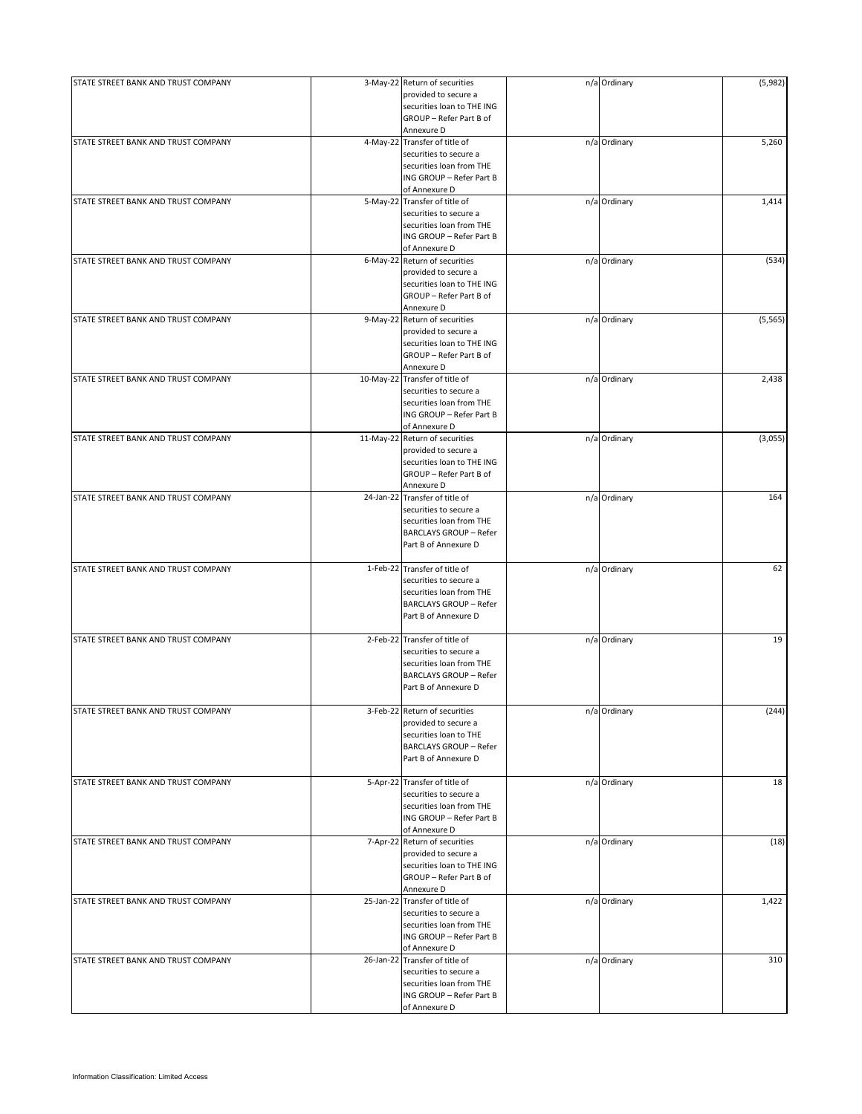| STATE STREET BANK AND TRUST COMPANY | 3-May-22 Return of securities<br>provided to secure a<br>securities loan to THE ING | n/a Ordinary | (5,982)  |
|-------------------------------------|-------------------------------------------------------------------------------------|--------------|----------|
|                                     | GROUP - Refer Part B of                                                             |              |          |
|                                     | Annexure D                                                                          |              |          |
| STATE STREET BANK AND TRUST COMPANY | 4-May-22 Transfer of title of<br>securities to secure a                             | n/a Ordinary | 5,260    |
|                                     | securities loan from THE                                                            |              |          |
|                                     | ING GROUP - Refer Part B                                                            |              |          |
|                                     | of Annexure D                                                                       |              |          |
| STATE STREET BANK AND TRUST COMPANY | 5-May-22 Transfer of title of                                                       | n/a Ordinary | 1,414    |
|                                     | securities to secure a                                                              |              |          |
|                                     | securities loan from THE                                                            |              |          |
|                                     | ING GROUP - Refer Part B                                                            |              |          |
|                                     | of Annexure D                                                                       |              |          |
| STATE STREET BANK AND TRUST COMPANY | 6-May-22 Return of securities                                                       | n/a Ordinary | (534)    |
|                                     | provided to secure a                                                                |              |          |
|                                     | securities loan to THE ING                                                          |              |          |
|                                     | GROUP - Refer Part B of                                                             |              |          |
|                                     | Annexure D                                                                          |              |          |
| STATE STREET BANK AND TRUST COMPANY | 9-May-22 Return of securities                                                       | n/a Ordinary | (5, 565) |
|                                     | provided to secure a                                                                |              |          |
|                                     | securities loan to THE ING<br>GROUP - Refer Part B of                               |              |          |
|                                     | Annexure D                                                                          |              |          |
| STATE STREET BANK AND TRUST COMPANY | 10-May-22 Transfer of title of                                                      | n/a Ordinary | 2,438    |
|                                     | securities to secure a                                                              |              |          |
|                                     | securities loan from THE                                                            |              |          |
|                                     | ING GROUP - Refer Part B                                                            |              |          |
|                                     | of Annexure D                                                                       |              |          |
| STATE STREET BANK AND TRUST COMPANY | 11-May-22 Return of securities                                                      | n/a Ordinary | (3,055)  |
|                                     | provided to secure a                                                                |              |          |
|                                     | securities loan to THE ING                                                          |              |          |
|                                     | GROUP - Refer Part B of                                                             |              |          |
|                                     | Annexure D                                                                          |              |          |
| STATE STREET BANK AND TRUST COMPANY | 24-Jan-22 Transfer of title of                                                      | n/a Ordinary | 164      |
|                                     | securities to secure a                                                              |              |          |
|                                     | securities loan from THE                                                            |              |          |
|                                     | <b>BARCLAYS GROUP - Refer</b>                                                       |              |          |
|                                     | Part B of Annexure D                                                                |              |          |
|                                     |                                                                                     |              |          |
| STATE STREET BANK AND TRUST COMPANY | 1-Feb-22 Transfer of title of                                                       | n/a Ordinary | 62       |
|                                     | securities to secure a                                                              |              |          |
|                                     | securities loan from THE                                                            |              |          |
|                                     | <b>BARCLAYS GROUP - Refer</b>                                                       |              |          |
|                                     | Part B of Annexure D                                                                |              |          |
| STATE STREET BANK AND TRUST COMPANY | 2-Feb-22 Transfer of title of                                                       | n/a Ordinary | 19       |
|                                     | securities to secure a                                                              |              |          |
|                                     | securities loan from THE                                                            |              |          |
|                                     | <b>BARCLAYS GROUP - Refer</b>                                                       |              |          |
|                                     | Part B of Annexure D                                                                |              |          |
|                                     |                                                                                     |              |          |
| STATE STREET BANK AND TRUST COMPANY | 3-Feb-22 Return of securities                                                       | n/a Ordinary | (244)    |
|                                     | provided to secure a                                                                |              |          |
|                                     | securities loan to THE                                                              |              |          |
|                                     | <b>BARCLAYS GROUP - Refer</b>                                                       |              |          |
|                                     | Part B of Annexure D                                                                |              |          |
|                                     |                                                                                     |              |          |
| STATE STREET BANK AND TRUST COMPANY | 5-Apr-22 Transfer of title of                                                       | n/a Ordinary | 18       |
|                                     | securities to secure a                                                              |              |          |
|                                     | securities loan from THE                                                            |              |          |
|                                     | ING GROUP - Refer Part B                                                            |              |          |
|                                     | of Annexure D                                                                       |              |          |
| STATE STREET BANK AND TRUST COMPANY | 7-Apr-22 Return of securities                                                       | n/a Ordinary | (18)     |
|                                     | provided to secure a                                                                |              |          |
|                                     | securities loan to THE ING                                                          |              |          |
|                                     | GROUP - Refer Part B of                                                             |              |          |
|                                     | Annexure D                                                                          |              |          |
| STATE STREET BANK AND TRUST COMPANY | 25-Jan-22 Transfer of title of                                                      | n/a Ordinary | 1,422    |
|                                     | securities to secure a                                                              |              |          |
|                                     | securities loan from THE                                                            |              |          |
|                                     | ING GROUP - Refer Part B                                                            |              |          |
|                                     | of Annexure D                                                                       |              |          |
| STATE STREET BANK AND TRUST COMPANY | 26-Jan-22 Transfer of title of                                                      | n/a Ordinary | 310      |
|                                     | securities to secure a<br>securities loan from THE                                  |              |          |
|                                     | ING GROUP - Refer Part B                                                            |              |          |
|                                     | of Annexure D                                                                       |              |          |
|                                     |                                                                                     |              |          |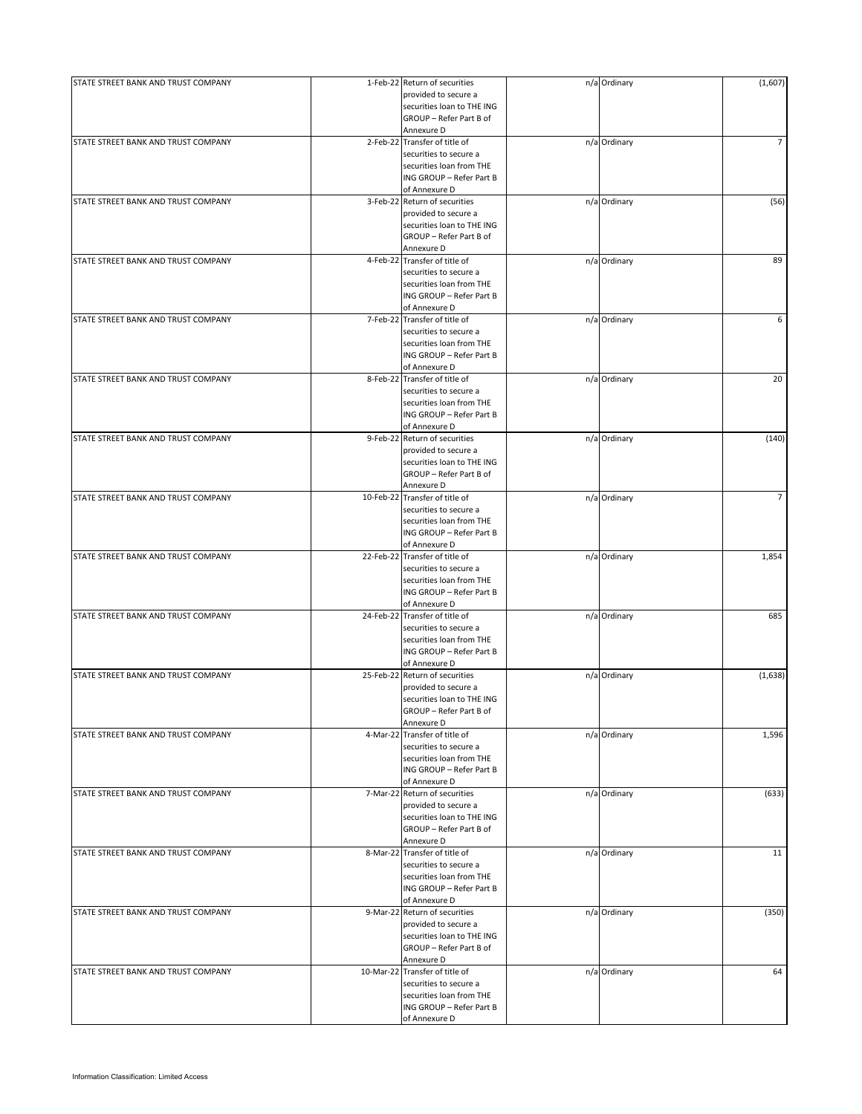| STATE STREET BANK AND TRUST COMPANY | 1-Feb-22 Return of securities  | n/a Ordinary | (1,607)        |
|-------------------------------------|--------------------------------|--------------|----------------|
|                                     | provided to secure a           |              |                |
|                                     | securities loan to THE ING     |              |                |
|                                     | GROUP - Refer Part B of        |              |                |
|                                     | Annexure D                     |              |                |
| STATE STREET BANK AND TRUST COMPANY | 2-Feb-22 Transfer of title of  | n/a Ordinary | 7              |
|                                     | securities to secure a         |              |                |
|                                     | securities loan from THE       |              |                |
|                                     | ING GROUP - Refer Part B       |              |                |
|                                     |                                |              |                |
|                                     | of Annexure D                  |              |                |
| STATE STREET BANK AND TRUST COMPANY | 3-Feb-22 Return of securities  | n/a Ordinary | (56)           |
|                                     | provided to secure a           |              |                |
|                                     | securities loan to THE ING     |              |                |
|                                     | GROUP - Refer Part B of        |              |                |
|                                     | Annexure D                     |              |                |
| STATE STREET BANK AND TRUST COMPANY | 4-Feb-22 Transfer of title of  | n/a Ordinary | 89             |
|                                     | securities to secure a         |              |                |
|                                     |                                |              |                |
|                                     | securities loan from THE       |              |                |
|                                     | ING GROUP - Refer Part B       |              |                |
|                                     | of Annexure D                  |              |                |
| STATE STREET BANK AND TRUST COMPANY | 7-Feb-22 Transfer of title of  | n/a Ordinary | 6              |
|                                     | securities to secure a         |              |                |
|                                     | securities loan from THE       |              |                |
|                                     | ING GROUP - Refer Part B       |              |                |
|                                     | of Annexure D                  |              |                |
| STATE STREET BANK AND TRUST COMPANY | 8-Feb-22 Transfer of title of  | n/a Ordinary | 20             |
|                                     |                                |              |                |
|                                     | securities to secure a         |              |                |
|                                     | securities loan from THE       |              |                |
|                                     | ING GROUP - Refer Part B       |              |                |
|                                     | of Annexure D                  |              |                |
| STATE STREET BANK AND TRUST COMPANY | 9-Feb-22 Return of securities  | n/a Ordinary | (140)          |
|                                     | provided to secure a           |              |                |
|                                     | securities loan to THE ING     |              |                |
|                                     |                                |              |                |
|                                     | GROUP - Refer Part B of        |              |                |
|                                     | Annexure D                     |              |                |
| STATE STREET BANK AND TRUST COMPANY | 10-Feb-22 Transfer of title of | n/a Ordinary | $\overline{7}$ |
|                                     | securities to secure a         |              |                |
|                                     | securities loan from THE       |              |                |
|                                     | ING GROUP - Refer Part B       |              |                |
|                                     | of Annexure D                  |              |                |
| STATE STREET BANK AND TRUST COMPANY | 22-Feb-22 Transfer of title of | n/a Ordinary | 1,854          |
|                                     |                                |              |                |
|                                     | securities to secure a         |              |                |
|                                     | securities loan from THE       |              |                |
|                                     | ING GROUP - Refer Part B       |              |                |
|                                     | of Annexure D                  |              |                |
| STATE STREET BANK AND TRUST COMPANY | 24-Feb-22 Transfer of title of | n/a Ordinary | 685            |
|                                     | securities to secure a         |              |                |
|                                     | securities loan from THE       |              |                |
|                                     | ING GROUP - Refer Part B       |              |                |
|                                     |                                |              |                |
|                                     | of Annexure D                  |              |                |
| STATE STREET BANK AND TRUST COMPANY | 25-Feb-22 Return of securities | n/a Ordinary | (1,638)        |
|                                     | provided to secure a           |              |                |
|                                     | securities loan to THE ING     |              |                |
|                                     | GROUP - Refer Part B of        |              |                |
|                                     | Annexure D                     |              |                |
| STATE STREET BANK AND TRUST COMPANY | 4-Mar-22 Transfer of title of  | n/a Ordinary | 1,596          |
|                                     | securities to secure a         |              |                |
|                                     |                                |              |                |
|                                     | securities loan from THE       |              |                |
|                                     | ING GROUP - Refer Part B       |              |                |
|                                     | of Annexure D                  |              |                |
| STATE STREET BANK AND TRUST COMPANY | 7-Mar-22 Return of securities  | n/a Ordinary | (633)          |
|                                     | provided to secure a           |              |                |
|                                     | securities loan to THE ING     |              |                |
|                                     | GROUP - Refer Part B of        |              |                |
|                                     | Annexure D                     |              |                |
|                                     |                                |              |                |
| STATE STREET BANK AND TRUST COMPANY | 8-Mar-22 Transfer of title of  | n/a Ordinary | 11             |
|                                     | securities to secure a         |              |                |
|                                     | securities loan from THE       |              |                |
|                                     | ING GROUP - Refer Part B       |              |                |
|                                     | of Annexure D                  |              |                |
| STATE STREET BANK AND TRUST COMPANY | 9-Mar-22 Return of securities  | n/a Ordinary | (350)          |
|                                     | provided to secure a           |              |                |
|                                     |                                |              |                |
|                                     | securities loan to THE ING     |              |                |
|                                     | GROUP - Refer Part B of        |              |                |
|                                     | Annexure D                     |              |                |
| STATE STREET BANK AND TRUST COMPANY | 10-Mar-22 Transfer of title of | n/a Ordinary | 64             |
|                                     | securities to secure a         |              |                |
|                                     | securities loan from THE       |              |                |
|                                     | ING GROUP - Refer Part B       |              |                |
|                                     |                                |              |                |
|                                     | of Annexure D                  |              |                |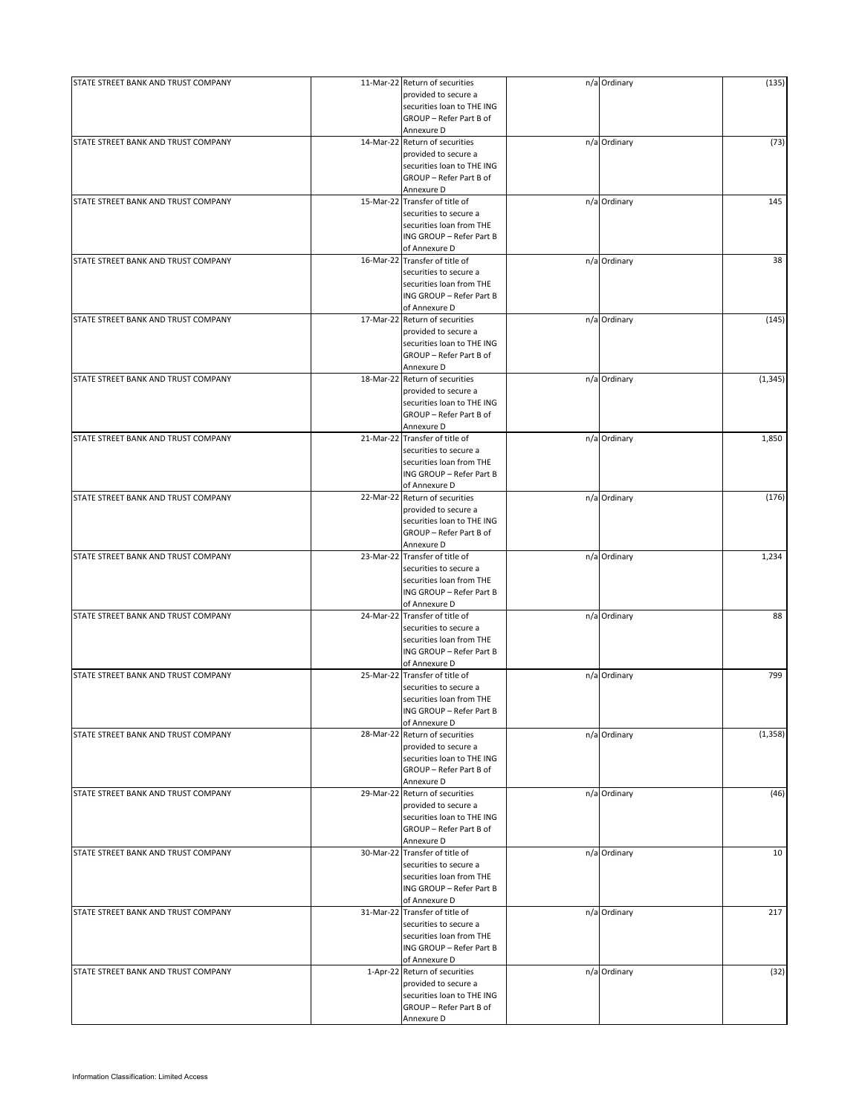| STATE STREET BANK AND TRUST COMPANY |           | 11-Mar-22 Return of securities<br>provided to secure a   | n/a Ordinary | (135)    |
|-------------------------------------|-----------|----------------------------------------------------------|--------------|----------|
|                                     |           | securities loan to THE ING<br>GROUP - Refer Part B of    |              |          |
|                                     |           | Annexure D                                               |              |          |
| STATE STREET BANK AND TRUST COMPANY |           | 14-Mar-22 Return of securities                           | n/a Ordinary | (73)     |
|                                     |           | provided to secure a<br>securities loan to THE ING       |              |          |
|                                     |           | GROUP - Refer Part B of                                  |              |          |
|                                     |           | Annexure D                                               |              |          |
| STATE STREET BANK AND TRUST COMPANY |           | 15-Mar-22 Transfer of title of<br>securities to secure a | n/a Ordinary | 145      |
|                                     |           | securities loan from THE                                 |              |          |
|                                     |           | ING GROUP - Refer Part B                                 |              |          |
| STATE STREET BANK AND TRUST COMPANY |           | of Annexure D<br>16-Mar-22 Transfer of title of          | n/a Ordinary | 38       |
|                                     |           | securities to secure a                                   |              |          |
|                                     |           | securities loan from THE                                 |              |          |
|                                     |           | ING GROUP - Refer Part B                                 |              |          |
| STATE STREET BANK AND TRUST COMPANY |           | of Annexure D<br>17-Mar-22 Return of securities          | n/a Ordinary | (145)    |
|                                     |           | provided to secure a                                     |              |          |
|                                     |           | securities loan to THE ING                               |              |          |
|                                     |           | GROUP - Refer Part B of                                  |              |          |
| STATE STREET BANK AND TRUST COMPANY |           | Annexure D<br>18-Mar-22 Return of securities             | n/a Ordinary | (1, 345) |
|                                     |           | provided to secure a                                     |              |          |
|                                     |           | securities loan to THE ING                               |              |          |
|                                     |           | GROUP - Refer Part B of                                  |              |          |
| STATE STREET BANK AND TRUST COMPANY |           | Annexure D<br>21-Mar-22 Transfer of title of             | n/a Ordinary | 1,850    |
|                                     |           | securities to secure a                                   |              |          |
|                                     |           | securities loan from THE                                 |              |          |
|                                     |           | ING GROUP - Refer Part B                                 |              |          |
| STATE STREET BANK AND TRUST COMPANY |           | of Annexure D<br>22-Mar-22 Return of securities          | n/a Ordinary | (176)    |
|                                     |           | provided to secure a                                     |              |          |
|                                     |           | securities loan to THE ING                               |              |          |
|                                     |           | GROUP - Refer Part B of                                  |              |          |
| STATE STREET BANK AND TRUST COMPANY |           | Annexure D<br>23-Mar-22 Transfer of title of             | n/a Ordinary | 1,234    |
|                                     |           | securities to secure a                                   |              |          |
|                                     |           | securities loan from THE                                 |              |          |
|                                     |           | ING GROUP - Refer Part B<br>of Annexure D                |              |          |
| STATE STREET BANK AND TRUST COMPANY |           | 24-Mar-22 Transfer of title of                           | n/a Ordinary | 88       |
|                                     |           | securities to secure a                                   |              |          |
|                                     |           | securities loan from THE                                 |              |          |
|                                     |           | ING GROUP - Refer Part B<br>of Annexure D                |              |          |
| STATE STREET BANK AND TRUST COMPANY | 25-Mar-22 | Transfer of title of                                     | n/a Ordinary | 799      |
|                                     |           | securities to secure a                                   |              |          |
|                                     |           | securities loan from THE                                 |              |          |
|                                     |           | ING GROUP - Refer Part B<br>of Annexure D                |              |          |
| STATE STREET BANK AND TRUST COMPANY |           | 28-Mar-22 Return of securities                           | n/a Ordinary | (1, 358) |
|                                     |           | provided to secure a                                     |              |          |
|                                     |           | securities loan to THE ING<br>GROUP - Refer Part B of    |              |          |
|                                     |           | Annexure D                                               |              |          |
| STATE STREET BANK AND TRUST COMPANY |           | 29-Mar-22 Return of securities                           | n/a Ordinary | (46)     |
|                                     |           | provided to secure a                                     |              |          |
|                                     |           | securities loan to THE ING<br>GROUP - Refer Part B of    |              |          |
|                                     |           | Annexure D                                               |              |          |
| STATE STREET BANK AND TRUST COMPANY |           | 30-Mar-22 Transfer of title of                           | n/a Ordinary | 10       |
|                                     |           | securities to secure a                                   |              |          |
|                                     |           | securities loan from THE<br>ING GROUP - Refer Part B     |              |          |
|                                     |           | of Annexure D                                            |              |          |
| STATE STREET BANK AND TRUST COMPANY |           | 31-Mar-22 Transfer of title of                           | n/a Ordinary | 217      |
|                                     |           | securities to secure a                                   |              |          |
|                                     |           | securities loan from THE<br>ING GROUP - Refer Part B     |              |          |
|                                     |           | of Annexure D                                            |              |          |
| STATE STREET BANK AND TRUST COMPANY |           | 1-Apr-22 Return of securities                            | n/a Ordinary | (32)     |
|                                     |           | provided to secure a                                     |              |          |
|                                     |           | securities loan to THE ING<br>GROUP - Refer Part B of    |              |          |
|                                     |           | Annexure D                                               |              |          |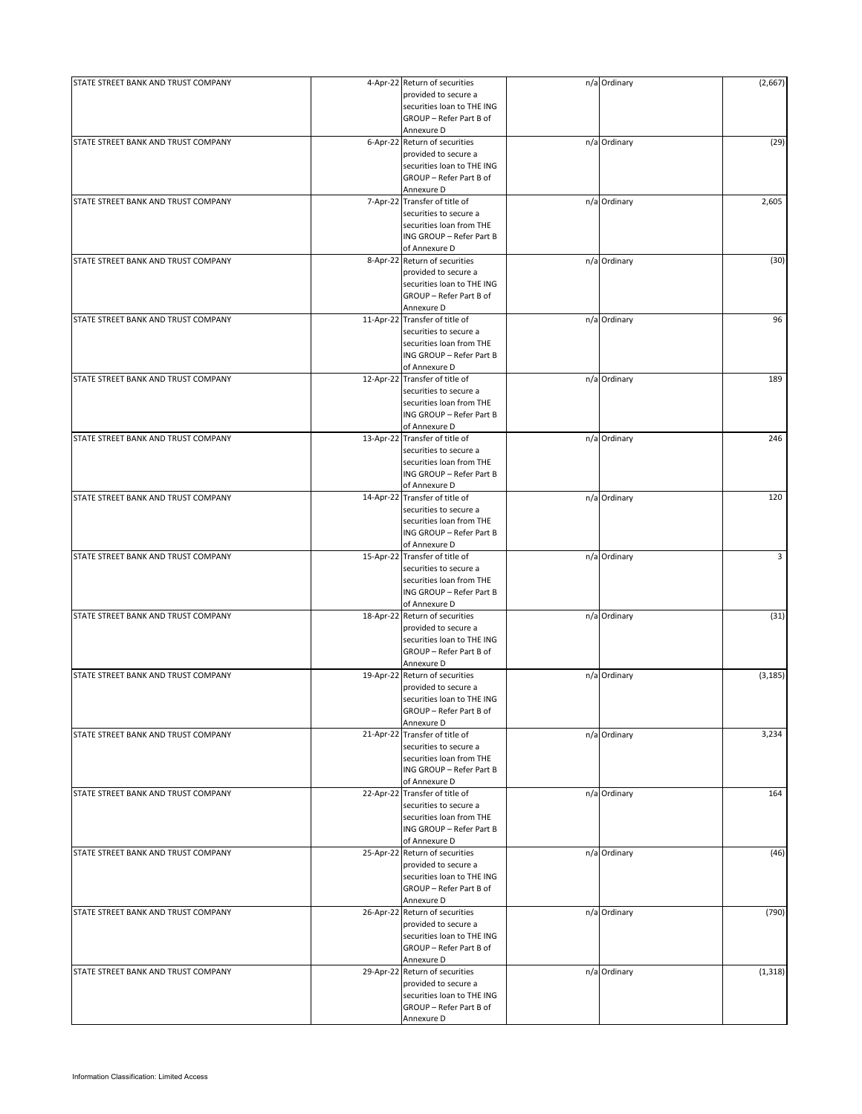| STATE STREET BANK AND TRUST COMPANY | 4-Apr-22 Return of securities  | n/a Ordinary | (2,667)  |
|-------------------------------------|--------------------------------|--------------|----------|
|                                     | provided to secure a           |              |          |
|                                     | securities loan to THE ING     |              |          |
|                                     | GROUP - Refer Part B of        |              |          |
|                                     | Annexure D                     |              |          |
|                                     |                                |              |          |
| STATE STREET BANK AND TRUST COMPANY | 6-Apr-22 Return of securities  | n/a Ordinary | (29)     |
|                                     | provided to secure a           |              |          |
|                                     | securities loan to THE ING     |              |          |
|                                     | GROUP - Refer Part B of        |              |          |
|                                     | Annexure D                     |              |          |
| STATE STREET BANK AND TRUST COMPANY | 7-Apr-22 Transfer of title of  | n/a Ordinary | 2,605    |
|                                     |                                |              |          |
|                                     | securities to secure a         |              |          |
|                                     | securities loan from THE       |              |          |
|                                     | ING GROUP - Refer Part B       |              |          |
|                                     | of Annexure D                  |              |          |
| STATE STREET BANK AND TRUST COMPANY | 8-Apr-22 Return of securities  | n/a Ordinary | (30)     |
|                                     | provided to secure a           |              |          |
|                                     |                                |              |          |
|                                     | securities loan to THE ING     |              |          |
|                                     | GROUP - Refer Part B of        |              |          |
|                                     | Annexure D                     |              |          |
| STATE STREET BANK AND TRUST COMPANY | 11-Apr-22 Transfer of title of | n/a Ordinary | 96       |
|                                     | securities to secure a         |              |          |
|                                     | securities loan from THE       |              |          |
|                                     | ING GROUP - Refer Part B       |              |          |
|                                     |                                |              |          |
|                                     | of Annexure D                  |              |          |
| STATE STREET BANK AND TRUST COMPANY | 12-Apr-22 Transfer of title of | n/a Ordinary | 189      |
|                                     | securities to secure a         |              |          |
|                                     | securities loan from THE       |              |          |
|                                     |                                |              |          |
|                                     | ING GROUP - Refer Part B       |              |          |
|                                     | of Annexure D                  |              |          |
| STATE STREET BANK AND TRUST COMPANY | 13-Apr-22 Transfer of title of | n/a Ordinary | 246      |
|                                     | securities to secure a         |              |          |
|                                     | securities loan from THE       |              |          |
|                                     |                                |              |          |
|                                     | ING GROUP - Refer Part B       |              |          |
|                                     | of Annexure D                  |              |          |
| STATE STREET BANK AND TRUST COMPANY | 14-Apr-22 Transfer of title of | n/a Ordinary | 120      |
|                                     | securities to secure a         |              |          |
|                                     | securities loan from THE       |              |          |
|                                     | ING GROUP - Refer Part B       |              |          |
|                                     |                                |              |          |
|                                     | of Annexure D                  |              |          |
| STATE STREET BANK AND TRUST COMPANY | 15-Apr-22 Transfer of title of | n/a Ordinary | 3        |
|                                     | securities to secure a         |              |          |
|                                     | securities loan from THE       |              |          |
|                                     | ING GROUP - Refer Part B       |              |          |
|                                     |                                |              |          |
|                                     | of Annexure D                  |              |          |
| STATE STREET BANK AND TRUST COMPANY | 18-Apr-22 Return of securities | n/a Ordinary | (31)     |
|                                     | provided to secure a           |              |          |
|                                     | securities loan to THE ING     |              |          |
|                                     | GROUP - Refer Part B of        |              |          |
|                                     | Annexure D                     |              |          |
|                                     |                                |              |          |
| STATE STREET BANK AND TRUST COMPANY | 19-Apr-22 Return of securities | n/a Ordinary | (3, 185) |
|                                     | provided to secure a           |              |          |
|                                     | securities loan to THE ING     |              |          |
|                                     | GROUP - Refer Part B of        |              |          |
|                                     | Annexure D                     |              |          |
|                                     |                                |              |          |
| STATE STREET BANK AND TRUST COMPANY | 21-Apr-22 Transfer of title of | n/a Ordinary | 3,234    |
|                                     | securities to secure a         |              |          |
|                                     | securities loan from THE       |              |          |
|                                     | ING GROUP - Refer Part B       |              |          |
|                                     | of Annexure D                  |              |          |
|                                     |                                |              |          |
| STATE STREET BANK AND TRUST COMPANY | 22-Apr-22 Transfer of title of | n/a Ordinary | 164      |
|                                     | securities to secure a         |              |          |
|                                     | securities loan from THE       |              |          |
|                                     | ING GROUP - Refer Part B       |              |          |
|                                     | of Annexure D                  |              |          |
| STATE STREET BANK AND TRUST COMPANY | 25-Apr-22 Return of securities | n/a Ordinary |          |
|                                     |                                |              | (46)     |
|                                     | provided to secure a           |              |          |
|                                     | securities loan to THE ING     |              |          |
|                                     | GROUP - Refer Part B of        |              |          |
|                                     | Annexure D                     |              |          |
| STATE STREET BANK AND TRUST COMPANY | 26-Apr-22 Return of securities |              | (790)    |
|                                     |                                | n/a Ordinary |          |
|                                     | provided to secure a           |              |          |
|                                     | securities loan to THE ING     |              |          |
|                                     | GROUP - Refer Part B of        |              |          |
|                                     | Annexure D                     |              |          |
|                                     | 29-Apr-22 Return of securities |              | (1, 318) |
| STATE STREET BANK AND TRUST COMPANY |                                | n/a Ordinary |          |
|                                     | provided to secure a           |              |          |
|                                     | securities loan to THE ING     |              |          |
|                                     | GROUP - Refer Part B of        |              |          |
|                                     | Annexure D                     |              |          |
|                                     |                                |              |          |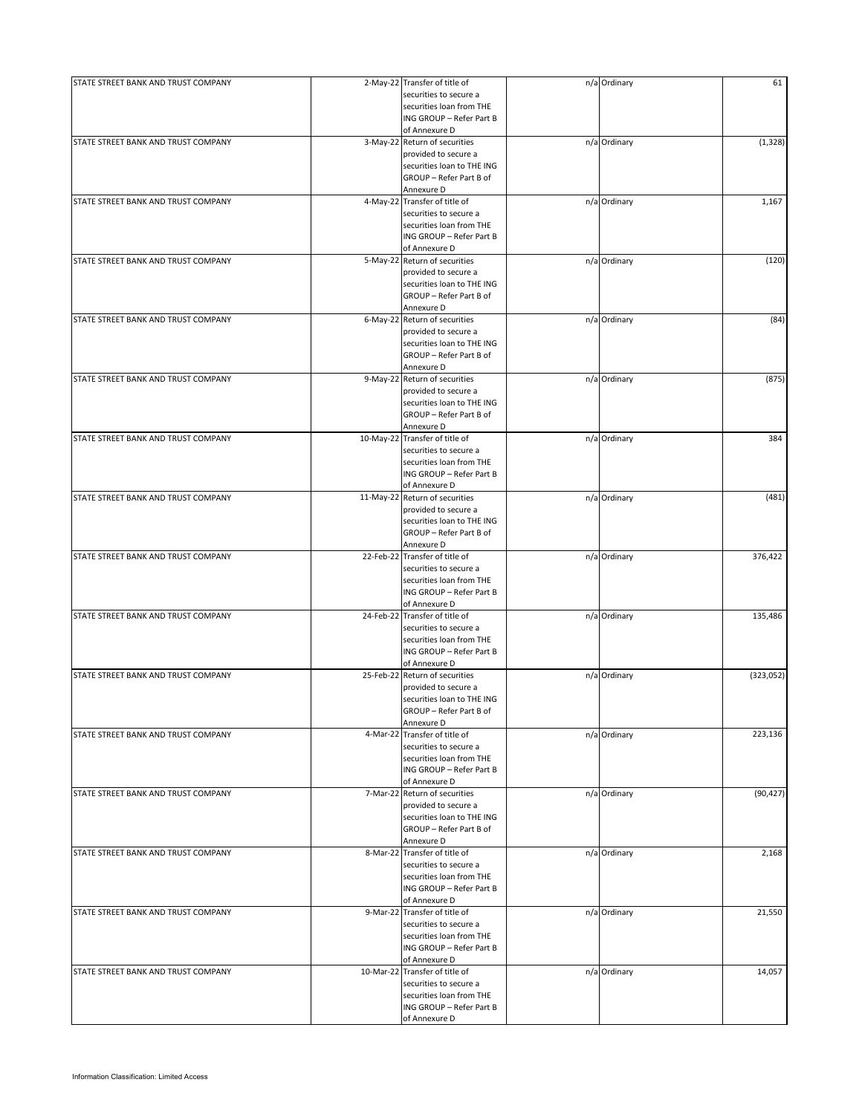| STATE STREET BANK AND TRUST COMPANY |           | 2-May-22 Transfer of title of  | n/a Ordinary | 61        |
|-------------------------------------|-----------|--------------------------------|--------------|-----------|
|                                     |           | securities to secure a         |              |           |
|                                     |           | securities loan from THE       |              |           |
|                                     |           | ING GROUP - Refer Part B       |              |           |
|                                     |           | of Annexure D                  |              |           |
|                                     |           |                                |              |           |
| STATE STREET BANK AND TRUST COMPANY |           | 3-May-22 Return of securities  | n/a Ordinary | (1, 328)  |
|                                     |           | provided to secure a           |              |           |
|                                     |           | securities loan to THE ING     |              |           |
|                                     |           | GROUP - Refer Part B of        |              |           |
|                                     |           | Annexure D                     |              |           |
| STATE STREET BANK AND TRUST COMPANY |           | 4-May-22 Transfer of title of  | n/a Ordinary | 1,167     |
|                                     |           | securities to secure a         |              |           |
|                                     |           |                                |              |           |
|                                     |           | securities loan from THE       |              |           |
|                                     |           | ING GROUP - Refer Part B       |              |           |
|                                     |           | of Annexure D                  |              |           |
| STATE STREET BANK AND TRUST COMPANY |           | 5-May-22 Return of securities  | n/a Ordinary | (120)     |
|                                     |           | provided to secure a           |              |           |
|                                     |           |                                |              |           |
|                                     |           | securities loan to THE ING     |              |           |
|                                     |           | GROUP - Refer Part B of        |              |           |
|                                     |           | Annexure D                     |              |           |
| STATE STREET BANK AND TRUST COMPANY |           | 6-May-22 Return of securities  | n/a Ordinary | (84)      |
|                                     |           | provided to secure a           |              |           |
|                                     |           | securities loan to THE ING     |              |           |
|                                     |           | GROUP - Refer Part B of        |              |           |
|                                     |           |                                |              |           |
|                                     |           | Annexure D                     |              |           |
| STATE STREET BANK AND TRUST COMPANY |           | 9-May-22 Return of securities  | n/a Ordinary | (875)     |
|                                     |           | provided to secure a           |              |           |
|                                     |           | securities loan to THE ING     |              |           |
|                                     |           |                                |              |           |
|                                     |           | GROUP - Refer Part B of        |              |           |
|                                     |           | Annexure D                     |              |           |
| STATE STREET BANK AND TRUST COMPANY |           | 10-May-22 Transfer of title of | n/a Ordinary | 384       |
|                                     |           | securities to secure a         |              |           |
|                                     |           | securities loan from THE       |              |           |
|                                     |           |                                |              |           |
|                                     |           | ING GROUP - Refer Part B       |              |           |
|                                     |           | of Annexure D                  |              |           |
| STATE STREET BANK AND TRUST COMPANY |           | 11-May-22 Return of securities | n/a Ordinary | (481)     |
|                                     |           | provided to secure a           |              |           |
|                                     |           | securities loan to THE ING     |              |           |
|                                     |           |                                |              |           |
|                                     |           | GROUP - Refer Part B of        |              |           |
|                                     |           | Annexure D                     |              |           |
| STATE STREET BANK AND TRUST COMPANY |           | 22-Feb-22 Transfer of title of | n/a Ordinary | 376,422   |
|                                     |           | securities to secure a         |              |           |
|                                     |           | securities loan from THE       |              |           |
|                                     |           |                                |              |           |
|                                     |           | ING GROUP - Refer Part B       |              |           |
|                                     |           | of Annexure D                  |              |           |
| STATE STREET BANK AND TRUST COMPANY |           | 24-Feb-22 Transfer of title of | n/a Ordinary | 135,486   |
|                                     |           | securities to secure a         |              |           |
|                                     |           | securities loan from THE       |              |           |
|                                     |           | ING GROUP - Refer Part B       |              |           |
|                                     |           |                                |              |           |
|                                     |           | of Annexure D                  |              |           |
| STATE STREET BANK AND TRUST COMPANY | 25-Feb-22 | Return of securities           | n/a Ordinary | (323,052) |
|                                     |           | provided to secure a           |              |           |
|                                     |           | securities loan to THE ING     |              |           |
|                                     |           | GROUP - Refer Part B of        |              |           |
|                                     |           |                                |              |           |
|                                     |           | Annexure D                     |              |           |
| STATE STREET BANK AND TRUST COMPANY |           | 4-Mar-22 Transfer of title of  | n/a Ordinary | 223,136   |
|                                     |           | securities to secure a         |              |           |
|                                     |           | securities loan from THE       |              |           |
|                                     |           | ING GROUP - Refer Part B       |              |           |
|                                     |           |                                |              |           |
|                                     |           | of Annexure D                  |              |           |
| STATE STREET BANK AND TRUST COMPANY |           | 7-Mar-22 Return of securities  | n/a Ordinary | (90, 427) |
|                                     |           | provided to secure a           |              |           |
|                                     |           | securities loan to THE ING     |              |           |
|                                     |           | GROUP - Refer Part B of        |              |           |
|                                     |           | Annexure D                     |              |           |
|                                     |           |                                |              |           |
| STATE STREET BANK AND TRUST COMPANY |           | 8-Mar-22 Transfer of title of  | n/a Ordinary | 2,168     |
|                                     |           | securities to secure a         |              |           |
|                                     |           | securities loan from THE       |              |           |
|                                     |           | ING GROUP - Refer Part B       |              |           |
|                                     |           | of Annexure D                  |              |           |
|                                     |           |                                |              |           |
| STATE STREET BANK AND TRUST COMPANY |           | 9-Mar-22 Transfer of title of  | n/a Ordinary | 21,550    |
|                                     |           | securities to secure a         |              |           |
|                                     |           | securities loan from THE       |              |           |
|                                     |           | ING GROUP - Refer Part B       |              |           |
|                                     |           | of Annexure D                  |              |           |
|                                     |           |                                |              |           |
| STATE STREET BANK AND TRUST COMPANY |           | 10-Mar-22 Transfer of title of | n/a Ordinary | 14,057    |
|                                     |           | securities to secure a         |              |           |
|                                     |           | securities loan from THE       |              |           |
|                                     |           | ING GROUP - Refer Part B       |              |           |
|                                     |           |                                |              |           |
|                                     |           | of Annexure D                  |              |           |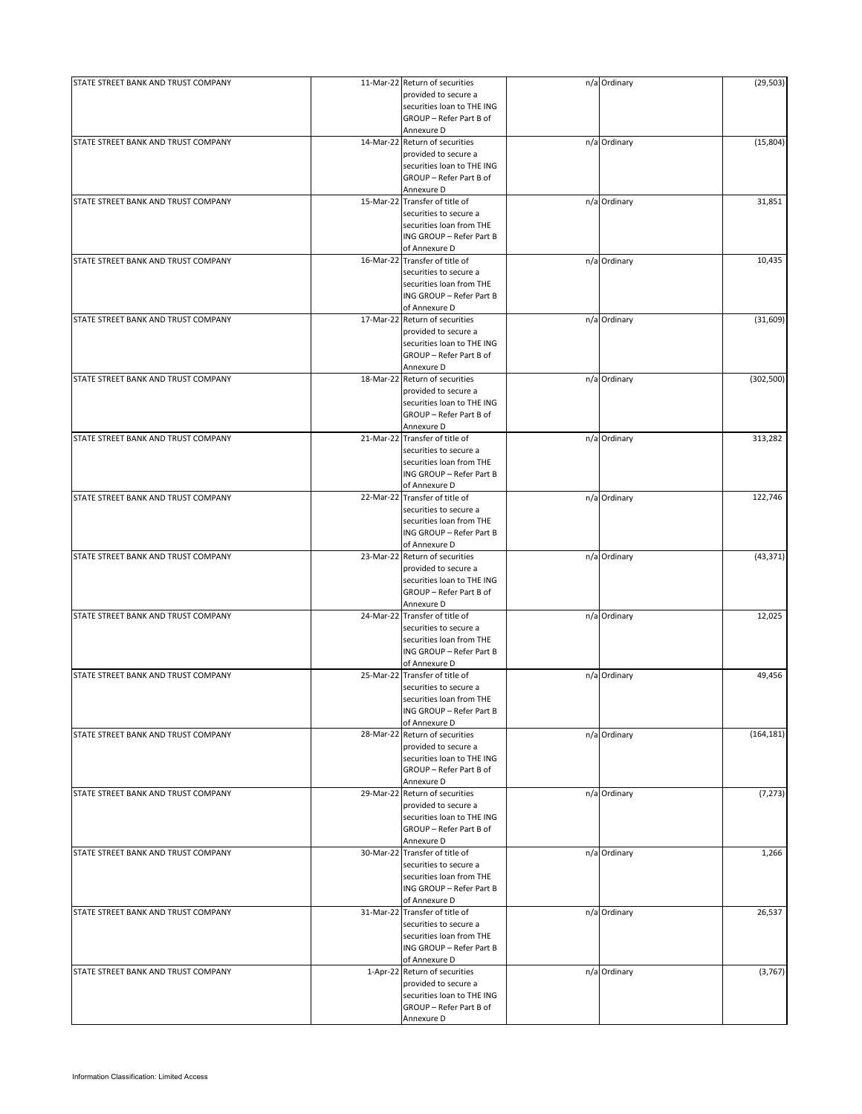| STATE STREET BANK AND TRUST COMPANY | 11-Mar-22 Return of securities | n/a Ordinary | (29, 503)  |
|-------------------------------------|--------------------------------|--------------|------------|
|                                     | provided to secure a           |              |            |
|                                     | securities loan to THE ING     |              |            |
|                                     | GROUP - Refer Part B of        |              |            |
|                                     | Annexure D                     |              |            |
| STATE STREET BANK AND TRUST COMPANY |                                |              |            |
|                                     | 14-Mar-22 Return of securities | n/a Ordinary | (15,804)   |
|                                     | provided to secure a           |              |            |
|                                     | securities loan to THE ING     |              |            |
|                                     | GROUP - Refer Part B of        |              |            |
|                                     | Annexure D                     |              |            |
| STATE STREET BANK AND TRUST COMPANY | 15-Mar-22 Transfer of title of | n/a Ordinary | 31,851     |
|                                     | securities to secure a         |              |            |
|                                     |                                |              |            |
|                                     | securities loan from THE       |              |            |
|                                     | ING GROUP - Refer Part B       |              |            |
|                                     | of Annexure D                  |              |            |
| STATE STREET BANK AND TRUST COMPANY | 16-Mar-22 Transfer of title of | n/a Ordinary | 10,435     |
|                                     | securities to secure a         |              |            |
|                                     | securities loan from THE       |              |            |
|                                     |                                |              |            |
|                                     | ING GROUP - Refer Part B       |              |            |
|                                     | of Annexure D                  |              |            |
| STATE STREET BANK AND TRUST COMPANY | 17-Mar-22 Return of securities | n/a Ordinary | (31,609)   |
|                                     | provided to secure a           |              |            |
|                                     | securities loan to THE ING     |              |            |
|                                     | GROUP - Refer Part B of        |              |            |
|                                     |                                |              |            |
|                                     | Annexure D                     |              |            |
| STATE STREET BANK AND TRUST COMPANY | 18-Mar-22 Return of securities | n/a Ordinary | (302, 500) |
|                                     | provided to secure a           |              |            |
|                                     | securities loan to THE ING     |              |            |
|                                     | GROUP - Refer Part B of        |              |            |
|                                     |                                |              |            |
|                                     | Annexure D                     |              |            |
| STATE STREET BANK AND TRUST COMPANY | 21-Mar-22 Transfer of title of | n/a Ordinary | 313,282    |
|                                     | securities to secure a         |              |            |
|                                     | securities loan from THE       |              |            |
|                                     | ING GROUP - Refer Part B       |              |            |
|                                     |                                |              |            |
|                                     | of Annexure D                  |              |            |
| STATE STREET BANK AND TRUST COMPANY | 22-Mar-22 Transfer of title of | n/a Ordinary | 122,746    |
|                                     | securities to secure a         |              |            |
|                                     | securities loan from THE       |              |            |
|                                     | ING GROUP - Refer Part B       |              |            |
|                                     |                                |              |            |
|                                     | of Annexure D                  |              |            |
| STATE STREET BANK AND TRUST COMPANY | 23-Mar-22 Return of securities | n/a Ordinary | (43, 371)  |
|                                     | provided to secure a           |              |            |
|                                     | securities loan to THE ING     |              |            |
|                                     | GROUP - Refer Part B of        |              |            |
|                                     |                                |              |            |
|                                     | Annexure D                     |              |            |
| STATE STREET BANK AND TRUST COMPANY | 24-Mar-22 Transfer of title of | n/a Ordinary | 12,025     |
|                                     | securities to secure a         |              |            |
|                                     | securities loan from THE       |              |            |
|                                     | ING GROUP - Refer Part B       |              |            |
|                                     | of Annexure D                  |              |            |
|                                     |                                |              |            |
| STATE STREET BANK AND TRUST COMPANY | 25-Mar-22 Transfer of title of | n/a Ordinary | 49,456     |
|                                     | securities to secure a         |              |            |
|                                     | securities loan from THE       |              |            |
|                                     | ING GROUP - Refer Part B       |              |            |
|                                     | of Annexure D                  |              |            |
|                                     |                                |              |            |
| STATE STREET BANK AND TRUST COMPANY | 28-Mar-22 Return of securities | n/a Ordinary | (164, 181) |
|                                     | provided to secure a           |              |            |
|                                     | securities loan to THE ING     |              |            |
|                                     | GROUP - Refer Part B of        |              |            |
|                                     | Annexure D                     |              |            |
| STATE STREET BANK AND TRUST COMPANY | 29-Mar-22 Return of securities | n/a Ordinary | (7, 273)   |
|                                     |                                |              |            |
|                                     | provided to secure a           |              |            |
|                                     | securities loan to THE ING     |              |            |
|                                     | GROUP - Refer Part B of        |              |            |
|                                     | Annexure D                     |              |            |
| STATE STREET BANK AND TRUST COMPANY | 30-Mar-22 Transfer of title of | n/a Ordinary | 1,266      |
|                                     | securities to secure a         |              |            |
|                                     |                                |              |            |
|                                     | securities loan from THE       |              |            |
|                                     | ING GROUP - Refer Part B       |              |            |
|                                     | of Annexure D                  |              |            |
| STATE STREET BANK AND TRUST COMPANY | 31-Mar-22 Transfer of title of | n/a Ordinary | 26,537     |
|                                     | securities to secure a         |              |            |
|                                     |                                |              |            |
|                                     | securities loan from THE       |              |            |
|                                     | ING GROUP - Refer Part B       |              |            |
|                                     | of Annexure D                  |              |            |
| STATE STREET BANK AND TRUST COMPANY | 1-Apr-22 Return of securities  | n/a Ordinary | (3,767)    |
|                                     | provided to secure a           |              |            |
|                                     | securities loan to THE ING     |              |            |
|                                     |                                |              |            |
|                                     | GROUP - Refer Part B of        |              |            |
|                                     | Annexure D                     |              |            |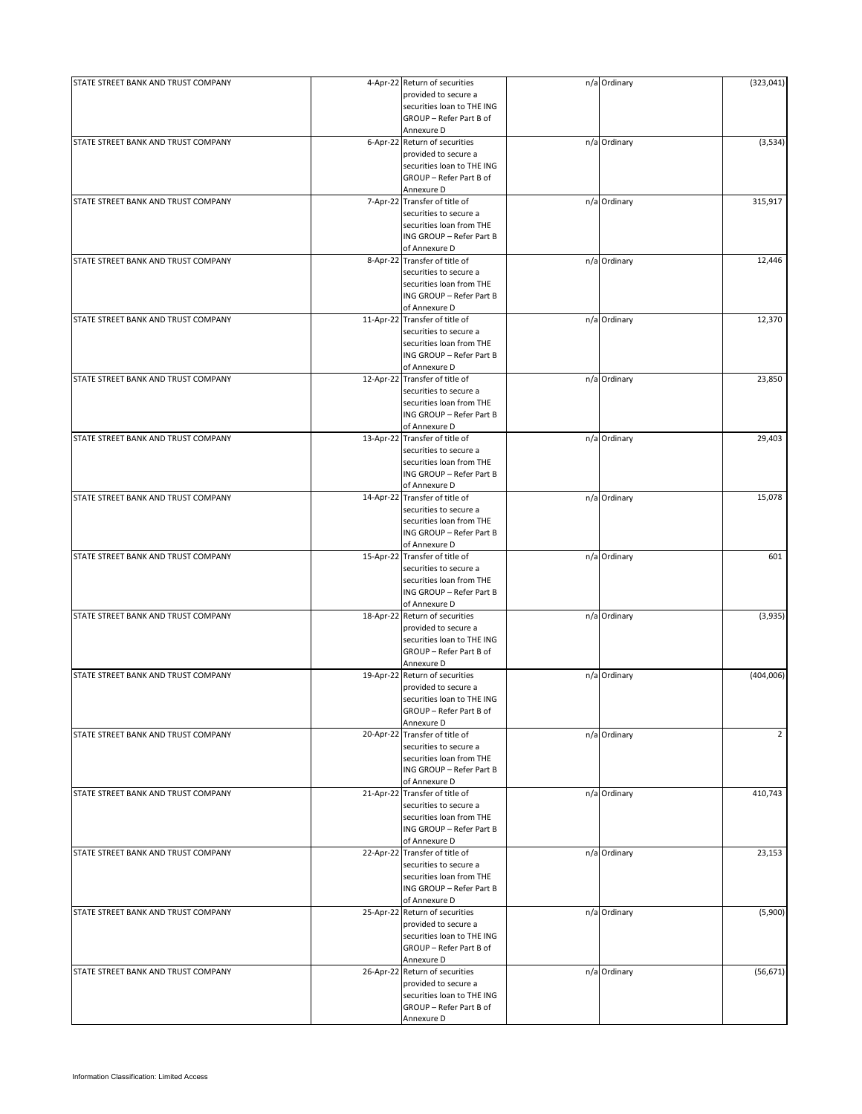| STATE STREET BANK AND TRUST COMPANY |           | 4-Apr-22 Return of securities<br>provided to secure a    | n/a Ordinary | (323, 041)     |
|-------------------------------------|-----------|----------------------------------------------------------|--------------|----------------|
|                                     |           | securities loan to THE ING<br>GROUP - Refer Part B of    |              |                |
|                                     |           | Annexure D                                               |              |                |
| STATE STREET BANK AND TRUST COMPANY |           | 6-Apr-22 Return of securities<br>provided to secure a    | n/a Ordinary | (3,534)        |
|                                     |           | securities loan to THE ING                               |              |                |
|                                     |           | GROUP - Refer Part B of                                  |              |                |
|                                     |           | Annexure D                                               |              |                |
| STATE STREET BANK AND TRUST COMPANY |           | 7-Apr-22 Transfer of title of                            | n/a Ordinary | 315,917        |
|                                     |           | securities to secure a<br>securities loan from THE       |              |                |
|                                     |           | ING GROUP - Refer Part B                                 |              |                |
|                                     |           | of Annexure D                                            |              |                |
| STATE STREET BANK AND TRUST COMPANY |           | 8-Apr-22 Transfer of title of                            | n/a Ordinary | 12,446         |
|                                     |           | securities to secure a                                   |              |                |
|                                     |           | securities loan from THE                                 |              |                |
|                                     |           | ING GROUP - Refer Part B<br>of Annexure D                |              |                |
| STATE STREET BANK AND TRUST COMPANY |           | 11-Apr-22 Transfer of title of                           | n/a Ordinary | 12,370         |
|                                     |           | securities to secure a                                   |              |                |
|                                     |           | securities loan from THE                                 |              |                |
|                                     |           | ING GROUP - Refer Part B                                 |              |                |
| STATE STREET BANK AND TRUST COMPANY |           | of Annexure D<br>12-Apr-22 Transfer of title of          | n/a Ordinary | 23,850         |
|                                     |           | securities to secure a                                   |              |                |
|                                     |           | securities loan from THE                                 |              |                |
|                                     |           | ING GROUP - Refer Part B                                 |              |                |
|                                     |           | of Annexure D                                            |              |                |
| STATE STREET BANK AND TRUST COMPANY |           | 13-Apr-22 Transfer of title of                           | n/a Ordinary | 29,403         |
|                                     |           | securities to secure a                                   |              |                |
|                                     |           | securities loan from THE<br>ING GROUP - Refer Part B     |              |                |
|                                     |           | of Annexure D                                            |              |                |
| STATE STREET BANK AND TRUST COMPANY |           | 14-Apr-22 Transfer of title of                           | n/a Ordinary | 15,078         |
|                                     |           | securities to secure a                                   |              |                |
|                                     |           | securities loan from THE                                 |              |                |
|                                     |           | ING GROUP - Refer Part B                                 |              |                |
| STATE STREET BANK AND TRUST COMPANY |           | of Annexure D<br>15-Apr-22 Transfer of title of          | n/a Ordinary | 601            |
|                                     |           | securities to secure a                                   |              |                |
|                                     |           | securities loan from THE                                 |              |                |
|                                     |           | ING GROUP - Refer Part B                                 |              |                |
|                                     |           | of Annexure D                                            |              |                |
| STATE STREET BANK AND TRUST COMPANY | 18-Apr-22 | Return of securities<br>provided to secure a             | n/a Ordinary | (3,935)        |
|                                     |           | securities loan to THE ING                               |              |                |
|                                     |           | GROUP - Refer Part B of                                  |              |                |
|                                     |           | Annexure D                                               |              |                |
| STATE STREET BANK AND TRUST COMPANY |           | 19-Apr-22 Return of securities                           | n/a Ordinary | (404,006)      |
|                                     |           | provided to secure a<br>securities loan to THE ING       |              |                |
|                                     |           | GROUP - Refer Part B of                                  |              |                |
|                                     |           | Annexure D                                               |              |                |
| STATE STREET BANK AND TRUST COMPANY |           | 20-Apr-22 Transfer of title of                           | n/a Ordinary | $\overline{2}$ |
|                                     |           | securities to secure a                                   |              |                |
|                                     |           | securities loan from THE                                 |              |                |
|                                     |           | ING GROUP - Refer Part B<br>of Annexure D                |              |                |
| STATE STREET BANK AND TRUST COMPANY |           | 21-Apr-22 Transfer of title of                           | n/a Ordinary | 410,743        |
|                                     |           | securities to secure a                                   |              |                |
|                                     |           | securities loan from THE                                 |              |                |
|                                     |           | ING GROUP - Refer Part B                                 |              |                |
| STATE STREET BANK AND TRUST COMPANY |           | of Annexure D                                            |              |                |
|                                     |           | 22-Apr-22 Transfer of title of<br>securities to secure a | n/a Ordinary | 23,153         |
|                                     |           | securities loan from THE                                 |              |                |
|                                     |           | ING GROUP - Refer Part B                                 |              |                |
|                                     |           | of Annexure D                                            |              |                |
| STATE STREET BANK AND TRUST COMPANY |           | 25-Apr-22 Return of securities                           | n/a Ordinary | (5,900)        |
|                                     |           | provided to secure a                                     |              |                |
|                                     |           | securities loan to THE ING<br>GROUP - Refer Part B of    |              |                |
|                                     |           | Annexure D                                               |              |                |
| STATE STREET BANK AND TRUST COMPANY |           | 26-Apr-22 Return of securities                           | n/a Ordinary | (56, 671)      |
|                                     |           | provided to secure a                                     |              |                |
|                                     |           | securities loan to THE ING                               |              |                |
|                                     |           | GROUP - Refer Part B of                                  |              |                |
|                                     |           | Annexure D                                               |              |                |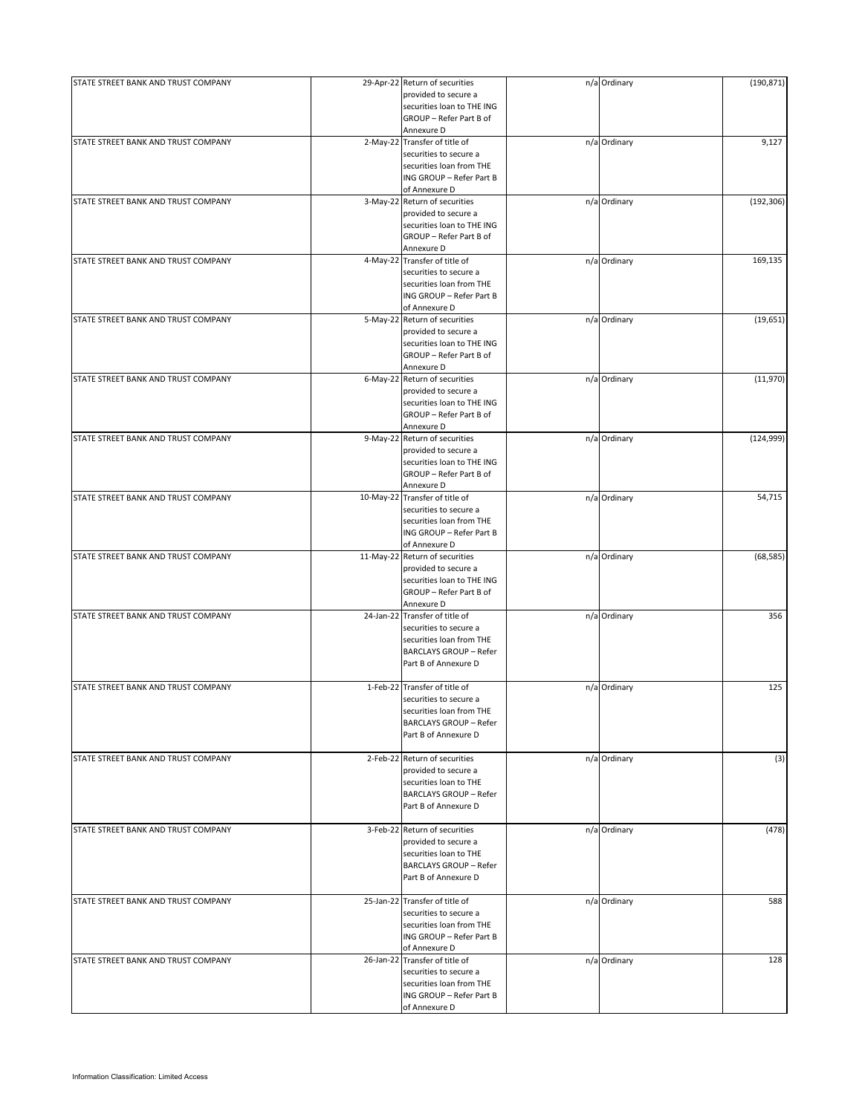| STATE STREET BANK AND TRUST COMPANY |          | 29-Apr-22 Return of securities<br>provided to secure a<br>securities loan to THE ING | n/a Ordinary | (190, 871) |
|-------------------------------------|----------|--------------------------------------------------------------------------------------|--------------|------------|
|                                     |          | GROUP - Refer Part B of                                                              |              |            |
| STATE STREET BANK AND TRUST COMPANY |          | Annexure D                                                                           |              |            |
|                                     |          | 2-May-22 Transfer of title of<br>securities to secure a                              | n/a Ordinary | 9,127      |
|                                     |          | securities loan from THE                                                             |              |            |
|                                     |          | ING GROUP - Refer Part B                                                             |              |            |
|                                     |          | of Annexure D                                                                        |              |            |
| STATE STREET BANK AND TRUST COMPANY |          | 3-May-22 Return of securities                                                        | n/a Ordinary | (192, 306) |
|                                     |          | provided to secure a                                                                 |              |            |
|                                     |          | securities loan to THE ING                                                           |              |            |
|                                     |          | GROUP - Refer Part B of                                                              |              |            |
|                                     |          | Annexure D                                                                           |              |            |
| STATE STREET BANK AND TRUST COMPANY |          | 4-May-22 Transfer of title of                                                        | n/a Ordinary | 169,135    |
|                                     |          | securities to secure a                                                               |              |            |
|                                     |          | securities loan from THE                                                             |              |            |
|                                     |          | ING GROUP - Refer Part B                                                             |              |            |
|                                     |          | of Annexure D                                                                        |              |            |
| STATE STREET BANK AND TRUST COMPANY |          | 5-May-22 Return of securities                                                        | n/a Ordinary | (19, 651)  |
|                                     |          | provided to secure a                                                                 |              |            |
|                                     |          | securities loan to THE ING                                                           |              |            |
|                                     |          | GROUP - Refer Part B of                                                              |              |            |
|                                     |          | Annexure D                                                                           |              |            |
| STATE STREET BANK AND TRUST COMPANY |          | 6-May-22 Return of securities                                                        | n/a Ordinary | (11,970)   |
|                                     |          | provided to secure a                                                                 |              |            |
|                                     |          | securities loan to THE ING                                                           |              |            |
|                                     |          | GROUP - Refer Part B of                                                              |              |            |
|                                     |          | Annexure D                                                                           |              |            |
| STATE STREET BANK AND TRUST COMPANY | 9-May-22 | Return of securities                                                                 | n/a Ordinary | (124, 999) |
|                                     |          | provided to secure a                                                                 |              |            |
|                                     |          | securities loan to THE ING                                                           |              |            |
|                                     |          | GROUP - Refer Part B of                                                              |              |            |
|                                     |          | Annexure D                                                                           |              |            |
| STATE STREET BANK AND TRUST COMPANY |          | 10-May-22 Transfer of title of                                                       | n/a Ordinary | 54,715     |
|                                     |          | securities to secure a                                                               |              |            |
|                                     |          | securities loan from THE                                                             |              |            |
|                                     |          | ING GROUP - Refer Part B                                                             |              |            |
|                                     |          | of Annexure D                                                                        |              |            |
| STATE STREET BANK AND TRUST COMPANY |          | 11-May-22 Return of securities                                                       | n/a Ordinary | (68, 585)  |
|                                     |          | provided to secure a                                                                 |              |            |
|                                     |          | securities loan to THE ING                                                           |              |            |
|                                     |          | GROUP - Refer Part B of                                                              |              |            |
|                                     |          | Annexure D                                                                           |              |            |
| STATE STREET BANK AND TRUST COMPANY |          | 24-Jan-22 Transfer of title of                                                       | n/a Ordinary | 356        |
|                                     |          | securities to secure a                                                               |              |            |
|                                     |          | securities loan from THE                                                             |              |            |
|                                     |          | <b>BARCLAYS GROUP - Refer</b>                                                        |              |            |
|                                     |          | Part B of Annexure D                                                                 |              |            |
|                                     |          |                                                                                      |              |            |
| STATE STREET BANK AND TRUST COMPANY |          | 1-Feb-22 Transfer of title of                                                        | n/a Ordinary | 125        |
|                                     |          | securities to secure a                                                               |              |            |
|                                     |          | securities loan from THE                                                             |              |            |
|                                     |          | <b>BARCLAYS GROUP - Refer</b>                                                        |              |            |
|                                     |          | Part B of Annexure D                                                                 |              |            |
|                                     |          |                                                                                      |              |            |
| STATE STREET BANK AND TRUST COMPANY |          | 2-Feb-22 Return of securities                                                        | n/a Ordinary | (3)        |
|                                     |          | provided to secure a                                                                 |              |            |
|                                     |          | securities loan to THE                                                               |              |            |
|                                     |          | <b>BARCLAYS GROUP - Refer</b>                                                        |              |            |
|                                     |          | Part B of Annexure D                                                                 |              |            |
|                                     |          |                                                                                      |              |            |
| STATE STREET BANK AND TRUST COMPANY |          | 3-Feb-22 Return of securities                                                        | n/a Ordinary | (478)      |
|                                     |          | provided to secure a                                                                 |              |            |
|                                     |          | securities loan to THE                                                               |              |            |
|                                     |          | <b>BARCLAYS GROUP - Refer</b>                                                        |              |            |
|                                     |          | Part B of Annexure D                                                                 |              |            |
|                                     |          |                                                                                      |              |            |
| STATE STREET BANK AND TRUST COMPANY |          | 25-Jan-22 Transfer of title of                                                       | n/a Ordinary | 588        |
|                                     |          | securities to secure a                                                               |              |            |
|                                     |          | securities loan from THE                                                             |              |            |
|                                     |          | ING GROUP - Refer Part B                                                             |              |            |
|                                     |          | of Annexure D                                                                        |              |            |
| STATE STREET BANK AND TRUST COMPANY |          | 26-Jan-22 Transfer of title of                                                       | n/a Ordinary | 128        |
|                                     |          | securities to secure a                                                               |              |            |
|                                     |          | securities loan from THE                                                             |              |            |
|                                     |          | ING GROUP - Refer Part B                                                             |              |            |
|                                     |          | of Annexure D                                                                        |              |            |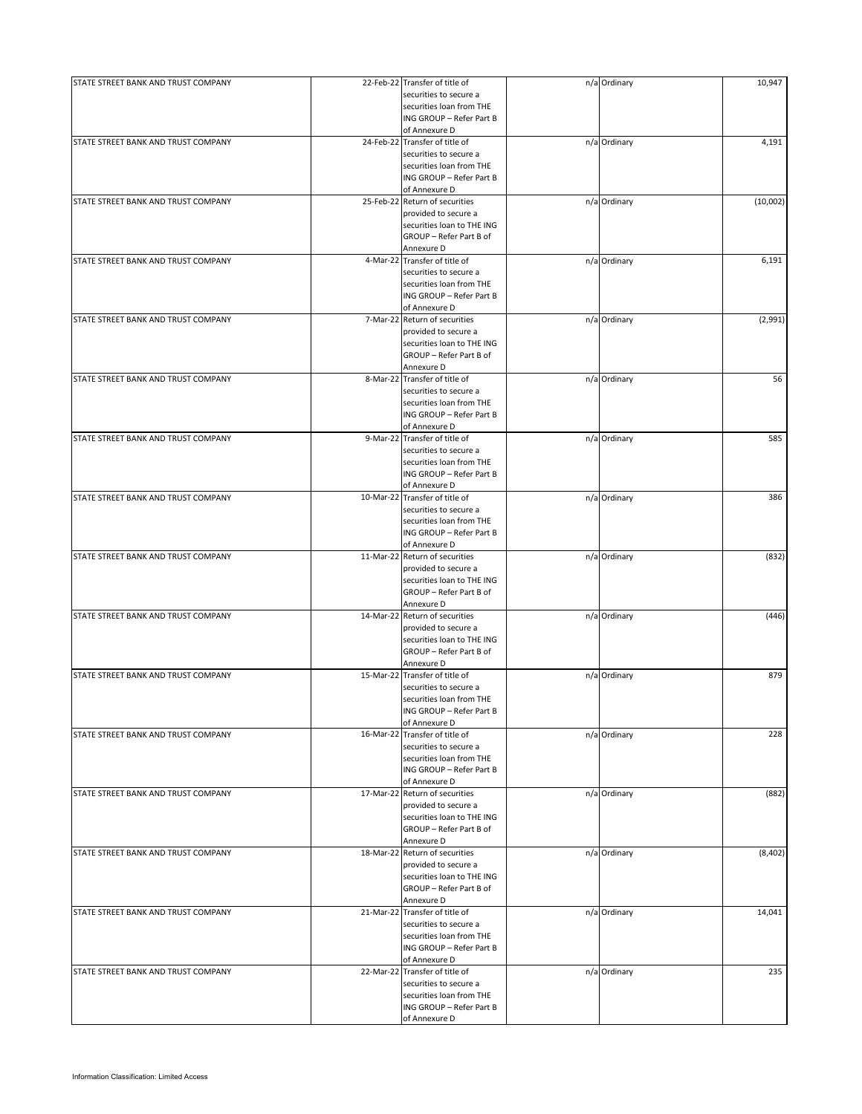| STATE STREET BANK AND TRUST COMPANY |           | 22-Feb-22 Transfer of title of | n/a Ordinary | 10,947   |
|-------------------------------------|-----------|--------------------------------|--------------|----------|
|                                     |           | securities to secure a         |              |          |
|                                     |           | securities loan from THE       |              |          |
|                                     |           | ING GROUP - Refer Part B       |              |          |
|                                     |           | of Annexure D                  |              |          |
|                                     |           |                                |              |          |
| STATE STREET BANK AND TRUST COMPANY |           | 24-Feb-22 Transfer of title of | n/a Ordinary | 4,191    |
|                                     |           | securities to secure a         |              |          |
|                                     |           | securities loan from THE       |              |          |
|                                     |           | ING GROUP - Refer Part B       |              |          |
|                                     |           | of Annexure D                  |              |          |
| STATE STREET BANK AND TRUST COMPANY |           | 25-Feb-22 Return of securities | n/a Ordinary | (10,002) |
|                                     |           |                                |              |          |
|                                     |           | provided to secure a           |              |          |
|                                     |           | securities loan to THE ING     |              |          |
|                                     |           | GROUP - Refer Part B of        |              |          |
|                                     |           | Annexure D                     |              |          |
| STATE STREET BANK AND TRUST COMPANY |           | 4-Mar-22 Transfer of title of  | n/a Ordinary | 6,191    |
|                                     |           | securities to secure a         |              |          |
|                                     |           |                                |              |          |
|                                     |           | securities loan from THE       |              |          |
|                                     |           | ING GROUP - Refer Part B       |              |          |
|                                     |           | of Annexure D                  |              |          |
| STATE STREET BANK AND TRUST COMPANY |           | 7-Mar-22 Return of securities  | n/a Ordinary | (2,991)  |
|                                     |           | provided to secure a           |              |          |
|                                     |           | securities loan to THE ING     |              |          |
|                                     |           | GROUP - Refer Part B of        |              |          |
|                                     |           |                                |              |          |
|                                     |           | Annexure D                     |              |          |
| STATE STREET BANK AND TRUST COMPANY |           | 8-Mar-22 Transfer of title of  | n/a Ordinary | 56       |
|                                     |           | securities to secure a         |              |          |
|                                     |           | securities loan from THE       |              |          |
|                                     |           | ING GROUP - Refer Part B       |              |          |
|                                     |           |                                |              |          |
|                                     |           | of Annexure D                  |              |          |
| STATE STREET BANK AND TRUST COMPANY |           | 9-Mar-22 Transfer of title of  | n/a Ordinary | 585      |
|                                     |           | securities to secure a         |              |          |
|                                     |           | securities loan from THE       |              |          |
|                                     |           | ING GROUP - Refer Part B       |              |          |
|                                     |           | of Annexure D                  |              |          |
|                                     |           |                                |              |          |
| STATE STREET BANK AND TRUST COMPANY |           | 10-Mar-22 Transfer of title of | n/a Ordinary | 386      |
|                                     |           | securities to secure a         |              |          |
|                                     |           | securities loan from THE       |              |          |
|                                     |           | ING GROUP - Refer Part B       |              |          |
|                                     |           | of Annexure D                  |              |          |
|                                     |           |                                |              |          |
| STATE STREET BANK AND TRUST COMPANY |           | 11-Mar-22 Return of securities | n/a Ordinary | (832)    |
|                                     |           | provided to secure a           |              |          |
|                                     |           | securities loan to THE ING     |              |          |
|                                     |           | GROUP - Refer Part B of        |              |          |
|                                     |           | Annexure D                     |              |          |
|                                     |           |                                |              |          |
| STATE STREET BANK AND TRUST COMPANY |           | 14-Mar-22 Return of securities | n/a Ordinary | (446)    |
|                                     |           | provided to secure a           |              |          |
|                                     |           | securities loan to THE ING     |              |          |
|                                     |           | GROUP - Refer Part B of        |              |          |
|                                     |           | Annexure D                     |              |          |
| STATE STREET BANK AND TRUST COMPANY |           | 15-Mar-22 Transfer of title of | n/a Ordinary | 879      |
|                                     |           |                                |              |          |
|                                     |           | securities to secure a         |              |          |
|                                     |           | securities loan from THE       |              |          |
|                                     |           | ING GROUP - Refer Part B       |              |          |
|                                     |           | of Annexure D                  |              |          |
| STATE STREET BANK AND TRUST COMPANY | 16-Mar-22 | Transfer of title of           | n/a Ordinary | 228      |
|                                     |           |                                |              |          |
|                                     |           | securities to secure a         |              |          |
|                                     |           | securities loan from THE       |              |          |
|                                     |           | ING GROUP - Refer Part B       |              |          |
|                                     |           | of Annexure D                  |              |          |
| STATE STREET BANK AND TRUST COMPANY |           | 17-Mar-22 Return of securities | n/a Ordinary | (882)    |
|                                     |           | provided to secure a           |              |          |
|                                     |           |                                |              |          |
|                                     |           | securities loan to THE ING     |              |          |
|                                     |           | GROUP - Refer Part B of        |              |          |
|                                     |           | Annexure D                     |              |          |
| STATE STREET BANK AND TRUST COMPANY |           | 18-Mar-22 Return of securities | n/a Ordinary | (8,402)  |
|                                     |           | provided to secure a           |              |          |
|                                     |           | securities loan to THE ING     |              |          |
|                                     |           |                                |              |          |
|                                     |           | GROUP - Refer Part B of        |              |          |
|                                     |           | Annexure D                     |              |          |
| STATE STREET BANK AND TRUST COMPANY |           | 21-Mar-22 Transfer of title of | n/a Ordinary | 14,041   |
|                                     |           | securities to secure a         |              |          |
|                                     |           | securities loan from THE       |              |          |
|                                     |           | ING GROUP - Refer Part B       |              |          |
|                                     |           |                                |              |          |
|                                     |           | of Annexure D                  |              |          |
| STATE STREET BANK AND TRUST COMPANY |           | 22-Mar-22 Transfer of title of | n/a Ordinary | 235      |
|                                     |           | securities to secure a         |              |          |
|                                     |           | securities loan from THE       |              |          |
|                                     |           | ING GROUP - Refer Part B       |              |          |
|                                     |           |                                |              |          |
|                                     |           | of Annexure D                  |              |          |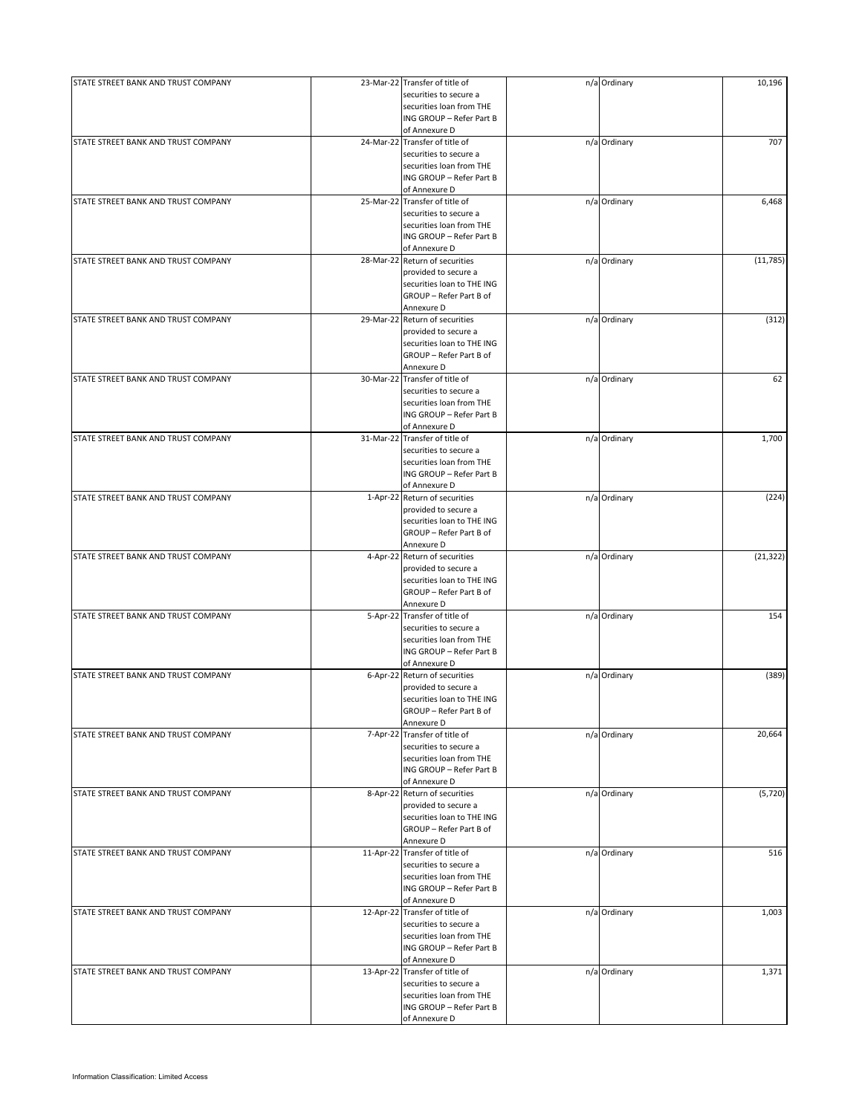| STATE STREET BANK AND TRUST COMPANY | 23-Mar-22 Transfer of title of | n/a Ordinary | 10,196    |
|-------------------------------------|--------------------------------|--------------|-----------|
|                                     | securities to secure a         |              |           |
|                                     | securities loan from THE       |              |           |
|                                     | ING GROUP - Refer Part B       |              |           |
|                                     | of Annexure D                  |              |           |
| STATE STREET BANK AND TRUST COMPANY | 24-Mar-22 Transfer of title of | n/a Ordinary | 707       |
|                                     | securities to secure a         |              |           |
|                                     | securities loan from THE       |              |           |
|                                     | ING GROUP - Refer Part B       |              |           |
|                                     | of Annexure D                  |              |           |
| STATE STREET BANK AND TRUST COMPANY | 25-Mar-22 Transfer of title of | n/a Ordinary | 6,468     |
|                                     | securities to secure a         |              |           |
|                                     |                                |              |           |
|                                     | securities loan from THE       |              |           |
|                                     | ING GROUP - Refer Part B       |              |           |
|                                     | of Annexure D                  |              |           |
| STATE STREET BANK AND TRUST COMPANY | 28-Mar-22 Return of securities | n/a Ordinary | (11, 785) |
|                                     | provided to secure a           |              |           |
|                                     | securities loan to THE ING     |              |           |
|                                     | GROUP - Refer Part B of        |              |           |
|                                     | Annexure D                     |              |           |
| STATE STREET BANK AND TRUST COMPANY | 29-Mar-22 Return of securities | n/a Ordinary | (312)     |
|                                     | provided to secure a           |              |           |
|                                     | securities loan to THE ING     |              |           |
|                                     | GROUP - Refer Part B of        |              |           |
|                                     | Annexure D                     |              |           |
|                                     |                                |              |           |
| STATE STREET BANK AND TRUST COMPANY | 30-Mar-22 Transfer of title of | n/a Ordinary | 62        |
|                                     | securities to secure a         |              |           |
|                                     | securities loan from THE       |              |           |
|                                     | ING GROUP - Refer Part B       |              |           |
|                                     | of Annexure D                  |              |           |
| STATE STREET BANK AND TRUST COMPANY | 31-Mar-22 Transfer of title of | n/a Ordinary | 1,700     |
|                                     | securities to secure a         |              |           |
|                                     | securities loan from THE       |              |           |
|                                     |                                |              |           |
|                                     | ING GROUP - Refer Part B       |              |           |
|                                     | of Annexure D                  |              |           |
| STATE STREET BANK AND TRUST COMPANY | 1-Apr-22 Return of securities  | n/a Ordinary | (224)     |
|                                     | provided to secure a           |              |           |
|                                     | securities loan to THE ING     |              |           |
|                                     | GROUP - Refer Part B of        |              |           |
|                                     | Annexure D                     |              |           |
| STATE STREET BANK AND TRUST COMPANY | 4-Apr-22 Return of securities  | n/a Ordinary | (21, 322) |
|                                     | provided to secure a           |              |           |
|                                     | securities loan to THE ING     |              |           |
|                                     |                                |              |           |
|                                     | GROUP - Refer Part B of        |              |           |
|                                     | Annexure D                     |              |           |
| STATE STREET BANK AND TRUST COMPANY | 5-Apr-22 Transfer of title of  | n/a Ordinary | 154       |
|                                     | securities to secure a         |              |           |
|                                     | securities loan from THE       |              |           |
|                                     | ING GROUP - Refer Part B       |              |           |
|                                     | of Annexure D                  |              |           |
| STATE STREET BANK AND TRUST COMPANY | 6-Apr-22 Return of securities  | n/a Ordinary | (389)     |
|                                     | provided to secure a           |              |           |
|                                     | securities loan to THE ING     |              |           |
|                                     | GROUP - Refer Part B of        |              |           |
|                                     |                                |              |           |
|                                     | Annexure D                     |              |           |
| STATE STREET BANK AND TRUST COMPANY | 7-Apr-22 Transfer of title of  | n/a Ordinary | 20,664    |
|                                     | securities to secure a         |              |           |
|                                     | securities loan from THE       |              |           |
|                                     | ING GROUP - Refer Part B       |              |           |
|                                     | of Annexure D                  |              |           |
| STATE STREET BANK AND TRUST COMPANY | 8-Apr-22 Return of securities  | n/a Ordinary | (5,720)   |
|                                     | provided to secure a           |              |           |
|                                     | securities loan to THE ING     |              |           |
|                                     | GROUP - Refer Part B of        |              |           |
|                                     |                                |              |           |
|                                     | Annexure D                     |              |           |
| STATE STREET BANK AND TRUST COMPANY | 11-Apr-22 Transfer of title of | n/a Ordinary | 516       |
|                                     | securities to secure a         |              |           |
|                                     | securities loan from THE       |              |           |
|                                     | ING GROUP - Refer Part B       |              |           |
|                                     | of Annexure D                  |              |           |
| STATE STREET BANK AND TRUST COMPANY | 12-Apr-22 Transfer of title of | n/a Ordinary | 1,003     |
|                                     | securities to secure a         |              |           |
|                                     | securities loan from THE       |              |           |
|                                     | ING GROUP - Refer Part B       |              |           |
|                                     |                                |              |           |
|                                     | of Annexure D                  |              |           |
| STATE STREET BANK AND TRUST COMPANY | 13-Apr-22 Transfer of title of | n/a Ordinary | 1,371     |
|                                     | securities to secure a         |              |           |
|                                     | securities loan from THE       |              |           |
|                                     | ING GROUP - Refer Part B       |              |           |
|                                     | of Annexure D                  |              |           |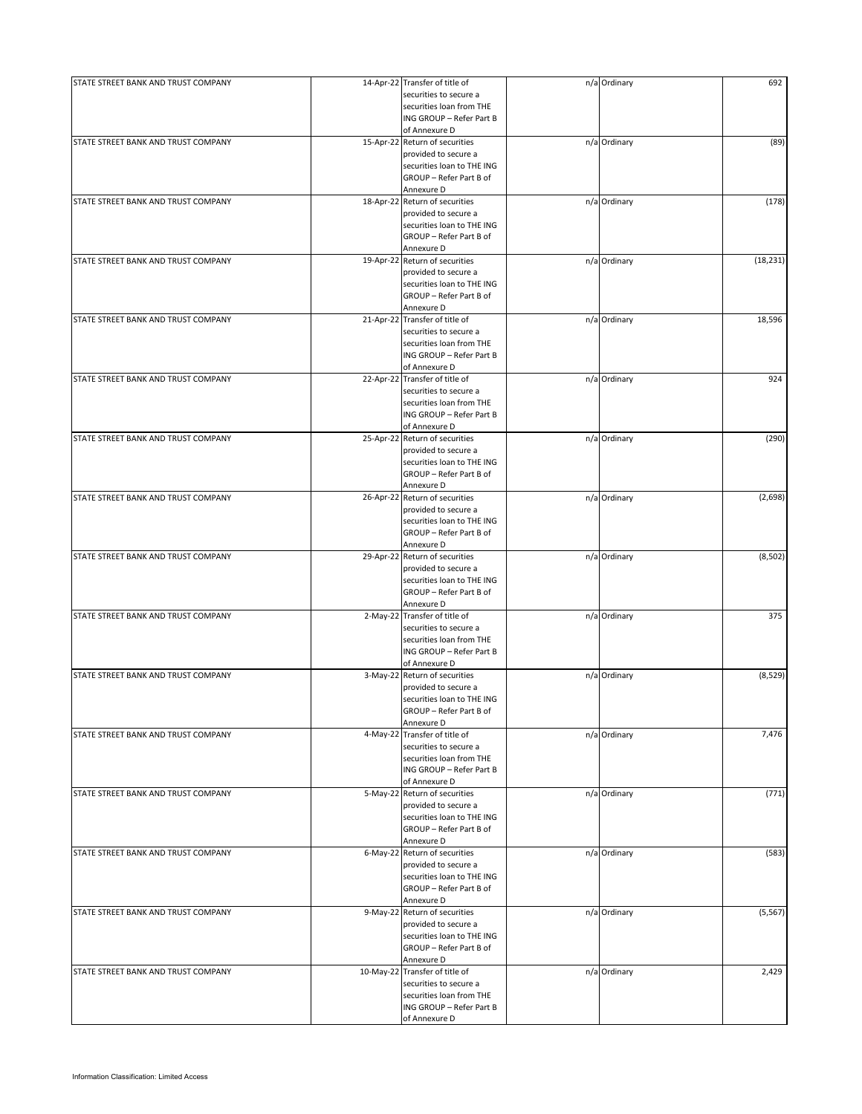| STATE STREET BANK AND TRUST COMPANY |            | 14-Apr-22 Transfer of title of | n/a Ordinary | 692       |
|-------------------------------------|------------|--------------------------------|--------------|-----------|
|                                     |            | securities to secure a         |              |           |
|                                     |            | securities loan from THE       |              |           |
|                                     |            | ING GROUP - Refer Part B       |              |           |
|                                     |            | of Annexure D                  |              |           |
| STATE STREET BANK AND TRUST COMPANY |            | 15-Apr-22 Return of securities | n/a Ordinary | (89)      |
|                                     |            | provided to secure a           |              |           |
|                                     |            | securities loan to THE ING     |              |           |
|                                     |            | GROUP - Refer Part B of        |              |           |
|                                     |            | Annexure D                     |              |           |
| STATE STREET BANK AND TRUST COMPANY |            | 18-Apr-22 Return of securities | n/a Ordinary | (178)     |
|                                     |            | provided to secure a           |              |           |
|                                     |            | securities loan to THE ING     |              |           |
|                                     |            | GROUP - Refer Part B of        |              |           |
|                                     |            | Annexure D                     |              |           |
| STATE STREET BANK AND TRUST COMPANY |            | 19-Apr-22 Return of securities | n/a Ordinary | (18, 231) |
|                                     |            | provided to secure a           |              |           |
|                                     |            | securities loan to THE ING     |              |           |
|                                     |            | GROUP - Refer Part B of        |              |           |
|                                     |            | Annexure D                     |              |           |
| STATE STREET BANK AND TRUST COMPANY |            | 21-Apr-22 Transfer of title of | n/a Ordinary | 18,596    |
|                                     |            | securities to secure a         |              |           |
|                                     |            | securities loan from THE       |              |           |
|                                     |            | ING GROUP - Refer Part B       |              |           |
|                                     |            | of Annexure D                  |              |           |
| STATE STREET BANK AND TRUST COMPANY |            | 22-Apr-22 Transfer of title of | n/a Ordinary | 924       |
|                                     |            | securities to secure a         |              |           |
|                                     |            | securities loan from THE       |              |           |
|                                     |            | ING GROUP - Refer Part B       |              |           |
|                                     |            | of Annexure D                  |              |           |
| STATE STREET BANK AND TRUST COMPANY |            | 25-Apr-22 Return of securities | n/a Ordinary | (290)     |
|                                     |            | provided to secure a           |              |           |
|                                     |            | securities loan to THE ING     |              |           |
|                                     |            | GROUP - Refer Part B of        |              |           |
|                                     |            | Annexure D                     |              |           |
| STATE STREET BANK AND TRUST COMPANY |            | 26-Apr-22 Return of securities | n/a Ordinary | (2,698)   |
|                                     |            | provided to secure a           |              |           |
|                                     |            | securities loan to THE ING     |              |           |
|                                     |            | GROUP - Refer Part B of        |              |           |
|                                     |            | Annexure D                     |              |           |
| STATE STREET BANK AND TRUST COMPANY |            | 29-Apr-22 Return of securities | n/a Ordinary | (8, 502)  |
|                                     |            | provided to secure a           |              |           |
|                                     |            | securities loan to THE ING     |              |           |
|                                     |            | GROUP - Refer Part B of        |              |           |
|                                     |            | Annexure D                     |              |           |
| STATE STREET BANK AND TRUST COMPANY |            | 2-May-22 Transfer of title of  | n/a Ordinary | 375       |
|                                     |            | securities to secure a         |              |           |
|                                     |            | securities loan from THE       |              |           |
|                                     |            | ING GROUP - Refer Part B       |              |           |
|                                     |            | of Annexure D                  |              |           |
| STATE STREET BANK AND TRUST COMPANY | $3-May-22$ | Return of securities           | n/a Ordinary | (8,529)   |
|                                     |            | provided to secure a           |              |           |
|                                     |            | securities loan to THE ING     |              |           |
|                                     |            | GROUP - Refer Part B of        |              |           |
|                                     |            | Annexure D                     |              |           |
| STATE STREET BANK AND TRUST COMPANY |            | 4-May-22 Transfer of title of  | n/a Ordinary | 7,476     |
|                                     |            | securities to secure a         |              |           |
|                                     |            | securities loan from THE       |              |           |
|                                     |            | ING GROUP - Refer Part B       |              |           |
|                                     |            | of Annexure D                  |              |           |
| STATE STREET BANK AND TRUST COMPANY |            | 5-May-22 Return of securities  | n/a Ordinary | (771)     |
|                                     |            | provided to secure a           |              |           |
|                                     |            | securities loan to THE ING     |              |           |
|                                     |            | GROUP - Refer Part B of        |              |           |
|                                     |            | Annexure D                     |              |           |
| STATE STREET BANK AND TRUST COMPANY |            | 6-May-22 Return of securities  | n/a Ordinary | (583)     |
|                                     |            | provided to secure a           |              |           |
|                                     |            | securities loan to THE ING     |              |           |
|                                     |            | GROUP - Refer Part B of        |              |           |
|                                     |            | Annexure D                     |              |           |
| STATE STREET BANK AND TRUST COMPANY |            | 9-May-22 Return of securities  | n/a Ordinary | (5, 567)  |
|                                     |            | provided to secure a           |              |           |
|                                     |            | securities loan to THE ING     |              |           |
|                                     |            | GROUP - Refer Part B of        |              |           |
|                                     |            | Annexure D                     |              |           |
| STATE STREET BANK AND TRUST COMPANY | 10-May-22  | Transfer of title of           | n/a Ordinary | 2,429     |
|                                     |            | securities to secure a         |              |           |
|                                     |            | securities loan from THE       |              |           |
|                                     |            | ING GROUP - Refer Part B       |              |           |
|                                     |            | of Annexure D                  |              |           |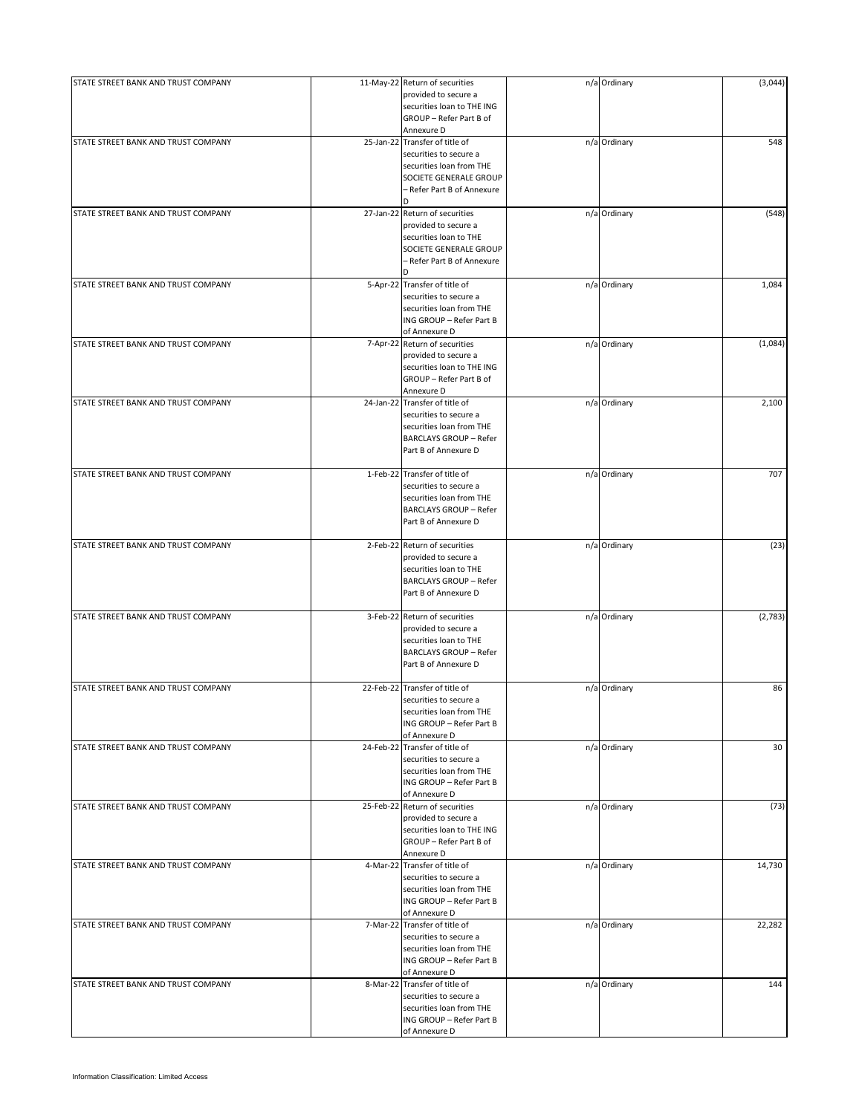| STATE STREET BANK AND TRUST COMPANY | 11-May-22 Return of securities<br>provided to secure a<br>securities loan to THE ING<br>GROUP - Refer Part B of                               | n/a Ordinary | (3,044) |
|-------------------------------------|-----------------------------------------------------------------------------------------------------------------------------------------------|--------------|---------|
|                                     | Annexure D                                                                                                                                    |              |         |
| STATE STREET BANK AND TRUST COMPANY | 25-Jan-22 Transfer of title of<br>securities to secure a<br>securities loan from THE<br>SOCIETE GENERALE GROUP<br>- Refer Part B of Annexure  | n/a Ordinary | 548     |
|                                     | D                                                                                                                                             |              |         |
| STATE STREET BANK AND TRUST COMPANY | 27-Jan-22 Return of securities<br>provided to secure a<br>securities loan to THE<br>SOCIETE GENERALE GROUP<br>– Refer Part B of Annexure<br>D | n/a Ordinary | (548)   |
| STATE STREET BANK AND TRUST COMPANY | 5-Apr-22 Transfer of title of<br>securities to secure a<br>securities loan from THE<br>ING GROUP - Refer Part B<br>of Annexure D              | n/a Ordinary | 1,084   |
| STATE STREET BANK AND TRUST COMPANY | 7-Apr-22 Return of securities<br>provided to secure a<br>securities loan to THE ING<br>GROUP - Refer Part B of<br>Annexure D                  | n/a Ordinary | (1,084) |
| STATE STREET BANK AND TRUST COMPANY | 24-Jan-22 Transfer of title of<br>securities to secure a<br>securities loan from THE<br><b>BARCLAYS GROUP - Refer</b><br>Part B of Annexure D | n/a Ordinary | 2,100   |
| STATE STREET BANK AND TRUST COMPANY | 1-Feb-22 Transfer of title of<br>securities to secure a<br>securities loan from THE<br><b>BARCLAYS GROUP - Refer</b><br>Part B of Annexure D  | n/a Ordinary | 707     |
| STATE STREET BANK AND TRUST COMPANY | 2-Feb-22 Return of securities<br>provided to secure a<br>securities loan to THE<br><b>BARCLAYS GROUP - Refer</b><br>Part B of Annexure D      | n/a Ordinary | (23)    |
| STATE STREET BANK AND TRUST COMPANY | 3-Feb-22 Return of securities<br>provided to secure a<br>securities loan to THE<br><b>BARCLAYS GROUP - Refer</b><br>Part B of Annexure D      | n/a Ordinary | (2,783) |
| STATE STREET BANK AND TRUST COMPANY | 22-Feb-22 Transfer of title of<br>securities to secure a<br>securities loan from THE<br>ING GROUP - Refer Part B<br>of Annexure D             | n/a Ordinary | 86      |
| STATE STREET BANK AND TRUST COMPANY | 24-Feb-22 Transfer of title of<br>securities to secure a<br>securities loan from THE<br>ING GROUP - Refer Part B<br>of Annexure D             | n/a Ordinary | 30      |
| STATE STREET BANK AND TRUST COMPANY | 25-Feb-22 Return of securities<br>provided to secure a<br>securities loan to THE ING<br>GROUP - Refer Part B of<br>Annexure D                 | n/a Ordinary | (73)    |
| STATE STREET BANK AND TRUST COMPANY | 4-Mar-22 Transfer of title of<br>securities to secure a<br>securities loan from THE<br>ING GROUP - Refer Part B<br>of Annexure D              | n/a Ordinary | 14,730  |
| STATE STREET BANK AND TRUST COMPANY | 7-Mar-22 Transfer of title of<br>securities to secure a<br>securities loan from THE<br>ING GROUP - Refer Part B<br>of Annexure D              | n/a Ordinary | 22,282  |
| STATE STREET BANK AND TRUST COMPANY | 8-Mar-22 Transfer of title of<br>securities to secure a<br>securities loan from THE<br>ING GROUP - Refer Part B<br>of Annexure D              | n/a Ordinary | 144     |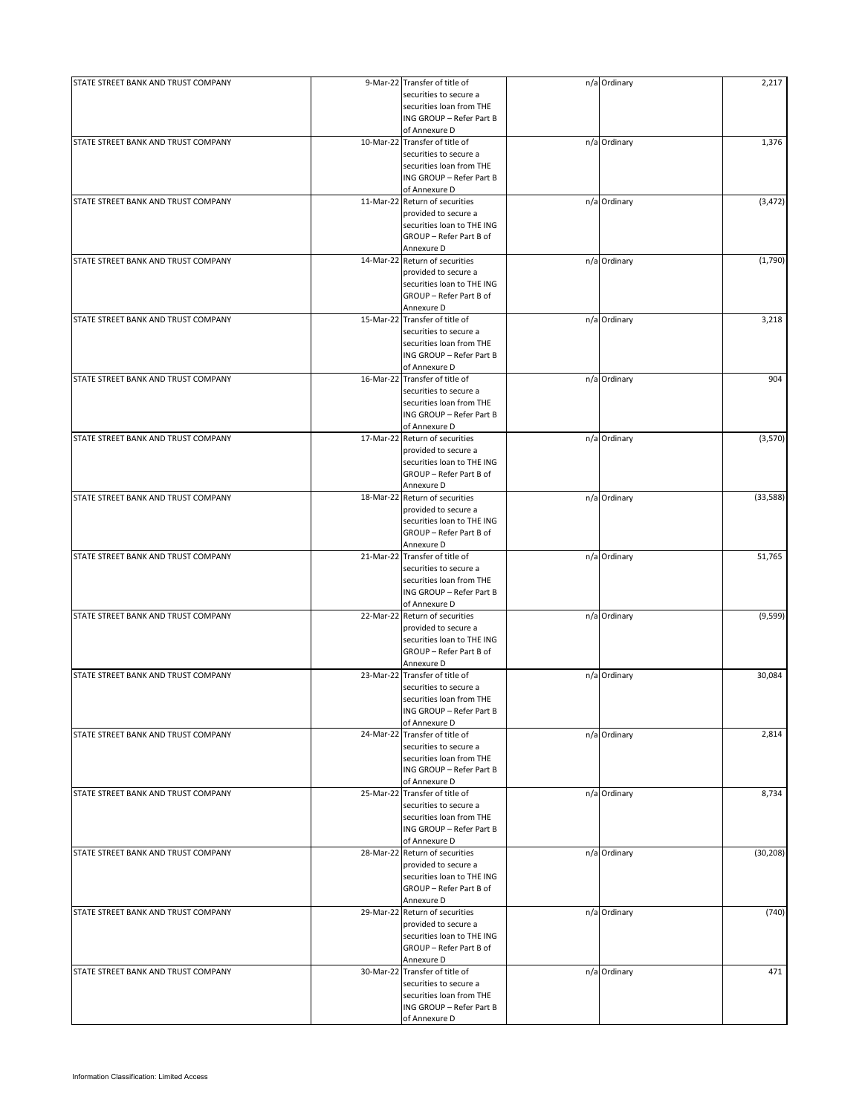| STATE STREET BANK AND TRUST COMPANY | 9-Mar-22 Transfer of title of  | n/a Ordinary | 2,217     |
|-------------------------------------|--------------------------------|--------------|-----------|
|                                     | securities to secure a         |              |           |
|                                     | securities loan from THE       |              |           |
|                                     | ING GROUP - Refer Part B       |              |           |
|                                     | of Annexure D                  |              |           |
|                                     |                                |              |           |
| STATE STREET BANK AND TRUST COMPANY | 10-Mar-22 Transfer of title of | n/a Ordinary | 1,376     |
|                                     | securities to secure a         |              |           |
|                                     | securities loan from THE       |              |           |
|                                     | ING GROUP - Refer Part B       |              |           |
|                                     | of Annexure D                  |              |           |
| STATE STREET BANK AND TRUST COMPANY | 11-Mar-22 Return of securities | n/a Ordinary | (3, 472)  |
|                                     | provided to secure a           |              |           |
|                                     |                                |              |           |
|                                     | securities loan to THE ING     |              |           |
|                                     | GROUP - Refer Part B of        |              |           |
|                                     | Annexure D                     |              |           |
| STATE STREET BANK AND TRUST COMPANY | 14-Mar-22 Return of securities | n/a Ordinary | (1,790)   |
|                                     | provided to secure a           |              |           |
|                                     |                                |              |           |
|                                     | securities loan to THE ING     |              |           |
|                                     | GROUP - Refer Part B of        |              |           |
|                                     | Annexure D                     |              |           |
| STATE STREET BANK AND TRUST COMPANY | 15-Mar-22 Transfer of title of | n/a Ordinary | 3,218     |
|                                     | securities to secure a         |              |           |
|                                     | securities loan from THE       |              |           |
|                                     | ING GROUP - Refer Part B       |              |           |
|                                     |                                |              |           |
|                                     | of Annexure D                  |              |           |
| STATE STREET BANK AND TRUST COMPANY | 16-Mar-22 Transfer of title of | n/a Ordinary | 904       |
|                                     | securities to secure a         |              |           |
|                                     | securities loan from THE       |              |           |
|                                     |                                |              |           |
|                                     | ING GROUP - Refer Part B       |              |           |
|                                     | of Annexure D                  |              |           |
| STATE STREET BANK AND TRUST COMPANY | 17-Mar-22 Return of securities | n/a Ordinary | (3,570)   |
|                                     | provided to secure a           |              |           |
|                                     | securities loan to THE ING     |              |           |
|                                     | GROUP - Refer Part B of        |              |           |
|                                     |                                |              |           |
|                                     | Annexure D                     |              |           |
| STATE STREET BANK AND TRUST COMPANY | 18-Mar-22 Return of securities | n/a Ordinary | (33,588)  |
|                                     | provided to secure a           |              |           |
|                                     | securities loan to THE ING     |              |           |
|                                     | GROUP - Refer Part B of        |              |           |
|                                     |                                |              |           |
|                                     | Annexure D                     |              |           |
| STATE STREET BANK AND TRUST COMPANY | 21-Mar-22 Transfer of title of | n/a Ordinary | 51,765    |
|                                     | securities to secure a         |              |           |
|                                     | securities loan from THE       |              |           |
|                                     |                                |              |           |
|                                     | ING GROUP - Refer Part B       |              |           |
|                                     | of Annexure D                  |              |           |
| STATE STREET BANK AND TRUST COMPANY | 22-Mar-22 Return of securities | n/a Ordinary | (9,599)   |
|                                     | provided to secure a           |              |           |
|                                     | securities loan to THE ING     |              |           |
|                                     | GROUP - Refer Part B of        |              |           |
|                                     |                                |              |           |
|                                     | Annexure D                     |              |           |
| STATE STREET BANK AND TRUST COMPANY | 23-Mar-22 Transfer of title of | n/a Ordinary | 30,084    |
|                                     | securities to secure a         |              |           |
|                                     | securities loan from THE       |              |           |
|                                     | ING GROUP - Refer Part B       |              |           |
|                                     |                                |              |           |
|                                     | of Annexure D                  |              |           |
| STATE STREET BANK AND TRUST COMPANY | 24-Mar-22 Transfer of title of | n/a Ordinary | 2,814     |
|                                     | securities to secure a         |              |           |
|                                     | securities loan from THE       |              |           |
|                                     | ING GROUP - Refer Part B       |              |           |
|                                     |                                |              |           |
|                                     | of Annexure D                  |              |           |
| STATE STREET BANK AND TRUST COMPANY | 25-Mar-22 Transfer of title of | n/a Ordinary | 8,734     |
|                                     | securities to secure a         |              |           |
|                                     | securities loan from THE       |              |           |
|                                     | ING GROUP - Refer Part B       |              |           |
|                                     | of Annexure D                  |              |           |
|                                     |                                |              |           |
| STATE STREET BANK AND TRUST COMPANY | 28-Mar-22 Return of securities | n/a Ordinary | (30, 208) |
|                                     | provided to secure a           |              |           |
|                                     | securities loan to THE ING     |              |           |
|                                     | GROUP - Refer Part B of        |              |           |
|                                     | Annexure D                     |              |           |
|                                     |                                |              |           |
| STATE STREET BANK AND TRUST COMPANY | 29-Mar-22 Return of securities | n/a Ordinary | (740)     |
|                                     | provided to secure a           |              |           |
|                                     | securities loan to THE ING     |              |           |
|                                     | GROUP - Refer Part B of        |              |           |
|                                     | Annexure D                     |              |           |
|                                     |                                |              |           |
| STATE STREET BANK AND TRUST COMPANY | 30-Mar-22 Transfer of title of | n/a Ordinary | 471       |
|                                     | securities to secure a         |              |           |
|                                     | securities loan from THE       |              |           |
|                                     | ING GROUP - Refer Part B       |              |           |
|                                     |                                |              |           |
|                                     | of Annexure D                  |              |           |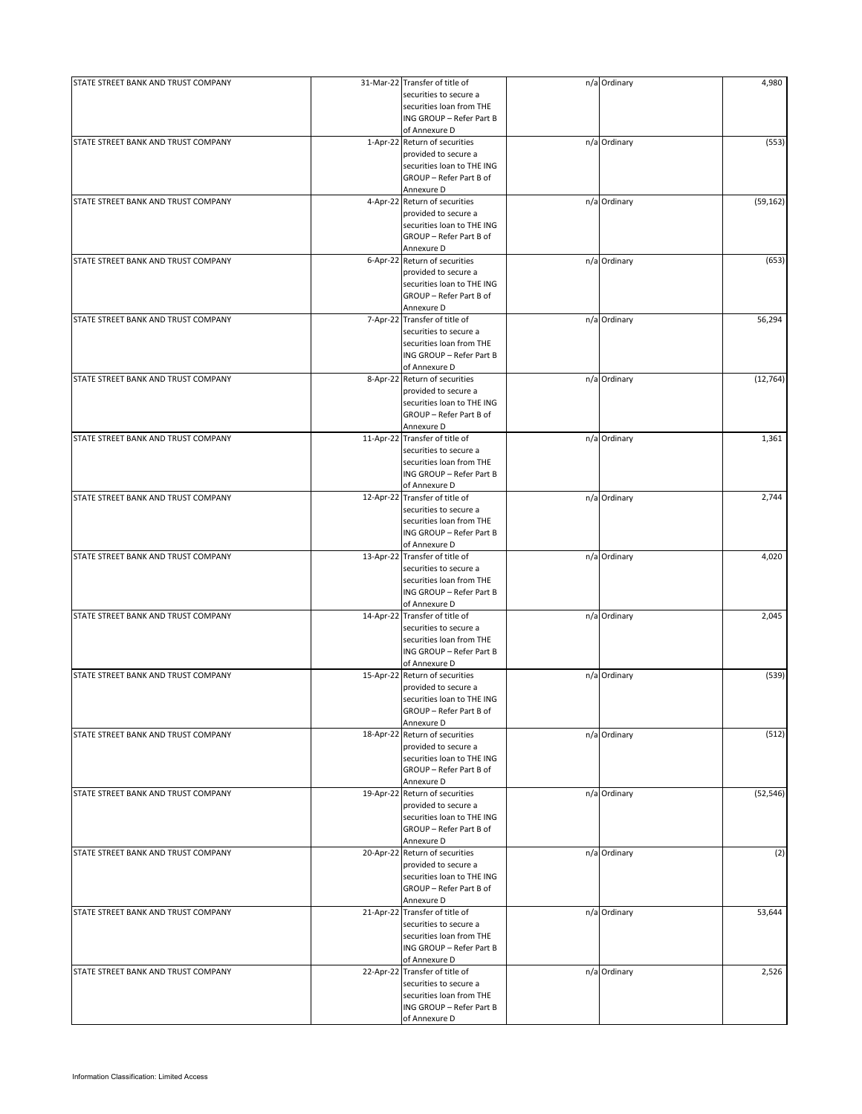| STATE STREET BANK AND TRUST COMPANY | 31-Mar-22 Transfer of title of | n/a Ordinary | 4,980     |
|-------------------------------------|--------------------------------|--------------|-----------|
|                                     | securities to secure a         |              |           |
|                                     | securities loan from THE       |              |           |
|                                     | ING GROUP - Refer Part B       |              |           |
|                                     | of Annexure D                  |              |           |
|                                     |                                |              |           |
| STATE STREET BANK AND TRUST COMPANY | 1-Apr-22 Return of securities  | n/a Ordinary | (553)     |
|                                     | provided to secure a           |              |           |
|                                     | securities loan to THE ING     |              |           |
|                                     | GROUP - Refer Part B of        |              |           |
|                                     | Annexure D                     |              |           |
| STATE STREET BANK AND TRUST COMPANY | 4-Apr-22 Return of securities  | n/a Ordinary | (59, 162) |
|                                     | provided to secure a           |              |           |
|                                     |                                |              |           |
|                                     | securities loan to THE ING     |              |           |
|                                     | GROUP - Refer Part B of        |              |           |
|                                     | Annexure D                     |              |           |
| STATE STREET BANK AND TRUST COMPANY | 6-Apr-22 Return of securities  | n/a Ordinary | (653)     |
|                                     | provided to secure a           |              |           |
|                                     |                                |              |           |
|                                     | securities loan to THE ING     |              |           |
|                                     | GROUP - Refer Part B of        |              |           |
|                                     | Annexure D                     |              |           |
| STATE STREET BANK AND TRUST COMPANY | 7-Apr-22 Transfer of title of  | n/a Ordinary | 56,294    |
|                                     | securities to secure a         |              |           |
|                                     | securities loan from THE       |              |           |
|                                     | ING GROUP - Refer Part B       |              |           |
|                                     |                                |              |           |
|                                     | of Annexure D                  |              |           |
| STATE STREET BANK AND TRUST COMPANY | 8-Apr-22 Return of securities  | n/a Ordinary | (12, 764) |
|                                     | provided to secure a           |              |           |
|                                     | securities loan to THE ING     |              |           |
|                                     | GROUP - Refer Part B of        |              |           |
|                                     |                                |              |           |
|                                     | Annexure D                     |              |           |
| STATE STREET BANK AND TRUST COMPANY | 11-Apr-22 Transfer of title of | n/a Ordinary | 1,361     |
|                                     | securities to secure a         |              |           |
|                                     | securities loan from THE       |              |           |
|                                     | ING GROUP - Refer Part B       |              |           |
|                                     |                                |              |           |
|                                     | of Annexure D                  |              |           |
| STATE STREET BANK AND TRUST COMPANY | 12-Apr-22 Transfer of title of | n/a Ordinary | 2,744     |
|                                     | securities to secure a         |              |           |
|                                     | securities loan from THE       |              |           |
|                                     | ING GROUP - Refer Part B       |              |           |
|                                     |                                |              |           |
|                                     | of Annexure D                  |              |           |
| STATE STREET BANK AND TRUST COMPANY | 13-Apr-22 Transfer of title of | n/a Ordinary | 4,020     |
|                                     | securities to secure a         |              |           |
|                                     | securities loan from THE       |              |           |
|                                     | ING GROUP - Refer Part B       |              |           |
|                                     |                                |              |           |
|                                     | of Annexure D                  |              |           |
| STATE STREET BANK AND TRUST COMPANY | 14-Apr-22 Transfer of title of | n/a Ordinary | 2,045     |
|                                     | securities to secure a         |              |           |
|                                     | securities loan from THE       |              |           |
|                                     | ING GROUP - Refer Part B       |              |           |
|                                     | of Annexure D                  |              |           |
| STATE STREET BANK AND TRUST COMPANY |                                |              |           |
|                                     | 15-Apr-22 Return of securities | n/a Ordinary | (539)     |
|                                     | provided to secure a           |              |           |
|                                     | securities loan to THE ING     |              |           |
|                                     | GROUP - Refer Part B of        |              |           |
|                                     | Annexure D                     |              |           |
| STATE STREET BANK AND TRUST COMPANY | 18-Apr-22 Return of securities | n/a Ordinary | (512)     |
|                                     |                                |              |           |
|                                     | provided to secure a           |              |           |
|                                     | securities loan to THE ING     |              |           |
|                                     | GROUP - Refer Part B of        |              |           |
|                                     | Annexure D                     |              |           |
| STATE STREET BANK AND TRUST COMPANY | 19-Apr-22 Return of securities | n/a Ordinary | (52, 546) |
|                                     | provided to secure a           |              |           |
|                                     |                                |              |           |
|                                     | securities loan to THE ING     |              |           |
|                                     | GROUP - Refer Part B of        |              |           |
|                                     | Annexure D                     |              |           |
| STATE STREET BANK AND TRUST COMPANY | 20-Apr-22 Return of securities | n/a Ordinary | (2)       |
|                                     | provided to secure a           |              |           |
|                                     | securities loan to THE ING     |              |           |
|                                     |                                |              |           |
|                                     | GROUP - Refer Part B of        |              |           |
|                                     | Annexure D                     |              |           |
| STATE STREET BANK AND TRUST COMPANY | 21-Apr-22 Transfer of title of | n/a Ordinary | 53,644    |
|                                     | securities to secure a         |              |           |
|                                     | securities loan from THE       |              |           |
|                                     |                                |              |           |
|                                     | ING GROUP - Refer Part B       |              |           |
|                                     | of Annexure D                  |              |           |
| STATE STREET BANK AND TRUST COMPANY | 22-Apr-22 Transfer of title of | n/a Ordinary | 2,526     |
|                                     | securities to secure a         |              |           |
|                                     | securities loan from THE       |              |           |
|                                     |                                |              |           |
|                                     | ING GROUP - Refer Part B       |              |           |
|                                     | of Annexure D                  |              |           |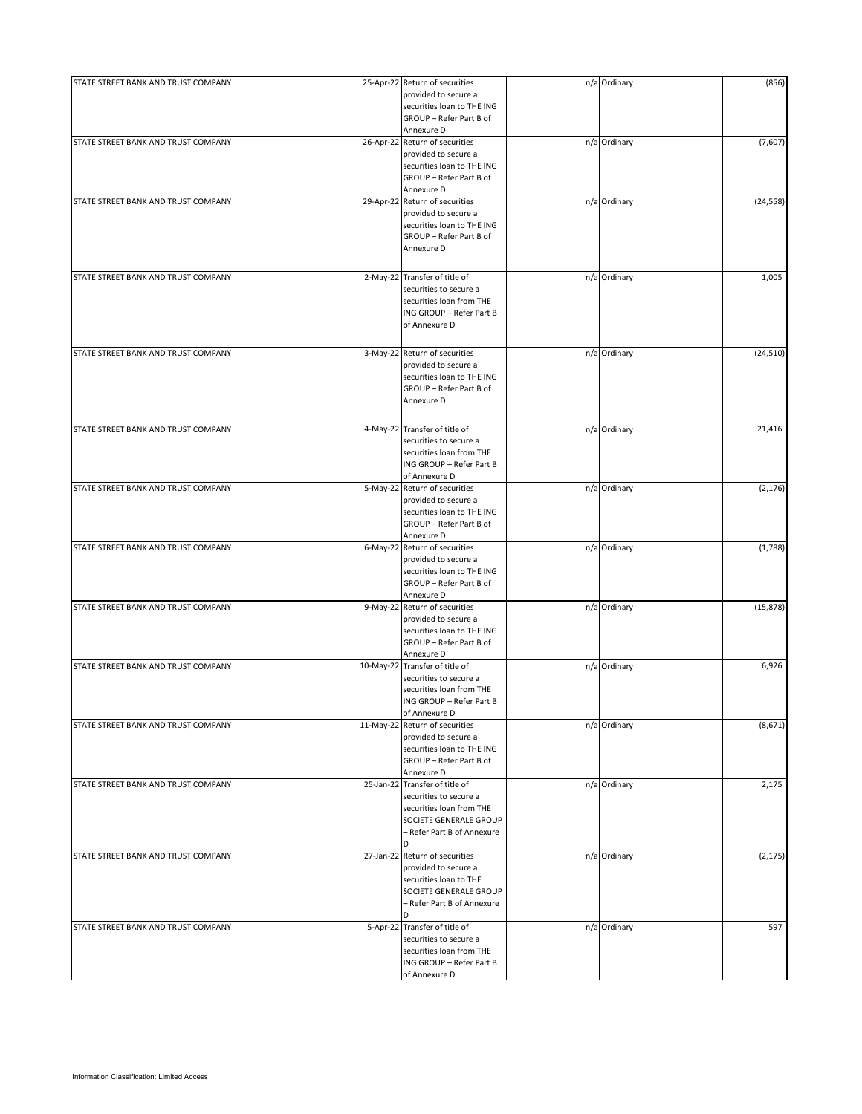| STATE STREET BANK AND TRUST COMPANY | 25-Apr-22 Return of securities<br>provided to secure a<br>securities loan to THE ING<br>GROUP - Refer Part B of                                   | n/a Ordinary | (856)     |
|-------------------------------------|---------------------------------------------------------------------------------------------------------------------------------------------------|--------------|-----------|
|                                     | Annexure D                                                                                                                                        |              |           |
| STATE STREET BANK AND TRUST COMPANY | 26-Apr-22 Return of securities<br>provided to secure a<br>securities loan to THE ING<br>GROUP - Refer Part B of<br>Annexure D                     | n/a Ordinary | (7,607)   |
| STATE STREET BANK AND TRUST COMPANY | 29-Apr-22 Return of securities<br>provided to secure a<br>securities loan to THE ING<br>GROUP - Refer Part B of<br>Annexure D                     | n/a Ordinary | (24, 558) |
| STATE STREET BANK AND TRUST COMPANY | 2-May-22 Transfer of title of<br>securities to secure a<br>securities loan from THE<br>ING GROUP - Refer Part B<br>of Annexure D                  | n/a Ordinary | 1,005     |
| STATE STREET BANK AND TRUST COMPANY | 3-May-22 Return of securities<br>provided to secure a<br>securities loan to THE ING<br>GROUP - Refer Part B of<br>Annexure D                      | n/a Ordinary | (24, 510) |
| STATE STREET BANK AND TRUST COMPANY | 4-May-22 Transfer of title of<br>securities to secure a<br>securities loan from THE<br>ING GROUP - Refer Part B<br>of Annexure D                  | n/a Ordinary | 21,416    |
| STATE STREET BANK AND TRUST COMPANY | 5-May-22 Return of securities<br>provided to secure a<br>securities loan to THE ING<br>GROUP - Refer Part B of<br>Annexure D                      | n/a Ordinary | (2, 176)  |
| STATE STREET BANK AND TRUST COMPANY | 6-May-22 Return of securities<br>provided to secure a<br>securities loan to THE ING<br>GROUP - Refer Part B of<br>Annexure D                      | n/a Ordinary | (1,788)   |
| STATE STREET BANK AND TRUST COMPANY | 9-May-22 Return of securities<br>provided to secure a<br>securities loan to THE ING<br>GROUP - Refer Part B of<br>Annexure D                      | n/a Ordinary | (15, 878) |
| STATE STREET BANK AND TRUST COMPANY | 10-May-22 Transfer of title of<br>securities to secure a<br>securities loan from THE<br>ING GROUP - Refer Part B<br>of Annexure D                 | n/a Ordinary | 6,926     |
| STATE STREET BANK AND TRUST COMPANY | 11-May-22 Return of securities<br>provided to secure a<br>securities loan to THE ING<br>GROUP - Refer Part B of<br>Annexure D                     | n/a Ordinary | (8,671)   |
| STATE STREET BANK AND TRUST COMPANY | 25-Jan-22 Transfer of title of<br>securities to secure a<br>securities loan from THE<br>SOCIETE GENERALE GROUP<br>- Refer Part B of Annexure<br>D | n/a Ordinary | 2,175     |
| STATE STREET BANK AND TRUST COMPANY | 27-Jan-22 Return of securities<br>provided to secure a<br>securities loan to THE<br>SOCIETE GENERALE GROUP<br>– Refer Part B of Annexure<br>D     | n/a Ordinary | (2, 175)  |
| STATE STREET BANK AND TRUST COMPANY | 5-Apr-22 Transfer of title of<br>securities to secure a<br>securities loan from THE<br>ING GROUP - Refer Part B<br>of Annexure D                  | n/a Ordinary | 597       |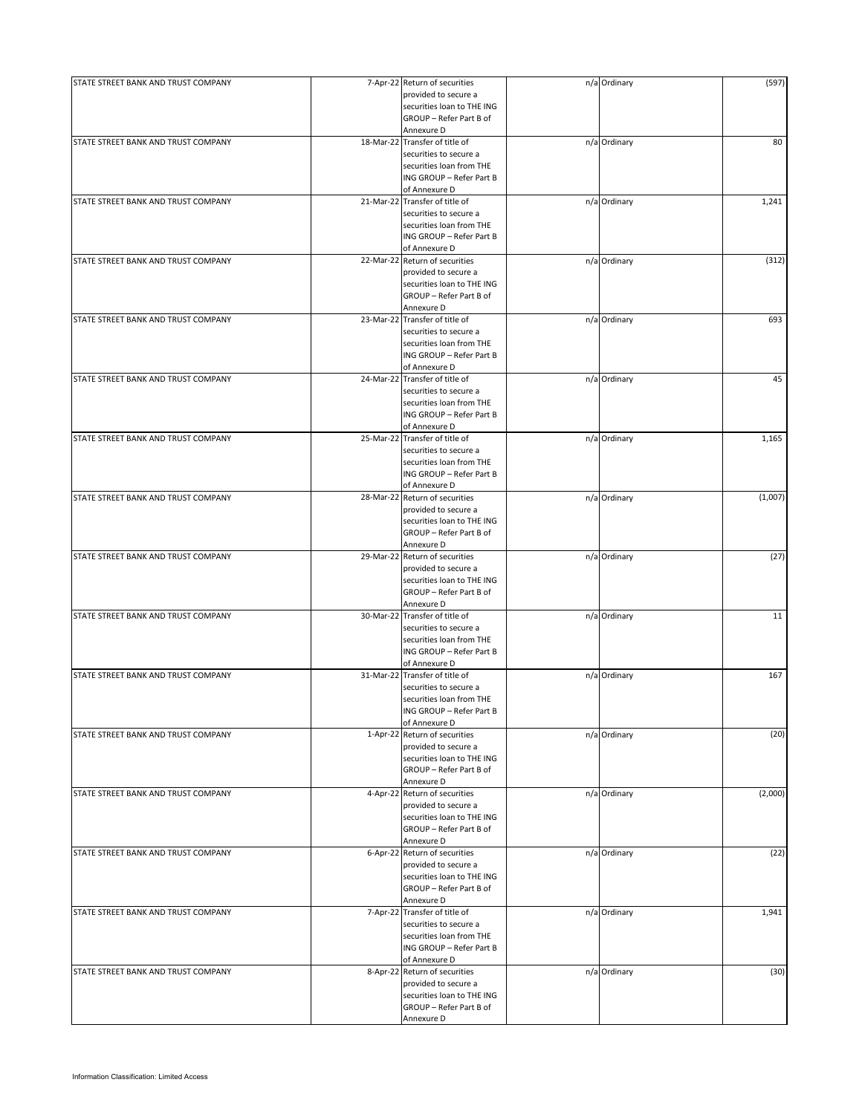| STATE STREET BANK AND TRUST COMPANY |           | 7-Apr-22 Return of securities  | n/a Ordinary | (597)   |
|-------------------------------------|-----------|--------------------------------|--------------|---------|
|                                     |           | provided to secure a           |              |         |
|                                     |           | securities loan to THE ING     |              |         |
|                                     |           | GROUP - Refer Part B of        |              |         |
|                                     |           | Annexure D                     |              |         |
| STATE STREET BANK AND TRUST COMPANY |           | 18-Mar-22 Transfer of title of | n/a Ordinary | 80      |
|                                     |           | securities to secure a         |              |         |
|                                     |           | securities loan from THE       |              |         |
|                                     |           | ING GROUP - Refer Part B       |              |         |
|                                     |           | of Annexure D                  |              |         |
| STATE STREET BANK AND TRUST COMPANY |           | 21-Mar-22 Transfer of title of | n/a Ordinary | 1,241   |
|                                     |           | securities to secure a         |              |         |
|                                     |           | securities loan from THE       |              |         |
|                                     |           | ING GROUP - Refer Part B       |              |         |
|                                     |           | of Annexure D                  |              |         |
| STATE STREET BANK AND TRUST COMPANY |           | 22-Mar-22 Return of securities | n/a Ordinary | (312)   |
|                                     |           | provided to secure a           |              |         |
|                                     |           |                                |              |         |
|                                     |           | securities loan to THE ING     |              |         |
|                                     |           | GROUP - Refer Part B of        |              |         |
|                                     |           | Annexure D                     |              |         |
| STATE STREET BANK AND TRUST COMPANY |           | 23-Mar-22 Transfer of title of | n/a Ordinary | 693     |
|                                     |           | securities to secure a         |              |         |
|                                     |           | securities loan from THE       |              |         |
|                                     |           | ING GROUP - Refer Part B       |              |         |
|                                     |           | of Annexure D                  |              |         |
| STATE STREET BANK AND TRUST COMPANY | 24-Mar-22 | Transfer of title of           | n/a Ordinary | 45      |
|                                     |           | securities to secure a         |              |         |
|                                     |           | securities loan from THE       |              |         |
|                                     |           | ING GROUP - Refer Part B       |              |         |
|                                     |           | of Annexure D                  |              |         |
| STATE STREET BANK AND TRUST COMPANY | 25-Mar-22 | Transfer of title of           | n/a Ordinary | 1,165   |
|                                     |           | securities to secure a         |              |         |
|                                     |           | securities loan from THE       |              |         |
|                                     |           | ING GROUP - Refer Part B       |              |         |
|                                     |           | of Annexure D                  |              |         |
| STATE STREET BANK AND TRUST COMPANY |           | 28-Mar-22 Return of securities | n/a Ordinary | (1,007) |
|                                     |           |                                |              |         |
|                                     |           | provided to secure a           |              |         |
|                                     |           | securities loan to THE ING     |              |         |
|                                     |           | GROUP - Refer Part B of        |              |         |
|                                     |           | Annexure D                     |              |         |
| STATE STREET BANK AND TRUST COMPANY | 29-Mar-22 | Return of securities           | n/a Ordinary | (27)    |
|                                     |           | provided to secure a           |              |         |
|                                     |           | securities loan to THE ING     |              |         |
|                                     |           | GROUP - Refer Part B of        |              |         |
|                                     |           | Annexure D                     |              |         |
| STATE STREET BANK AND TRUST COMPANY | 30-Mar-22 | Transfer of title of           | n/a Ordinary | 11      |
|                                     |           | securities to secure a         |              |         |
|                                     |           | securities loan from THE       |              |         |
|                                     |           | ING GROUP - Refer Part B       |              |         |
|                                     |           | of Annexure D                  |              |         |
| STATE STREET BANK AND TRUST COMPANY | 31-Mar-22 | Transfer of title of           | n/a Ordinary | 167     |
|                                     |           | securities to secure a         |              |         |
|                                     |           | securities loan from THE       |              |         |
|                                     |           | ING GROUP - Refer Part B       |              |         |
|                                     |           | of Annexure D                  |              |         |
| STATE STREET BANK AND TRUST COMPANY | 1-Apr-22  | Return of securities           | n/a Ordinary | (20)    |
|                                     |           | provided to secure a           |              |         |
|                                     |           | securities loan to THE ING     |              |         |
|                                     |           |                                |              |         |
|                                     |           | GROUP - Refer Part B of        |              |         |
|                                     |           | Annexure D                     |              |         |
| STATE STREET BANK AND TRUST COMPANY |           | 4-Apr-22 Return of securities  | n/a Ordinary | (2,000) |
|                                     |           | provided to secure a           |              |         |
|                                     |           | securities loan to THE ING     |              |         |
|                                     |           | GROUP - Refer Part B of        |              |         |
|                                     |           | Annexure D                     |              |         |
| STATE STREET BANK AND TRUST COMPANY | 6-Apr-22  | Return of securities           | n/a Ordinary | (22)    |
|                                     |           | provided to secure a           |              |         |
|                                     |           | securities loan to THE ING     |              |         |
|                                     |           | GROUP - Refer Part B of        |              |         |
|                                     |           | Annexure D                     |              |         |
| STATE STREET BANK AND TRUST COMPANY | 7-Apr-22  | Transfer of title of           | n/a Ordinary | 1,941   |
|                                     |           | securities to secure a         |              |         |
|                                     |           | securities loan from THE       |              |         |
|                                     |           | ING GROUP - Refer Part B       |              |         |
|                                     |           | of Annexure D                  |              |         |
| STATE STREET BANK AND TRUST COMPANY | 8-Apr-22  | Return of securities           | n/a Ordinary | (30)    |
|                                     |           | provided to secure a           |              |         |
|                                     |           | securities loan to THE ING     |              |         |
|                                     |           |                                |              |         |
|                                     |           | GROUP - Refer Part B of        |              |         |
|                                     |           | Annexure D                     |              |         |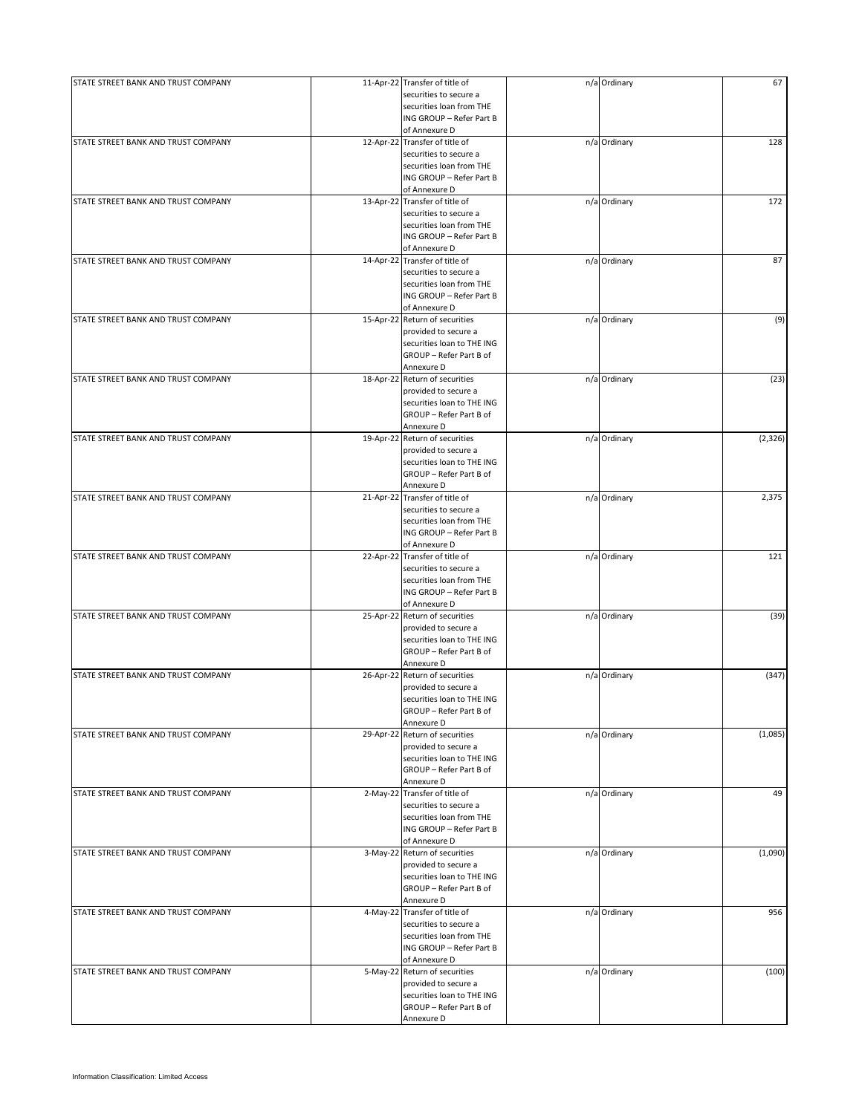| STATE STREET BANK AND TRUST COMPANY |           | 11-Apr-22 Transfer of title of | n/a Ordinary | 67       |
|-------------------------------------|-----------|--------------------------------|--------------|----------|
|                                     |           | securities to secure a         |              |          |
|                                     |           | securities loan from THE       |              |          |
|                                     |           | ING GROUP - Refer Part B       |              |          |
|                                     |           | of Annexure D                  |              |          |
|                                     |           |                                |              |          |
| STATE STREET BANK AND TRUST COMPANY |           | 12-Apr-22 Transfer of title of | n/a Ordinary | 128      |
|                                     |           | securities to secure a         |              |          |
|                                     |           | securities loan from THE       |              |          |
|                                     |           | ING GROUP - Refer Part B       |              |          |
|                                     |           | of Annexure D                  |              |          |
| STATE STREET BANK AND TRUST COMPANY |           | 13-Apr-22 Transfer of title of | n/a Ordinary | 172      |
|                                     |           |                                |              |          |
|                                     |           | securities to secure a         |              |          |
|                                     |           | securities loan from THE       |              |          |
|                                     |           | ING GROUP - Refer Part B       |              |          |
|                                     |           | of Annexure D                  |              |          |
| STATE STREET BANK AND TRUST COMPANY |           | 14-Apr-22 Transfer of title of | n/a Ordinary | 87       |
|                                     |           | securities to secure a         |              |          |
|                                     |           |                                |              |          |
|                                     |           | securities loan from THE       |              |          |
|                                     |           | ING GROUP - Refer Part B       |              |          |
|                                     |           | of Annexure D                  |              |          |
| STATE STREET BANK AND TRUST COMPANY |           | 15-Apr-22 Return of securities | n/a Ordinary | (9)      |
|                                     |           | provided to secure a           |              |          |
|                                     |           | securities loan to THE ING     |              |          |
|                                     |           | GROUP - Refer Part B of        |              |          |
|                                     |           |                                |              |          |
|                                     |           | Annexure D                     |              |          |
| STATE STREET BANK AND TRUST COMPANY |           | 18-Apr-22 Return of securities | n/a Ordinary | (23)     |
|                                     |           | provided to secure a           |              |          |
|                                     |           | securities loan to THE ING     |              |          |
|                                     |           | GROUP - Refer Part B of        |              |          |
|                                     |           |                                |              |          |
|                                     |           | Annexure D                     |              |          |
| STATE STREET BANK AND TRUST COMPANY | 19-Apr-22 | Return of securities           | n/a Ordinary | (2, 326) |
|                                     |           | provided to secure a           |              |          |
|                                     |           | securities loan to THE ING     |              |          |
|                                     |           | GROUP - Refer Part B of        |              |          |
|                                     |           |                                |              |          |
|                                     |           | Annexure D                     |              |          |
| STATE STREET BANK AND TRUST COMPANY |           | 21-Apr-22 Transfer of title of | n/a Ordinary | 2,375    |
|                                     |           | securities to secure a         |              |          |
|                                     |           | securities loan from THE       |              |          |
|                                     |           | ING GROUP - Refer Part B       |              |          |
|                                     |           |                                |              |          |
|                                     |           | of Annexure D                  |              |          |
| STATE STREET BANK AND TRUST COMPANY |           | 22-Apr-22 Transfer of title of | n/a Ordinary | 121      |
|                                     |           | securities to secure a         |              |          |
|                                     |           | securities loan from THE       |              |          |
|                                     |           | ING GROUP - Refer Part B       |              |          |
|                                     |           |                                |              |          |
|                                     |           | of Annexure D                  |              |          |
| STATE STREET BANK AND TRUST COMPANY |           | 25-Apr-22 Return of securities | n/a Ordinary | (39)     |
|                                     |           | provided to secure a           |              |          |
|                                     |           | securities loan to THE ING     |              |          |
|                                     |           | GROUP - Refer Part B of        |              |          |
|                                     |           | Annexure D                     |              |          |
|                                     |           |                                |              |          |
| STATE STREET BANK AND TRUST COMPANY |           | 26-Apr-22 Return of securities | n/a Ordinary | (347)    |
|                                     |           | provided to secure a           |              |          |
|                                     |           | securities loan to THE ING     |              |          |
|                                     |           | GROUP - Refer Part B of        |              |          |
|                                     |           | Annexure D                     |              |          |
|                                     |           |                                |              |          |
| STATE STREET BANK AND TRUST COMPANY |           | 29-Apr-22 Return of securities | n/a Ordinary | (1,085)  |
|                                     |           | provided to secure a           |              |          |
|                                     |           | securities loan to THE ING     |              |          |
|                                     |           | GROUP - Refer Part B of        |              |          |
|                                     |           | Annexure D                     |              |          |
|                                     |           | 2-May-22 Transfer of title of  |              | 49       |
| STATE STREET BANK AND TRUST COMPANY |           |                                | n/a Ordinary |          |
|                                     |           | securities to secure a         |              |          |
|                                     |           | securities loan from THE       |              |          |
|                                     |           | ING GROUP - Refer Part B       |              |          |
|                                     |           | of Annexure D                  |              |          |
| STATE STREET BANK AND TRUST COMPANY |           | 3-May-22 Return of securities  | n/a Ordinary | (1,090)  |
|                                     |           |                                |              |          |
|                                     |           | provided to secure a           |              |          |
|                                     |           | securities loan to THE ING     |              |          |
|                                     |           | GROUP - Refer Part B of        |              |          |
|                                     |           | Annexure D                     |              |          |
| STATE STREET BANK AND TRUST COMPANY |           | 4-May-22 Transfer of title of  | n/a Ordinary | 956      |
|                                     |           |                                |              |          |
|                                     |           | securities to secure a         |              |          |
|                                     |           | securities loan from THE       |              |          |
|                                     |           | ING GROUP - Refer Part B       |              |          |
|                                     |           | of Annexure D                  |              |          |
| STATE STREET BANK AND TRUST COMPANY |           | 5-May-22 Return of securities  | n/a Ordinary | (100)    |
|                                     |           |                                |              |          |
|                                     |           | provided to secure a           |              |          |
|                                     |           | securities loan to THE ING     |              |          |
|                                     |           | GROUP - Refer Part B of        |              |          |
|                                     |           | Annexure D                     |              |          |
|                                     |           |                                |              |          |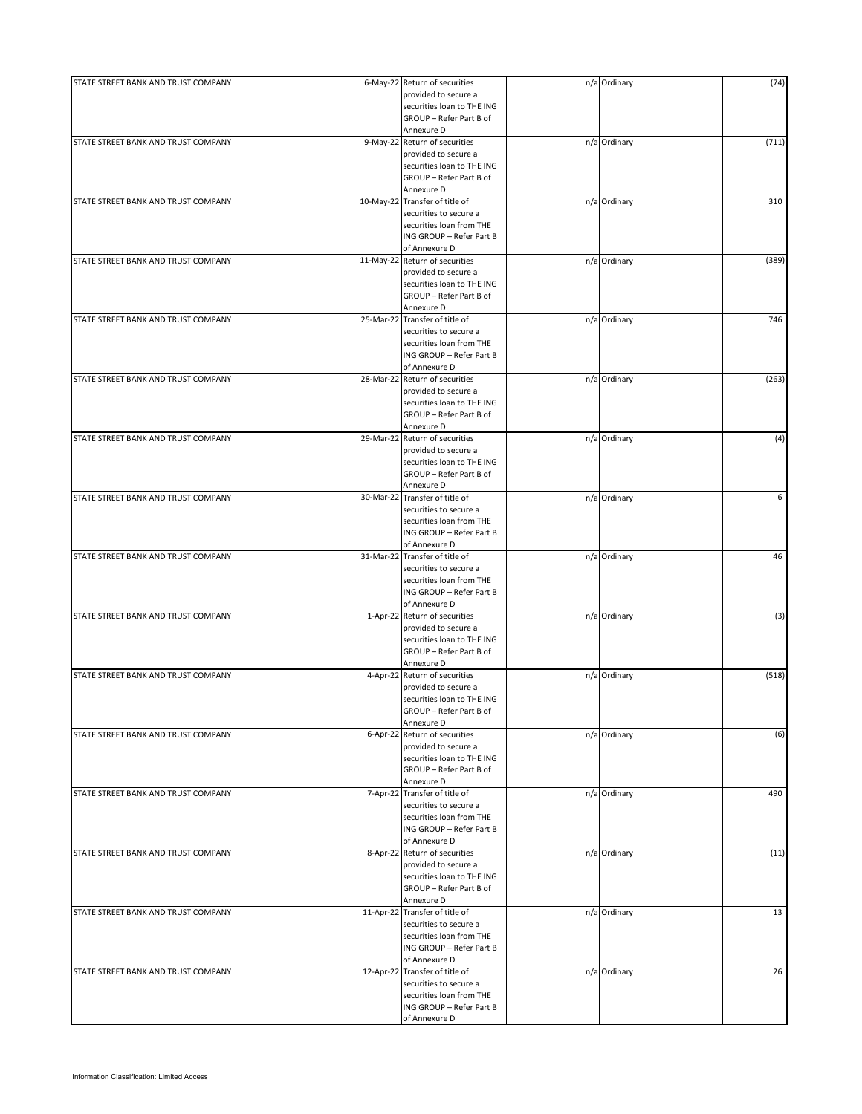| STATE STREET BANK AND TRUST COMPANY | 6-May-22 Return of securities  | n/a Ordinary | (74)  |
|-------------------------------------|--------------------------------|--------------|-------|
|                                     | provided to secure a           |              |       |
|                                     | securities loan to THE ING     |              |       |
|                                     | GROUP - Refer Part B of        |              |       |
|                                     | Annexure D                     |              |       |
|                                     |                                |              |       |
| STATE STREET BANK AND TRUST COMPANY | 9-May-22 Return of securities  | n/a Ordinary | (711) |
|                                     | provided to secure a           |              |       |
|                                     | securities loan to THE ING     |              |       |
|                                     | GROUP - Refer Part B of        |              |       |
|                                     | Annexure D                     |              |       |
| STATE STREET BANK AND TRUST COMPANY | 10-May-22 Transfer of title of | n/a Ordinary | 310   |
|                                     | securities to secure a         |              |       |
|                                     |                                |              |       |
|                                     | securities loan from THE       |              |       |
|                                     | ING GROUP - Refer Part B       |              |       |
|                                     | of Annexure D                  |              |       |
| STATE STREET BANK AND TRUST COMPANY | 11-May-22 Return of securities | n/a Ordinary | (389) |
|                                     | provided to secure a           |              |       |
|                                     |                                |              |       |
|                                     | securities loan to THE ING     |              |       |
|                                     | GROUP - Refer Part B of        |              |       |
|                                     | Annexure D                     |              |       |
| STATE STREET BANK AND TRUST COMPANY | 25-Mar-22 Transfer of title of | n/a Ordinary | 746   |
|                                     | securities to secure a         |              |       |
|                                     | securities loan from THE       |              |       |
|                                     | ING GROUP - Refer Part B       |              |       |
|                                     |                                |              |       |
|                                     | of Annexure D                  |              |       |
| STATE STREET BANK AND TRUST COMPANY | 28-Mar-22 Return of securities | n/a Ordinary | (263) |
|                                     | provided to secure a           |              |       |
|                                     | securities loan to THE ING     |              |       |
|                                     | GROUP - Refer Part B of        |              |       |
|                                     |                                |              |       |
|                                     | Annexure D                     |              |       |
| STATE STREET BANK AND TRUST COMPANY | 29-Mar-22 Return of securities | n/a Ordinary | (4)   |
|                                     | provided to secure a           |              |       |
|                                     | securities loan to THE ING     |              |       |
|                                     | GROUP - Refer Part B of        |              |       |
|                                     |                                |              |       |
|                                     | Annexure D                     |              |       |
| STATE STREET BANK AND TRUST COMPANY | 30-Mar-22 Transfer of title of | n/a Ordinary | 6     |
|                                     | securities to secure a         |              |       |
|                                     | securities loan from THE       |              |       |
|                                     | ING GROUP - Refer Part B       |              |       |
|                                     |                                |              |       |
|                                     | of Annexure D                  |              |       |
| STATE STREET BANK AND TRUST COMPANY | 31-Mar-22 Transfer of title of | n/a Ordinary | 46    |
|                                     | securities to secure a         |              |       |
|                                     | securities loan from THE       |              |       |
|                                     | ING GROUP - Refer Part B       |              |       |
|                                     |                                |              |       |
|                                     | of Annexure D                  |              |       |
| STATE STREET BANK AND TRUST COMPANY | 1-Apr-22 Return of securities  | n/a Ordinary | (3)   |
|                                     | provided to secure a           |              |       |
|                                     | securities loan to THE ING     |              |       |
|                                     | GROUP - Refer Part B of        |              |       |
|                                     | Annexure D                     |              |       |
| STATE STREET BANK AND TRUST COMPANY | 4-Apr-22 Return of securities  |              |       |
|                                     |                                | n/a Ordinary | (518) |
|                                     | provided to secure a           |              |       |
|                                     | securities loan to THE ING     |              |       |
|                                     | GROUP - Refer Part B of        |              |       |
|                                     | Annexure D                     |              |       |
| STATE STREET BANK AND TRUST COMPANY | 6-Apr-22 Return of securities  | n/a Ordinary | (6)   |
|                                     |                                |              |       |
|                                     | provided to secure a           |              |       |
|                                     | securities loan to THE ING     |              |       |
|                                     | GROUP - Refer Part B of        |              |       |
|                                     | Annexure D                     |              |       |
| STATE STREET BANK AND TRUST COMPANY | 7-Apr-22 Transfer of title of  | n/a Ordinary | 490   |
|                                     | securities to secure a         |              |       |
|                                     |                                |              |       |
|                                     | securities loan from THE       |              |       |
|                                     | ING GROUP - Refer Part B       |              |       |
|                                     | of Annexure D                  |              |       |
| STATE STREET BANK AND TRUST COMPANY | 8-Apr-22 Return of securities  | n/a Ordinary | (11)  |
|                                     | provided to secure a           |              |       |
|                                     | securities loan to THE ING     |              |       |
|                                     |                                |              |       |
|                                     | GROUP - Refer Part B of        |              |       |
|                                     | Annexure D                     |              |       |
| STATE STREET BANK AND TRUST COMPANY | 11-Apr-22 Transfer of title of | n/a Ordinary | 13    |
|                                     | securities to secure a         |              |       |
|                                     | securities loan from THE       |              |       |
|                                     |                                |              |       |
|                                     | ING GROUP - Refer Part B       |              |       |
|                                     | of Annexure D                  |              |       |
| STATE STREET BANK AND TRUST COMPANY | 12-Apr-22 Transfer of title of | n/a Ordinary | 26    |
|                                     | securities to secure a         |              |       |
|                                     | securities loan from THE       |              |       |
|                                     |                                |              |       |
|                                     | ING GROUP - Refer Part B       |              |       |
|                                     | of Annexure D                  |              |       |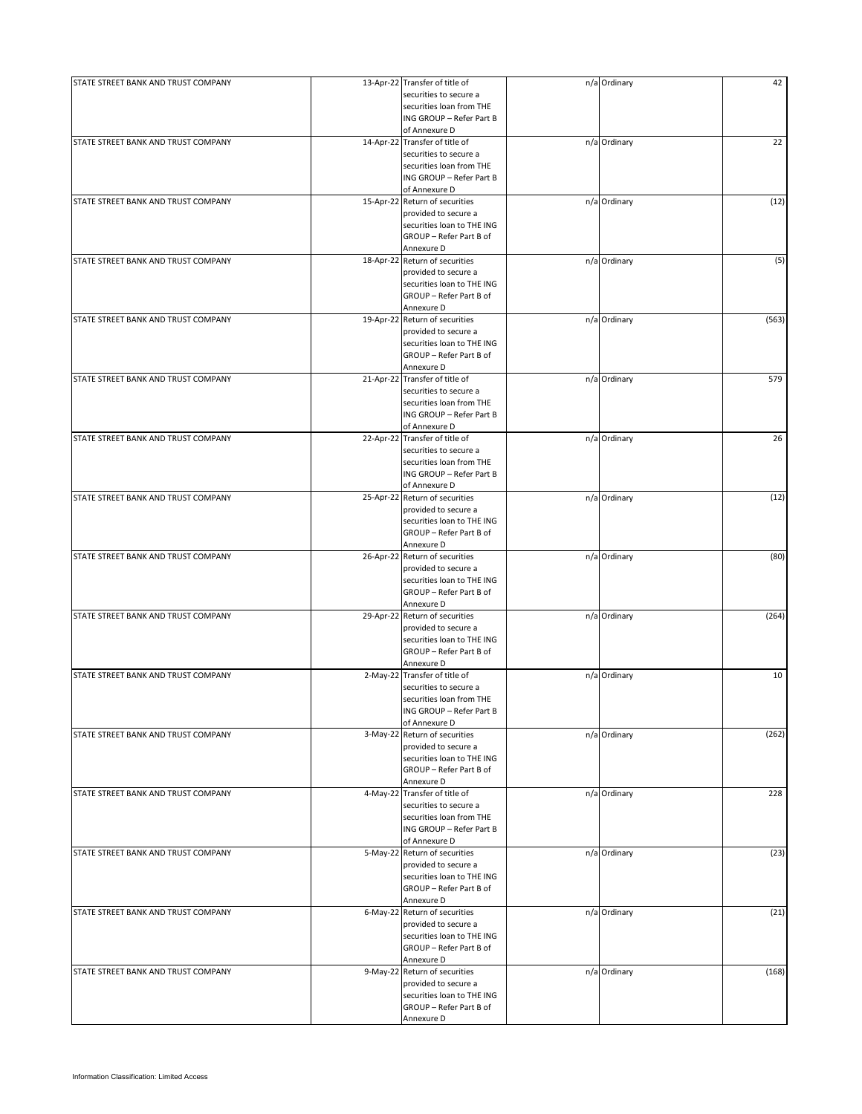| STATE STREET BANK AND TRUST COMPANY |            | 13-Apr-22 Transfer of title of | n/a Ordinary | 42    |
|-------------------------------------|------------|--------------------------------|--------------|-------|
|                                     |            | securities to secure a         |              |       |
|                                     |            | securities loan from THE       |              |       |
|                                     |            | ING GROUP - Refer Part B       |              |       |
|                                     |            | of Annexure D                  |              |       |
|                                     |            |                                |              |       |
| STATE STREET BANK AND TRUST COMPANY |            | 14-Apr-22 Transfer of title of | n/a Ordinary | 22    |
|                                     |            | securities to secure a         |              |       |
|                                     |            | securities loan from THE       |              |       |
|                                     |            | ING GROUP - Refer Part B       |              |       |
|                                     |            | of Annexure D                  |              |       |
| STATE STREET BANK AND TRUST COMPANY |            | 15-Apr-22 Return of securities | n/a Ordinary | (12)  |
|                                     |            | provided to secure a           |              |       |
|                                     |            |                                |              |       |
|                                     |            | securities loan to THE ING     |              |       |
|                                     |            | GROUP - Refer Part B of        |              |       |
|                                     |            | Annexure D                     |              |       |
| STATE STREET BANK AND TRUST COMPANY |            | 18-Apr-22 Return of securities | n/a Ordinary | (5)   |
|                                     |            | provided to secure a           |              |       |
|                                     |            |                                |              |       |
|                                     |            | securities loan to THE ING     |              |       |
|                                     |            | GROUP - Refer Part B of        |              |       |
|                                     |            | Annexure D                     |              |       |
| STATE STREET BANK AND TRUST COMPANY |            | 19-Apr-22 Return of securities | n/a Ordinary | (563) |
|                                     |            | provided to secure a           |              |       |
|                                     |            | securities loan to THE ING     |              |       |
|                                     |            | GROUP - Refer Part B of        |              |       |
|                                     |            |                                |              |       |
|                                     |            | Annexure D                     |              |       |
| STATE STREET BANK AND TRUST COMPANY |            | 21-Apr-22 Transfer of title of | n/a Ordinary | 579   |
|                                     |            | securities to secure a         |              |       |
|                                     |            | securities loan from THE       |              |       |
|                                     |            | ING GROUP - Refer Part B       |              |       |
|                                     |            |                                |              |       |
|                                     |            | of Annexure D                  |              |       |
| STATE STREET BANK AND TRUST COMPANY |            | 22-Apr-22 Transfer of title of | n/a Ordinary | 26    |
|                                     |            | securities to secure a         |              |       |
|                                     |            | securities loan from THE       |              |       |
|                                     |            | ING GROUP - Refer Part B       |              |       |
|                                     |            | of Annexure D                  |              |       |
|                                     |            |                                |              |       |
| STATE STREET BANK AND TRUST COMPANY |            | 25-Apr-22 Return of securities | n/a Ordinary | (12)  |
|                                     |            | provided to secure a           |              |       |
|                                     |            | securities loan to THE ING     |              |       |
|                                     |            | GROUP - Refer Part B of        |              |       |
|                                     |            | Annexure D                     |              |       |
|                                     |            |                                |              |       |
| STATE STREET BANK AND TRUST COMPANY |            | 26-Apr-22 Return of securities | n/a Ordinary | (80)  |
|                                     |            | provided to secure a           |              |       |
|                                     |            | securities loan to THE ING     |              |       |
|                                     |            | GROUP - Refer Part B of        |              |       |
|                                     |            | Annexure D                     |              |       |
| STATE STREET BANK AND TRUST COMPANY |            | 29-Apr-22 Return of securities | n/a Ordinary | (264) |
|                                     |            |                                |              |       |
|                                     |            | provided to secure a           |              |       |
|                                     |            | securities loan to THE ING     |              |       |
|                                     |            | GROUP - Refer Part B of        |              |       |
|                                     |            | Annexure D                     |              |       |
| STATE STREET BANK AND TRUST COMPANY | $2-May-22$ | Transfer of title of           | n/a Ordinary | 10    |
|                                     |            | securities to secure a         |              |       |
|                                     |            |                                |              |       |
|                                     |            | securities loan from THE       |              |       |
|                                     |            | ING GROUP - Refer Part B       |              |       |
|                                     |            | of Annexure D                  |              |       |
| STATE STREET BANK AND TRUST COMPANY |            | 3-May-22 Return of securities  | n/a Ordinary | (262) |
|                                     |            | provided to secure a           |              |       |
|                                     |            | securities loan to THE ING     |              |       |
|                                     |            |                                |              |       |
|                                     |            | GROUP - Refer Part B of        |              |       |
|                                     |            | Annexure D                     |              |       |
| STATE STREET BANK AND TRUST COMPANY |            | 4-May-22 Transfer of title of  | n/a Ordinary | 228   |
|                                     |            | securities to secure a         |              |       |
|                                     |            | securities loan from THE       |              |       |
|                                     |            | ING GROUP - Refer Part B       |              |       |
|                                     |            |                                |              |       |
|                                     |            | of Annexure D                  |              |       |
| STATE STREET BANK AND TRUST COMPANY |            | 5-May-22 Return of securities  | n/a Ordinary | (23)  |
|                                     |            | provided to secure a           |              |       |
|                                     |            | securities loan to THE ING     |              |       |
|                                     |            | GROUP - Refer Part B of        |              |       |
|                                     |            |                                |              |       |
|                                     |            | Annexure D                     |              |       |
| STATE STREET BANK AND TRUST COMPANY |            | 6-May-22 Return of securities  | n/a Ordinary | (21)  |
|                                     |            | provided to secure a           |              |       |
|                                     |            | securities loan to THE ING     |              |       |
|                                     |            | GROUP - Refer Part B of        |              |       |
|                                     |            |                                |              |       |
|                                     |            | Annexure D                     |              |       |
| STATE STREET BANK AND TRUST COMPANY |            | 9-May-22 Return of securities  | n/a Ordinary | (168) |
|                                     |            | provided to secure a           |              |       |
|                                     |            | securities loan to THE ING     |              |       |
|                                     |            | GROUP - Refer Part B of        |              |       |
|                                     |            |                                |              |       |
|                                     |            | Annexure D                     |              |       |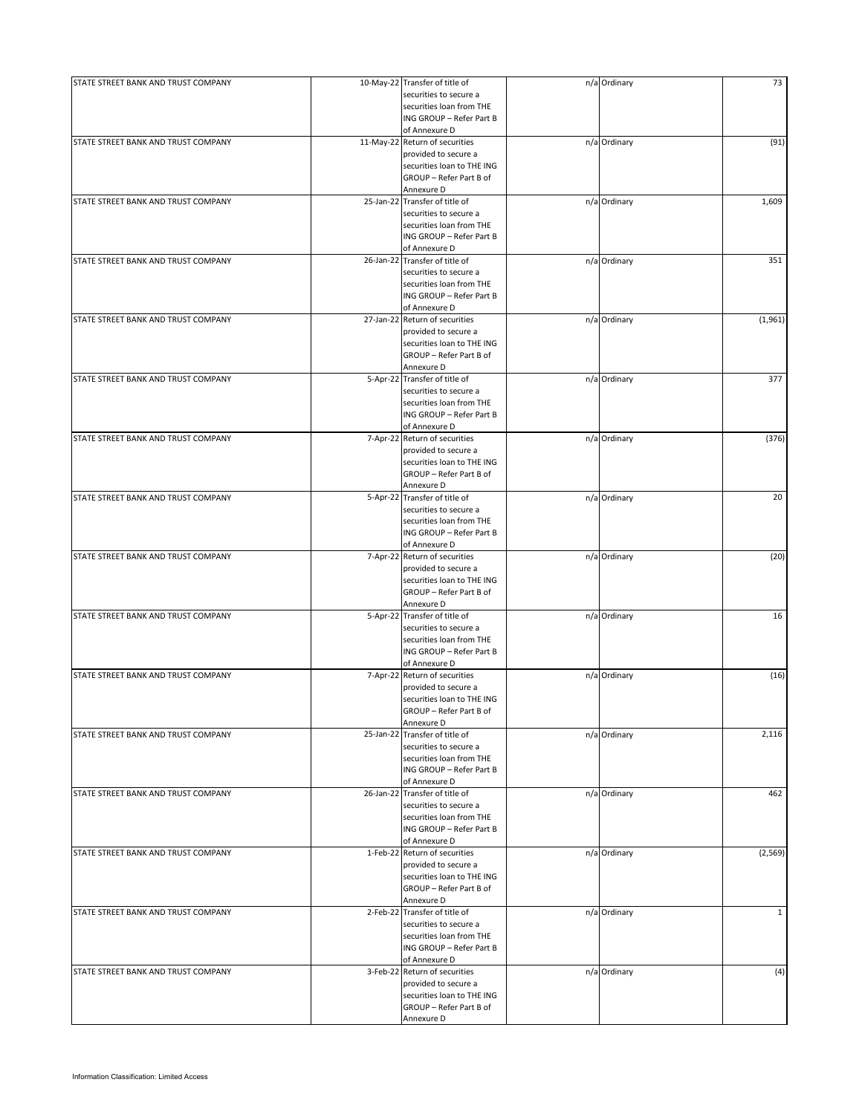| STATE STREET BANK AND TRUST COMPANY | 10-May-22 Transfer of title of | n/a Ordinary | 73           |
|-------------------------------------|--------------------------------|--------------|--------------|
|                                     | securities to secure a         |              |              |
|                                     | securities loan from THE       |              |              |
|                                     |                                |              |              |
|                                     | ING GROUP - Refer Part B       |              |              |
|                                     | of Annexure D                  |              |              |
| STATE STREET BANK AND TRUST COMPANY | 11-May-22 Return of securities | n/a Ordinary | (91)         |
|                                     | provided to secure a           |              |              |
|                                     |                                |              |              |
|                                     | securities loan to THE ING     |              |              |
|                                     | GROUP - Refer Part B of        |              |              |
|                                     | Annexure D                     |              |              |
|                                     |                                |              |              |
| STATE STREET BANK AND TRUST COMPANY | 25-Jan-22 Transfer of title of | n/a Ordinary | 1,609        |
|                                     | securities to secure a         |              |              |
|                                     | securities loan from THE       |              |              |
|                                     | ING GROUP - Refer Part B       |              |              |
|                                     | of Annexure D                  |              |              |
|                                     |                                |              |              |
| STATE STREET BANK AND TRUST COMPANY | 26-Jan-22 Transfer of title of | n/a Ordinary | 351          |
|                                     | securities to secure a         |              |              |
|                                     | securities loan from THE       |              |              |
|                                     |                                |              |              |
|                                     | ING GROUP - Refer Part B       |              |              |
|                                     | of Annexure D                  |              |              |
| STATE STREET BANK AND TRUST COMPANY | 27-Jan-22 Return of securities | n/a Ordinary | (1,961)      |
|                                     | provided to secure a           |              |              |
|                                     |                                |              |              |
|                                     | securities loan to THE ING     |              |              |
|                                     | GROUP - Refer Part B of        |              |              |
|                                     | Annexure D                     |              |              |
| STATE STREET BANK AND TRUST COMPANY | 5-Apr-22 Transfer of title of  | n/a Ordinary | 377          |
|                                     |                                |              |              |
|                                     | securities to secure a         |              |              |
|                                     | securities loan from THE       |              |              |
|                                     | ING GROUP - Refer Part B       |              |              |
|                                     |                                |              |              |
|                                     | of Annexure D                  |              |              |
| STATE STREET BANK AND TRUST COMPANY | 7-Apr-22 Return of securities  | n/a Ordinary | (376)        |
|                                     | provided to secure a           |              |              |
|                                     |                                |              |              |
|                                     | securities loan to THE ING     |              |              |
|                                     | GROUP - Refer Part B of        |              |              |
|                                     | Annexure D                     |              |              |
| STATE STREET BANK AND TRUST COMPANY | 5-Apr-22 Transfer of title of  | n/a Ordinary | 20           |
|                                     |                                |              |              |
|                                     | securities to secure a         |              |              |
|                                     | securities loan from THE       |              |              |
|                                     | ING GROUP - Refer Part B       |              |              |
|                                     |                                |              |              |
|                                     | of Annexure D                  |              |              |
| STATE STREET BANK AND TRUST COMPANY | 7-Apr-22 Return of securities  | n/a Ordinary | (20)         |
|                                     | provided to secure a           |              |              |
|                                     | securities loan to THE ING     |              |              |
|                                     |                                |              |              |
|                                     | GROUP - Refer Part B of        |              |              |
|                                     | Annexure D                     |              |              |
| STATE STREET BANK AND TRUST COMPANY | 5-Apr-22 Transfer of title of  | n/a Ordinary | 16           |
|                                     |                                |              |              |
|                                     | securities to secure a         |              |              |
|                                     | securities loan from THE       |              |              |
|                                     | ING GROUP - Refer Part B       |              |              |
|                                     | of Annexure D                  |              |              |
|                                     |                                |              |              |
| STATE STREET BANK AND TRUST COMPANY | 7-Apr-22 Return of securities  | n/a Ordinary | (16)         |
|                                     | provided to secure a           |              |              |
|                                     | securities loan to THE ING     |              |              |
|                                     |                                |              |              |
|                                     | GROUP - Refer Part B of        |              |              |
|                                     | Annexure D                     |              |              |
| STATE STREET BANK AND TRUST COMPANY | 25-Jan-22 Transfer of title of | n/a Ordinary | 2,116        |
|                                     | securities to secure a         |              |              |
|                                     |                                |              |              |
|                                     | securities loan from THE       |              |              |
|                                     | ING GROUP - Refer Part B       |              |              |
|                                     | of Annexure D                  |              |              |
| STATE STREET BANK AND TRUST COMPANY | 26-Jan-22 Transfer of title of | n/a Ordinary | 462          |
|                                     |                                |              |              |
|                                     | securities to secure a         |              |              |
|                                     | securities loan from THE       |              |              |
|                                     | ING GROUP - Refer Part B       |              |              |
|                                     |                                |              |              |
|                                     | of Annexure D                  |              |              |
| STATE STREET BANK AND TRUST COMPANY | 1-Feb-22 Return of securities  | n/a Ordinary | (2, 569)     |
|                                     | provided to secure a           |              |              |
|                                     | securities loan to THE ING     |              |              |
|                                     |                                |              |              |
|                                     | GROUP - Refer Part B of        |              |              |
|                                     | Annexure D                     |              |              |
| STATE STREET BANK AND TRUST COMPANY | 2-Feb-22 Transfer of title of  | n/a Ordinary | $\mathbf{1}$ |
|                                     |                                |              |              |
|                                     | securities to secure a         |              |              |
|                                     | securities loan from THE       |              |              |
|                                     | ING GROUP - Refer Part B       |              |              |
|                                     |                                |              |              |
|                                     | of Annexure D                  |              |              |
| STATE STREET BANK AND TRUST COMPANY | 3-Feb-22 Return of securities  | n/a Ordinary | (4)          |
|                                     | provided to secure a           |              |              |
|                                     | securities loan to THE ING     |              |              |
|                                     |                                |              |              |
|                                     | GROUP - Refer Part B of        |              |              |
|                                     | Annexure D                     |              |              |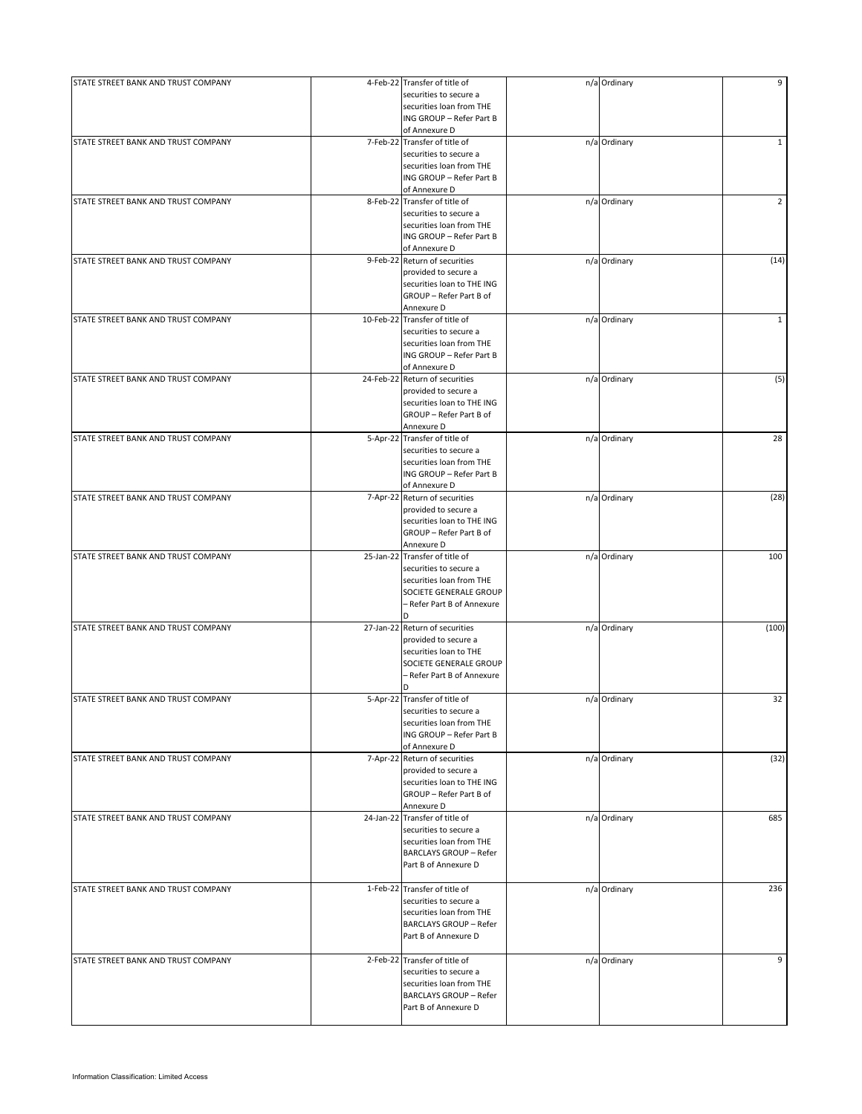| STATE STREET BANK AND TRUST COMPANY |           | 4-Feb-22 Transfer of title of  | n/a Ordinary | 9              |
|-------------------------------------|-----------|--------------------------------|--------------|----------------|
|                                     |           | securities to secure a         |              |                |
|                                     |           | securities loan from THE       |              |                |
|                                     |           | ING GROUP - Refer Part B       |              |                |
|                                     |           | of Annexure D                  |              |                |
| STATE STREET BANK AND TRUST COMPANY |           | 7-Feb-22 Transfer of title of  | n/a Ordinary | $\mathbf{1}$   |
|                                     |           | securities to secure a         |              |                |
|                                     |           | securities loan from THE       |              |                |
|                                     |           | ING GROUP - Refer Part B       |              |                |
|                                     |           | of Annexure D                  |              |                |
| STATE STREET BANK AND TRUST COMPANY |           | 8-Feb-22 Transfer of title of  | n/a Ordinary | $\overline{2}$ |
|                                     |           | securities to secure a         |              |                |
|                                     |           | securities loan from THE       |              |                |
|                                     |           | ING GROUP - Refer Part B       |              |                |
|                                     |           |                                |              |                |
|                                     |           | of Annexure D                  |              |                |
| STATE STREET BANK AND TRUST COMPANY |           | 9-Feb-22 Return of securities  | n/a Ordinary | (14)           |
|                                     |           | provided to secure a           |              |                |
|                                     |           | securities loan to THE ING     |              |                |
|                                     |           | GROUP - Refer Part B of        |              |                |
|                                     |           | Annexure D                     |              |                |
| STATE STREET BANK AND TRUST COMPANY |           | 10-Feb-22 Transfer of title of | n/a Ordinary | $\mathbf{1}$   |
|                                     |           | securities to secure a         |              |                |
|                                     |           | securities loan from THE       |              |                |
|                                     |           | ING GROUP - Refer Part B       |              |                |
|                                     |           | of Annexure D                  |              |                |
| STATE STREET BANK AND TRUST COMPANY | 24-Feb-22 | Return of securities           | n/a Ordinary | (5)            |
|                                     |           | provided to secure a           |              |                |
|                                     |           | securities loan to THE ING     |              |                |
|                                     |           | GROUP - Refer Part B of        |              |                |
|                                     |           | Annexure D                     |              |                |
|                                     | 5-Apr-22  |                                |              | 28             |
| STATE STREET BANK AND TRUST COMPANY |           | Transfer of title of           | n/a Ordinary |                |
|                                     |           | securities to secure a         |              |                |
|                                     |           | securities loan from THE       |              |                |
|                                     |           | ING GROUP - Refer Part B       |              |                |
|                                     |           | of Annexure D                  |              |                |
| STATE STREET BANK AND TRUST COMPANY |           | 7-Apr-22 Return of securities  | n/a Ordinary | (28)           |
|                                     |           | provided to secure a           |              |                |
|                                     |           | securities loan to THE ING     |              |                |
|                                     |           | GROUP - Refer Part B of        |              |                |
|                                     |           | Annexure D                     |              |                |
| STATE STREET BANK AND TRUST COMPANY | 25-Jan-22 | Transfer of title of           | n/a Ordinary | 100            |
|                                     |           | securities to secure a         |              |                |
|                                     |           | securities loan from THE       |              |                |
|                                     |           |                                |              |                |
|                                     |           | SOCIETE GENERALE GROUP         |              |                |
|                                     |           | – Refer Part B of Annexure     |              |                |
|                                     |           | D.                             |              |                |
| STATE STREET BANK AND TRUST COMPANY | 27-Jan-22 | Return of securities           | n/a Ordinary | (100)          |
|                                     |           | provided to secure a           |              |                |
|                                     |           | securities loan to THE         |              |                |
|                                     |           | SOCIETE GENERALE GROUP         |              |                |
|                                     |           | - Refer Part B of Annexure     |              |                |
|                                     |           | D                              |              |                |
| STATE STREET BANK AND TRUST COMPANY |           | 5-Apr-22 Transfer of title of  | n/a Ordinary | 32             |
|                                     |           | securities to secure a         |              |                |
|                                     |           | securities loan from THE       |              |                |
|                                     |           |                                |              |                |
|                                     |           | ING GROUP - Refer Part B       |              |                |
|                                     |           | of Annexure D                  |              |                |
| STATE STREET BANK AND TRUST COMPANY |           | 7-Apr-22 Return of securities  | n/a Ordinary | (32)           |
|                                     |           | provided to secure a           |              |                |
|                                     |           | securities loan to THE ING     |              |                |
|                                     |           | GROUP - Refer Part B of        |              |                |
|                                     |           | Annexure D                     |              |                |
| STATE STREET BANK AND TRUST COMPANY |           | 24-Jan-22 Transfer of title of | n/a Ordinary | 685            |
|                                     |           | securities to secure a         |              |                |
|                                     |           | securities loan from THE       |              |                |
|                                     |           | <b>BARCLAYS GROUP - Refer</b>  |              |                |
|                                     |           | Part B of Annexure D           |              |                |
|                                     |           |                                |              |                |
| STATE STREET BANK AND TRUST COMPANY |           | 1-Feb-22 Transfer of title of  | n/a Ordinary | 236            |
|                                     |           |                                |              |                |
|                                     |           | securities to secure a         |              |                |
|                                     |           | securities loan from THE       |              |                |
|                                     |           | <b>BARCLAYS GROUP - Refer</b>  |              |                |
|                                     |           | Part B of Annexure D           |              |                |
|                                     |           |                                |              |                |
| STATE STREET BANK AND TRUST COMPANY |           | 2-Feb-22 Transfer of title of  | n/a Ordinary | 9              |
|                                     |           | securities to secure a         |              |                |
|                                     |           | securities loan from THE       |              |                |
|                                     |           | <b>BARCLAYS GROUP - Refer</b>  |              |                |
|                                     |           |                                |              |                |
|                                     |           | Part B of Annexure D           |              |                |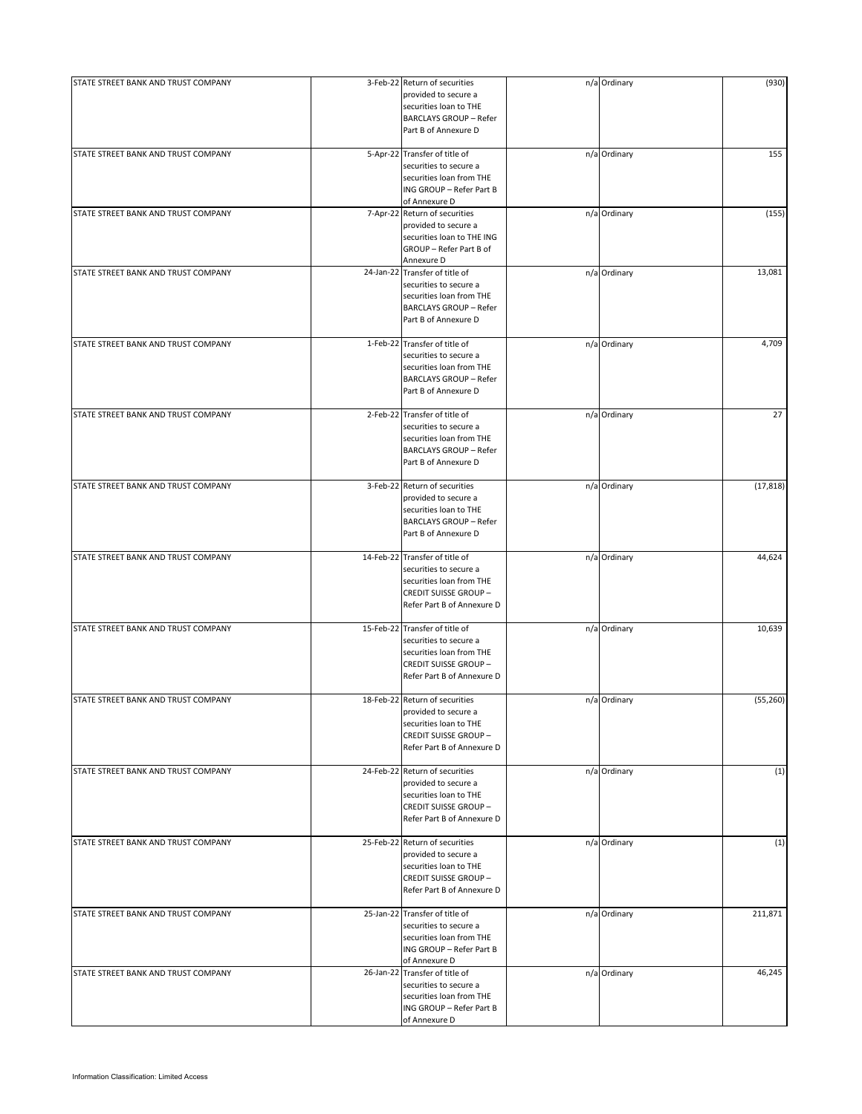| STATE STREET BANK AND TRUST COMPANY | 3-Feb-22 Return of securities<br>provided to secure a<br>securities loan to THE<br><b>BARCLAYS GROUP - Refer</b><br>Part B of Annexure D          | n/a Ordinary | (930)     |
|-------------------------------------|---------------------------------------------------------------------------------------------------------------------------------------------------|--------------|-----------|
| STATE STREET BANK AND TRUST COMPANY | 5-Apr-22 Transfer of title of<br>securities to secure a<br>securities loan from THE<br>ING GROUP - Refer Part B<br>of Annexure D                  | n/a Ordinary | 155       |
| STATE STREET BANK AND TRUST COMPANY | 7-Apr-22 Return of securities<br>provided to secure a<br>securities loan to THE ING<br>GROUP - Refer Part B of<br>Annexure D                      | n/a Ordinary | (155)     |
| STATE STREET BANK AND TRUST COMPANY | 24-Jan-22 Transfer of title of<br>securities to secure a<br>securities loan from THE<br><b>BARCLAYS GROUP - Refer</b><br>Part B of Annexure D     | n/a Ordinary | 13,081    |
| STATE STREET BANK AND TRUST COMPANY | 1-Feb-22 Transfer of title of<br>securities to secure a<br>securities loan from THE<br><b>BARCLAYS GROUP - Refer</b><br>Part B of Annexure D      | n/a Ordinary | 4,709     |
| STATE STREET BANK AND TRUST COMPANY | 2-Feb-22 Transfer of title of<br>securities to secure a<br>securities loan from THE<br><b>BARCLAYS GROUP - Refer</b><br>Part B of Annexure D      | n/a Ordinary | 27        |
| STATE STREET BANK AND TRUST COMPANY | 3-Feb-22 Return of securities<br>provided to secure a<br>securities loan to THE<br><b>BARCLAYS GROUP - Refer</b><br>Part B of Annexure D          | n/a Ordinary | (17, 818) |
| STATE STREET BANK AND TRUST COMPANY | 14-Feb-22 Transfer of title of<br>securities to secure a<br>securities loan from THE<br><b>CREDIT SUISSE GROUP-</b><br>Refer Part B of Annexure D | n/a Ordinary | 44,624    |
| STATE STREET BANK AND TRUST COMPANY | 15-Feb-22 Transfer of title of<br>securities to secure a<br>securities loan from THE<br><b>CREDIT SUISSE GROUP-</b><br>Refer Part B of Annexure D | n/a Ordinary | 10,639    |
| STATE STREET BANK AND TRUST COMPANY | 18-Feb-22 Return of securities<br>provided to secure a<br>securities loan to THE<br><b>CREDIT SUISSE GROUP-</b><br>Refer Part B of Annexure D     | n/a Ordinary | (55, 260) |
| STATE STREET BANK AND TRUST COMPANY | 24-Feb-22 Return of securities<br>provided to secure a<br>securities loan to THE<br><b>CREDIT SUISSE GROUP-</b><br>Refer Part B of Annexure D     | n/a Ordinary | (1)       |
| STATE STREET BANK AND TRUST COMPANY | 25-Feb-22 Return of securities<br>provided to secure a<br>securities loan to THE<br><b>CREDIT SUISSE GROUP-</b><br>Refer Part B of Annexure D     | n/a Ordinary | (1)       |
| STATE STREET BANK AND TRUST COMPANY | 25-Jan-22 Transfer of title of<br>securities to secure a<br>securities loan from THE<br>ING GROUP - Refer Part B<br>of Annexure D                 | n/a Ordinary | 211,871   |
| STATE STREET BANK AND TRUST COMPANY | 26-Jan-22 Transfer of title of<br>securities to secure a<br>securities loan from THE<br>ING GROUP - Refer Part B<br>of Annexure D                 | n/a Ordinary | 46,245    |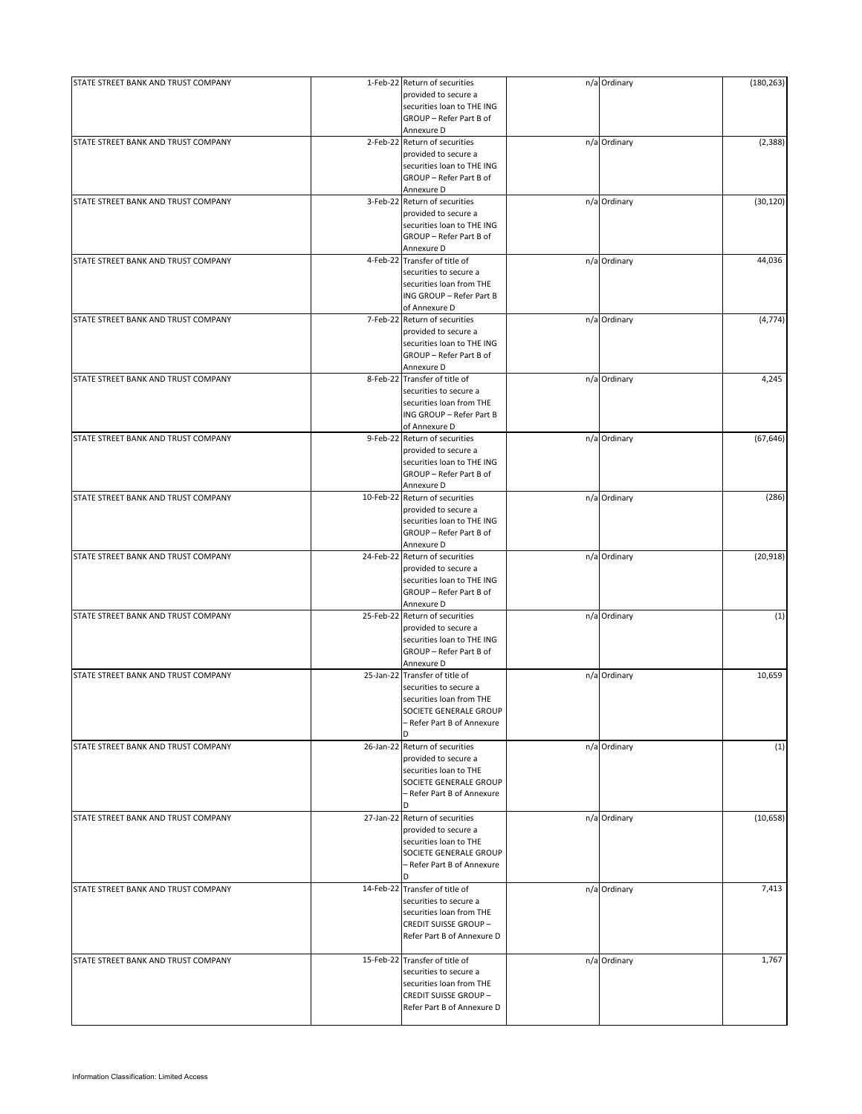| STATE STREET BANK AND TRUST COMPANY | 1-Feb-22 Return of securities                            | n/a Ordinary | (180, 263) |
|-------------------------------------|----------------------------------------------------------|--------------|------------|
|                                     | provided to secure a                                     |              |            |
|                                     | securities loan to THE ING                               |              |            |
|                                     | GROUP - Refer Part B of<br>Annexure D                    |              |            |
| STATE STREET BANK AND TRUST COMPANY | 2-Feb-22 Return of securities                            | n/a Ordinary | (2, 388)   |
|                                     | provided to secure a                                     |              |            |
|                                     | securities loan to THE ING                               |              |            |
|                                     | GROUP - Refer Part B of                                  |              |            |
|                                     | Annexure D                                               |              |            |
| STATE STREET BANK AND TRUST COMPANY | 3-Feb-22 Return of securities                            | n/a Ordinary | (30, 120)  |
|                                     | provided to secure a                                     |              |            |
|                                     | securities loan to THE ING                               |              |            |
|                                     | GROUP - Refer Part B of                                  |              |            |
|                                     | Annexure D                                               |              |            |
| STATE STREET BANK AND TRUST COMPANY | 4-Feb-22 Transfer of title of                            | n/a Ordinary | 44,036     |
|                                     | securities to secure a<br>securities loan from THE       |              |            |
|                                     | ING GROUP - Refer Part B                                 |              |            |
|                                     | of Annexure D                                            |              |            |
| STATE STREET BANK AND TRUST COMPANY | 7-Feb-22 Return of securities                            | n/a Ordinary | (4, 774)   |
|                                     | provided to secure a                                     |              |            |
|                                     | securities loan to THE ING                               |              |            |
|                                     | GROUP - Refer Part B of                                  |              |            |
|                                     | Annexure D                                               |              |            |
| STATE STREET BANK AND TRUST COMPANY | 8-Feb-22 Transfer of title of                            | n/a Ordinary | 4,245      |
|                                     | securities to secure a                                   |              |            |
|                                     | securities loan from THE                                 |              |            |
|                                     | ING GROUP - Refer Part B                                 |              |            |
|                                     | of Annexure D                                            |              |            |
| STATE STREET BANK AND TRUST COMPANY | 9-Feb-22 Return of securities                            | n/a Ordinary | (67, 646)  |
|                                     | provided to secure a                                     |              |            |
|                                     | securities loan to THE ING                               |              |            |
|                                     | GROUP - Refer Part B of                                  |              |            |
| STATE STREET BANK AND TRUST COMPANY | Annexure D<br>10-Feb-22 Return of securities             | n/a Ordinary | (286)      |
|                                     | provided to secure a                                     |              |            |
|                                     | securities loan to THE ING                               |              |            |
|                                     | GROUP - Refer Part B of                                  |              |            |
|                                     | Annexure D                                               |              |            |
| STATE STREET BANK AND TRUST COMPANY | 24-Feb-22 Return of securities                           | n/a Ordinary | (20, 918)  |
|                                     | provided to secure a                                     |              |            |
|                                     | securities loan to THE ING                               |              |            |
|                                     | GROUP - Refer Part B of                                  |              |            |
|                                     | Annexure D                                               |              |            |
| STATE STREET BANK AND TRUST COMPANY | 25-Feb-22 Return of securities                           | n/a Ordinary | (1)        |
|                                     | provided to secure a                                     |              |            |
|                                     | securities loan to THE ING                               |              |            |
|                                     | GROUP - Refer Part B of                                  |              |            |
|                                     | Annexure D                                               |              |            |
| STATE STREET BANK AND TRUST COMPANY | 25-Jan-22 Transfer of title of<br>securities to secure a | n/a Ordinary | 10,659     |
|                                     | securities loan from THE                                 |              |            |
|                                     | SOCIETE GENERALE GROUP                                   |              |            |
|                                     | - Refer Part B of Annexure                               |              |            |
|                                     | D                                                        |              |            |
| STATE STREET BANK AND TRUST COMPANY | 26-Jan-22 Return of securities                           | n/a Ordinary | (1)        |
|                                     | provided to secure a                                     |              |            |
|                                     | securities loan to THE                                   |              |            |
|                                     | SOCIETE GENERALE GROUP                                   |              |            |
|                                     | - Refer Part B of Annexure                               |              |            |
|                                     | <sup>D</sup>                                             |              |            |
| STATE STREET BANK AND TRUST COMPANY | 27-Jan-22 Return of securities                           | n/a Ordinary | (10, 658)  |
|                                     | provided to secure a                                     |              |            |
|                                     | securities loan to THE                                   |              |            |
|                                     | SOCIETE GENERALE GROUP                                   |              |            |
|                                     | - Refer Part B of Annexure<br>D.                         |              |            |
|                                     | 14-Feb-22 Transfer of title of                           |              | 7,413      |
| STATE STREET BANK AND TRUST COMPANY | securities to secure a                                   | n/a Ordinary |            |
|                                     | securities loan from THE                                 |              |            |
|                                     | <b>CREDIT SUISSE GROUP-</b>                              |              |            |
|                                     | Refer Part B of Annexure D                               |              |            |
|                                     |                                                          |              |            |
| STATE STREET BANK AND TRUST COMPANY | 15-Feb-22 Transfer of title of                           | n/a Ordinary | 1,767      |
|                                     | securities to secure a                                   |              |            |
|                                     | securities loan from THE                                 |              |            |
|                                     | <b>CREDIT SUISSE GROUP-</b>                              |              |            |
|                                     | Refer Part B of Annexure D                               |              |            |
|                                     |                                                          |              |            |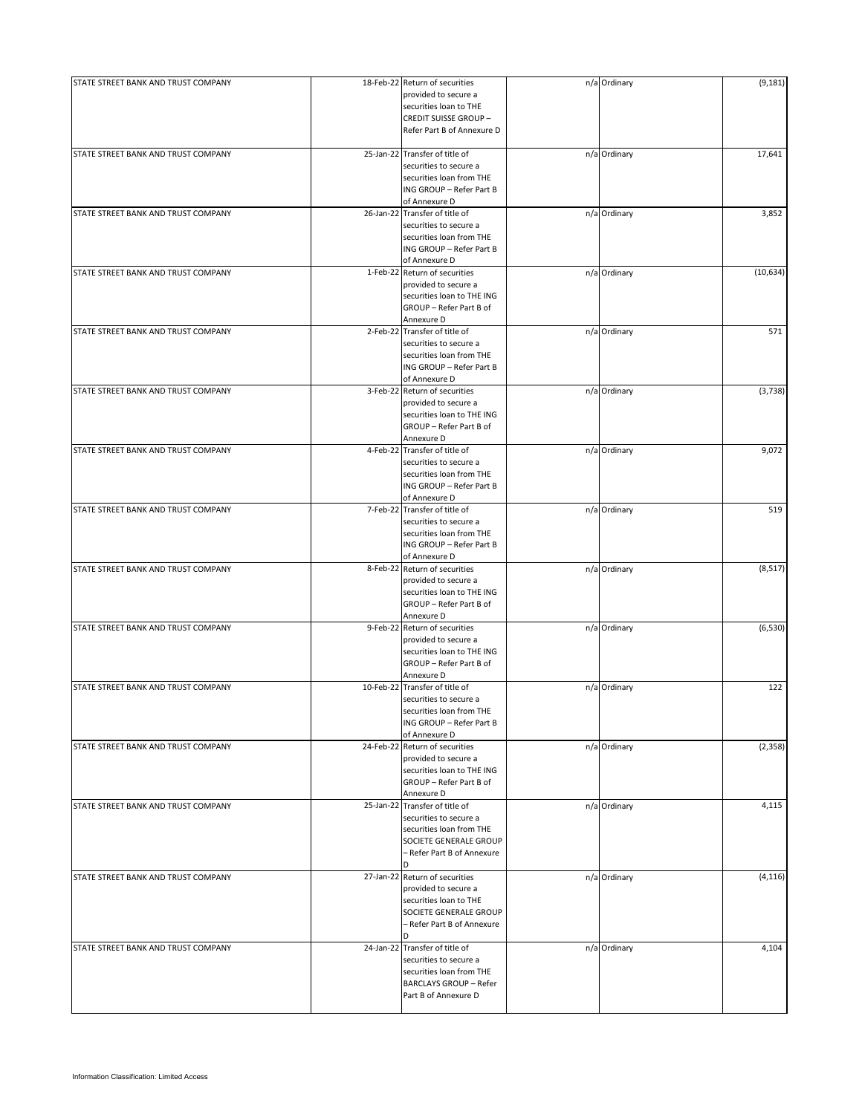| STATE STREET BANK AND TRUST COMPANY |           | 18-Feb-22 Return of securities                                                                                                                  | n/a Ordinary | (9, 181)  |
|-------------------------------------|-----------|-------------------------------------------------------------------------------------------------------------------------------------------------|--------------|-----------|
|                                     |           | provided to secure a<br>securities loan to THE<br><b>CREDIT SUISSE GROUP-</b>                                                                   |              |           |
|                                     |           | Refer Part B of Annexure D                                                                                                                      |              |           |
| STATE STREET BANK AND TRUST COMPANY |           | 25-Jan-22 Transfer of title of<br>securities to secure a<br>securities loan from THE<br>ING GROUP - Refer Part B                                | n/a Ordinary | 17,641    |
|                                     |           | of Annexure D                                                                                                                                   |              |           |
| STATE STREET BANK AND TRUST COMPANY |           | 26-Jan-22 Transfer of title of<br>securities to secure a<br>securities loan from THE<br>ING GROUP - Refer Part B<br>of Annexure D               | n/a Ordinary | 3,852     |
| STATE STREET BANK AND TRUST COMPANY |           | 1-Feb-22 Return of securities<br>provided to secure a<br>securities loan to THE ING<br>GROUP - Refer Part B of<br>Annexure D                    | n/a Ordinary | (10, 634) |
| STATE STREET BANK AND TRUST COMPANY |           | 2-Feb-22 Transfer of title of<br>securities to secure a<br>securities loan from THE<br>ING GROUP - Refer Part B<br>of Annexure D                | n/a Ordinary | 571       |
| STATE STREET BANK AND TRUST COMPANY |           | 3-Feb-22 Return of securities<br>provided to secure a<br>securities loan to THE ING<br>GROUP - Refer Part B of<br>Annexure D                    | n/a Ordinary | (3,738)   |
| STATE STREET BANK AND TRUST COMPANY |           | 4-Feb-22 Transfer of title of<br>securities to secure a<br>securities loan from THE<br>ING GROUP - Refer Part B<br>of Annexure D                | n/a Ordinary | 9,072     |
| STATE STREET BANK AND TRUST COMPANY |           | 7-Feb-22 Transfer of title of<br>securities to secure a<br>securities loan from THE<br>ING GROUP - Refer Part B<br>of Annexure D                | n/a Ordinary | 519       |
| STATE STREET BANK AND TRUST COMPANY |           | 8-Feb-22 Return of securities<br>provided to secure a<br>securities loan to THE ING<br>GROUP - Refer Part B of<br>Annexure D                    | n/a Ordinary | (8, 517)  |
| STATE STREET BANK AND TRUST COMPANY |           | 9-Feb-22 Return of securities<br>provided to secure a<br>securities loan to THE ING<br>GROUP - Refer Part B of                                  | n/a Ordinary | (6, 530)  |
| STATE STREET BANK AND TRUST COMPANY |           | Annexure D<br>10-Feb-22 Transfer of title of<br>securities to secure a<br>securities loan from THE<br>ING GROUP - Refer Part B<br>of Annexure D | n/a Ordinary | 122       |
| STATE STREET BANK AND TRUST COMPANY |           | 24-Feb-22 Return of securities<br>provided to secure a<br>securities loan to THE ING<br>GROUP - Refer Part B of<br>Annexure D                   | n/a Ordinary | (2, 358)  |
| STATE STREET BANK AND TRUST COMPANY | 25-Jan-22 | Transfer of title of<br>securities to secure a<br>securities loan from THE<br>SOCIETE GENERALE GROUP<br>– Refer Part B of Annexure<br>D         | n/a Ordinary | 4,115     |
| STATE STREET BANK AND TRUST COMPANY |           | 27-Jan-22 Return of securities<br>provided to secure a<br>securities loan to THE<br>SOCIETE GENERALE GROUP<br>– Refer Part B of Annexure<br>D   | n/a Ordinary | (4, 116)  |
| STATE STREET BANK AND TRUST COMPANY |           | 24-Jan-22 Transfer of title of<br>securities to secure a<br>securities loan from THE<br><b>BARCLAYS GROUP - Refer</b><br>Part B of Annexure D   | n/a Ordinary | 4,104     |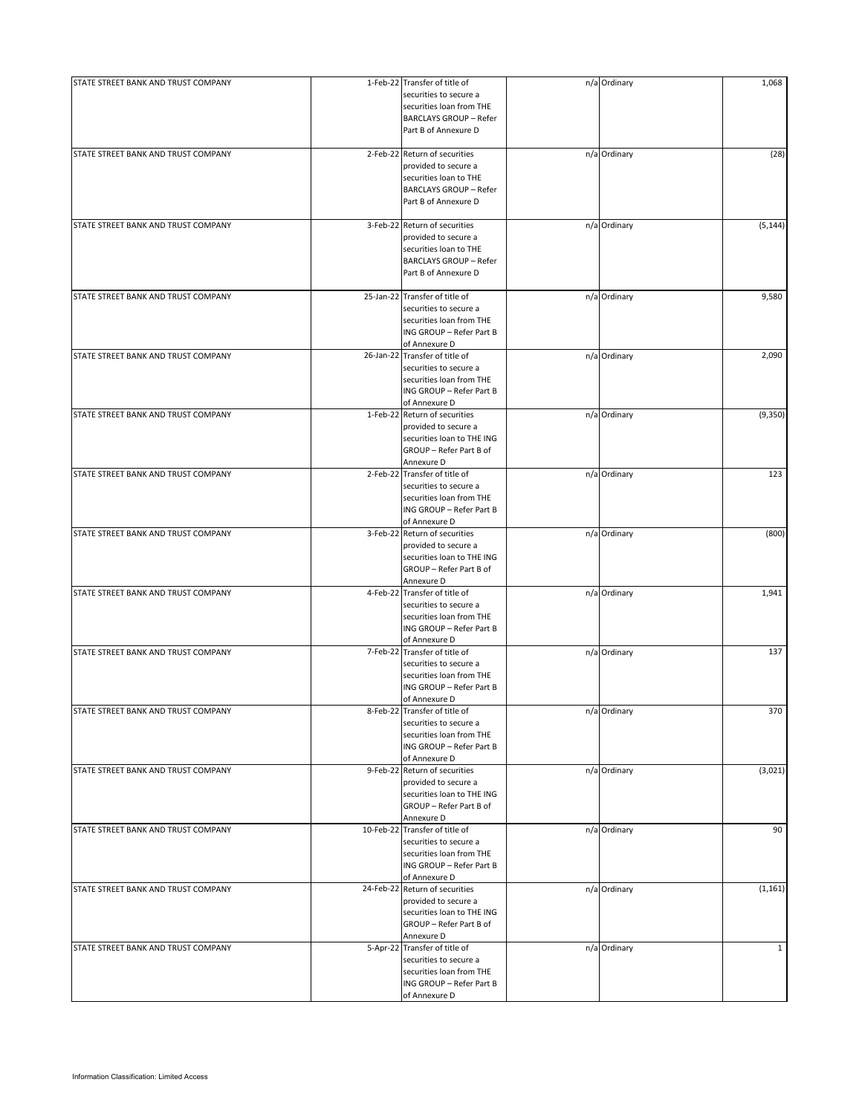| STATE STREET BANK AND TRUST COMPANY | 1-Feb-22 Transfer of title of<br>securities to secure a<br>securities loan from THE<br><b>BARCLAYS GROUP - Refer</b>                     | n/a Ordinary | 1,068        |
|-------------------------------------|------------------------------------------------------------------------------------------------------------------------------------------|--------------|--------------|
|                                     | Part B of Annexure D                                                                                                                     |              |              |
| STATE STREET BANK AND TRUST COMPANY | 2-Feb-22 Return of securities<br>provided to secure a<br>securities loan to THE<br><b>BARCLAYS GROUP - Refer</b><br>Part B of Annexure D | n/a Ordinary | (28)         |
| STATE STREET BANK AND TRUST COMPANY | 3-Feb-22 Return of securities<br>provided to secure a<br>securities loan to THE<br><b>BARCLAYS GROUP - Refer</b><br>Part B of Annexure D | n/a Ordinary | (5, 144)     |
| STATE STREET BANK AND TRUST COMPANY | 25-Jan-22 Transfer of title of<br>securities to secure a<br>securities loan from THE<br>ING GROUP - Refer Part B<br>of Annexure D        | n/a Ordinary | 9,580        |
| STATE STREET BANK AND TRUST COMPANY | 26-Jan-22 Transfer of title of<br>securities to secure a<br>securities loan from THE<br>ING GROUP - Refer Part B<br>of Annexure D        | n/a Ordinary | 2,090        |
| STATE STREET BANK AND TRUST COMPANY | 1-Feb-22 Return of securities<br>provided to secure a<br>securities loan to THE ING<br>GROUP - Refer Part B of<br>Annexure D             | n/a Ordinary | (9,350)      |
| STATE STREET BANK AND TRUST COMPANY | 2-Feb-22 Transfer of title of<br>securities to secure a<br>securities loan from THE<br>ING GROUP - Refer Part B<br>of Annexure D         | n/a Ordinary | 123          |
| STATE STREET BANK AND TRUST COMPANY | 3-Feb-22 Return of securities<br>provided to secure a<br>securities loan to THE ING<br>GROUP - Refer Part B of<br>Annexure D             | n/a Ordinary | (800)        |
| STATE STREET BANK AND TRUST COMPANY | 4-Feb-22 Transfer of title of<br>securities to secure a<br>securities loan from THE<br>ING GROUP - Refer Part B<br>of Annexure D         | n/a Ordinary | 1,941        |
| STATE STREET BANK AND TRUST COMPANY | 7-Feb-22 Transfer of title of<br>securities to secure a<br>securities loan from THE<br>ING GROUP - Refer Part B<br>of Annexure D         | n/a Ordinary | 137          |
| STATE STREET BANK AND TRUST COMPANY | 8-Feb-22 Transfer of title of<br>securities to secure a<br>securities loan from THE<br>ING GROUP - Refer Part B<br>of Annexure D         | n/a Ordinary | 370          |
| STATE STREET BANK AND TRUST COMPANY | 9-Feb-22 Return of securities<br>provided to secure a<br>securities loan to THE ING<br>GROUP - Refer Part B of<br>Annexure D             | n/a Ordinary | (3,021)      |
| STATE STREET BANK AND TRUST COMPANY | 10-Feb-22 Transfer of title of<br>securities to secure a<br>securities loan from THE<br>ING GROUP - Refer Part B<br>of Annexure D        | n/a Ordinary | 90           |
| STATE STREET BANK AND TRUST COMPANY | 24-Feb-22 Return of securities<br>provided to secure a<br>securities loan to THE ING<br>GROUP - Refer Part B of<br>Annexure D            | n/a Ordinary | (1, 161)     |
| STATE STREET BANK AND TRUST COMPANY | 5-Apr-22 Transfer of title of<br>securities to secure a<br>securities loan from THE<br>ING GROUP - Refer Part B<br>of Annexure D         | n/a Ordinary | $\mathbf{1}$ |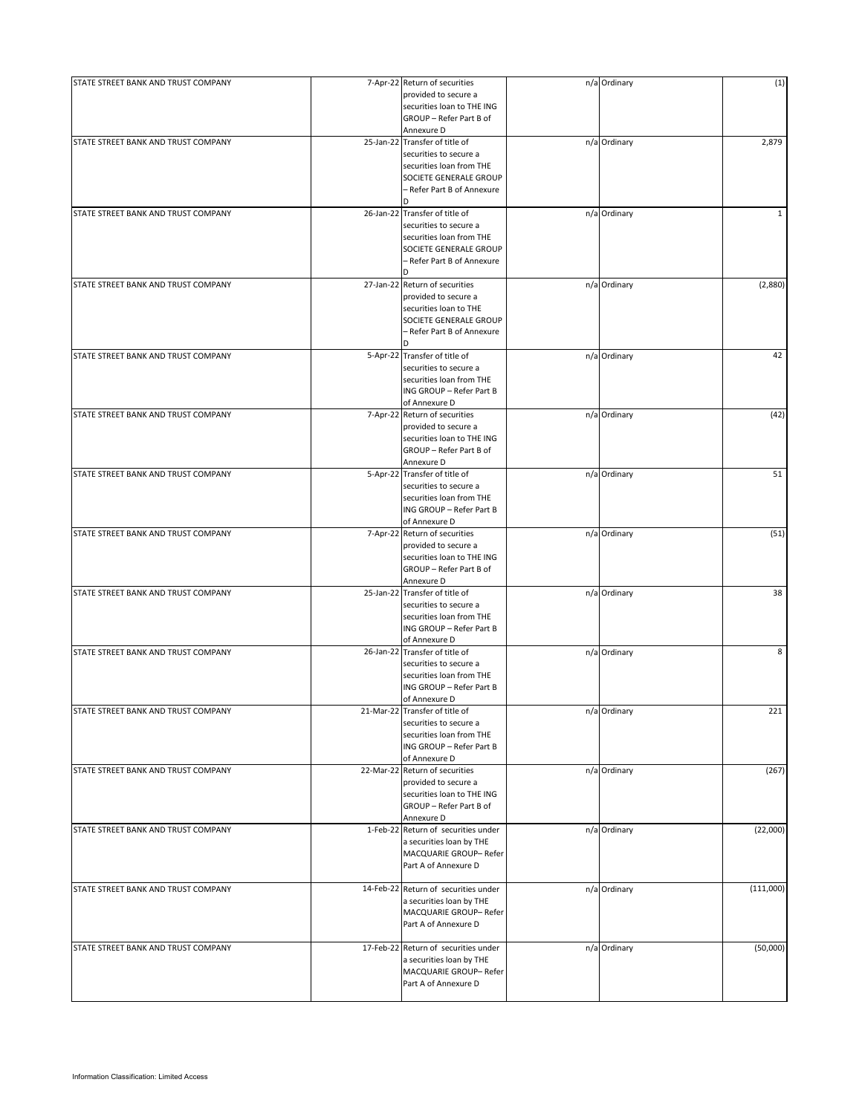| STATE STREET BANK AND TRUST COMPANY | 7-Apr-22 Return of securities<br>provided to secure a<br>securities loan to THE ING<br>GROUP - Refer Part B of<br>Annexure D                      | n/a Ordinary | (1)          |
|-------------------------------------|---------------------------------------------------------------------------------------------------------------------------------------------------|--------------|--------------|
| STATE STREET BANK AND TRUST COMPANY | 25-Jan-22 Transfer of title of<br>securities to secure a<br>securities loan from THE<br>SOCIETE GENERALE GROUP<br>- Refer Part B of Annexure<br>D | n/a Ordinary | 2,879        |
| STATE STREET BANK AND TRUST COMPANY | 26-Jan-22 Transfer of title of<br>securities to secure a<br>securities loan from THE<br>SOCIETE GENERALE GROUP<br>- Refer Part B of Annexure<br>D | n/a Ordinary | $\mathbf{1}$ |
| STATE STREET BANK AND TRUST COMPANY | 27-Jan-22 Return of securities<br>provided to secure a<br>securities loan to THE<br>SOCIETE GENERALE GROUP<br>- Refer Part B of Annexure<br>D.    | n/a Ordinary | (2,880)      |
| STATE STREET BANK AND TRUST COMPANY | 5-Apr-22 Transfer of title of<br>securities to secure a<br>securities loan from THE<br>ING GROUP - Refer Part B<br>of Annexure D                  | n/a Ordinary | 42           |
| STATE STREET BANK AND TRUST COMPANY | 7-Apr-22 Return of securities<br>provided to secure a<br>securities loan to THE ING<br>GROUP - Refer Part B of<br>Annexure D                      | n/a Ordinary | (42)         |
| STATE STREET BANK AND TRUST COMPANY | 5-Apr-22 Transfer of title of<br>securities to secure a<br>securities loan from THE<br>ING GROUP - Refer Part B<br>of Annexure D                  | n/a Ordinary | 51           |
| STATE STREET BANK AND TRUST COMPANY | 7-Apr-22 Return of securities<br>provided to secure a<br>securities loan to THE ING<br>GROUP - Refer Part B of<br>Annexure D                      | n/a Ordinary | (51)         |
| STATE STREET BANK AND TRUST COMPANY | 25-Jan-22 Transfer of title of<br>securities to secure a<br>securities loan from THE<br>ING GROUP - Refer Part B<br>of Annexure D                 | n/a Ordinary | 38           |
| STATE STREET BANK AND TRUST COMPANY | 26-Jan-22 Transfer of title of<br>securities to secure a<br>securities loan from THE<br>ING GROUP - Refer Part B<br>of Annexure D                 | n/a Ordinary | 8            |
| STATE STREET BANK AND TRUST COMPANY | 21-Mar-22 Transfer of title of<br>securities to secure a<br>securities loan from THE<br>ING GROUP - Refer Part B<br>of Annexure D                 | n/a Ordinary | 221          |
| STATE STREET BANK AND TRUST COMPANY | 22-Mar-22 Return of securities<br>provided to secure a<br>securities loan to THE ING<br>GROUP - Refer Part B of<br>Annexure D                     | n/a Ordinary | (267)        |
| STATE STREET BANK AND TRUST COMPANY | 1-Feb-22 Return of securities under<br>a securities loan by THE<br>MACQUARIE GROUP-Refer<br>Part A of Annexure D                                  | n/a Ordinary | (22,000)     |
| STATE STREET BANK AND TRUST COMPANY | 14-Feb-22 Return of securities under<br>a securities loan by THE<br>MACQUARIE GROUP- Refer<br>Part A of Annexure D                                | n/a Ordinary | (111,000)    |
| STATE STREET BANK AND TRUST COMPANY | 17-Feb-22 Return of securities under<br>a securities loan by THE<br>MACQUARIE GROUP-Refer<br>Part A of Annexure D                                 | n/a Ordinary | (50,000)     |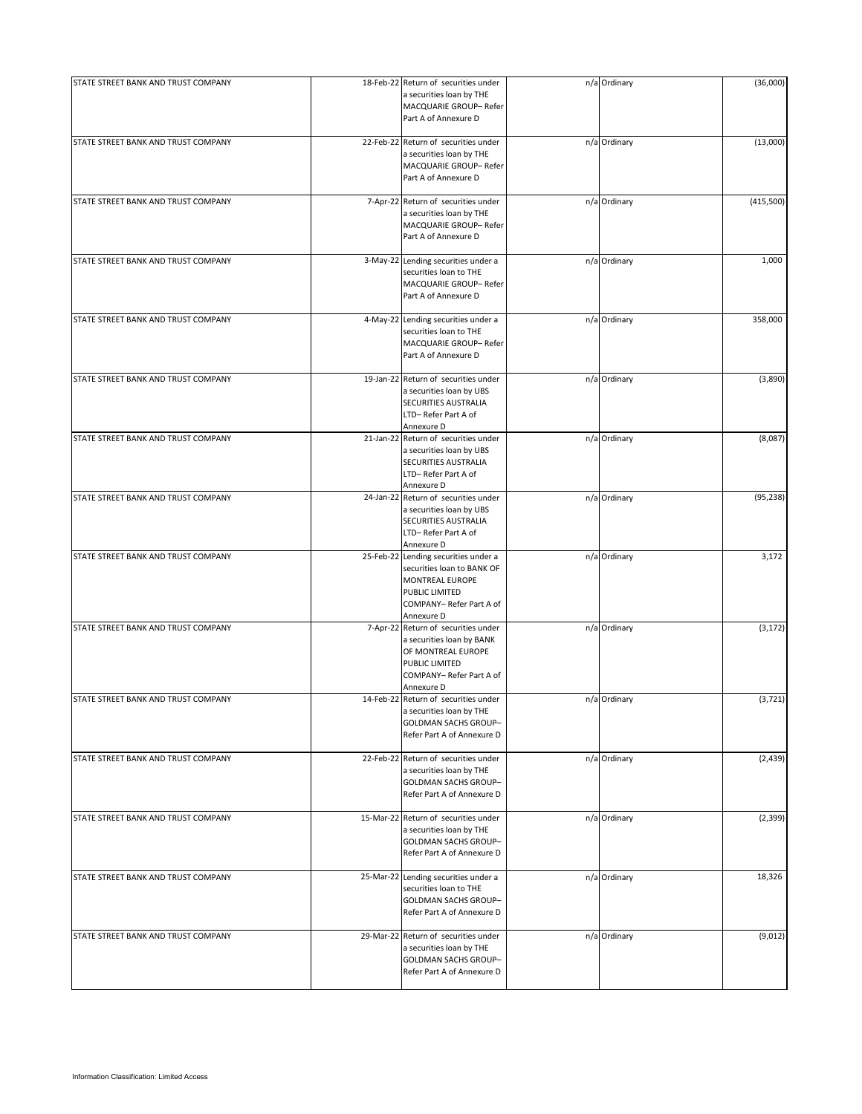| STATE STREET BANK AND TRUST COMPANY | 18-Feb-22 Return of securities under<br>a securities loan by THE<br>MACQUARIE GROUP- Refer<br>Part A of Annexure D                                | n/a Ordinary | (36,000)  |
|-------------------------------------|---------------------------------------------------------------------------------------------------------------------------------------------------|--------------|-----------|
| STATE STREET BANK AND TRUST COMPANY | 22-Feb-22 Return of securities under<br>a securities loan by THE<br>MACQUARIE GROUP- Refer<br>Part A of Annexure D                                | n/a Ordinary | (13,000)  |
| STATE STREET BANK AND TRUST COMPANY | 7-Apr-22 Return of securities under<br>a securities loan by THE<br>MACQUARIE GROUP- Refer<br>Part A of Annexure D                                 | n/a Ordinary | (415,500) |
| STATE STREET BANK AND TRUST COMPANY | 3-May-22 Lending securities under a<br>securities loan to THE<br>MACQUARIE GROUP- Refer<br>Part A of Annexure D                                   | n/a Ordinary | 1,000     |
| STATE STREET BANK AND TRUST COMPANY | 4-May-22 Lending securities under a<br>securities loan to THE<br>MACQUARIE GROUP- Refer<br>Part A of Annexure D                                   | n/a Ordinary | 358,000   |
| STATE STREET BANK AND TRUST COMPANY | 19-Jan-22 Return of securities under<br>a securities loan by UBS<br>SECURITIES AUSTRALIA<br>LTD-Refer Part A of<br>Annexure D                     | n/a Ordinary | (3,890)   |
| STATE STREET BANK AND TRUST COMPANY | 21-Jan-22 Return of securities under<br>a securities loan by UBS<br>SECURITIES AUSTRALIA<br>LTD-Refer Part A of<br>Annexure D                     | n/a Ordinary | (8,087)   |
| STATE STREET BANK AND TRUST COMPANY | 24-Jan-22 Return of securities under<br>a securities loan by UBS<br>SECURITIES AUSTRALIA<br>LTD-Refer Part A of<br>Annexure D                     | n/a Ordinary | (95, 238) |
| STATE STREET BANK AND TRUST COMPANY | 25-Feb-22 Lending securities under a<br>securities loan to BANK OF<br>MONTREAL EUROPE<br>PUBLIC LIMITED<br>COMPANY-Refer Part A of<br>Annexure D  | n/a Ordinary | 3,172     |
| STATE STREET BANK AND TRUST COMPANY | 7-Apr-22 Return of securities under<br>a securities loan by BANK<br>OF MONTREAL EUROPE<br>PUBLIC LIMITED<br>COMPANY-Refer Part A of<br>Annexure D | n/a Ordinary | (3, 172)  |
| STATE STREET BANK AND TRUST COMPANY | 14-Feb-22 Return of securities under<br>a securities loan by THE<br><b>GOLDMAN SACHS GROUP-</b><br>Refer Part A of Annexure D                     | n/a Ordinary | (3, 721)  |
| STATE STREET BANK AND TRUST COMPANY | 22-Feb-22 Return of securities under<br>a securities loan by THE<br><b>GOLDMAN SACHS GROUP-</b><br>Refer Part A of Annexure D                     | n/a Ordinary | (2, 439)  |
| STATE STREET BANK AND TRUST COMPANY | 15-Mar-22 Return of securities under<br>a securities loan by THE<br><b>GOLDMAN SACHS GROUP-</b><br>Refer Part A of Annexure D                     | n/a Ordinary | (2, 399)  |
| STATE STREET BANK AND TRUST COMPANY | 25-Mar-22 Lending securities under a<br>securities loan to THE<br>GOLDMAN SACHS GROUP-<br>Refer Part A of Annexure D                              | n/a Ordinary | 18,326    |
| STATE STREET BANK AND TRUST COMPANY | 29-Mar-22 Return of securities under<br>a securities loan by THE<br><b>GOLDMAN SACHS GROUP-</b><br>Refer Part A of Annexure D                     | n/a Ordinary | (9,012)   |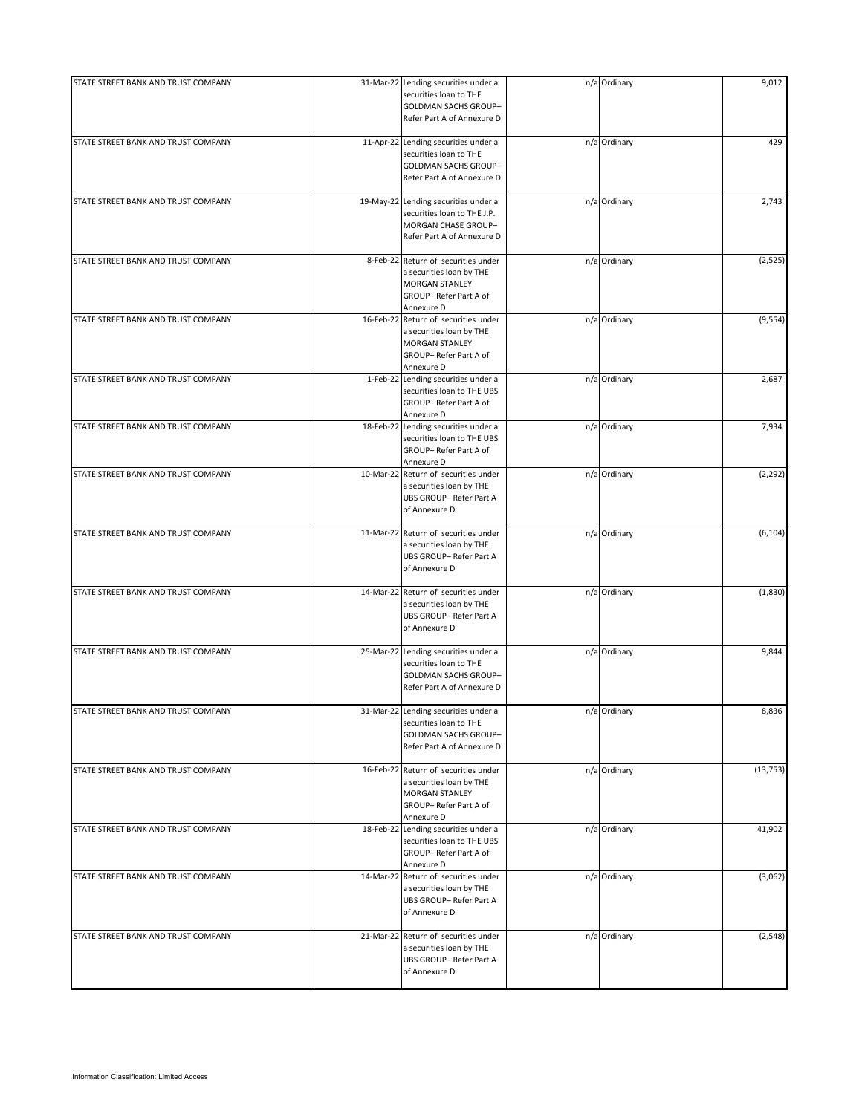| STATE STREET BANK AND TRUST COMPANY |           | 31-Mar-22 Lending securities under a<br>securities loan to THE<br>GOLDMAN SACHS GROUP-<br>Refer Part A of Annexure D             | n/a Ordinary | 9,012     |
|-------------------------------------|-----------|----------------------------------------------------------------------------------------------------------------------------------|--------------|-----------|
| STATE STREET BANK AND TRUST COMPANY |           | 11-Apr-22 Lending securities under a<br>securities loan to THE<br>GOLDMAN SACHS GROUP-<br>Refer Part A of Annexure D             | n/a Ordinary | 429       |
| STATE STREET BANK AND TRUST COMPANY |           | 19-May-22 Lending securities under a<br>securities loan to THE J.P.<br>MORGAN CHASE GROUP-<br>Refer Part A of Annexure D         | n/a Ordinary | 2,743     |
| STATE STREET BANK AND TRUST COMPANY |           | 8-Feb-22 Return of securities under<br>a securities loan by THE<br><b>MORGAN STANLEY</b><br>GROUP-Refer Part A of<br>Annexure D  | n/a Ordinary | (2,525)   |
| STATE STREET BANK AND TRUST COMPANY |           | 16-Feb-22 Return of securities under<br>a securities loan by THE<br><b>MORGAN STANLEY</b><br>GROUP-Refer Part A of<br>Annexure D | n/a Ordinary | (9, 554)  |
| STATE STREET BANK AND TRUST COMPANY |           | 1-Feb-22 Lending securities under a<br>securities loan to THE UBS<br>GROUP-Refer Part A of<br>Annexure D                         | n/a Ordinary | 2,687     |
| STATE STREET BANK AND TRUST COMPANY | 18-Feb-22 | Lending securities under a<br>securities loan to THE UBS<br>GROUP-Refer Part A of<br>Annexure D                                  | n/a Ordinary | 7,934     |
| STATE STREET BANK AND TRUST COMPANY |           | 10-Mar-22 Return of securities under<br>a securities loan by THE<br>UBS GROUP-Refer Part A<br>of Annexure D                      | n/a Ordinary | (2, 292)  |
| STATE STREET BANK AND TRUST COMPANY |           | 11-Mar-22 Return of securities under<br>a securities loan by THE<br>UBS GROUP-Refer Part A<br>of Annexure D                      | n/a Ordinary | (6, 104)  |
| STATE STREET BANK AND TRUST COMPANY |           | 14-Mar-22 Return of securities under<br>a securities loan by THE<br>UBS GROUP-Refer Part A<br>of Annexure D                      | n/a Ordinary | (1,830)   |
| STATE STREET BANK AND TRUST COMPANY | 25-Mar-22 | Lending securities under a<br>securities loan to THE<br>GOLDMAN SACHS GROUP-<br>Refer Part A of Annexure D                       | n/a Ordinary | 9,844     |
| STATE STREET BANK AND TRUST COMPANY |           | 31-Mar-22 Lending securities under a<br>securities loan to THE<br>GOLDMAN SACHS GROUP-<br>Refer Part A of Annexure D             | n/a Ordinary | 8,836     |
| STATE STREET BANK AND TRUST COMPANY |           | 16-Feb-22 Return of securities under<br>a securities loan by THE<br><b>MORGAN STANLEY</b><br>GROUP-Refer Part A of<br>Annexure D | n/a Ordinary | (13, 753) |
| STATE STREET BANK AND TRUST COMPANY |           | 18-Feb-22 Lending securities under a<br>securities loan to THE UBS<br>GROUP-Refer Part A of<br>Annexure D                        | n/a Ordinary | 41,902    |
| STATE STREET BANK AND TRUST COMPANY |           | 14-Mar-22 Return of securities under<br>a securities loan by THE<br>UBS GROUP- Refer Part A<br>of Annexure D                     | n/a Ordinary | (3,062)   |
| STATE STREET BANK AND TRUST COMPANY |           | 21-Mar-22 Return of securities under<br>a securities loan by THE<br>UBS GROUP-Refer Part A<br>of Annexure D                      | n/a Ordinary | (2, 548)  |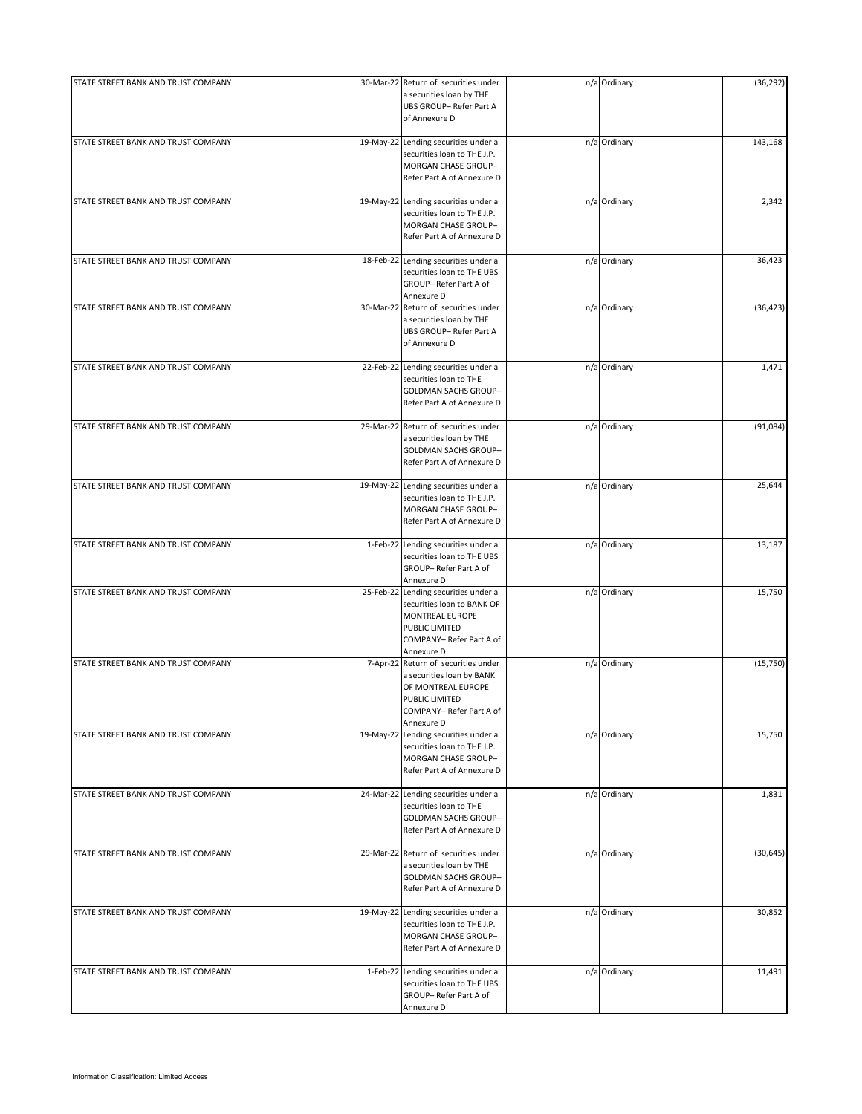| STATE STREET BANK AND TRUST COMPANY |           | 30-Mar-22 Return of securities under<br>a securities loan by THE<br>UBS GROUP- Refer Part A<br>of Annexure D                                     | n/a Ordinary | (36, 292) |
|-------------------------------------|-----------|--------------------------------------------------------------------------------------------------------------------------------------------------|--------------|-----------|
| STATE STREET BANK AND TRUST COMPANY |           | 19-May-22 Lending securities under a<br>securities loan to THE J.P.<br>MORGAN CHASE GROUP-<br>Refer Part A of Annexure D                         | n/a Ordinary | 143,168   |
| STATE STREET BANK AND TRUST COMPANY |           | 19-May-22 Lending securities under a<br>securities loan to THE J.P.<br>MORGAN CHASE GROUP-<br>Refer Part A of Annexure D                         | n/a Ordinary | 2,342     |
| STATE STREET BANK AND TRUST COMPANY |           | 18-Feb-22 Lending securities under a<br>securities loan to THE UBS<br>GROUP-Refer Part A of<br>Annexure D                                        | n/a Ordinary | 36,423    |
| STATE STREET BANK AND TRUST COMPANY | 30-Mar-22 | Return of securities under<br>a securities loan by THE<br>UBS GROUP-Refer Part A<br>of Annexure D                                                | n/a Ordinary | (36, 423) |
| STATE STREET BANK AND TRUST COMPANY | 22-Feb-22 | Lending securities under a<br>securities loan to THE<br>GOLDMAN SACHS GROUP-<br>Refer Part A of Annexure D                                       | n/a Ordinary | 1,471     |
| STATE STREET BANK AND TRUST COMPANY |           | 29-Mar-22 Return of securities under<br>a securities loan by THE<br>GOLDMAN SACHS GROUP-<br>Refer Part A of Annexure D                           | n/a Ordinary | (91,084)  |
| STATE STREET BANK AND TRUST COMPANY |           | 19-May-22 Lending securities under a<br>securities loan to THE J.P.<br>MORGAN CHASE GROUP-<br>Refer Part A of Annexure D                         | n/a Ordinary | 25,644    |
| STATE STREET BANK AND TRUST COMPANY |           | 1-Feb-22 Lending securities under a<br>securities loan to THE UBS<br>GROUP-Refer Part A of<br>Annexure D                                         | n/a Ordinary | 13,187    |
| STATE STREET BANK AND TRUST COMPANY |           | 25-Feb-22 Lending securities under a<br>securities loan to BANK OF<br>MONTREAL EUROPE<br>PUBLIC LIMITED<br>COMPANY-Refer Part A of<br>Annexure D | n/a Ordinary | 15,750    |
| STATE STREET BANK AND TRUST COMPANY | 7-Apr-22  | Return of securities under<br>a securities loan by BANK<br>OF MONTREAL EUROPE<br>PUBLIC LIMITED<br>COMPANY-Refer Part A of<br>Annexure D         | n/a Ordinary | (15, 750) |
| STATE STREET BANK AND TRUST COMPANY | 19-May-22 | Lending securities under a<br>securities loan to THE J.P.<br>MORGAN CHASE GROUP-<br>Refer Part A of Annexure D                                   | n/a Ordinary | 15,750    |
| STATE STREET BANK AND TRUST COMPANY | 24-Mar-22 | Lending securities under a<br>securities loan to THE<br><b>GOLDMAN SACHS GROUP-</b><br>Refer Part A of Annexure D                                | n/a Ordinary | 1,831     |
| STATE STREET BANK AND TRUST COMPANY |           | 29-Mar-22 Return of securities under<br>a securities loan by THE<br>GOLDMAN SACHS GROUP-<br>Refer Part A of Annexure D                           | n/a Ordinary | (30, 645) |
| STATE STREET BANK AND TRUST COMPANY | 19-May-22 | Lending securities under a<br>securities loan to THE J.P.<br>MORGAN CHASE GROUP-<br>Refer Part A of Annexure D                                   | n/a Ordinary | 30,852    |
| STATE STREET BANK AND TRUST COMPANY |           | 1-Feb-22 Lending securities under a<br>securities loan to THE UBS<br>GROUP-Refer Part A of<br>Annexure D                                         | n/a Ordinary | 11,491    |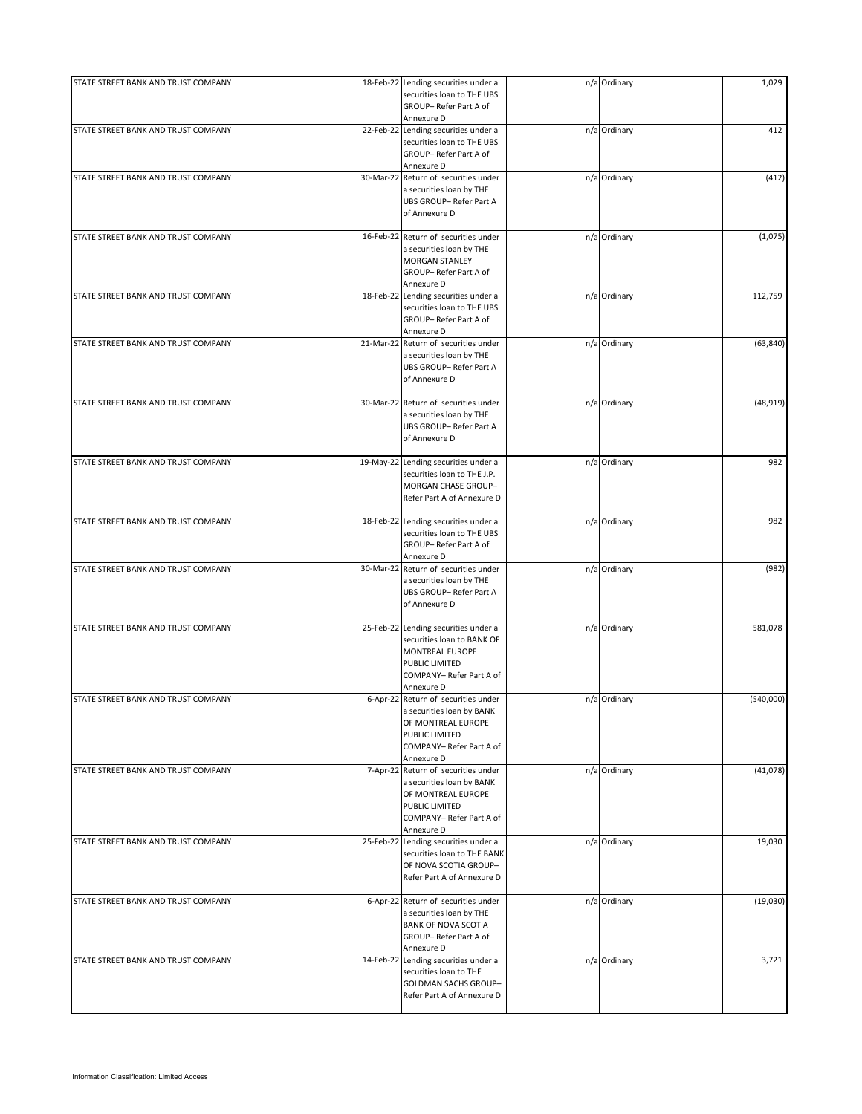| STATE STREET BANK AND TRUST COMPANY | 18-Feb-22 Lending securities under a<br>securities loan to THE UBS | n/a Ordinary | 1,029     |
|-------------------------------------|--------------------------------------------------------------------|--------------|-----------|
|                                     | GROUP-Refer Part A of                                              |              |           |
| STATE STREET BANK AND TRUST COMPANY | Annexure D<br>22-Feb-22 Lending securities under a                 | n/a Ordinary | 412       |
|                                     | securities loan to THE UBS<br>GROUP-Refer Part A of                |              |           |
|                                     | Annexure D                                                         |              |           |
| STATE STREET BANK AND TRUST COMPANY | 30-Mar-22 Return of securities under                               | n/a Ordinary | (412)     |
|                                     | a securities loan by THE<br>UBS GROUP-Refer Part A                 |              |           |
|                                     | of Annexure D                                                      |              |           |
| STATE STREET BANK AND TRUST COMPANY | 16-Feb-22 Return of securities under                               | n/a Ordinary | (1,075)   |
|                                     | a securities loan by THE                                           |              |           |
|                                     | MORGAN STANLEY                                                     |              |           |
|                                     | GROUP-Refer Part A of<br>Annexure D                                |              |           |
| STATE STREET BANK AND TRUST COMPANY | 18-Feb-22 Lending securities under a                               | n/a Ordinary | 112,759   |
|                                     | securities loan to THE UBS                                         |              |           |
|                                     | GROUP-Refer Part A of                                              |              |           |
|                                     | Annexure D                                                         |              |           |
| STATE STREET BANK AND TRUST COMPANY | 21-Mar-22 Return of securities under                               | n/a Ordinary | (63, 840) |
|                                     | a securities loan by THE                                           |              |           |
|                                     | UBS GROUP-Refer Part A                                             |              |           |
|                                     | of Annexure D                                                      |              |           |
| STATE STREET BANK AND TRUST COMPANY | 30-Mar-22 Return of securities under                               | n/a Ordinary | (48, 919) |
|                                     | a securities loan by THE                                           |              |           |
|                                     | UBS GROUP-Refer Part A                                             |              |           |
|                                     | of Annexure D                                                      |              |           |
|                                     |                                                                    |              |           |
| STATE STREET BANK AND TRUST COMPANY | 19-May-22 Lending securities under a                               | n/a Ordinary | 982       |
|                                     | securities loan to THE J.P.                                        |              |           |
|                                     | MORGAN CHASE GROUP-<br>Refer Part A of Annexure D                  |              |           |
|                                     |                                                                    |              |           |
| STATE STREET BANK AND TRUST COMPANY | 18-Feb-22 Lending securities under a                               | n/a Ordinary | 982       |
|                                     | securities loan to THE UBS                                         |              |           |
|                                     | GROUP-Refer Part A of                                              |              |           |
|                                     | Annexure D                                                         |              |           |
| STATE STREET BANK AND TRUST COMPANY | 30-Mar-22 Return of securities under                               | n/a Ordinary | (982)     |
|                                     | a securities loan by THE                                           |              |           |
|                                     | UBS GROUP-Refer Part A                                             |              |           |
|                                     | of Annexure D                                                      |              |           |
| STATE STREET BANK AND TRUST COMPANY | 25-Feb-22 Lending securities under a                               | n/a Ordinary | 581,078   |
|                                     | securities loan to BANK OF                                         |              |           |
|                                     | MONTREAL EUROPE                                                    |              |           |
|                                     | PUBLIC LIMITED                                                     |              |           |
|                                     | COMPANY-Refer Part A of                                            |              |           |
|                                     | Annexure D                                                         |              |           |
| STATE STREET BANK AND TRUST COMPANY | 6-Apr-22 Return of securities under                                | n/a Ordinary | (540,000) |
|                                     | a securities loan by BANK<br>OF MONTREAL EUROPE                    |              |           |
|                                     | PUBLIC LIMITED                                                     |              |           |
|                                     | COMPANY-Refer Part A of                                            |              |           |
|                                     | Annexure D                                                         |              |           |
| STATE STREET BANK AND TRUST COMPANY | 7-Apr-22 Return of securities under                                | n/a Ordinary | (41,078)  |
|                                     | a securities loan by BANK                                          |              |           |
|                                     | OF MONTREAL EUROPE                                                 |              |           |
|                                     | PUBLIC LIMITED                                                     |              |           |
|                                     | COMPANY- Refer Part A of<br>Annexure D                             |              |           |
| STATE STREET BANK AND TRUST COMPANY | 25-Feb-22 Lending securities under a                               | n/a Ordinary | 19,030    |
|                                     | securities loan to THE BANK                                        |              |           |
|                                     | OF NOVA SCOTIA GROUP-                                              |              |           |
|                                     | Refer Part A of Annexure D                                         |              |           |
|                                     |                                                                    |              |           |
| STATE STREET BANK AND TRUST COMPANY | 6-Apr-22 Return of securities under                                | n/a Ordinary | (19,030)  |
|                                     | a securities loan by THE                                           |              |           |
|                                     | <b>BANK OF NOVA SCOTIA</b><br>GROUP-Refer Part A of                |              |           |
|                                     | Annexure D                                                         |              |           |
| STATE STREET BANK AND TRUST COMPANY | 14-Feb-22 Lending securities under a                               | n/a Ordinary | 3,721     |
|                                     | securities loan to THE                                             |              |           |
|                                     | <b>GOLDMAN SACHS GROUP-</b>                                        |              |           |
|                                     | Refer Part A of Annexure D                                         |              |           |
|                                     |                                                                    |              |           |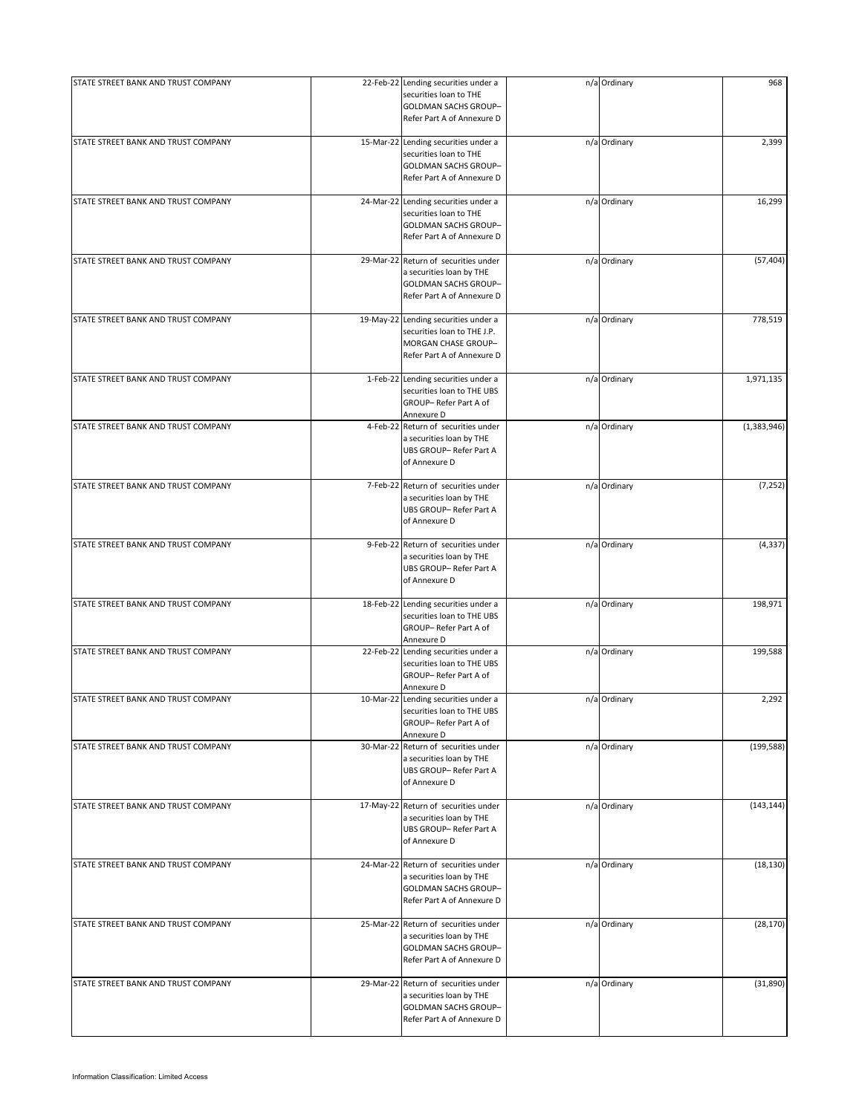| STATE STREET BANK AND TRUST COMPANY | 22-Feb-22 Lending securities under a<br>securities loan to THE<br>GOLDMAN SACHS GROUP-<br>Refer Part A of Annexure D          | n/a Ordinary | 968         |
|-------------------------------------|-------------------------------------------------------------------------------------------------------------------------------|--------------|-------------|
| STATE STREET BANK AND TRUST COMPANY | 15-Mar-22 Lending securities under a<br>securities loan to THE<br>GOLDMAN SACHS GROUP-<br>Refer Part A of Annexure D          | n/a Ordinary | 2,399       |
| STATE STREET BANK AND TRUST COMPANY | 24-Mar-22 Lending securities under a<br>securities loan to THE<br>GOLDMAN SACHS GROUP-<br>Refer Part A of Annexure D          | n/a Ordinary | 16,299      |
| STATE STREET BANK AND TRUST COMPANY | 29-Mar-22 Return of securities under<br>a securities loan by THE<br><b>GOLDMAN SACHS GROUP-</b><br>Refer Part A of Annexure D | n/a Ordinary | (57, 404)   |
| STATE STREET BANK AND TRUST COMPANY | 19-May-22 Lending securities under a<br>securities loan to THE J.P.<br>MORGAN CHASE GROUP-<br>Refer Part A of Annexure D      | n/a Ordinary | 778,519     |
| STATE STREET BANK AND TRUST COMPANY | 1-Feb-22 Lending securities under a<br>securities loan to THE UBS<br>GROUP-Refer Part A of<br>Annexure D                      | n/a Ordinary | 1,971,135   |
| STATE STREET BANK AND TRUST COMPANY | 4-Feb-22 Return of securities under<br>a securities loan by THE<br>UBS GROUP-Refer Part A<br>of Annexure D                    | n/a Ordinary | (1,383,946) |
| STATE STREET BANK AND TRUST COMPANY | 7-Feb-22 Return of securities under<br>a securities loan by THE<br>UBS GROUP-Refer Part A<br>of Annexure D                    | n/a Ordinary | (7, 252)    |
| STATE STREET BANK AND TRUST COMPANY | 9-Feb-22 Return of securities under<br>a securities loan by THE<br>UBS GROUP-Refer Part A<br>of Annexure D                    | n/a Ordinary | (4, 337)    |
| STATE STREET BANK AND TRUST COMPANY | 18-Feb-22 Lending securities under a<br>securities loan to THE UBS<br>GROUP-Refer Part A of<br>Annexure D                     | n/a Ordinary | 198,971     |
| STATE STREET BANK AND TRUST COMPANY | 22-Feb-22 Lending securities under a<br>securities loan to THE UBS<br>GROUP-Refer Part A of<br>Annexure D                     | n/a Ordinary | 199,588     |
| STATE STREET BANK AND TRUST COMPANY | 10-Mar-22 Lending securities under a<br>securities loan to THE UBS<br>GROUP-Refer Part A of<br>Annexure D                     | n/a Ordinary | 2,292       |
| STATE STREET BANK AND TRUST COMPANY | 30-Mar-22 Return of securities under<br>a securities loan by THE<br>UBS GROUP-Refer Part A<br>of Annexure D                   | n/a Ordinary | (199, 588)  |
| STATE STREET BANK AND TRUST COMPANY | 17-May-22 Return of securities under<br>a securities loan by THE<br>UBS GROUP-Refer Part A<br>of Annexure D                   | n/a Ordinary | (143, 144)  |
| STATE STREET BANK AND TRUST COMPANY | 24-Mar-22 Return of securities under<br>a securities loan by THE<br>GOLDMAN SACHS GROUP-<br>Refer Part A of Annexure D        | n/a Ordinary | (18, 130)   |
| STATE STREET BANK AND TRUST COMPANY | 25-Mar-22 Return of securities under<br>a securities loan by THE<br>GOLDMAN SACHS GROUP-<br>Refer Part A of Annexure D        | n/a Ordinary | (28, 170)   |
| STATE STREET BANK AND TRUST COMPANY | 29-Mar-22 Return of securities under<br>a securities loan by THE<br>GOLDMAN SACHS GROUP-<br>Refer Part A of Annexure D        | n/a Ordinary | (31,890)    |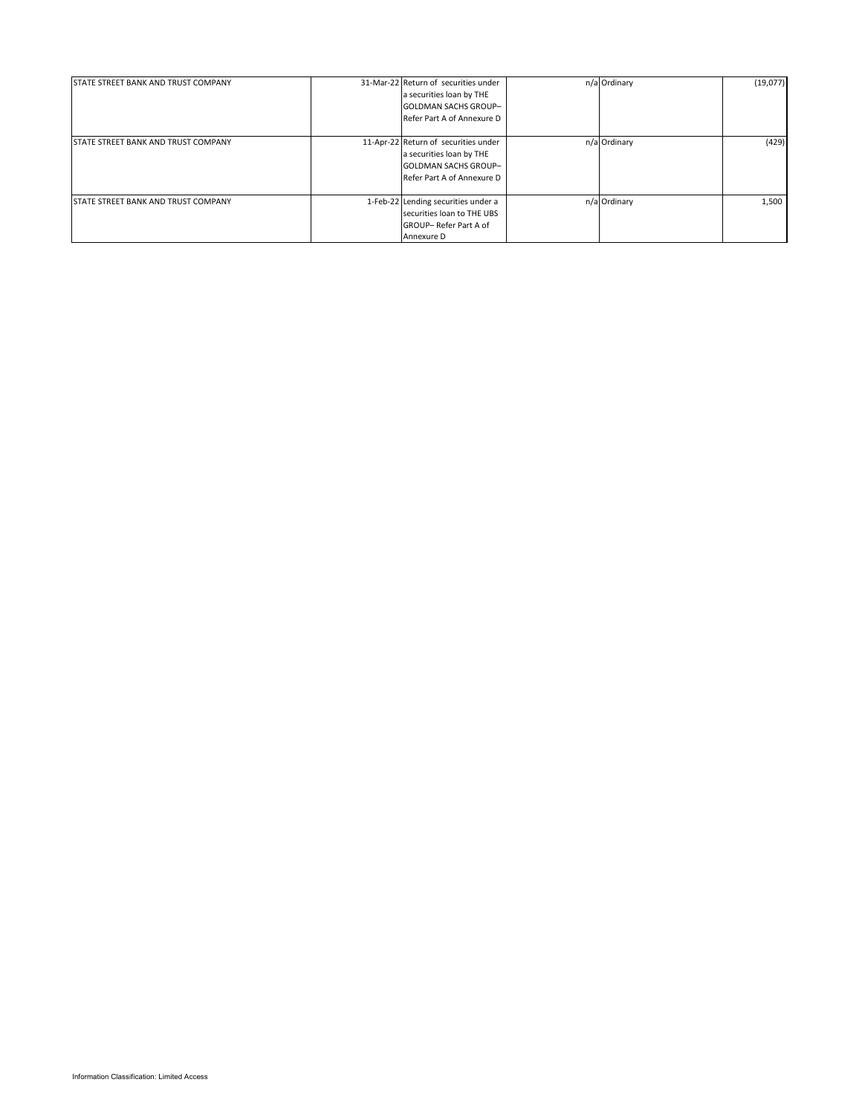| <b>STATE STREET BANK AND TRUST COMPANY</b> | 31-Mar-22 Return of securities under<br>a securities loan by THE<br><b>GOLDMAN SACHS GROUP-</b><br>Refer Part A of Annexure D | n/a Ordinary | (19,077) |
|--------------------------------------------|-------------------------------------------------------------------------------------------------------------------------------|--------------|----------|
| <b>STATE STREET BANK AND TRUST COMPANY</b> | 11-Apr-22 Return of securities under<br>a securities loan by THE<br><b>GOLDMAN SACHS GROUP-</b><br>Refer Part A of Annexure D | n/a Ordinary | (429)    |
| STATE STREET BANK AND TRUST COMPANY        | 1-Feb-22 Lending securities under a<br>securities loan to THE UBS<br>GROUP-Refer Part A of<br>Annexure D                      | n/a Ordinary | 1,500    |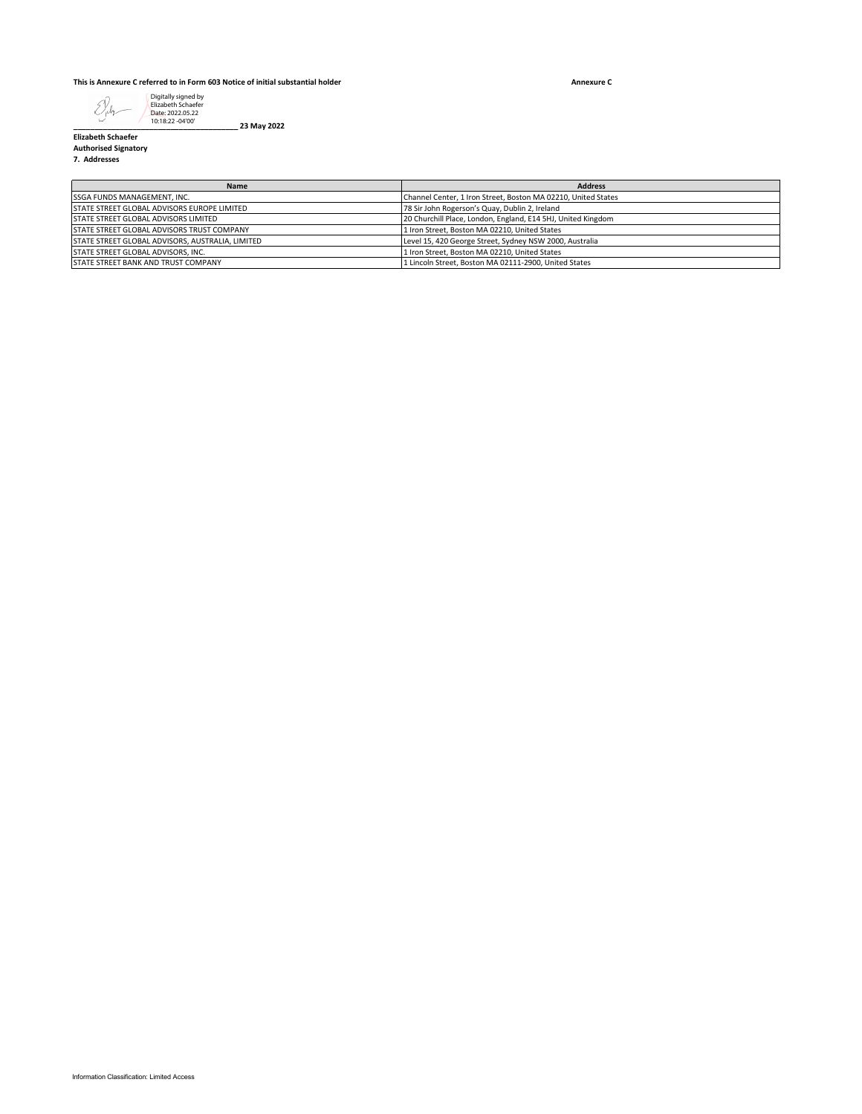**Annexure C**



**\_\_\_\_\_\_\_\_\_\_\_\_\_\_\_\_\_\_\_\_\_\_\_\_\_\_\_\_\_\_\_\_\_\_\_\_\_\_\_ 23 May 2022**

**Elizabeth Schaefer Authorised Signatory**

**7. Addresses**

| <b>Name</b>                                      | <b>Address</b>                                                |
|--------------------------------------------------|---------------------------------------------------------------|
| SSGA FUNDS MANAGEMENT, INC.                      | Channel Center, 1 Iron Street, Boston MA 02210, United States |
| STATE STREET GLOBAL ADVISORS EUROPE LIMITED      | 78 Sir John Rogerson's Quay, Dublin 2, Ireland                |
| <b>STATE STREET GLOBAL ADVISORS LIMITED</b>      | 20 Churchill Place, London, England, E14 5HJ, United Kingdom  |
| STATE STREET GLOBAL ADVISORS TRUST COMPANY       | 1 Iron Street, Boston MA 02210, United States                 |
| STATE STREET GLOBAL ADVISORS, AUSTRALIA, LIMITED | Level 15, 420 George Street, Sydney NSW 2000, Australia       |
| <b>STATE STREET GLOBAL ADVISORS. INC.</b>        | 1 Iron Street, Boston MA 02210, United States                 |
| <b>STATE STREET BANK AND TRUST COMPANY</b>       | 1 Lincoln Street, Boston MA 02111-2900, United States         |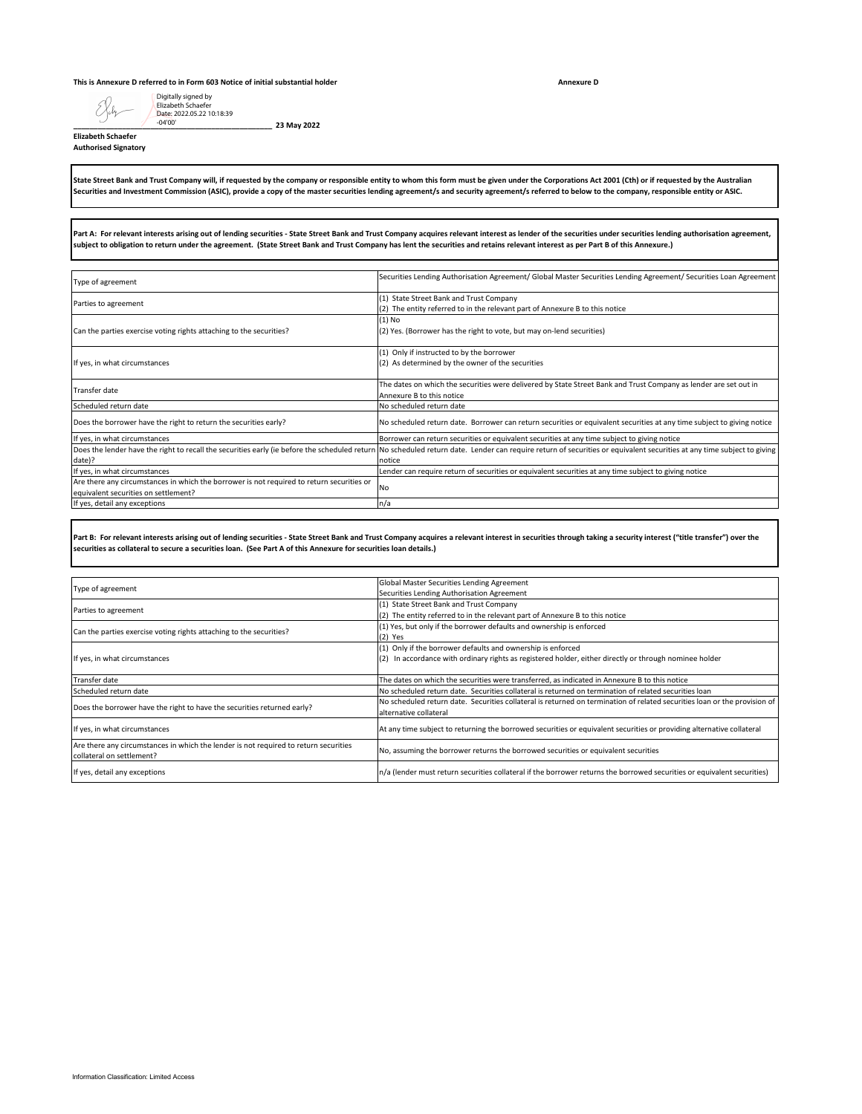#### **This is Annexure D referred to in Form 603 Notice of initial substantial holder**

Digitally signed by Elizabeth Schaefer

**\_\_\_\_\_\_\_\_\_\_\_\_\_\_\_\_\_\_\_\_\_\_\_\_\_\_\_\_\_\_\_\_\_\_\_\_\_\_\_\_\_\_\_\_\_\_\_\_\_ 23 May 2022**

**Annexure D**

Eleh-Date: 2022.05.22 10:18:39 -04'00'**Elizabeth Schaefer**

**Authorised Signatory**

**State Street Bank and Trust Company will, if requested by the company or responsible entity to whom this form must be given under the Corporations Act 2001 (Cth) or if requested by the Australian Securities and Investment Commission (ASIC), provide a copy of the master securities lending agreement/s and security agreement/s referred to below to the company, responsible entity or ASIC.**

**Part A: For relevant interests arising out of lending securities - State Street Bank and Trust Company acquires relevant interest as lender of the securities under securities lending authorisation agreement, subject to obligation to return under the agreement. (State Street Bank and Trust Company has lent the securities and retains relevant interest as per Part B of this Annexure.)**

| Type of agreement                                                                         | Securities Lending Authorisation Agreement/ Global Master Securities Lending Agreement/ Securities Loan Agreement                                                                                                      |
|-------------------------------------------------------------------------------------------|------------------------------------------------------------------------------------------------------------------------------------------------------------------------------------------------------------------------|
|                                                                                           | (1) State Street Bank and Trust Company                                                                                                                                                                                |
| Parties to agreement                                                                      | (2) The entity referred to in the relevant part of Annexure B to this notice                                                                                                                                           |
|                                                                                           | $(1)$ No                                                                                                                                                                                                               |
| Can the parties exercise voting rights attaching to the securities?                       | (2) Yes. (Borrower has the right to vote, but may on-lend securities)                                                                                                                                                  |
|                                                                                           | (1) Only if instructed to by the borrower                                                                                                                                                                              |
| If yes, in what circumstances                                                             | (2) As determined by the owner of the securities                                                                                                                                                                       |
| Transfer date                                                                             | The dates on which the securities were delivered by State Street Bank and Trust Company as lender are set out in                                                                                                       |
|                                                                                           | Annexure B to this notice                                                                                                                                                                                              |
| Scheduled return date                                                                     | No scheduled return date                                                                                                                                                                                               |
| Does the borrower have the right to return the securities early?                          | No scheduled return date. Borrower can return securities or equivalent securities at any time subject to giving notice                                                                                                 |
| If yes, in what circumstances                                                             | Borrower can return securities or equivalent securities at any time subject to giving notice                                                                                                                           |
|                                                                                           | Does the lender have the right to recall the securities early (ie before the scheduled return No scheduled return date. Lender can require return of securities or equivalent securities at any time subject to giving |
| date)?                                                                                    | notice                                                                                                                                                                                                                 |
| If yes, in what circumstances                                                             | Lender can require return of securities or equivalent securities at any time subject to giving notice                                                                                                                  |
| Are there any circumstances in which the borrower is not required to return securities or |                                                                                                                                                                                                                        |
| equivalent securities on settlement?                                                      | <b>No</b>                                                                                                                                                                                                              |
| If yes, detail any exceptions                                                             | n/a                                                                                                                                                                                                                    |

**Part B: For relevant interests arising out of lending securities - State Street Bank and Trust Company acquires a relevant interest in securities through taking a security interest ("title transfer") over the securities as collateral to secure a securities loan. (See Part A of this Annexure for securities loan details.)**

|                                                                                      | Global Master Securities Lending Agreement                                                                                |  |  |  |  |
|--------------------------------------------------------------------------------------|---------------------------------------------------------------------------------------------------------------------------|--|--|--|--|
| Type of agreement                                                                    |                                                                                                                           |  |  |  |  |
|                                                                                      | Securities Lending Authorisation Agreement                                                                                |  |  |  |  |
| Parties to agreement                                                                 | (1) State Street Bank and Trust Company                                                                                   |  |  |  |  |
|                                                                                      | (2) The entity referred to in the relevant part of Annexure B to this notice                                              |  |  |  |  |
| Can the parties exercise voting rights attaching to the securities?                  | (1) Yes, but only if the borrower defaults and ownership is enforced                                                      |  |  |  |  |
|                                                                                      | $(2)$ Yes                                                                                                                 |  |  |  |  |
|                                                                                      | (1) Only if the borrower defaults and ownership is enforced                                                               |  |  |  |  |
| If yes, in what circumstances                                                        | (2) In accordance with ordinary rights as registered holder, either directly or through nominee holder                    |  |  |  |  |
|                                                                                      |                                                                                                                           |  |  |  |  |
| Transfer date                                                                        | The dates on which the securities were transferred, as indicated in Annexure B to this notice                             |  |  |  |  |
| Scheduled return date                                                                | No scheduled return date. Securities collateral is returned on termination of related securities loan                     |  |  |  |  |
| Does the borrower have the right to have the securities returned early?              | No scheduled return date. Securities collateral is returned on termination of related securities loan or the provision of |  |  |  |  |
|                                                                                      | alternative collateral                                                                                                    |  |  |  |  |
| If yes, in what circumstances                                                        | At any time subject to returning the borrowed securities or equivalent securities or providing alternative collateral     |  |  |  |  |
|                                                                                      |                                                                                                                           |  |  |  |  |
| Are there any circumstances in which the lender is not required to return securities | No, assuming the borrower returns the borrowed securities or equivalent securities                                        |  |  |  |  |
| collateral on settlement?                                                            |                                                                                                                           |  |  |  |  |
|                                                                                      |                                                                                                                           |  |  |  |  |
| If yes, detail any exceptions                                                        | n/a (lender must return securities collateral if the borrower returns the borrowed securities or equivalent securities)   |  |  |  |  |